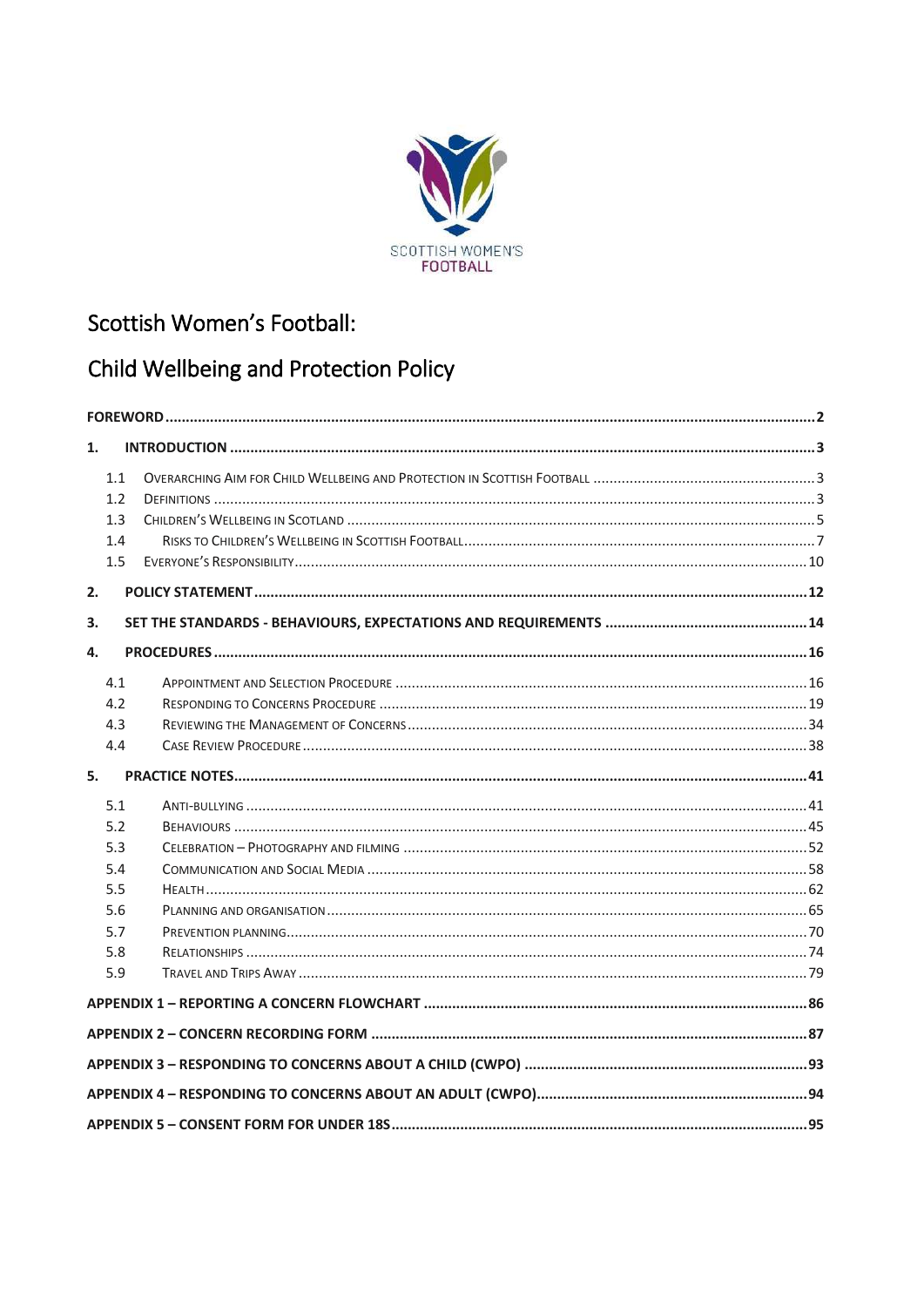

# Scottish Women's Football:

# Child Wellbeing and Protection Policy

| 1. |     |  |  |  |  |
|----|-----|--|--|--|--|
|    | 1.1 |  |  |  |  |
|    | 1.2 |  |  |  |  |
|    | 1.3 |  |  |  |  |
|    | 1.4 |  |  |  |  |
|    | 1.5 |  |  |  |  |
| 2. |     |  |  |  |  |
| 3. |     |  |  |  |  |
| 4. |     |  |  |  |  |
|    | 4.1 |  |  |  |  |
|    | 4.2 |  |  |  |  |
|    | 4.3 |  |  |  |  |
|    | 4.4 |  |  |  |  |
| 5. |     |  |  |  |  |
|    | 5.1 |  |  |  |  |
|    | 5.2 |  |  |  |  |
|    | 5.3 |  |  |  |  |
|    | 5.4 |  |  |  |  |
|    | 5.5 |  |  |  |  |
|    | 5.6 |  |  |  |  |
|    | 5.7 |  |  |  |  |
|    | 5.8 |  |  |  |  |
|    | 5.9 |  |  |  |  |
|    |     |  |  |  |  |
|    |     |  |  |  |  |
|    |     |  |  |  |  |
|    |     |  |  |  |  |
|    |     |  |  |  |  |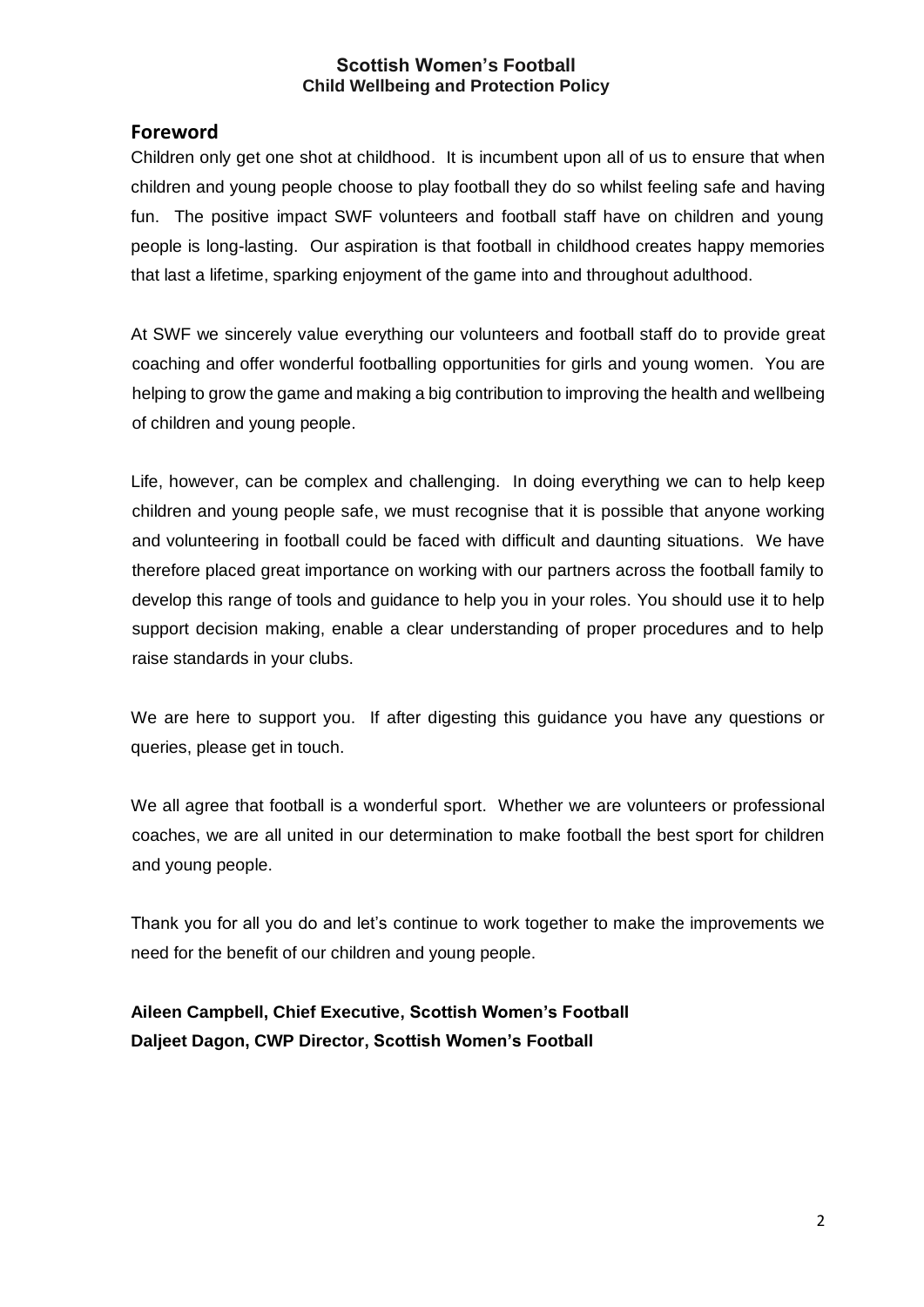## <span id="page-1-0"></span>**Foreword**

Children only get one shot at childhood. It is incumbent upon all of us to ensure that when children and young people choose to play football they do so whilst feeling safe and having fun. The positive impact SWF volunteers and football staff have on children and young people is long-lasting. Our aspiration is that football in childhood creates happy memories that last a lifetime, sparking enjoyment of the game into and throughout adulthood.

At SWF we sincerely value everything our volunteers and football staff do to provide great coaching and offer wonderful footballing opportunities for girls and young women. You are helping to grow the game and making a big contribution to improving the health and wellbeing of children and young people.

Life, however, can be complex and challenging. In doing everything we can to help keep children and young people safe, we must recognise that it is possible that anyone working and volunteering in football could be faced with difficult and daunting situations. We have therefore placed great importance on working with our partners across the football family to develop this range of tools and guidance to help you in your roles. You should use it to help support decision making, enable a clear understanding of proper procedures and to help raise standards in your clubs.

We are here to support you. If after digesting this guidance you have any questions or queries, please get in touch.

We all agree that football is a wonderful sport. Whether we are volunteers or professional coaches, we are all united in our determination to make football the best sport for children and young people.

Thank you for all you do and let's continue to work together to make the improvements we need for the benefit of our children and young people.

**Aileen Campbell, Chief Executive, Scottish Women's Football Daljeet Dagon, CWP Director, Scottish Women's Football**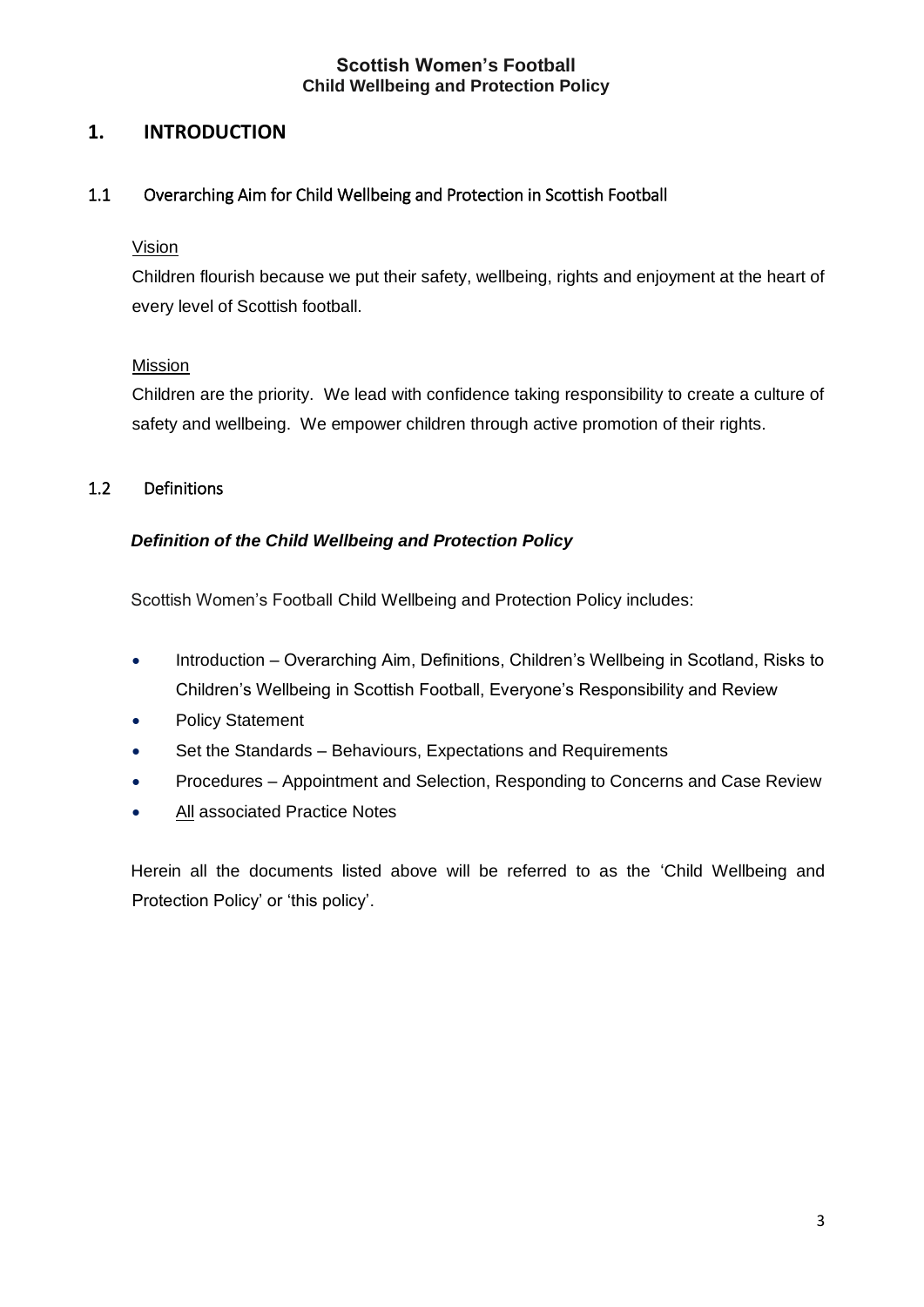## <span id="page-2-0"></span>**1. INTRODUCTION**

## <span id="page-2-1"></span>1.1 Overarching Aim for Child Wellbeing and Protection in Scottish Football

#### Vision

Children flourish because we put their safety, wellbeing, rights and enjoyment at the heart of every level of Scottish football.

#### Mission

Children are the priority. We lead with confidence taking responsibility to create a culture of safety and wellbeing. We empower children through active promotion of their rights.

## <span id="page-2-2"></span>1.2 Definitions

## *Definition of the Child Wellbeing and Protection Policy*

Scottish Women's Football Child Wellbeing and Protection Policy includes:

- Introduction Overarching Aim, Definitions, Children's Wellbeing in Scotland, Risks to Children's Wellbeing in Scottish Football, Everyone's Responsibility and Review
- Policy Statement
- Set the Standards Behaviours, Expectations and Requirements
- Procedures Appointment and Selection, Responding to Concerns and Case Review
- All associated Practice Notes

Herein all the documents listed above will be referred to as the 'Child Wellbeing and Protection Policy' or 'this policy'.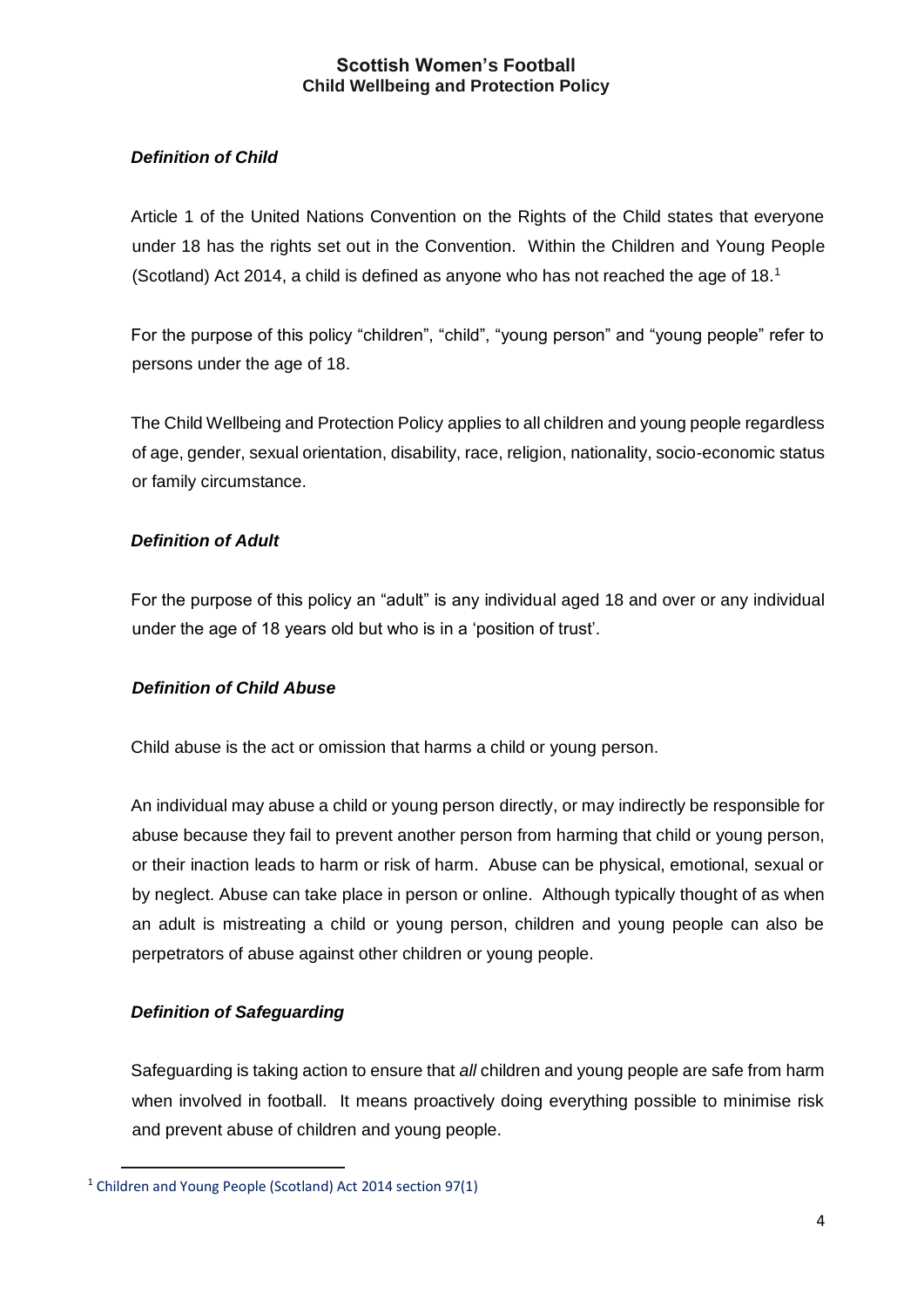## *Definition of Child*

Article 1 of the United Nations Convention on the Rights of the Child states that everyone under 18 has the rights set out in the Convention. Within the Children and Young People (Scotland) Act 2014, a child is defined as anyone who has not reached the age of  $18<sup>1</sup>$ 

For the purpose of this policy "children", "child", "young person" and "young people" refer to persons under the age of 18.

The Child Wellbeing and Protection Policy applies to all children and young people regardless of age, gender, sexual orientation, disability, race, religion, nationality, socio-economic status or family circumstance.

## *Definition of Adult*

For the purpose of this policy an "adult" is any individual aged 18 and over or any individual under the age of 18 years old but who is in a 'position of trust'.

## *Definition of Child Abuse*

Child abuse is the act or omission that harms a child or young person.

An individual may abuse a child or young person directly, or may indirectly be responsible for abuse because they fail to prevent another person from harming that child or young person, or their inaction leads to harm or risk of harm. Abuse can be physical, emotional, sexual or by neglect. Abuse can take place in person or online. Although typically thought of as when an adult is mistreating a child or young person, children and young people can also be perpetrators of abuse against other children or young people.

## *Definition of Safeguarding*

 $\overline{a}$ 

Safeguarding is taking action to ensure that *all* children and young people are safe from harm when involved in football. It means proactively doing everything possible to minimise risk and prevent abuse of children and young people.

<sup>&</sup>lt;sup>1</sup> Children and Young People (Scotland) Act 2014 section 97(1)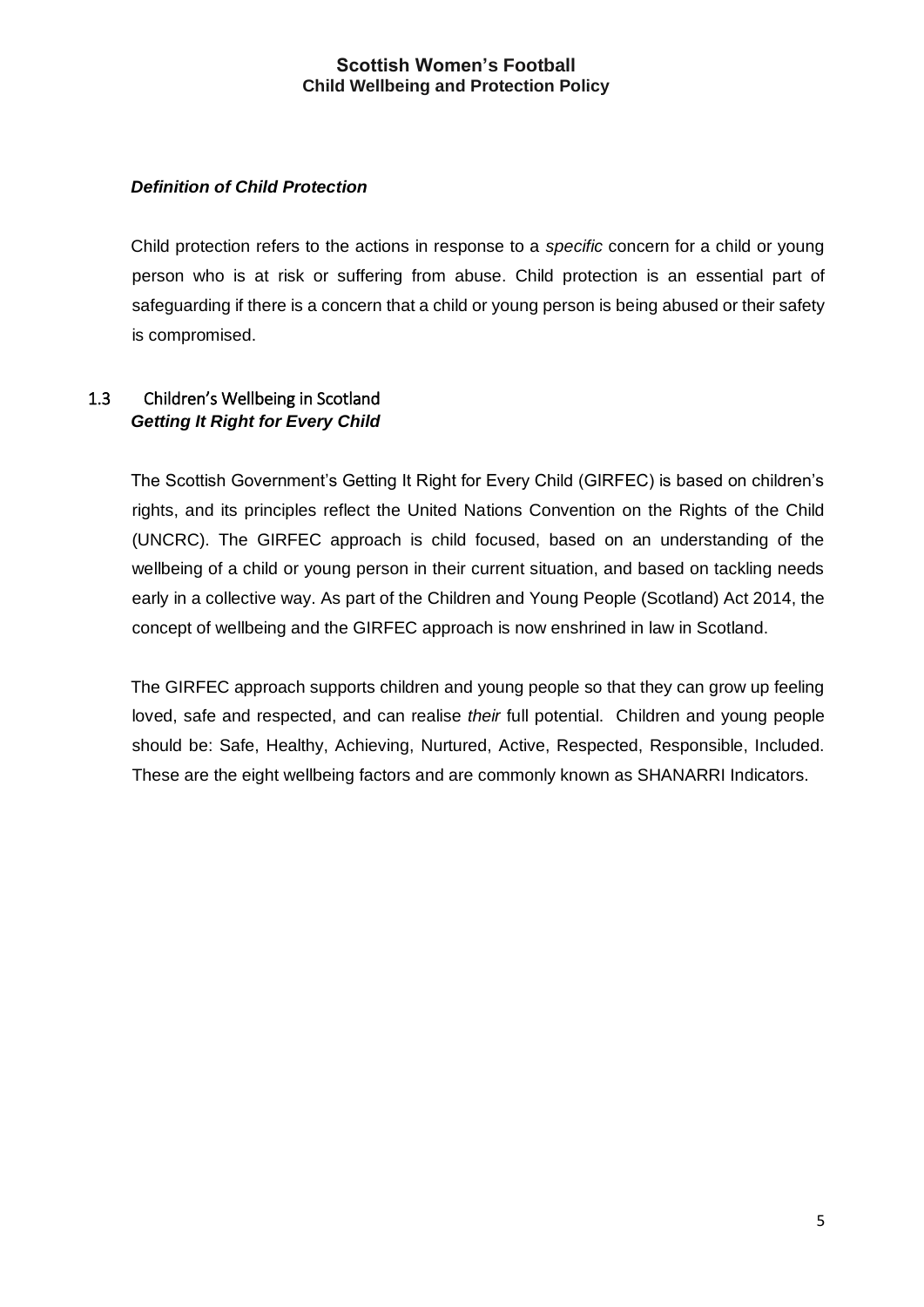## *Definition of Child Protection*

Child protection refers to the actions in response to a *specific* concern for a child or young person who is at risk or suffering from abuse. Child protection is an essential part of safeguarding if there is a concern that a child or young person is being abused or their safety is compromised.

## <span id="page-4-0"></span>1.3 Children's Wellbeing in Scotland *Getting It Right for Every Child*

The Scottish Government's Getting It Right for Every Child (GIRFEC) is based on children's rights, and its principles reflect the United Nations Convention on the Rights of the Child (UNCRC). The GIRFEC approach is child focused, based on an understanding of the wellbeing of a child or young person in their current situation, and based on tackling needs early in a collective way. As part of the Children and Young People (Scotland) Act 2014, the concept of wellbeing and the GIRFEC approach is now enshrined in law in Scotland.

The GIRFEC approach supports children and young people so that they can grow up feeling loved, safe and respected, and can realise *their* full potential. Children and young people should be: Safe, Healthy, Achieving, Nurtured, Active, Respected, Responsible, Included. These are the eight wellbeing factors and are commonly known as SHANARRI Indicators.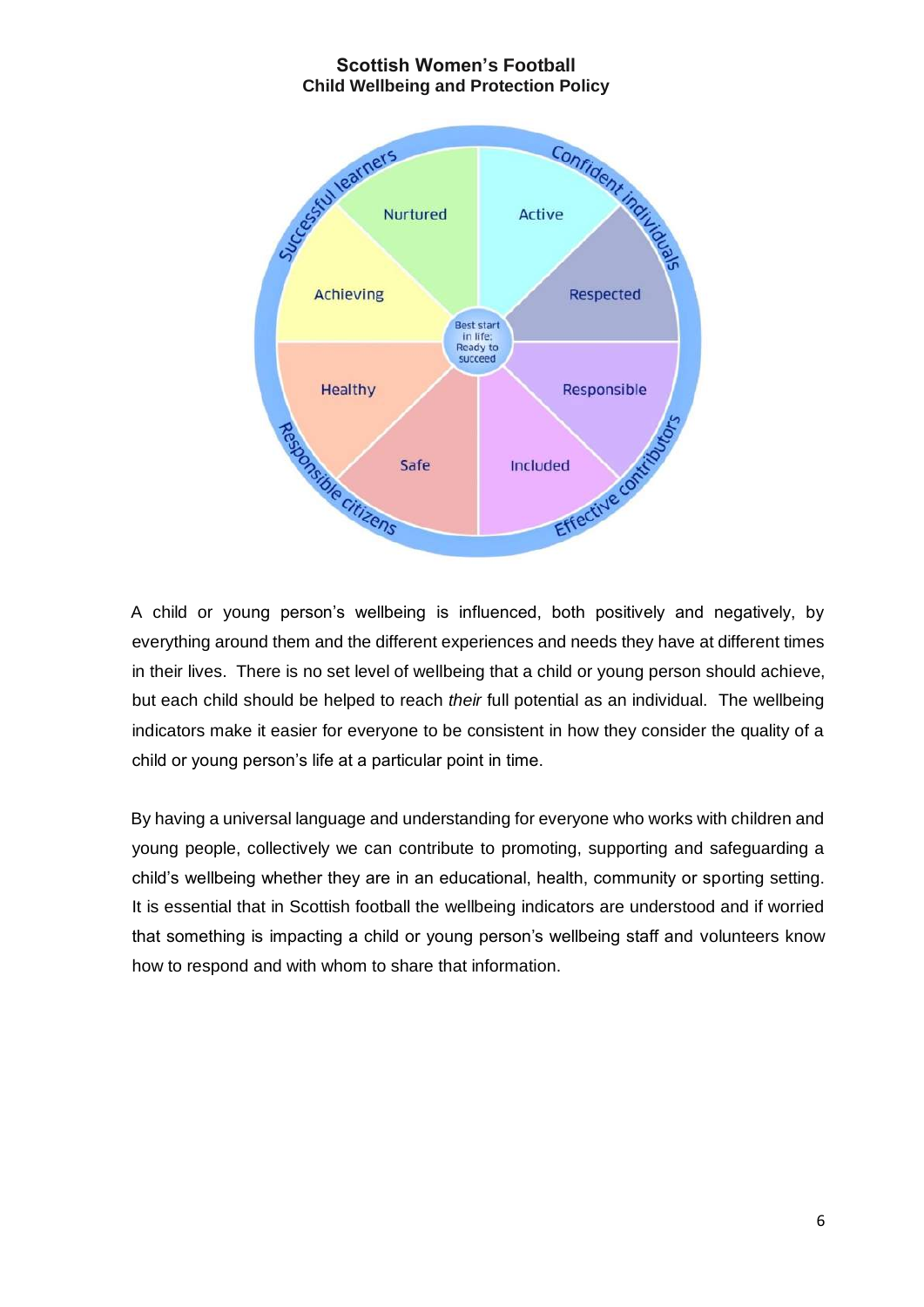

A child or young person's wellbeing is influenced, both positively and negatively, by everything around them and the different experiences and needs they have at different times in their lives. There is no set level of wellbeing that a child or young person should achieve, but each child should be helped to reach *their* full potential as an individual. The wellbeing indicators make it easier for everyone to be consistent in how they consider the quality of a child or young person's life at a particular point in time.

By having a universal language and understanding for everyone who works with children and young people, collectively we can contribute to promoting, supporting and safeguarding a child's wellbeing whether they are in an educational, health, community or sporting setting. It is essential that in Scottish football the wellbeing indicators are understood and if worried that something is impacting a child or young person's wellbeing staff and volunteers know how to respond and with whom to share that information.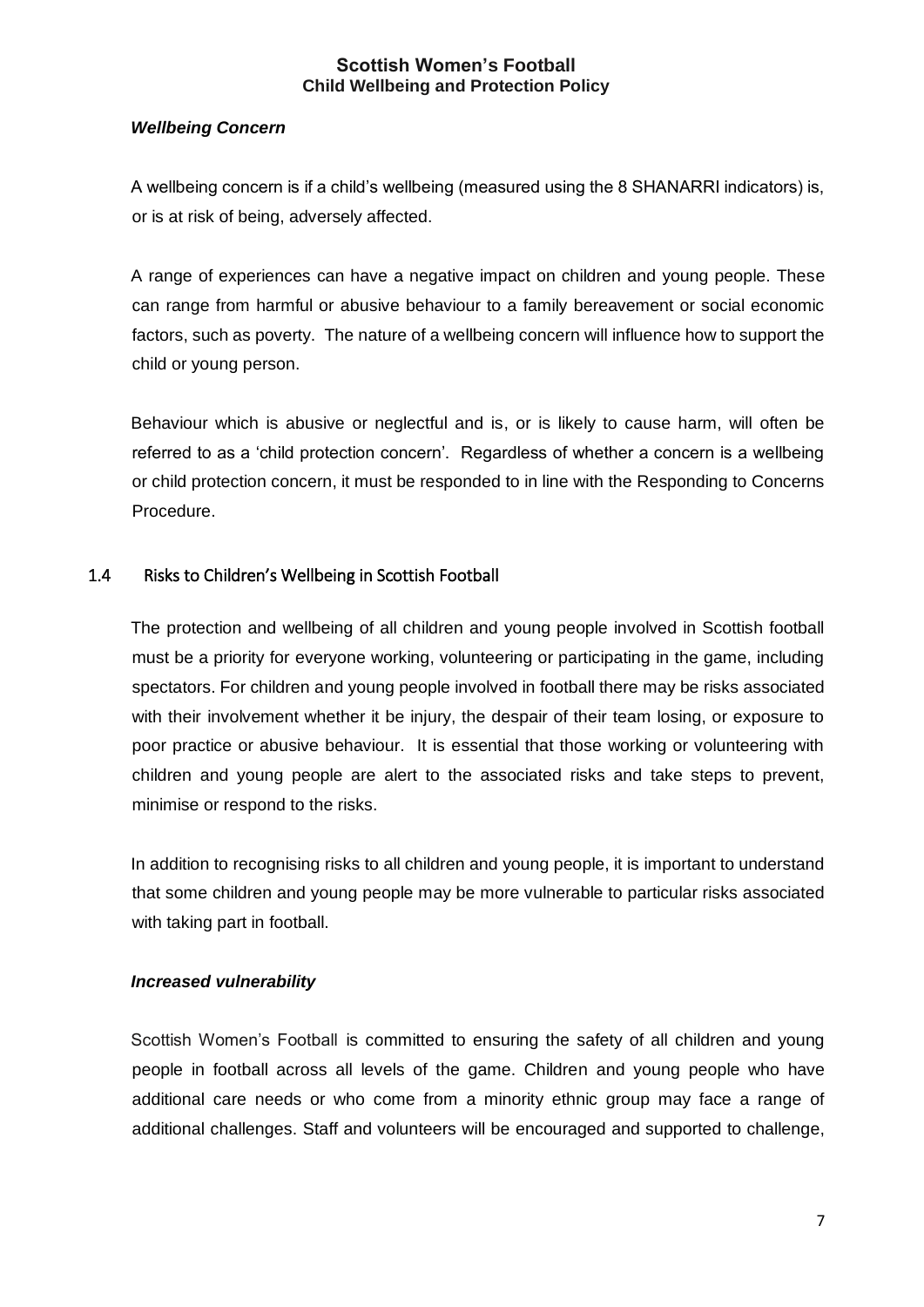## *Wellbeing Concern*

A wellbeing concern is if a child's wellbeing (measured using the 8 SHANARRI indicators) is, or is at risk of being, adversely affected.

A range of experiences can have a negative impact on children and young people. These can range from harmful or abusive behaviour to a family bereavement or social economic factors, such as poverty. The nature of a wellbeing concern will influence how to support the child or young person.

Behaviour which is abusive or neglectful and is, or is likely to cause harm, will often be referred to as a 'child protection concern'. Regardless of whether a concern is a wellbeing or child protection concern, it must be responded to in line with the Responding to Concerns Procedure.

## <span id="page-6-0"></span>1.4 Risks to Children's Wellbeing in Scottish Football

The protection and wellbeing of all children and young people involved in Scottish football must be a priority for everyone working, volunteering or participating in the game, including spectators. For children and young people involved in football there may be risks associated with their involvement whether it be injury, the despair of their team losing, or exposure to poor practice or abusive behaviour. It is essential that those working or volunteering with children and young people are alert to the associated risks and take steps to prevent, minimise or respond to the risks.

In addition to recognising risks to all children and young people, it is important to understand that some children and young people may be more vulnerable to particular risks associated with taking part in football.

## *Increased vulnerability*

Scottish Women's Football is committed to ensuring the safety of all children and young people in football across all levels of the game. Children and young people who have additional care needs or who come from a minority ethnic group may face a range of additional challenges. Staff and volunteers will be encouraged and supported to challenge,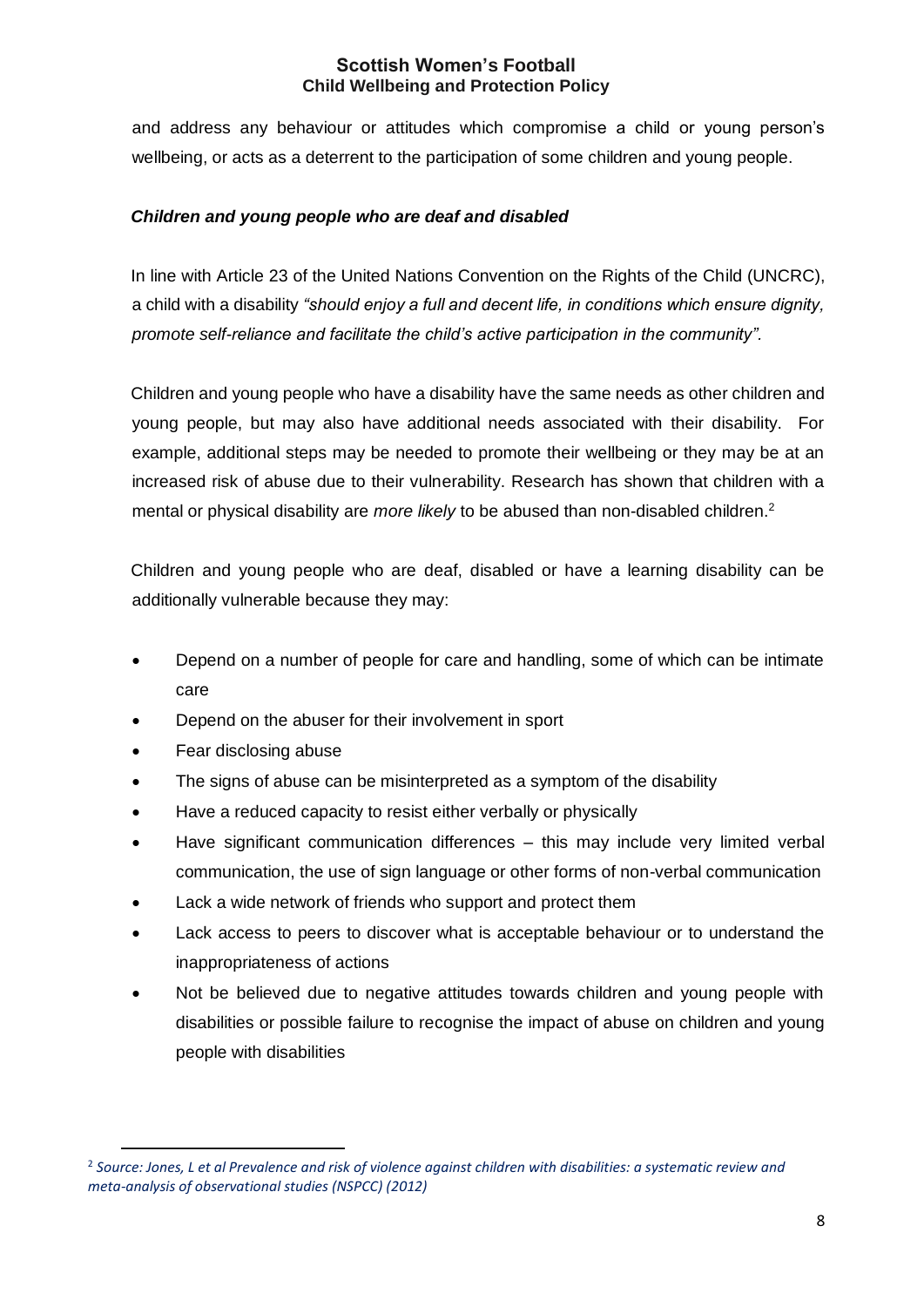and address any behaviour or attitudes which compromise a child or young person's wellbeing, or acts as a deterrent to the participation of some children and young people.

## *Children and young people who are deaf and disabled*

In line with Article 23 of the United Nations Convention on the Rights of the Child (UNCRC), a child with a disability *"should enjoy a full and decent life, in conditions which ensure dignity, promote self-reliance and facilitate the child's active participation in the community".* 

Children and young people who have a disability have the same needs as other children and young people, but may also have additional needs associated with their disability. For example, additional steps may be needed to promote their wellbeing or they may be at an increased risk of abuse due to their vulnerability. Research has shown that children with a mental or physical disability are *more likely* to be abused than non-disabled children.<sup>2</sup>

Children and young people who are deaf, disabled or have a learning disability can be additionally vulnerable because they may:

- Depend on a number of people for care and handling, some of which can be intimate care
- Depend on the abuser for their involvement in sport
- Fear disclosing abuse

 $\overline{a}$ 

- The signs of abuse can be misinterpreted as a symptom of the disability
- Have a reduced capacity to resist either verbally or physically
- Have significant communication differences this may include very limited verbal communication, the use of sign language or other forms of non-verbal communication
- Lack a wide network of friends who support and protect them
- Lack access to peers to discover what is acceptable behaviour or to understand the inappropriateness of actions
- Not be believed due to negative attitudes towards children and young people with disabilities or possible failure to recognise the impact of abuse on children and young people with disabilities

<sup>2</sup> *Source: Jones, L et al Prevalence and risk of violence against children with disabilities: a systematic review and meta-analysis of observational studies (NSPCC) (2012)*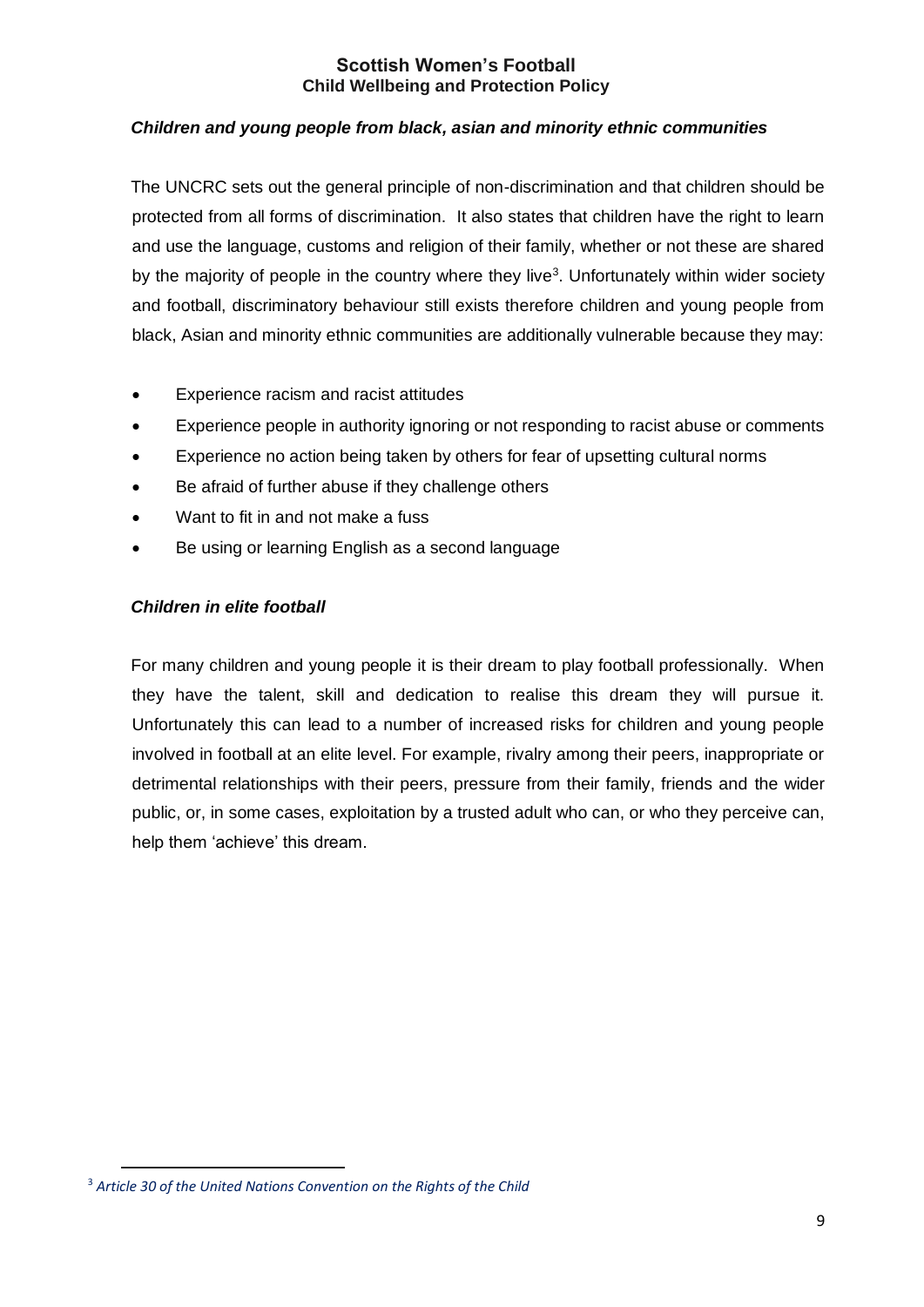#### *Children and young people from black, asian and minority ethnic communities*

The UNCRC sets out the general principle of non-discrimination and that children should be protected from all forms of discrimination. It also states that children have the right to learn and use the language, customs and religion of their family, whether or not these are shared by the majority of people in the country where they live<sup>3</sup>. Unfortunately within wider society and football, discriminatory behaviour still exists therefore children and young people from black, Asian and minority ethnic communities are additionally vulnerable because they may:

- Experience racism and racist attitudes
- Experience people in authority ignoring or not responding to racist abuse or comments
- Experience no action being taken by others for fear of upsetting cultural norms
- Be afraid of further abuse if they challenge others
- Want to fit in and not make a fuss
- Be using or learning English as a second language

#### *Children in elite football*

For many children and young people it is their dream to play football professionally. When they have the talent, skill and dedication to realise this dream they will pursue it. Unfortunately this can lead to a number of increased risks for children and young people involved in football at an elite level. For example, rivalry among their peers, inappropriate or detrimental relationships with their peers, pressure from their family, friends and the wider public, or, in some cases, exploitation by a trusted adult who can, or who they perceive can, help them 'achieve' this dream.

 $\overline{a}$ 

<sup>3</sup> *Article 30 of the United Nations Convention on the Rights of the Child*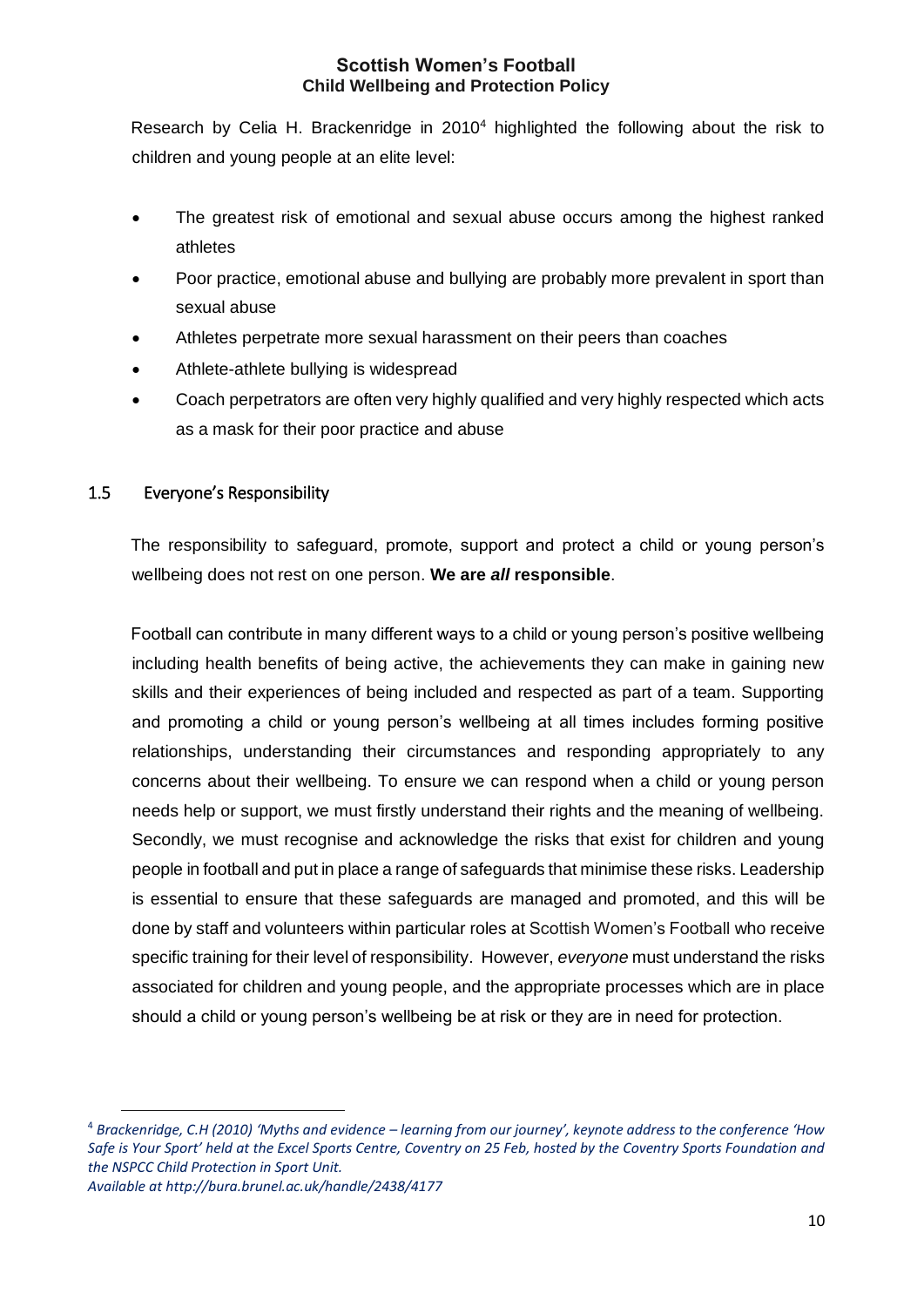Research by Celia H. Brackenridge in 2010<sup>4</sup> highlighted the following about the risk to children and young people at an elite level:

- The greatest risk of emotional and sexual abuse occurs among the highest ranked athletes
- Poor practice, emotional abuse and bullying are probably more prevalent in sport than sexual abuse
- Athletes perpetrate more sexual harassment on their peers than coaches
- Athlete-athlete bullying is widespread
- Coach perpetrators are often very highly qualified and very highly respected which acts as a mask for their poor practice and abuse

## <span id="page-9-0"></span>1.5 Everyone's Responsibility

The responsibility to safeguard, promote, support and protect a child or young person's wellbeing does not rest on one person. **We are** *all* **responsible**.

Football can contribute in many different ways to a child or young person's positive wellbeing including health benefits of being active, the achievements they can make in gaining new skills and their experiences of being included and respected as part of a team. Supporting and promoting a child or young person's wellbeing at all times includes forming positive relationships, understanding their circumstances and responding appropriately to any concerns about their wellbeing. To ensure we can respond when a child or young person needs help or support, we must firstly understand their rights and the meaning of wellbeing. Secondly, we must recognise and acknowledge the risks that exist for children and young people in football and put in place a range of safeguards that minimise these risks. Leadership is essential to ensure that these safeguards are managed and promoted, and this will be done by staff and volunteers within particular roles at Scottish Women's Football who receive specific training for their level of responsibility. However, *everyone* must understand the risks associated for children and young people, and the appropriate processes which are in place should a child or young person's wellbeing be at risk or they are in need for protection.

 $\overline{a}$ 

<sup>4</sup> *Brackenridge, C.H (2010) 'Myths and evidence – learning from our journey', keynote address to the conference 'How Safe is Your Sport' held at the Excel Sports Centre, Coventry on 25 Feb, hosted by the Coventry Sports Foundation and the NSPCC Child Protection in Sport Unit.*

*Available at http://bura.brunel.ac.uk/handle/2438/4177*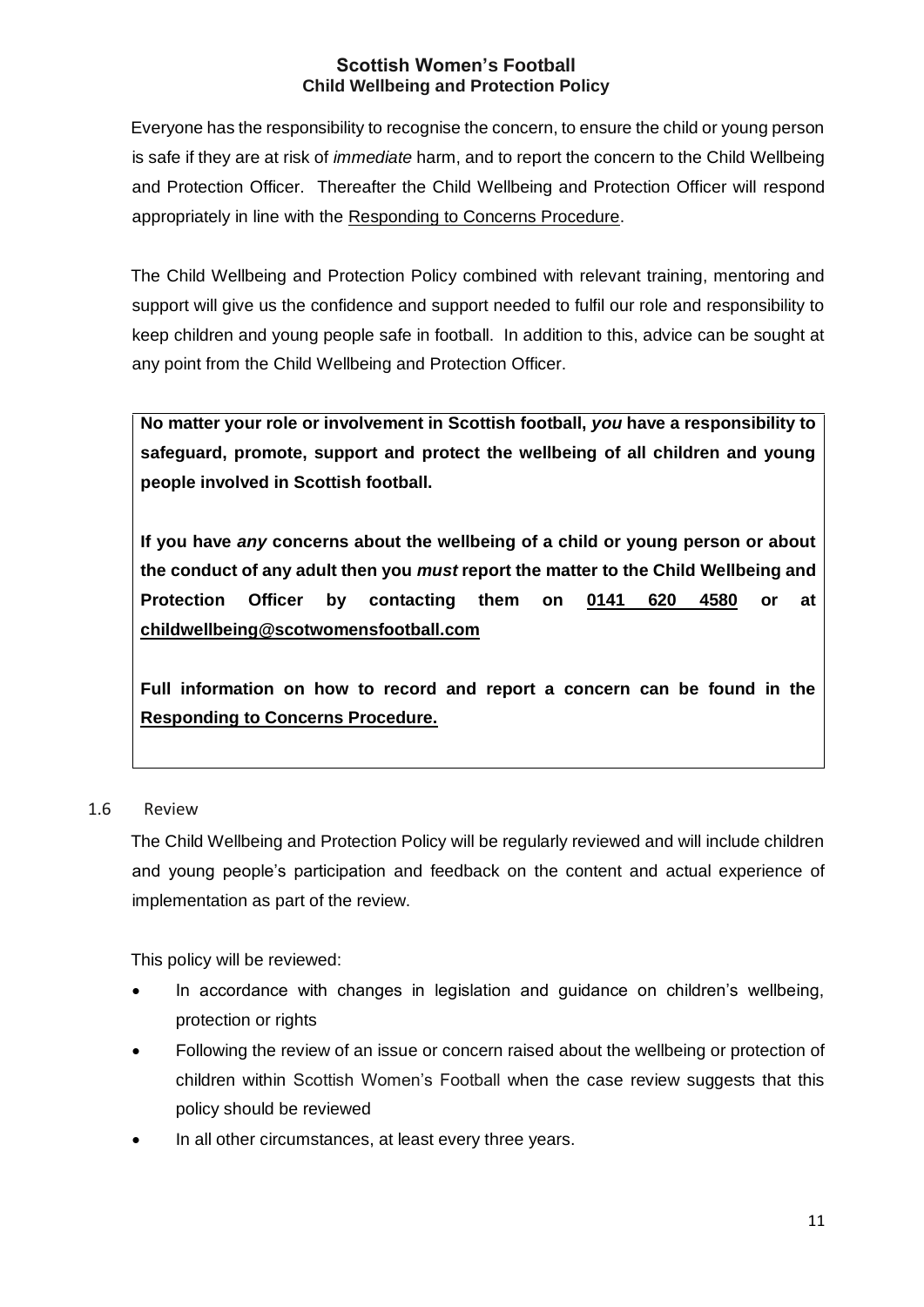Everyone has the responsibility to recognise the concern, to ensure the child or young person is safe if they are at risk of *immediate* harm, and to report the concern to the Child Wellbeing and Protection Officer. Thereafter the Child Wellbeing and Protection Officer will respond appropriately in line with the Responding to Concerns Procedure.

The Child Wellbeing and Protection Policy combined with relevant training, mentoring and support will give us the confidence and support needed to fulfil our role and responsibility to keep children and young people safe in football. In addition to this, advice can be sought at any point from the Child Wellbeing and Protection Officer.

**No matter your role or involvement in Scottish football,** *you* **have a responsibility to safeguard, promote, support and protect the wellbeing of all children and young people involved in Scottish football.** 

**If you have** *any* **concerns about the wellbeing of a child or young person or about the conduct of any adult then you** *must* **report the matter to the Child Wellbeing and Protection Officer by contacting them on 0141 620 4580 or at childwellbeing@scotwomensfootball.com**

**Full information on how to record and report a concern can be found in the Responding to Concerns Procedure.**

## 1.6 Review

The Child Wellbeing and Protection Policy will be regularly reviewed and will include children and young people's participation and feedback on the content and actual experience of implementation as part of the review.

This policy will be reviewed:

- In accordance with changes in legislation and guidance on children's wellbeing, protection or rights
- Following the review of an issue or concern raised about the wellbeing or protection of children within Scottish Women's Football when the case review suggests that this policy should be reviewed
- In all other circumstances, at least every three years.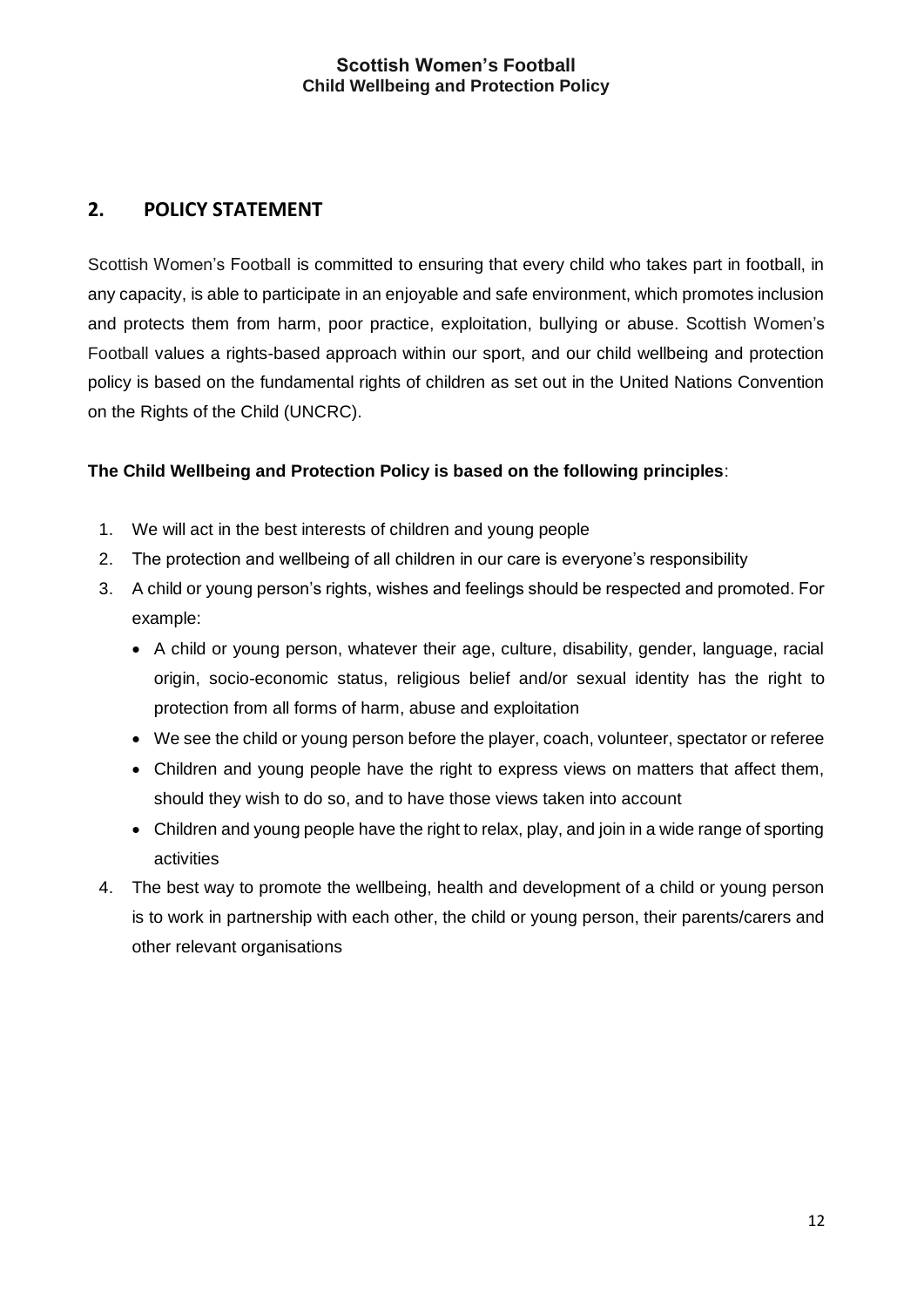# <span id="page-11-0"></span>**2. POLICY STATEMENT**

Scottish Women's Football is committed to ensuring that every child who takes part in football, in any capacity, is able to participate in an enjoyable and safe environment, which promotes inclusion and protects them from harm, poor practice, exploitation, bullying or abuse. Scottish Women's Football values a rights-based approach within our sport, and our child wellbeing and protection policy is based on the fundamental rights of children as set out in the United Nations Convention on the Rights of the Child (UNCRC).

## **The Child Wellbeing and Protection Policy is based on the following principles**:

- 1. We will act in the best interests of children and young people
- 2. The protection and wellbeing of all children in our care is everyone's responsibility
- 3. A child or young person's rights, wishes and feelings should be respected and promoted. For example:
	- A child or young person, whatever their age, culture, disability, gender, language, racial origin, socio-economic status, religious belief and/or sexual identity has the right to protection from all forms of harm, abuse and exploitation
	- We see the child or young person before the player, coach, volunteer, spectator or referee
	- Children and young people have the right to express views on matters that affect them, should they wish to do so, and to have those views taken into account
	- Children and young people have the right to relax, play, and join in a wide range of sporting activities
- 4. The best way to promote the wellbeing, health and development of a child or young person is to work in partnership with each other, the child or young person, their parents/carers and other relevant organisations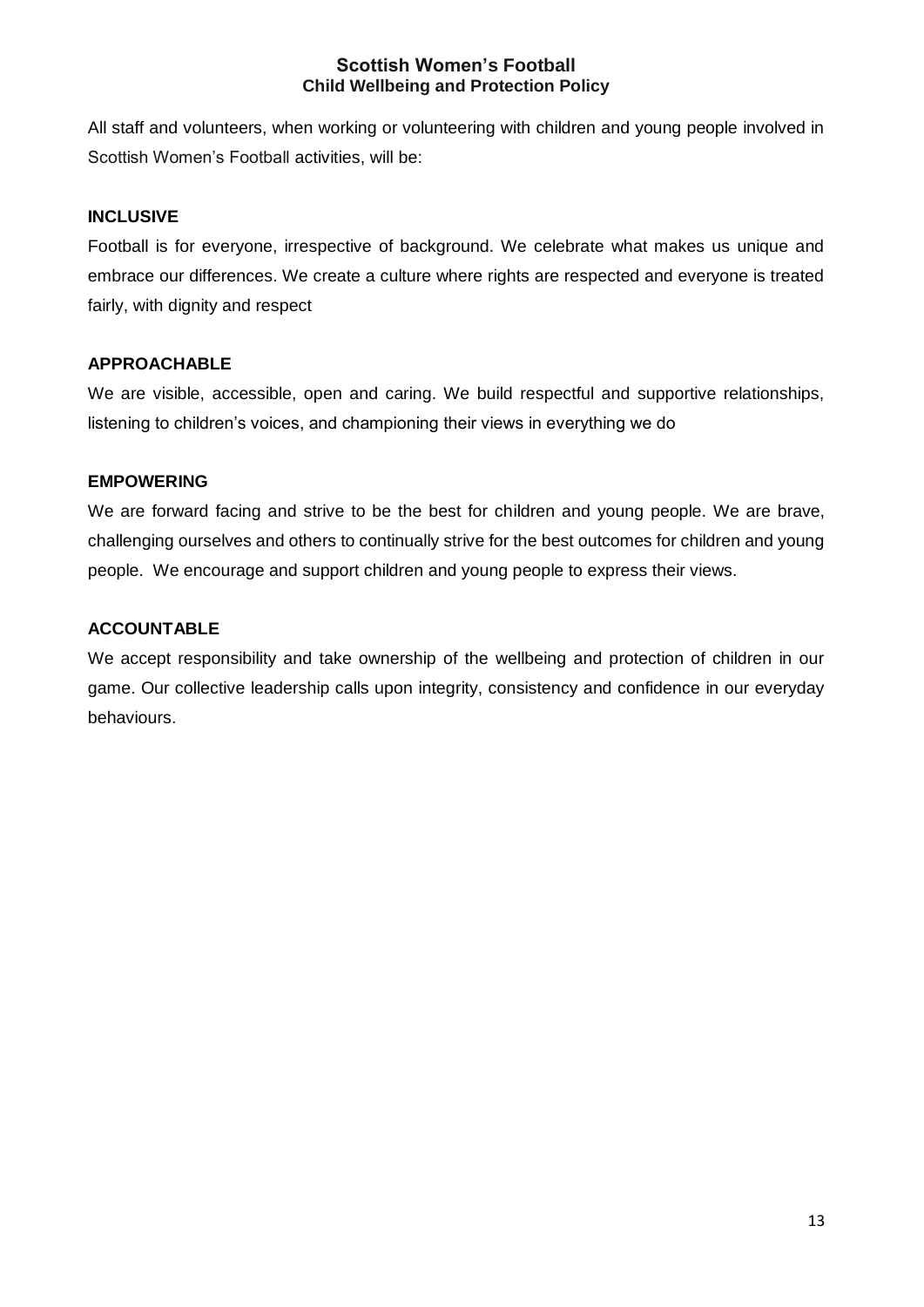All staff and volunteers, when working or volunteering with children and young people involved in Scottish Women's Football activities, will be:

## **INCLUSIVE**

Football is for everyone, irrespective of background. We celebrate what makes us unique and embrace our differences. We create a culture where rights are respected and everyone is treated fairly, with dignity and respect

#### **APPROACHABLE**

We are visible, accessible, open and caring. We build respectful and supportive relationships, listening to children's voices, and championing their views in everything we do

#### **EMPOWERING**

We are forward facing and strive to be the best for children and young people. We are brave, challenging ourselves and others to continually strive for the best outcomes for children and young people. We encourage and support children and young people to express their views.

#### **ACCOUNTABLE**

We accept responsibility and take ownership of the wellbeing and protection of children in our game. Our collective leadership calls upon integrity, consistency and confidence in our everyday behaviours.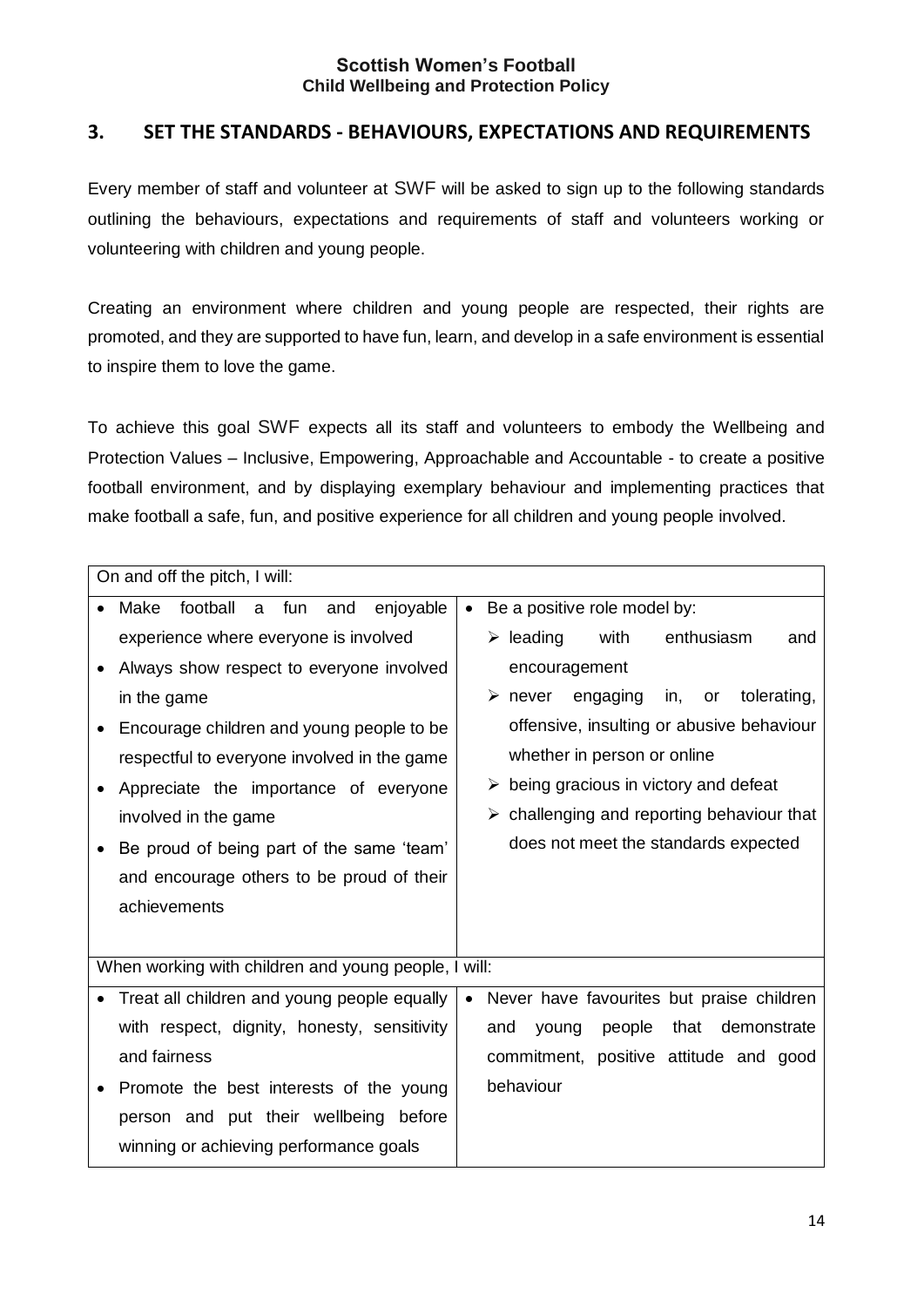## <span id="page-13-0"></span>**3. SET THE STANDARDS - BEHAVIOURS, EXPECTATIONS AND REQUIREMENTS**

Every member of staff and volunteer at SWF will be asked to sign up to the following standards outlining the behaviours, expectations and requirements of staff and volunteers working or volunteering with children and young people.

Creating an environment where children and young people are respected, their rights are promoted, and they are supported to have fun, learn, and develop in a safe environment is essential to inspire them to love the game.

To achieve this goal SWF expects all its staff and volunteers to embody the Wellbeing and Protection Values – Inclusive, Empowering, Approachable and Accountable - to create a positive football environment, and by displaying exemplary behaviour and implementing practices that make football a safe, fun, and positive experience for all children and young people involved.

| On and off the pitch, I will:                        |           |                                                                |  |
|------------------------------------------------------|-----------|----------------------------------------------------------------|--|
| football<br>enjoyable<br>Make<br>a fun<br>and        | $\bullet$ | Be a positive role model by:                                   |  |
| experience where everyone is involved                |           | $\triangleright$ leading<br>with<br>enthusiasm<br>and          |  |
| Always show respect to everyone involved             |           | encouragement                                                  |  |
| in the game                                          |           | tolerating,<br>engaging<br>in,<br>$\triangleright$ never<br>or |  |
| Encourage children and young people to be            |           | offensive, insulting or abusive behaviour                      |  |
| respectful to everyone involved in the game          |           | whether in person or online                                    |  |
| Appreciate the importance of everyone                |           | $\triangleright$ being gracious in victory and defeat          |  |
| involved in the game                                 |           | $\triangleright$ challenging and reporting behaviour that      |  |
| Be proud of being part of the same 'team'            |           | does not meet the standards expected                           |  |
| and encourage others to be proud of their            |           |                                                                |  |
| achievements                                         |           |                                                                |  |
|                                                      |           |                                                                |  |
| When working with children and young people, I will: |           |                                                                |  |
| Treat all children and young people equally          | $\bullet$ | Never have favourites but praise children                      |  |
| with respect, dignity, honesty, sensitivity          |           | that<br>people<br>demonstrate<br>and<br>young                  |  |
| and fairness                                         |           | commitment, positive attitude and good                         |  |
| Promote the best interests of the young              |           | behaviour                                                      |  |
| person and put their wellbeing before                |           |                                                                |  |
| winning or achieving performance goals               |           |                                                                |  |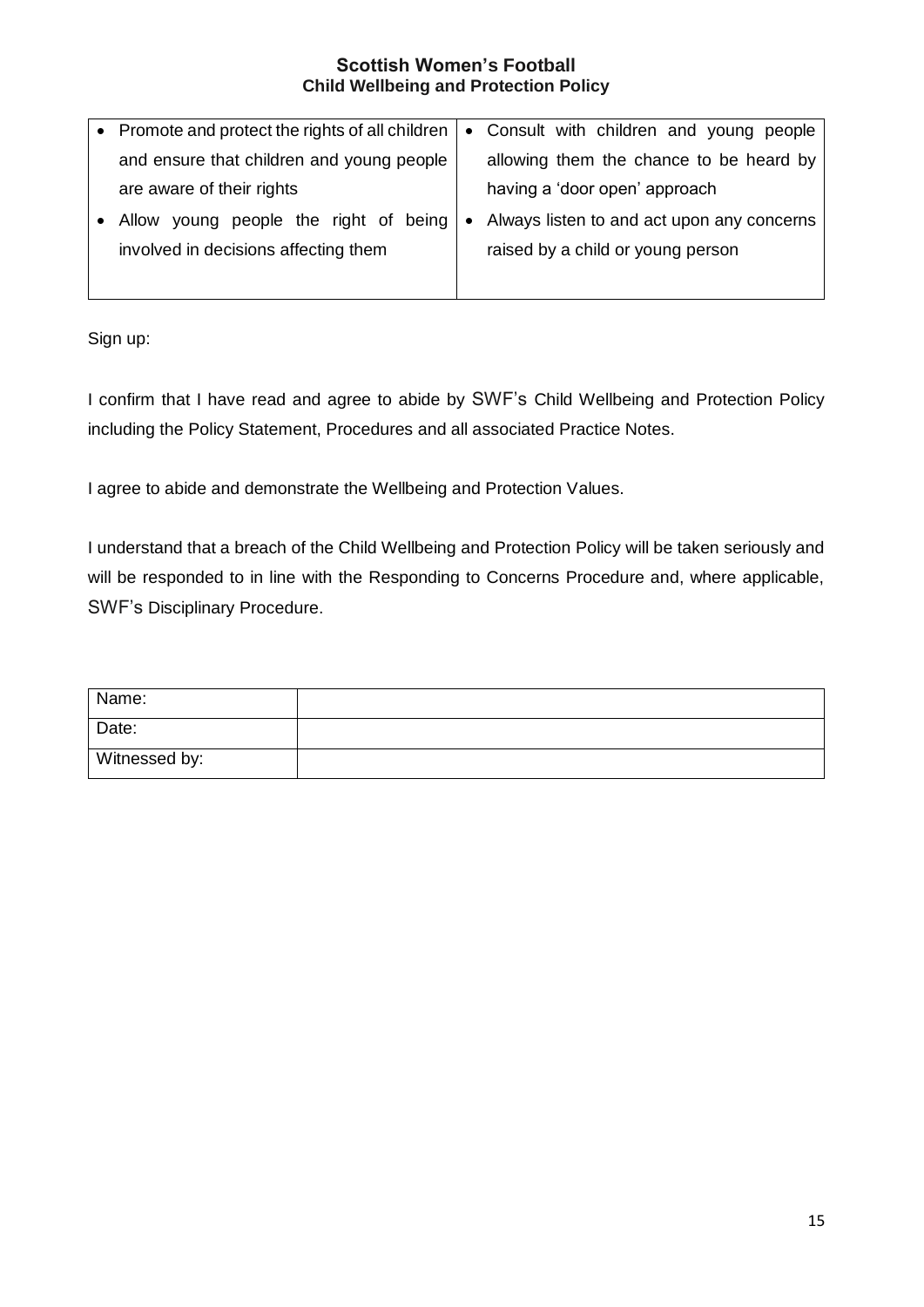| • Promote and protect the rights of all children |           | • Consult with children and young people   |
|--------------------------------------------------|-----------|--------------------------------------------|
| and ensure that children and young people        |           | allowing them the chance to be heard by    |
| are aware of their rights                        |           | having a 'door open' approach              |
| young people the right of being<br>Allow         | $\bullet$ | Always listen to and act upon any concerns |
| involved in decisions affecting them             |           | raised by a child or young person          |
|                                                  |           |                                            |

Sign up:

I confirm that I have read and agree to abide by SWF's Child Wellbeing and Protection Policy including the Policy Statement, Procedures and all associated Practice Notes.

I agree to abide and demonstrate the Wellbeing and Protection Values.

I understand that a breach of the Child Wellbeing and Protection Policy will be taken seriously and will be responded to in line with the Responding to Concerns Procedure and, where applicable, SWF's Disciplinary Procedure.

| Name:         |  |
|---------------|--|
| Date:         |  |
| Witnessed by: |  |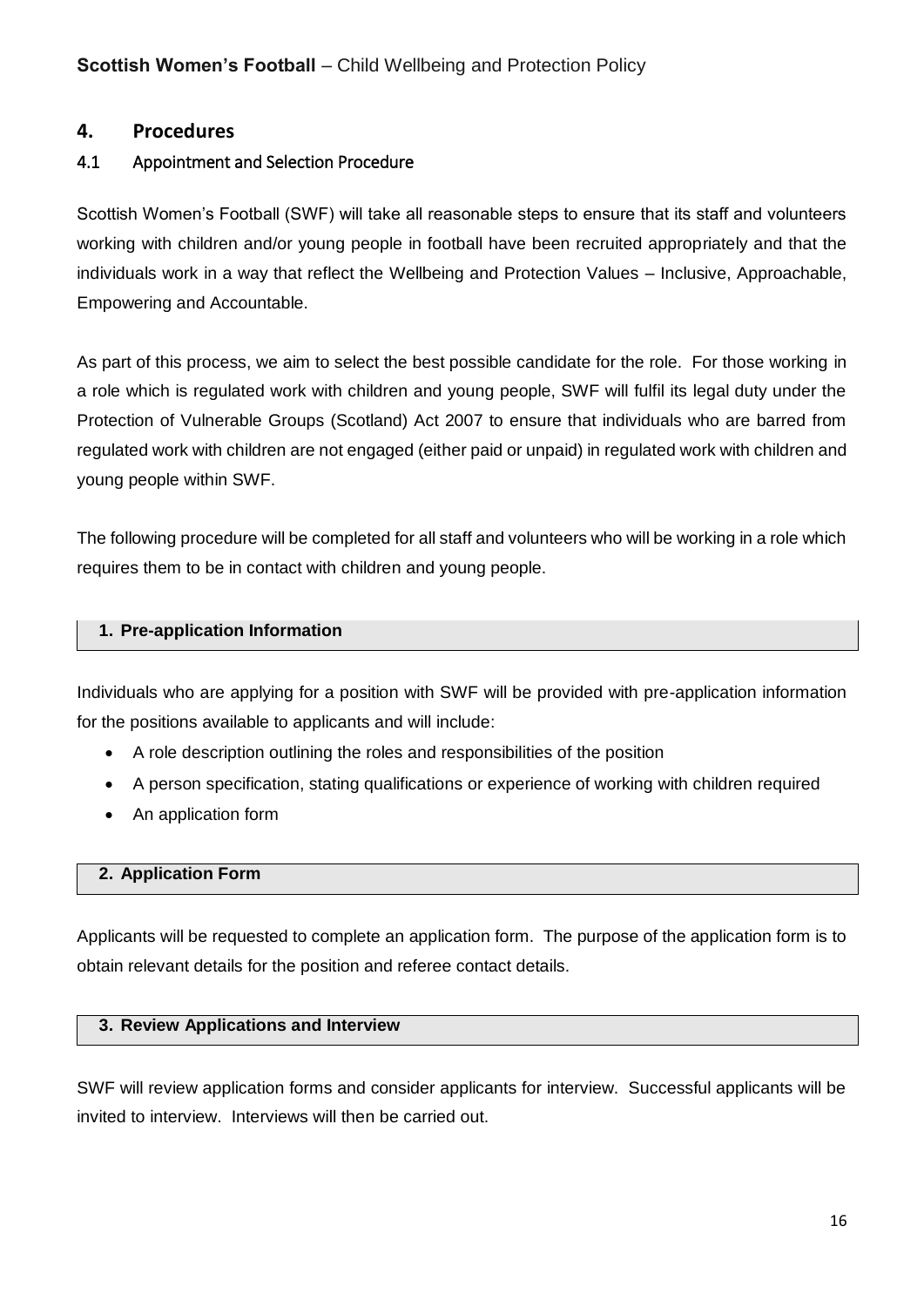## <span id="page-15-0"></span>**4. Procedures**

## <span id="page-15-1"></span>4.1 Appointment and Selection Procedure

Scottish Women's Football (SWF) will take all reasonable steps to ensure that its staff and volunteers working with children and/or young people in football have been recruited appropriately and that the individuals work in a way that reflect the Wellbeing and Protection Values – Inclusive, Approachable, Empowering and Accountable.

As part of this process, we aim to select the best possible candidate for the role. For those working in a role which is regulated work with children and young people, SWF will fulfil its legal duty under the Protection of Vulnerable Groups (Scotland) Act 2007 to ensure that individuals who are barred from regulated work with children are not engaged (either paid or unpaid) in regulated work with children and young people within SWF.

The following procedure will be completed for all staff and volunteers who will be working in a role which requires them to be in contact with children and young people.

#### **1. Pre-application Information**

Individuals who are applying for a position with SWF will be provided with pre-application information for the positions available to applicants and will include:

- A role description outlining the roles and responsibilities of the position
- A person specification, stating qualifications or experience of working with children required
- An application form

#### **2. Application Form**

Applicants will be requested to complete an application form. The purpose of the application form is to obtain relevant details for the position and referee contact details.

#### **3. Review Applications and Interview**

SWF will review application forms and consider applicants for interview. Successful applicants will be invited to interview. Interviews will then be carried out.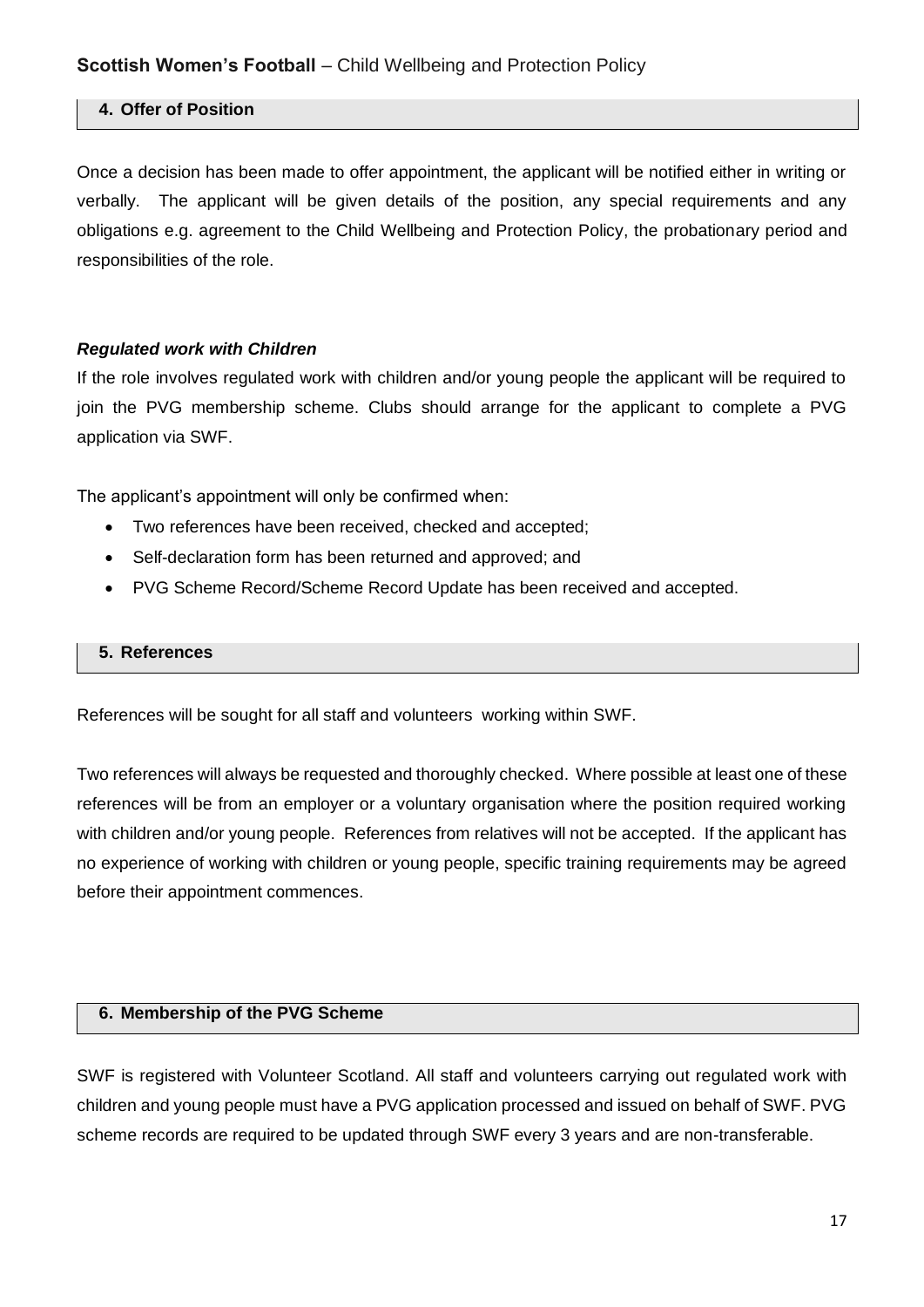## **4. Offer of Position**

Once a decision has been made to offer appointment, the applicant will be notified either in writing or verbally. The applicant will be given details of the position, any special requirements and any obligations e.g. agreement to the Child Wellbeing and Protection Policy, the probationary period and responsibilities of the role.

#### *Regulated work with Children*

If the role involves regulated work with children and/or young people the applicant will be required to join the PVG membership scheme. Clubs should arrange for the applicant to complete a PVG application via SWF.

The applicant's appointment will only be confirmed when:

- Two references have been received, checked and accepted;
- Self-declaration form has been returned and approved; and
- PVG Scheme Record/Scheme Record Update has been received and accepted.

#### **5. References**

References will be sought for all staff and volunteers working within SWF.

Two references will always be requested and thoroughly checked. Where possible at least one of these references will be from an employer or a voluntary organisation where the position required working with children and/or young people. References from relatives will not be accepted. If the applicant has no experience of working with children or young people, specific training requirements may be agreed before their appointment commences.

#### **6. Membership of the PVG Scheme**

SWF is registered with Volunteer Scotland. All staff and volunteers carrying out regulated work with children and young people must have a PVG application processed and issued on behalf of SWF. PVG scheme records are required to be updated through SWF every 3 years and are non-transferable.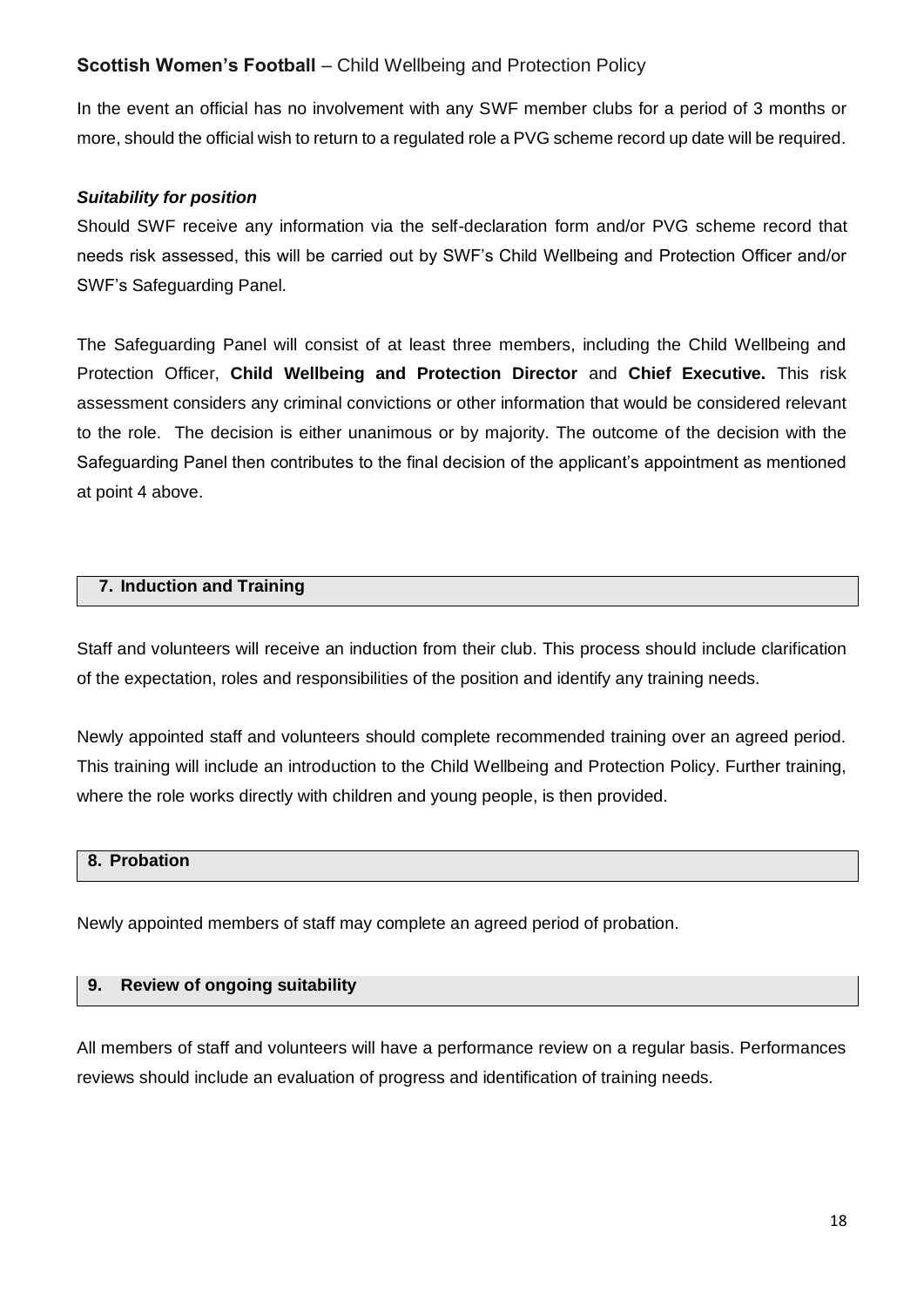In the event an official has no involvement with any SWF member clubs for a period of 3 months or more, should the official wish to return to a regulated role a PVG scheme record up date will be required.

## *Suitability for position*

Should SWF receive any information via the self-declaration form and/or PVG scheme record that needs risk assessed, this will be carried out by SWF's Child Wellbeing and Protection Officer and/or SWF's Safeguarding Panel.

The Safeguarding Panel will consist of at least three members, including the Child Wellbeing and Protection Officer, **Child Wellbeing and Protection Director** and **Chief Executive.** This risk assessment considers any criminal convictions or other information that would be considered relevant to the role. The decision is either unanimous or by majority. The outcome of the decision with the Safeguarding Panel then contributes to the final decision of the applicant's appointment as mentioned at point 4 above.

#### **7. Induction and Training**

Staff and volunteers will receive an induction from their club. This process should include clarification of the expectation, roles and responsibilities of the position and identify any training needs.

Newly appointed staff and volunteers should complete recommended training over an agreed period. This training will include an introduction to the Child Wellbeing and Protection Policy. Further training, where the role works directly with children and young people, is then provided.

## **8. Probation**

Newly appointed members of staff may complete an agreed period of probation.

#### **9. Review of ongoing suitability**

All members of staff and volunteers will have a performance review on a regular basis. Performances reviews should include an evaluation of progress and identification of training needs.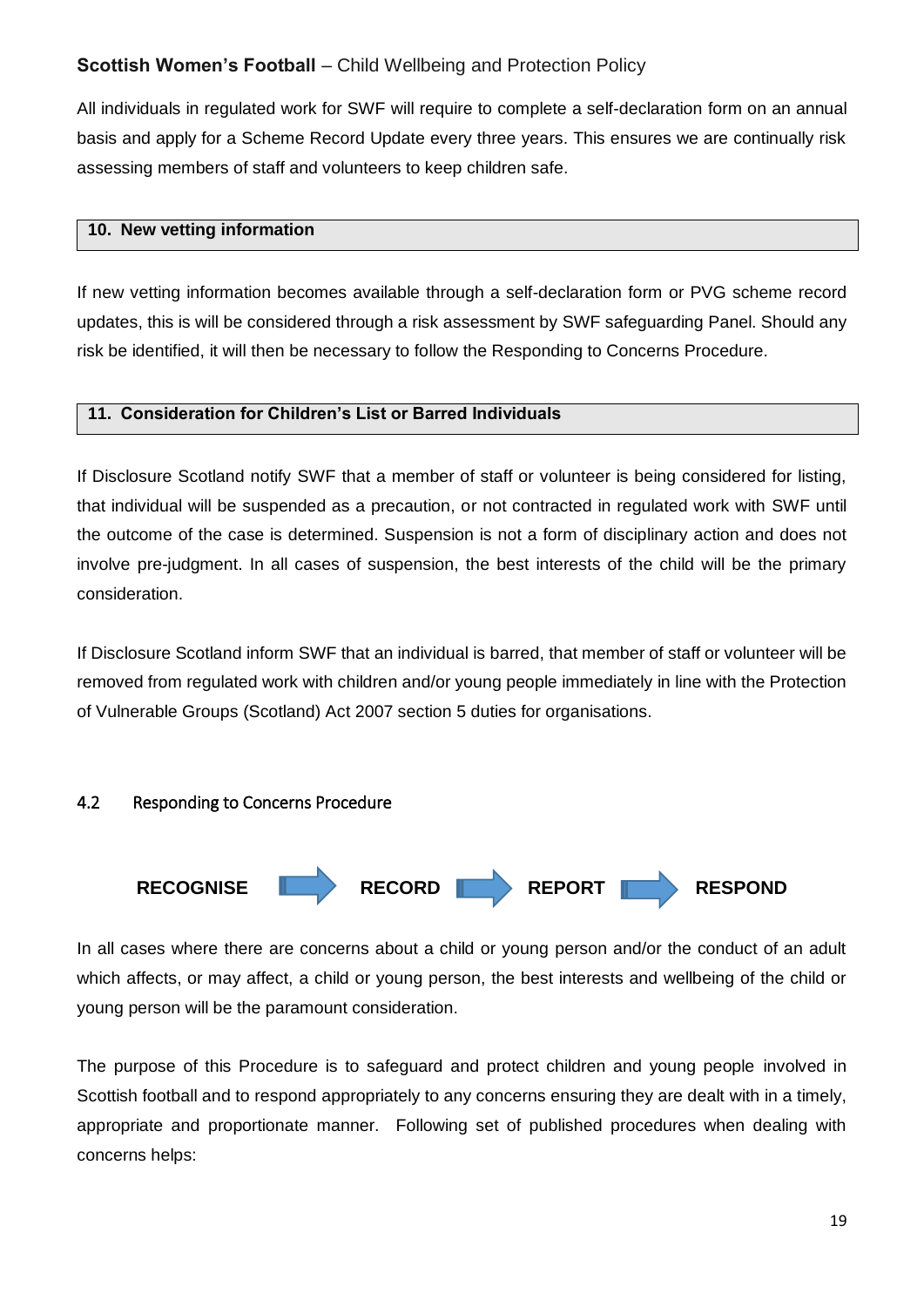All individuals in regulated work for SWF will require to complete a self-declaration form on an annual basis and apply for a Scheme Record Update every three years. This ensures we are continually risk assessing members of staff and volunteers to keep children safe.

#### **10. New vetting information**

If new vetting information becomes available through a self-declaration form or PVG scheme record updates, this is will be considered through a risk assessment by SWF safeguarding Panel. Should any risk be identified, it will then be necessary to follow the Responding to Concerns Procedure.

## **11. Consideration for Children's List or Barred Individuals**

If Disclosure Scotland notify SWF that a member of staff or volunteer is being considered for listing, that individual will be suspended as a precaution, or not contracted in regulated work with SWF until the outcome of the case is determined. Suspension is not a form of disciplinary action and does not involve pre-judgment. In all cases of suspension, the best interests of the child will be the primary consideration.

If Disclosure Scotland inform SWF that an individual is barred, that member of staff or volunteer will be removed from regulated work with children and/or young people immediately in line with the Protection of Vulnerable Groups (Scotland) Act 2007 section 5 duties for organisations.

## <span id="page-18-0"></span>4.2 Responding to Concerns Procedure



In all cases where there are concerns about a child or young person and/or the conduct of an adult which affects, or may affect, a child or young person, the best interests and wellbeing of the child or young person will be the paramount consideration.

The purpose of this Procedure is to safeguard and protect children and young people involved in Scottish football and to respond appropriately to any concerns ensuring they are dealt with in a timely, appropriate and proportionate manner. Following set of published procedures when dealing with concerns helps: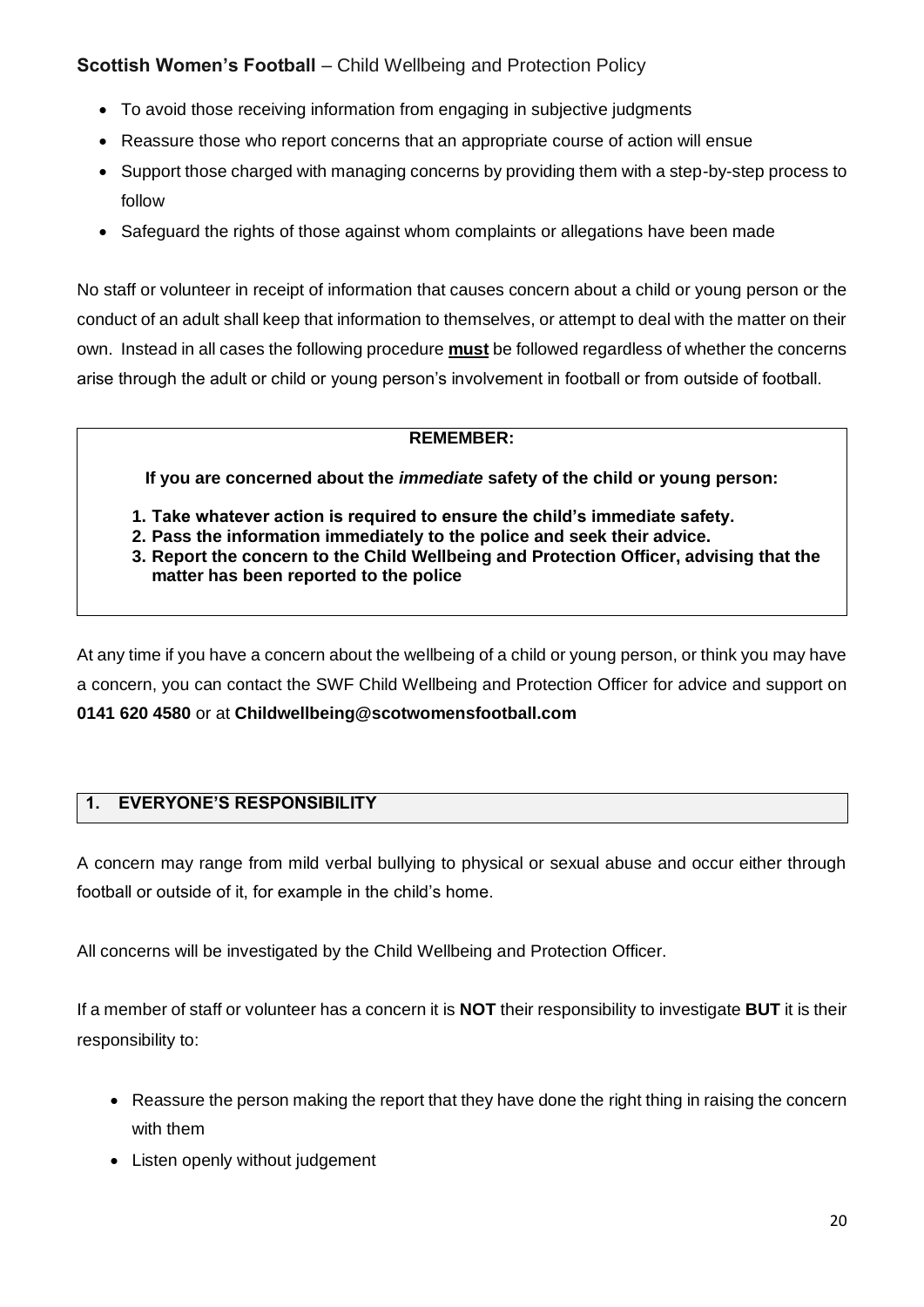- To avoid those receiving information from engaging in subjective judgments
- Reassure those who report concerns that an appropriate course of action will ensue
- Support those charged with managing concerns by providing them with a step-by-step process to follow
- Safeguard the rights of those against whom complaints or allegations have been made

No staff or volunteer in receipt of information that causes concern about a child or young person or the conduct of an adult shall keep that information to themselves, or attempt to deal with the matter on their own. Instead in all cases the following procedure **must** be followed regardless of whether the concerns arise through the adult or child or young person's involvement in football or from outside of football.

#### **REMEMBER:**

**If you are concerned about the** *immediate* **safety of the child or young person:**

- **1. Take whatever action is required to ensure the child's immediate safety.**
- **2. Pass the information immediately to the police and seek their advice.**
- **3. Report the concern to the Child Wellbeing and Protection Officer, advising that the matter has been reported to the police**

At any time if you have a concern about the wellbeing of a child or young person, or think you may have a concern, you can contact the SWF Child Wellbeing and Protection Officer for advice and support on **0141 620 4580** or at **Childwellbeing@scotwomensfootball.com** 

## **1. EVERYONE'S RESPONSIBILITY**

A concern may range from mild verbal bullying to physical or sexual abuse and occur either through football or outside of it, for example in the child's home.

All concerns will be investigated by the Child Wellbeing and Protection Officer.

If a member of staff or volunteer has a concern it is **NOT** their responsibility to investigate **BUT** it is their responsibility to:

- Reassure the person making the report that they have done the right thing in raising the concern with them
- Listen openly without judgement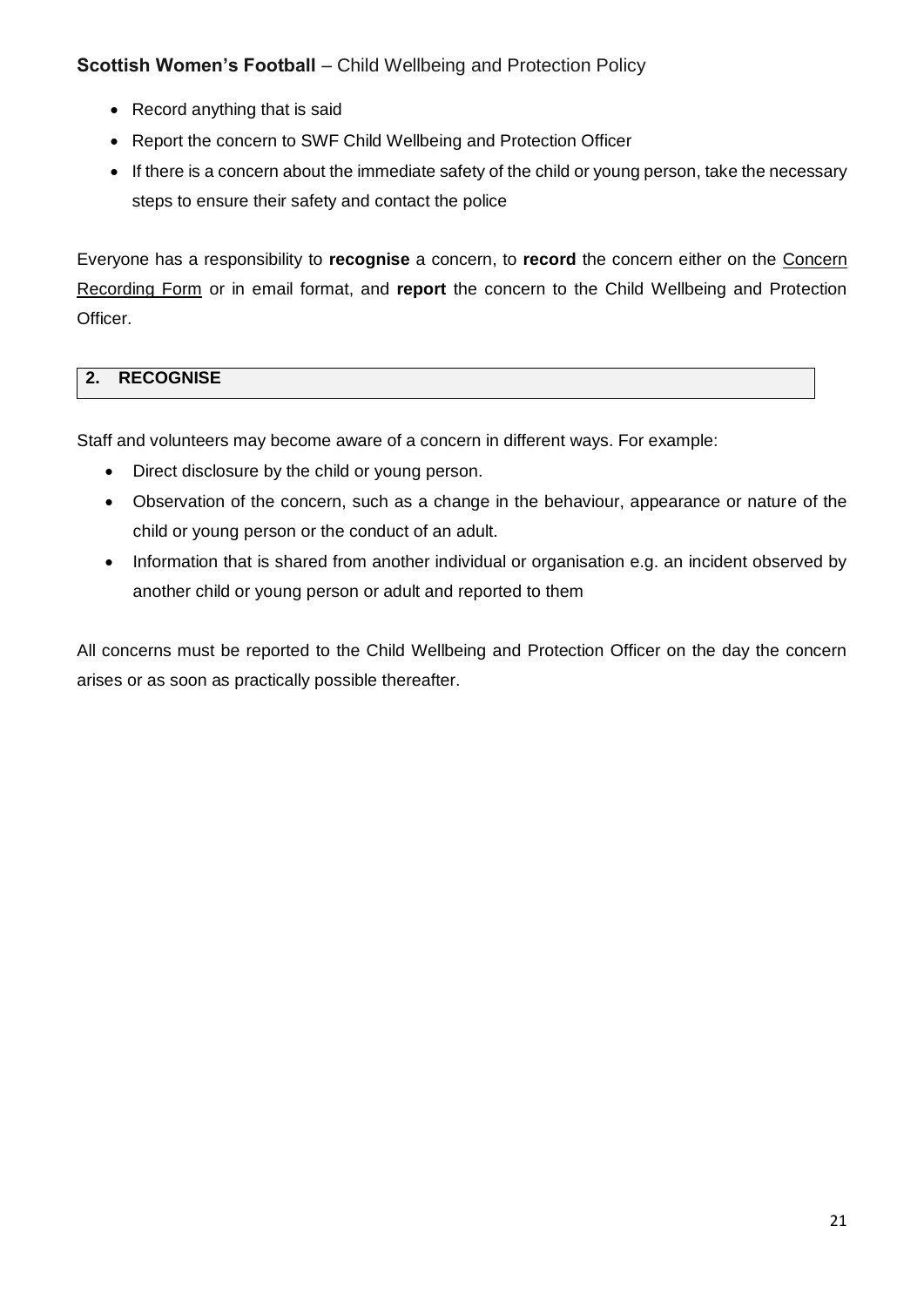- Record anything that is said
- Report the concern to SWF Child Wellbeing and Protection Officer
- If there is a concern about the immediate safety of the child or young person, take the necessary steps to ensure their safety and contact the police

Everyone has a responsibility to **recognise** a concern, to **record** the concern either on the Concern Recording Form or in email format, and **report** the concern to the Child Wellbeing and Protection Officer.

# **2. RECOGNISE**

Staff and volunteers may become aware of a concern in different ways. For example:

- Direct disclosure by the child or young person.
- Observation of the concern, such as a change in the behaviour, appearance or nature of the child or young person or the conduct of an adult.
- Information that is shared from another individual or organisation e.g. an incident observed by another child or young person or adult and reported to them

All concerns must be reported to the Child Wellbeing and Protection Officer on the day the concern arises or as soon as practically possible thereafter.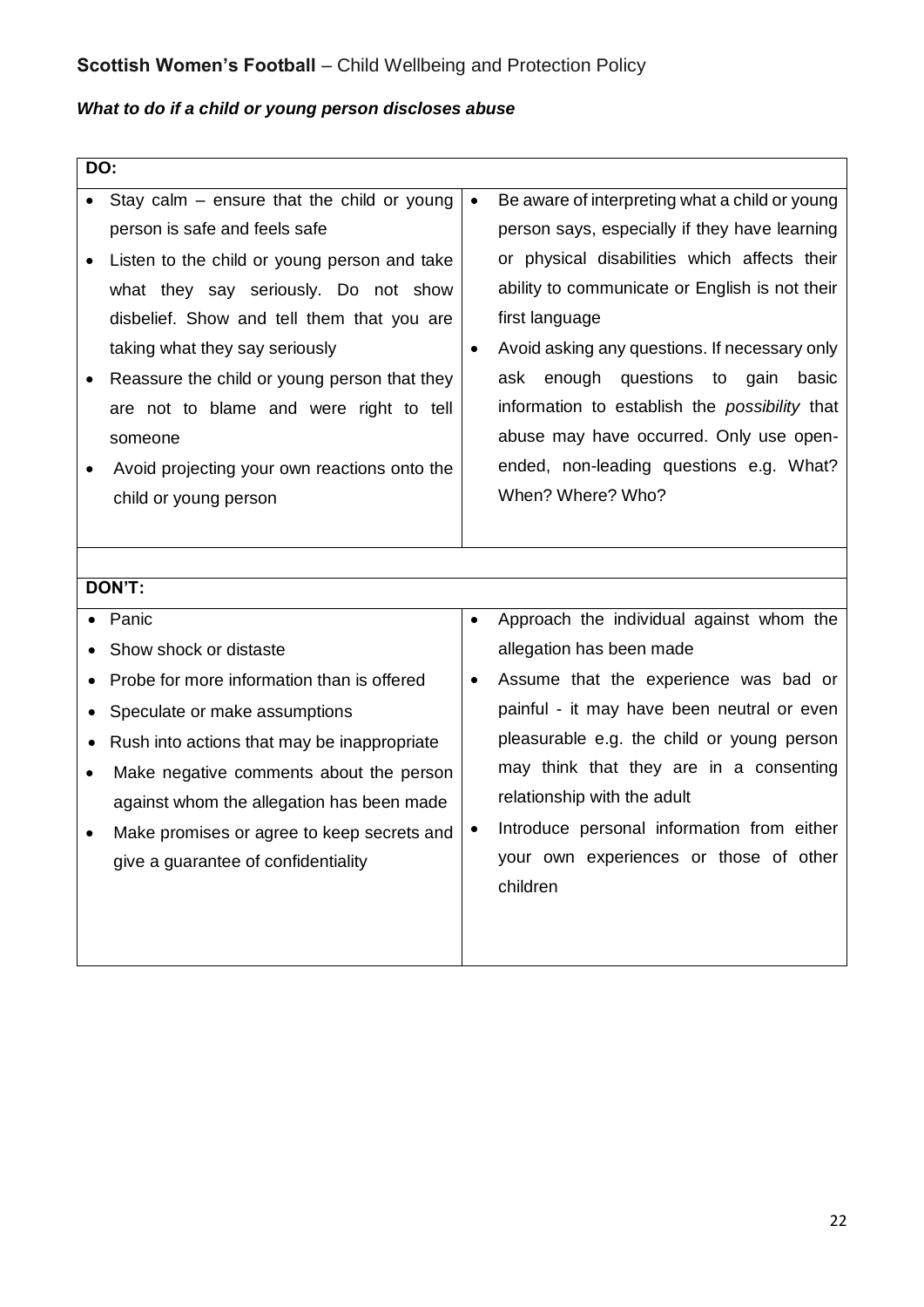# *What to do if a child or young person discloses abuse*

| DO:       |                                              |           |                                                |
|-----------|----------------------------------------------|-----------|------------------------------------------------|
|           | Stay calm - ensure that the child or young   | $\bullet$ | Be aware of interpreting what a child or young |
|           | person is safe and feels safe                |           | person says, especially if they have learning  |
|           | Listen to the child or young person and take |           | or physical disabilities which affects their   |
|           | what they say seriously. Do not show         |           | ability to communicate or English is not their |
|           | disbelief. Show and tell them that you are   |           | first language                                 |
|           | taking what they say seriously               | $\bullet$ | Avoid asking any questions. If necessary only  |
|           | Reassure the child or young person that they |           | enough<br>questions<br>ask<br>to gain basic    |
|           | are not to blame and were right to tell      |           | information to establish the possibility that  |
|           | someone                                      |           | abuse may have occurred. Only use open-        |
|           | Avoid projecting your own reactions onto the |           | ended, non-leading questions e.g. What?        |
|           | child or young person                        |           | When? Where? Who?                              |
|           |                                              |           |                                                |
|           |                                              |           |                                                |
|           | DON'T:                                       |           |                                                |
|           | Panic                                        | $\bullet$ | Approach the individual against whom the       |
|           | Show shock or distaste                       |           | allegation has been made                       |
| $\bullet$ | Probe for more information than is offered   | $\bullet$ | Assume that the experience was bad or          |
|           | Speculate or make assumptions                |           | painful - it may have been neutral or even     |
| $\bullet$ | Rush into actions that may be inappropriate  |           | pleasurable e.g. the child or young person     |
| $\bullet$ | Make negative comments about the person      |           | may think that they are in a consenting        |
|           | against whom the allegation has been made    |           | relationship with the adult                    |
|           | Make promises or agree to keep secrets and   | $\bullet$ | Introduce personal information from either     |
|           | give a guarantee of confidentiality          |           | your own experiences or those of other         |
|           |                                              |           | children                                       |
|           |                                              |           |                                                |
|           |                                              |           |                                                |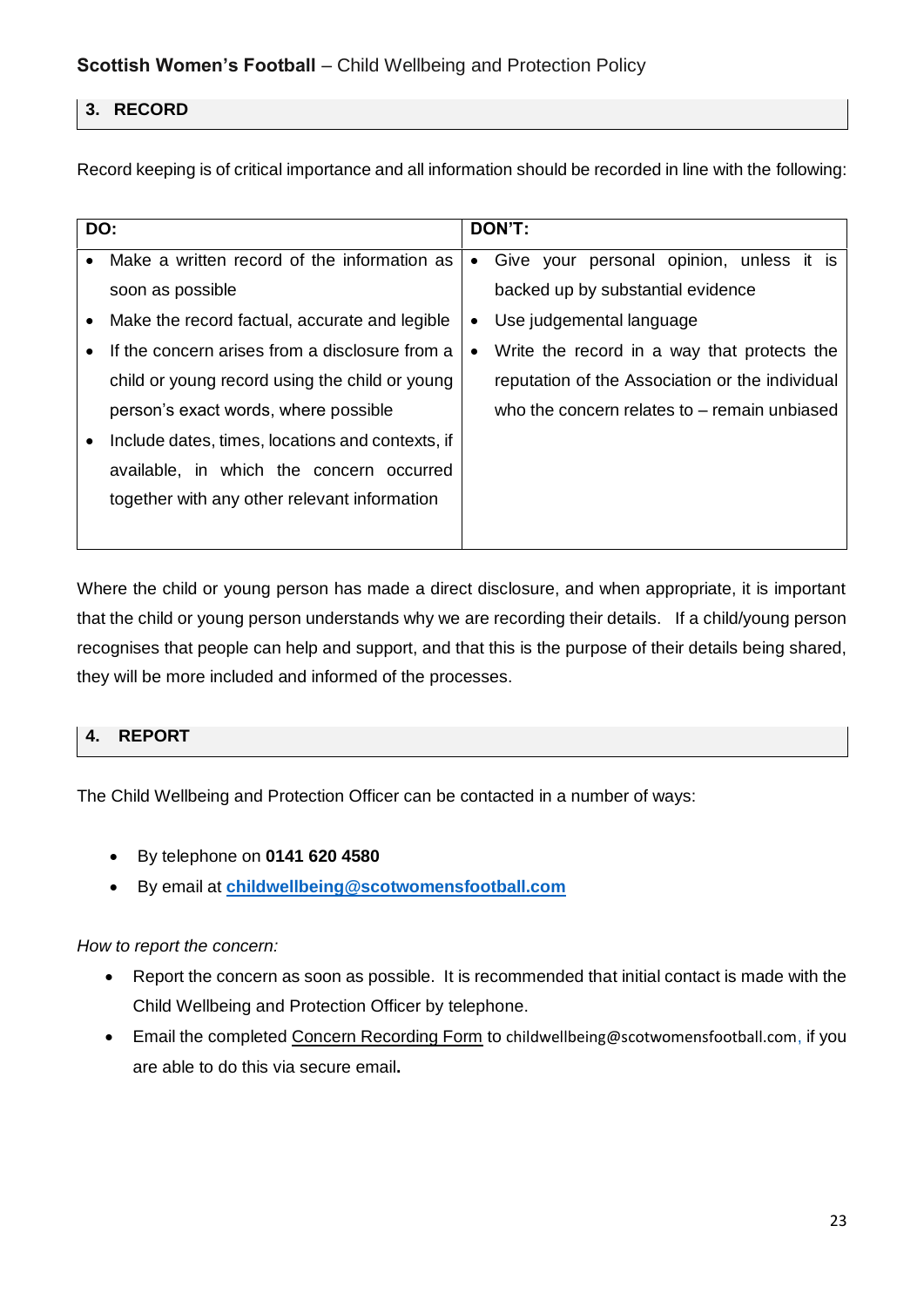## **3. RECORD**

Record keeping is of critical importance and all information should be recorded in line with the following:

| DO: |                                                  | DON'T:    |                                                 |  |
|-----|--------------------------------------------------|-----------|-------------------------------------------------|--|
|     | Make a written record of the information as      | $\bullet$ | personal opinion, unless it is<br>Give your     |  |
|     | soon as possible                                 |           | backed up by substantial evidence               |  |
|     | Make the record factual, accurate and legible    | ٠         | Use judgemental language                        |  |
|     | If the concern arises from a disclosure from a   | $\bullet$ | Write the record in a way that protects the     |  |
|     | child or young record using the child or young   |           | reputation of the Association or the individual |  |
|     | person's exact words, where possible             |           | who the concern relates to $-$ remain unbiased  |  |
|     | Include dates, times, locations and contexts, if |           |                                                 |  |
|     | available, in which the concern occurred         |           |                                                 |  |
|     | together with any other relevant information     |           |                                                 |  |
|     |                                                  |           |                                                 |  |

Where the child or young person has made a direct disclosure, and when appropriate, it is important that the child or young person understands why we are recording their details. If a child/young person recognises that people can help and support, and that this is the purpose of their details being shared, they will be more included and informed of the processes.

# **4. REPORT**

The Child Wellbeing and Protection Officer can be contacted in a number of ways:

- By telephone on **0141 620 4580**
- By email at **childwellbeing@scotwomensfootball.com**

## *How to report the concern:*

- Report the concern as soon as possible. It is recommended that initial contact is made with the Child Wellbeing and Protection Officer by telephone.
- **Email the completed Concern Recording Form to childwellbeing@scotwomensfootball.com, if you** are able to do this via secure email**.**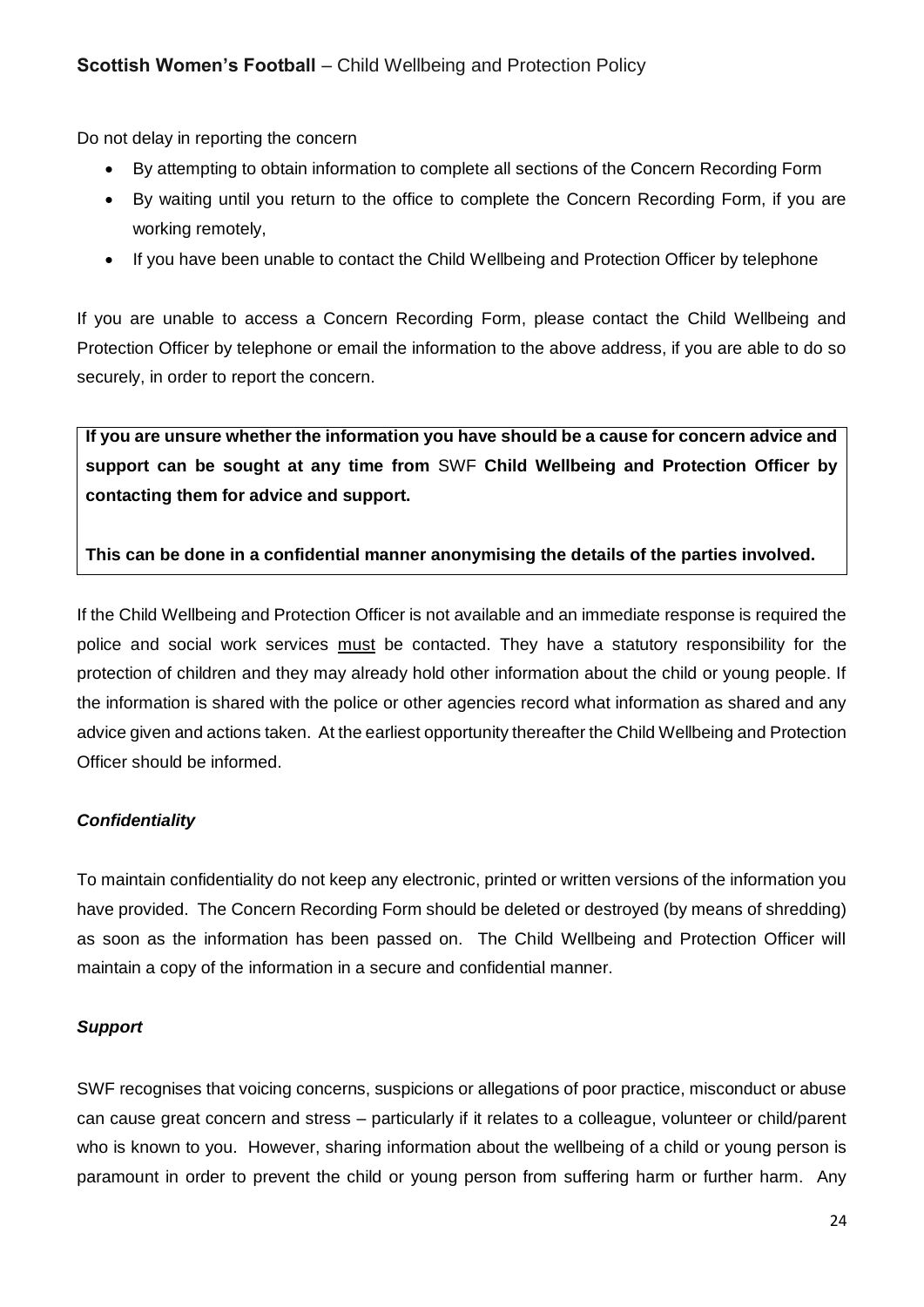Do not delay in reporting the concern

- By attempting to obtain information to complete all sections of the Concern Recording Form
- By waiting until you return to the office to complete the Concern Recording Form, if you are working remotely,
- If you have been unable to contact the Child Wellbeing and Protection Officer by telephone

If you are unable to access a Concern Recording Form, please contact the Child Wellbeing and Protection Officer by telephone or email the information to the above address, if you are able to do so securely, in order to report the concern.

**If you are unsure whether the information you have should be a cause for concern advice and support can be sought at any time from** SWF **Child Wellbeing and Protection Officer by contacting them for advice and support.** 

#### **This can be done in a confidential manner anonymising the details of the parties involved.**

If the Child Wellbeing and Protection Officer is not available and an immediate response is required the police and social work services must be contacted. They have a statutory responsibility for the protection of children and they may already hold other information about the child or young people. If the information is shared with the police or other agencies record what information as shared and any advice given and actions taken. At the earliest opportunity thereafter the Child Wellbeing and Protection Officer should be informed.

## *Confidentiality*

To maintain confidentiality do not keep any electronic, printed or written versions of the information you have provided. The Concern Recording Form should be deleted or destroyed (by means of shredding) as soon as the information has been passed on. The Child Wellbeing and Protection Officer will maintain a copy of the information in a secure and confidential manner.

#### *Support*

SWF recognises that voicing concerns, suspicions or allegations of poor practice, misconduct or abuse can cause great concern and stress – particularly if it relates to a colleague, volunteer or child/parent who is known to you. However, sharing information about the wellbeing of a child or young person is paramount in order to prevent the child or young person from suffering harm or further harm. Any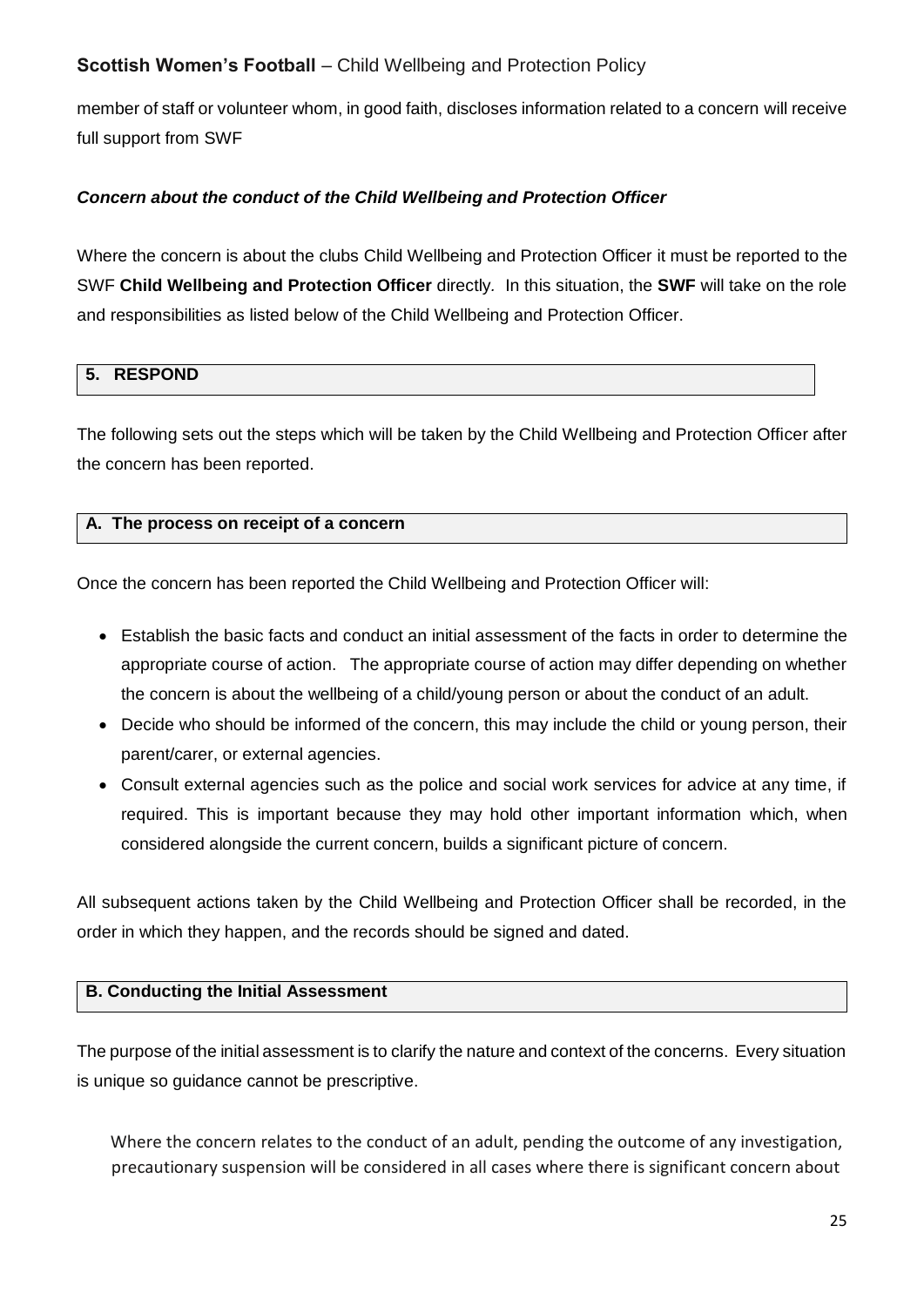member of staff or volunteer whom, in good faith, discloses information related to a concern will receive full support from SWF

## *Concern about the conduct of the Child Wellbeing and Protection Officer*

Where the concern is about the clubs Child Wellbeing and Protection Officer it must be reported to the SWF **Child Wellbeing and Protection Officer** directly*.* In this situation, the **SWF** will take on the role and responsibilities as listed below of the Child Wellbeing and Protection Officer.

## **5. RESPOND**

The following sets out the steps which will be taken by the Child Wellbeing and Protection Officer after the concern has been reported.

#### **A. The process on receipt of a concern**

Once the concern has been reported the Child Wellbeing and Protection Officer will:

- Establish the basic facts and conduct an initial assessment of the facts in order to determine the appropriate course of action. The appropriate course of action may differ depending on whether the concern is about the wellbeing of a child/young person or about the conduct of an adult.
- Decide who should be informed of the concern, this may include the child or young person, their parent/carer, or external agencies.
- Consult external agencies such as the police and social work services for advice at any time, if required. This is important because they may hold other important information which, when considered alongside the current concern, builds a significant picture of concern.

All subsequent actions taken by the Child Wellbeing and Protection Officer shall be recorded, in the order in which they happen, and the records should be signed and dated.

#### **B. Conducting the Initial Assessment**

The purpose of the initial assessment is to clarify the nature and context of the concerns. Every situation is unique so guidance cannot be prescriptive.

Where the concern relates to the conduct of an adult, pending the outcome of any investigation, precautionary suspension will be considered in all cases where there is significant concern about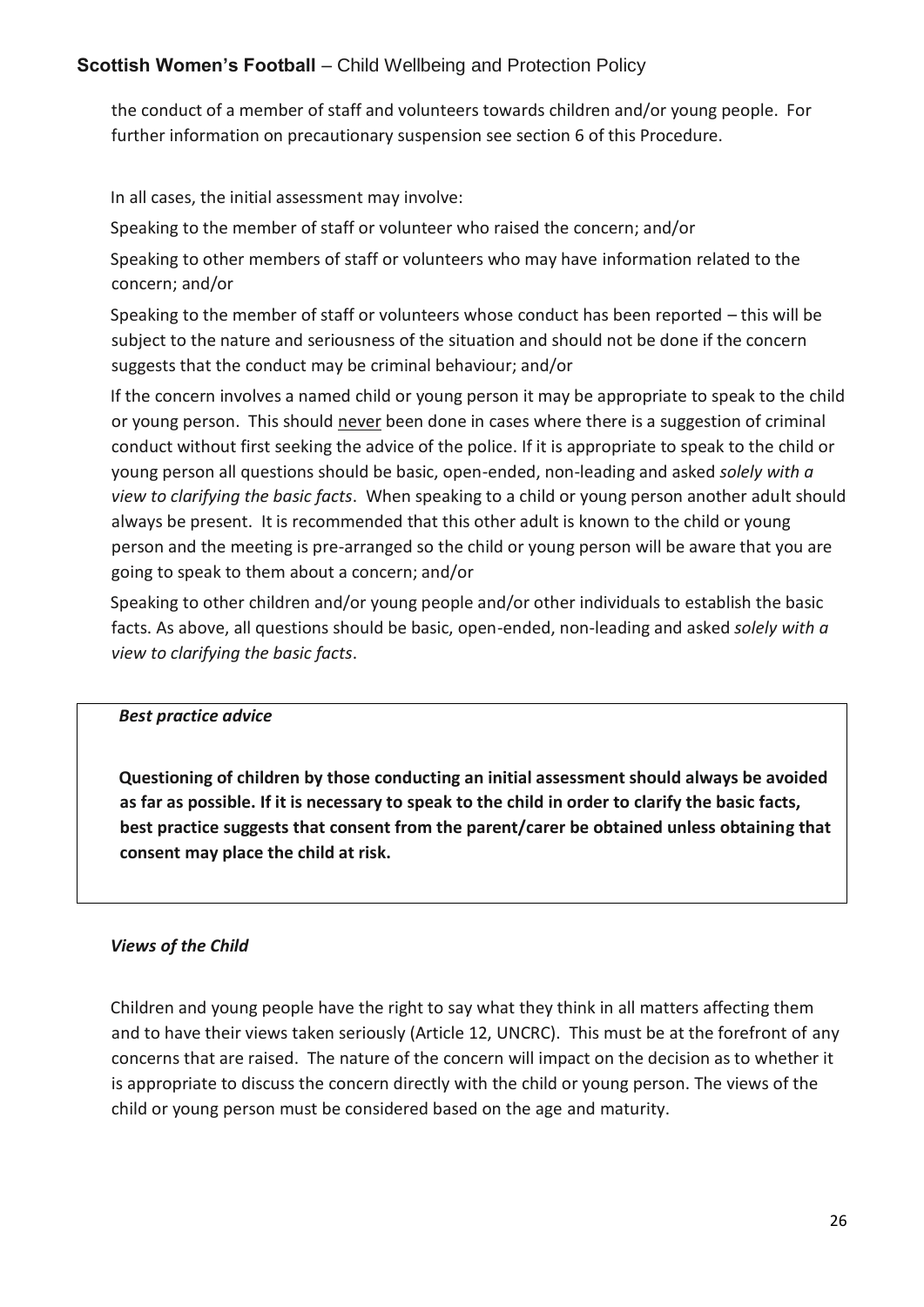the conduct of a member of staff and volunteers towards children and/or young people. For further information on precautionary suspension see section 6 of this Procedure.

In all cases, the initial assessment may involve:

Speaking to the member of staff or volunteer who raised the concern; and/or

Speaking to other members of staff or volunteers who may have information related to the concern; and/or

Speaking to the member of staff or volunteers whose conduct has been reported – this will be subject to the nature and seriousness of the situation and should not be done if the concern suggests that the conduct may be criminal behaviour; and/or

If the concern involves a named child or young person it may be appropriate to speak to the child or young person. This should never been done in cases where there is a suggestion of criminal conduct without first seeking the advice of the police. If it is appropriate to speak to the child or young person all questions should be basic, open-ended, non-leading and asked *solely with a view to clarifying the basic facts*. When speaking to a child or young person another adult should always be present. It is recommended that this other adult is known to the child or young person and the meeting is pre-arranged so the child or young person will be aware that you are going to speak to them about a concern; and/or

Speaking to other children and/or young people and/or other individuals to establish the basic facts. As above, all questions should be basic, open-ended, non-leading and asked *solely with a view to clarifying the basic facts*.

## *Best practice advice*

**Questioning of children by those conducting an initial assessment should always be avoided as far as possible. If it is necessary to speak to the child in order to clarify the basic facts, best practice suggests that consent from the parent/carer be obtained unless obtaining that consent may place the child at risk.**

## *Views of the Child*

Children and young people have the right to say what they think in all matters affecting them and to have their views taken seriously (Article 12, UNCRC). This must be at the forefront of any concerns that are raised. The nature of the concern will impact on the decision as to whether it is appropriate to discuss the concern directly with the child or young person. The views of the child or young person must be considered based on the age and maturity.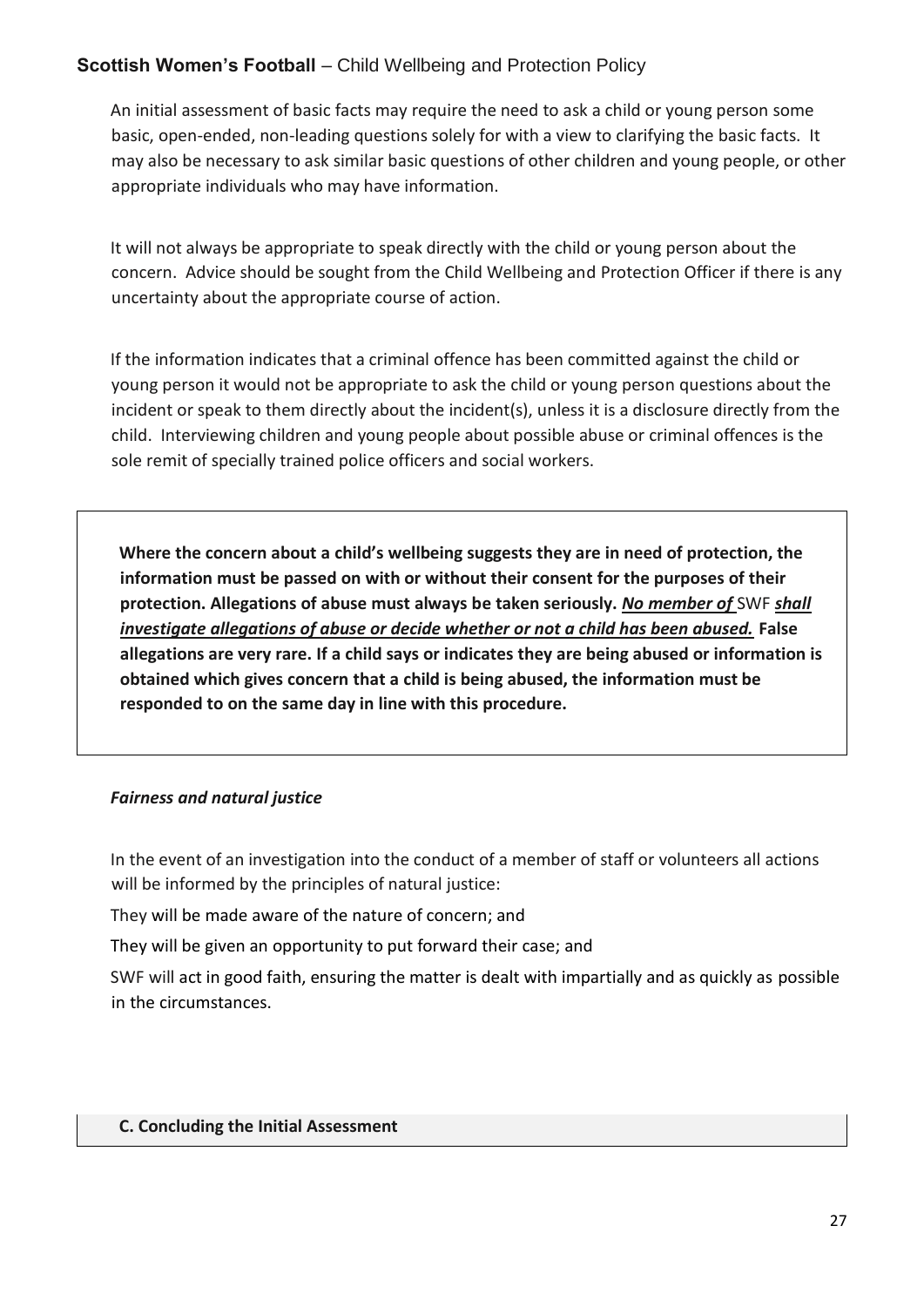An initial assessment of basic facts may require the need to ask a child or young person some basic, open-ended, non-leading questions solely for with a view to clarifying the basic facts. It may also be necessary to ask similar basic questions of other children and young people, or other appropriate individuals who may have information.

It will not always be appropriate to speak directly with the child or young person about the concern. Advice should be sought from the Child Wellbeing and Protection Officer if there is any uncertainty about the appropriate course of action.

If the information indicates that a criminal offence has been committed against the child or young person it would not be appropriate to ask the child or young person questions about the incident or speak to them directly about the incident(s), unless it is a disclosure directly from the child. Interviewing children and young people about possible abuse or criminal offences is the sole remit of specially trained police officers and social workers.

**Where the concern about a child's wellbeing suggests they are in need of protection, the information must be passed on with or without their consent for the purposes of their protection. Allegations of abuse must always be taken seriously.** *No member of* SWF *shall investigate allegations of abuse or decide whether or not a child has been abused.* **False allegations are very rare. If a child says or indicates they are being abused or information is obtained which gives concern that a child is being abused, the information must be responded to on the same day in line with this procedure.** 

## *Fairness and natural justice*

In the event of an investigation into the conduct of a member of staff or volunteers all actions will be informed by the principles of natural justice:

They will be made aware of the nature of concern; and

They will be given an opportunity to put forward their case; and

SWF will act in good faith, ensuring the matter is dealt with impartially and as quickly as possible in the circumstances.

## **C. Concluding the Initial Assessment**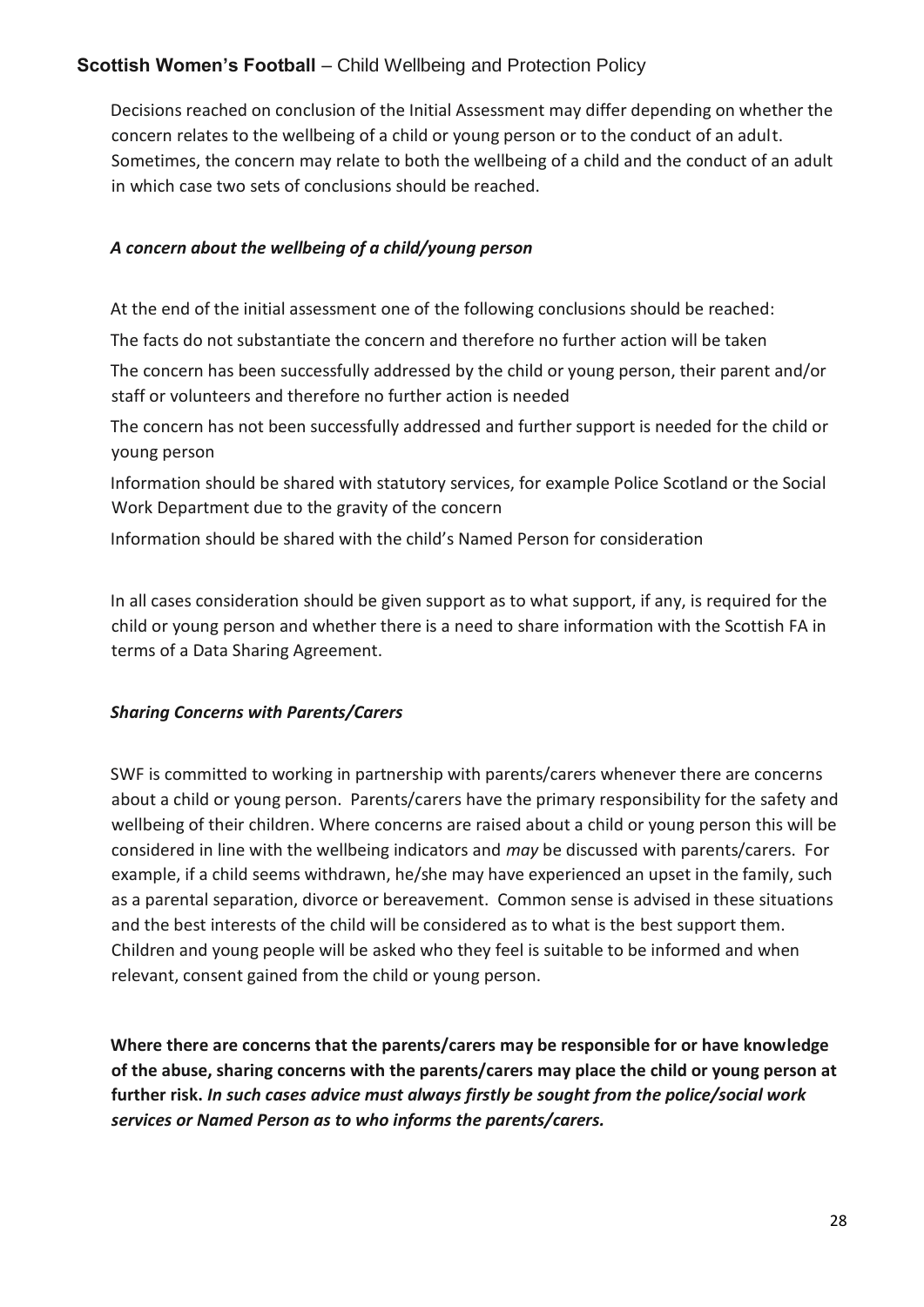Decisions reached on conclusion of the Initial Assessment may differ depending on whether the concern relates to the wellbeing of a child or young person or to the conduct of an adult. Sometimes, the concern may relate to both the wellbeing of a child and the conduct of an adult in which case two sets of conclusions should be reached.

## *A concern about the wellbeing of a child/young person*

At the end of the initial assessment one of the following conclusions should be reached:

The facts do not substantiate the concern and therefore no further action will be taken

The concern has been successfully addressed by the child or young person, their parent and/or staff or volunteers and therefore no further action is needed

The concern has not been successfully addressed and further support is needed for the child or young person

Information should be shared with statutory services, for example Police Scotland or the Social Work Department due to the gravity of the concern

Information should be shared with the child's Named Person for consideration

In all cases consideration should be given support as to what support, if any, is required for the child or young person and whether there is a need to share information with the Scottish FA in terms of a Data Sharing Agreement.

## *Sharing Concerns with Parents/Carers*

SWF is committed to working in partnership with parents/carers whenever there are concerns about a child or young person. Parents/carers have the primary responsibility for the safety and wellbeing of their children. Where concerns are raised about a child or young person this will be considered in line with the wellbeing indicators and *may* be discussed with parents/carers. For example, if a child seems withdrawn, he/she may have experienced an upset in the family, such as a parental separation, divorce or bereavement. Common sense is advised in these situations and the best interests of the child will be considered as to what is the best support them. Children and young people will be asked who they feel is suitable to be informed and when relevant, consent gained from the child or young person.

**Where there are concerns that the parents/carers may be responsible for or have knowledge of the abuse, sharing concerns with the parents/carers may place the child or young person at further risk.** *In such cases advice must always firstly be sought from the police/social work services or Named Person as to who informs the parents/carers.*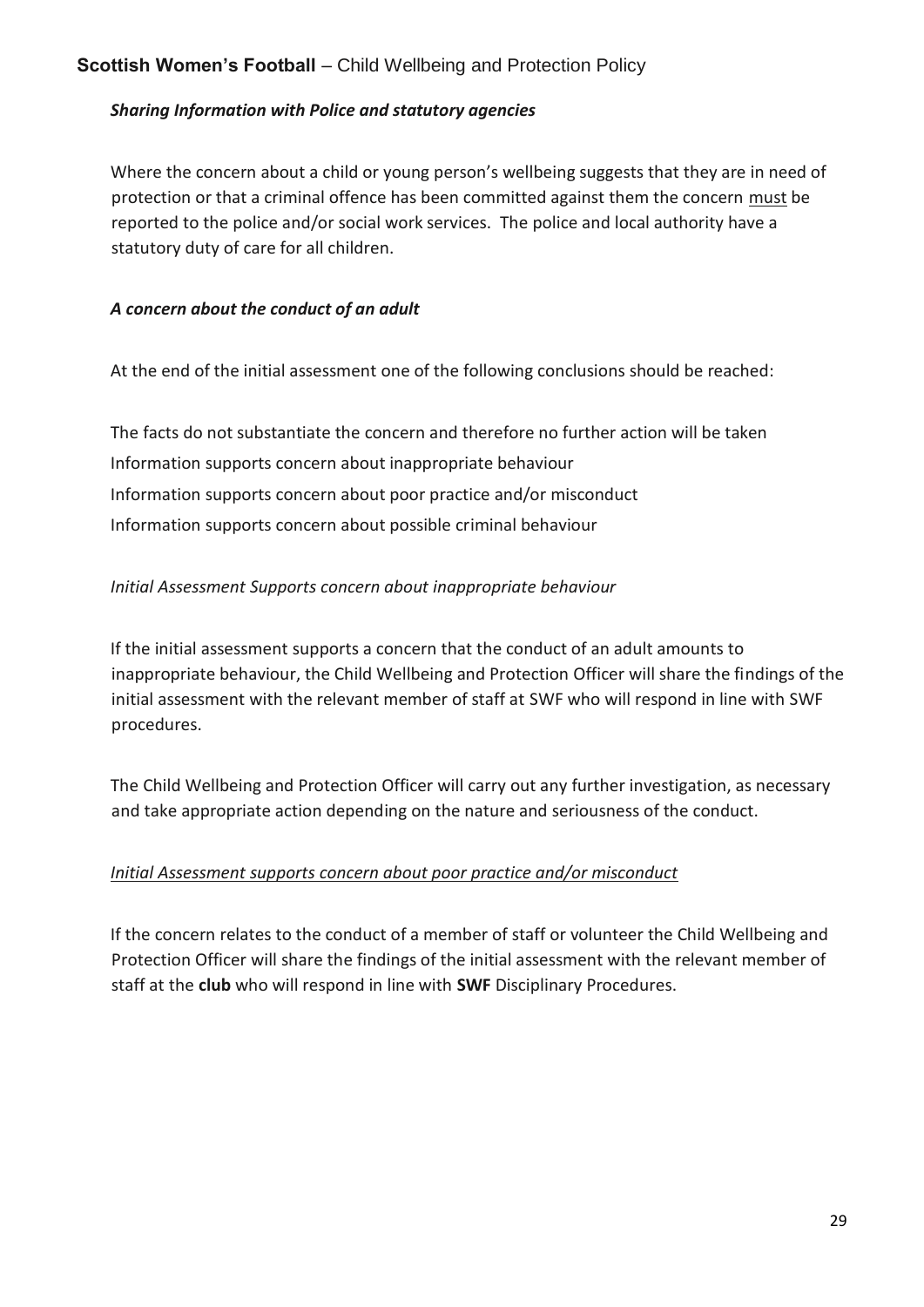## *Sharing Information with Police and statutory agencies*

Where the concern about a child or young person's wellbeing suggests that they are in need of protection or that a criminal offence has been committed against them the concern must be reported to the police and/or social work services. The police and local authority have a statutory duty of care for all children.

## *A concern about the conduct of an adult*

At the end of the initial assessment one of the following conclusions should be reached:

The facts do not substantiate the concern and therefore no further action will be taken Information supports concern about inappropriate behaviour Information supports concern about poor practice and/or misconduct Information supports concern about possible criminal behaviour

## *Initial Assessment Supports concern about inappropriate behaviour*

If the initial assessment supports a concern that the conduct of an adult amounts to inappropriate behaviour, the Child Wellbeing and Protection Officer will share the findings of the initial assessment with the relevant member of staff at SWF who will respond in line with SWF procedures.

The Child Wellbeing and Protection Officer will carry out any further investigation, as necessary and take appropriate action depending on the nature and seriousness of the conduct.

## *Initial Assessment supports concern about poor practice and/or misconduct*

If the concern relates to the conduct of a member of staff or volunteer the Child Wellbeing and Protection Officer will share the findings of the initial assessment with the relevant member of staff at the **club** who will respond in line with **SWF** Disciplinary Procedures.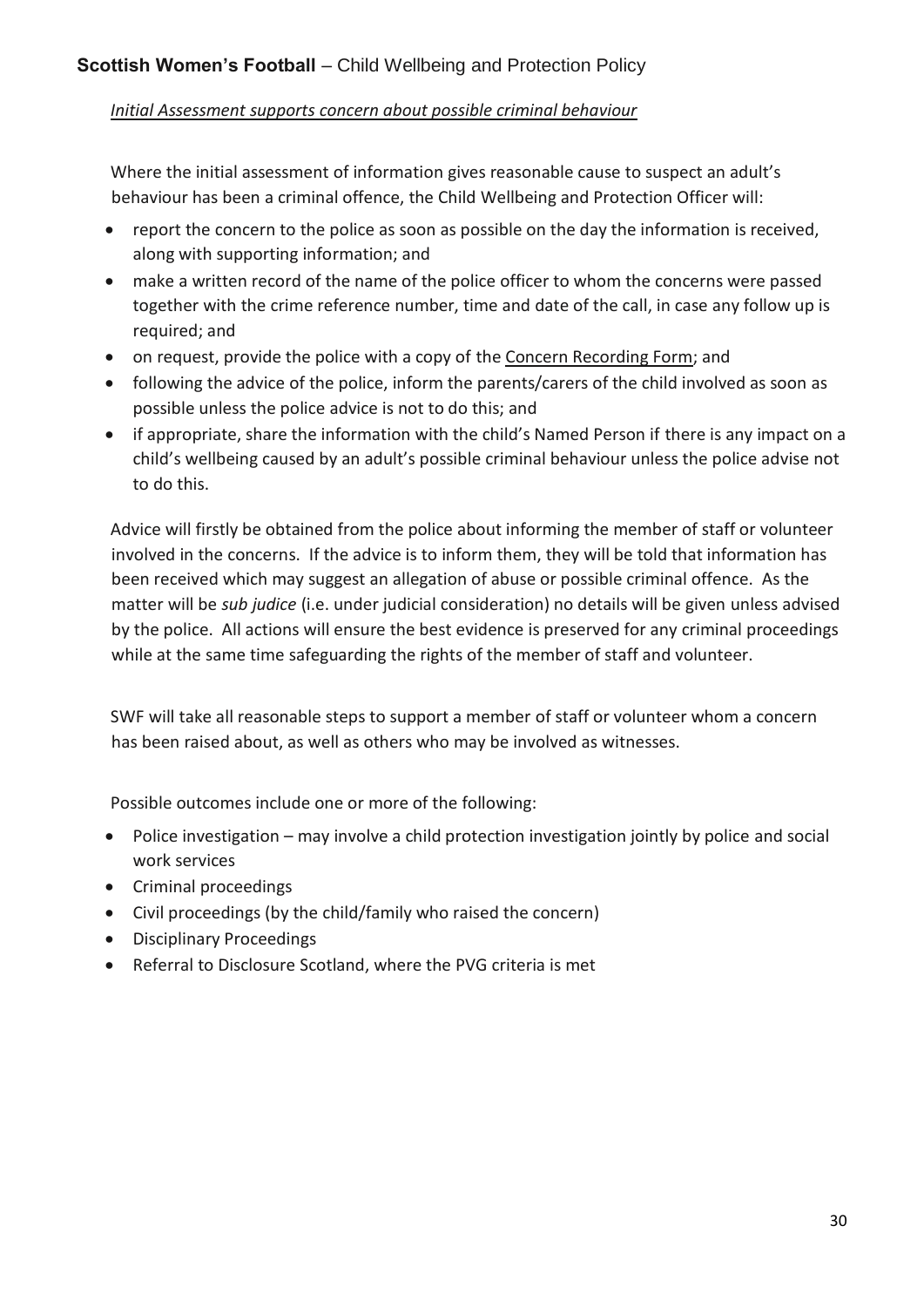## *Initial Assessment supports concern about possible criminal behaviour*

Where the initial assessment of information gives reasonable cause to suspect an adult's behaviour has been a criminal offence, the Child Wellbeing and Protection Officer will:

- report the concern to the police as soon as possible on the day the information is received, along with supporting information; and
- make a written record of the name of the police officer to whom the concerns were passed together with the crime reference number, time and date of the call, in case any follow up is required; and
- on request, provide the police with a copy of the Concern Recording Form; and
- following the advice of the police, inform the parents/carers of the child involved as soon as possible unless the police advice is not to do this; and
- if appropriate, share the information with the child's Named Person if there is any impact on a child's wellbeing caused by an adult's possible criminal behaviour unless the police advise not to do this.

Advice will firstly be obtained from the police about informing the member of staff or volunteer involved in the concerns. If the advice is to inform them, they will be told that information has been received which may suggest an allegation of abuse or possible criminal offence. As the matter will be *sub judice* (i.e. under judicial consideration) no details will be given unless advised by the police. All actions will ensure the best evidence is preserved for any criminal proceedings while at the same time safeguarding the rights of the member of staff and volunteer.

SWF will take all reasonable steps to support a member of staff or volunteer whom a concern has been raised about, as well as others who may be involved as witnesses.

Possible outcomes include one or more of the following:

- Police investigation may involve a child protection investigation jointly by police and social work services
- Criminal proceedings
- Civil proceedings (by the child/family who raised the concern)
- Disciplinary Proceedings
- Referral to Disclosure Scotland, where the PVG criteria is met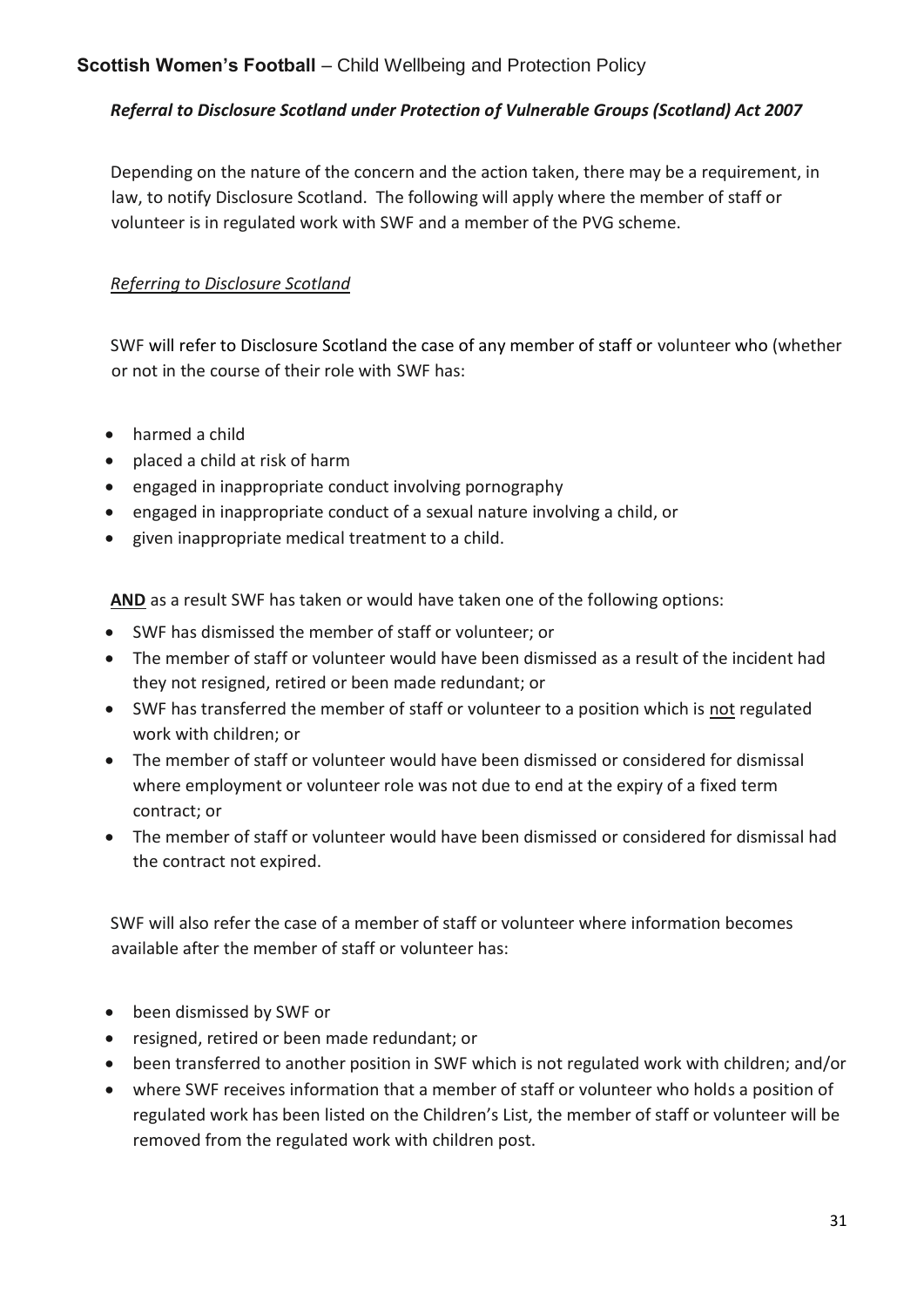## *Referral to Disclosure Scotland under Protection of Vulnerable Groups (Scotland) Act 2007*

Depending on the nature of the concern and the action taken, there may be a requirement, in law, to notify Disclosure Scotland. The following will apply where the member of staff or volunteer is in regulated work with SWF and a member of the PVG scheme.

## *Referring to Disclosure Scotland*

SWF will refer to Disclosure Scotland the case of any member of staff or volunteer who (whether or not in the course of their role with SWF has:

- harmed a child
- placed a child at risk of harm
- engaged in inappropriate conduct involving pornography
- engaged in inappropriate conduct of a sexual nature involving a child, or
- given inappropriate medical treatment to a child.

**AND** as a result SWF has taken or would have taken one of the following options:

- SWF has dismissed the member of staff or volunteer; or
- The member of staff or volunteer would have been dismissed as a result of the incident had they not resigned, retired or been made redundant; or
- SWF has transferred the member of staff or volunteer to a position which is not regulated work with children; or
- The member of staff or volunteer would have been dismissed or considered for dismissal where employment or volunteer role was not due to end at the expiry of a fixed term contract; or
- The member of staff or volunteer would have been dismissed or considered for dismissal had the contract not expired.

SWF will also refer the case of a member of staff or volunteer where information becomes available after the member of staff or volunteer has:

- been dismissed by SWF or
- resigned, retired or been made redundant; or
- been transferred to another position in SWF which is not regulated work with children; and/or
- where SWF receives information that a member of staff or volunteer who holds a position of regulated work has been listed on the Children's List, the member of staff or volunteer will be removed from the regulated work with children post.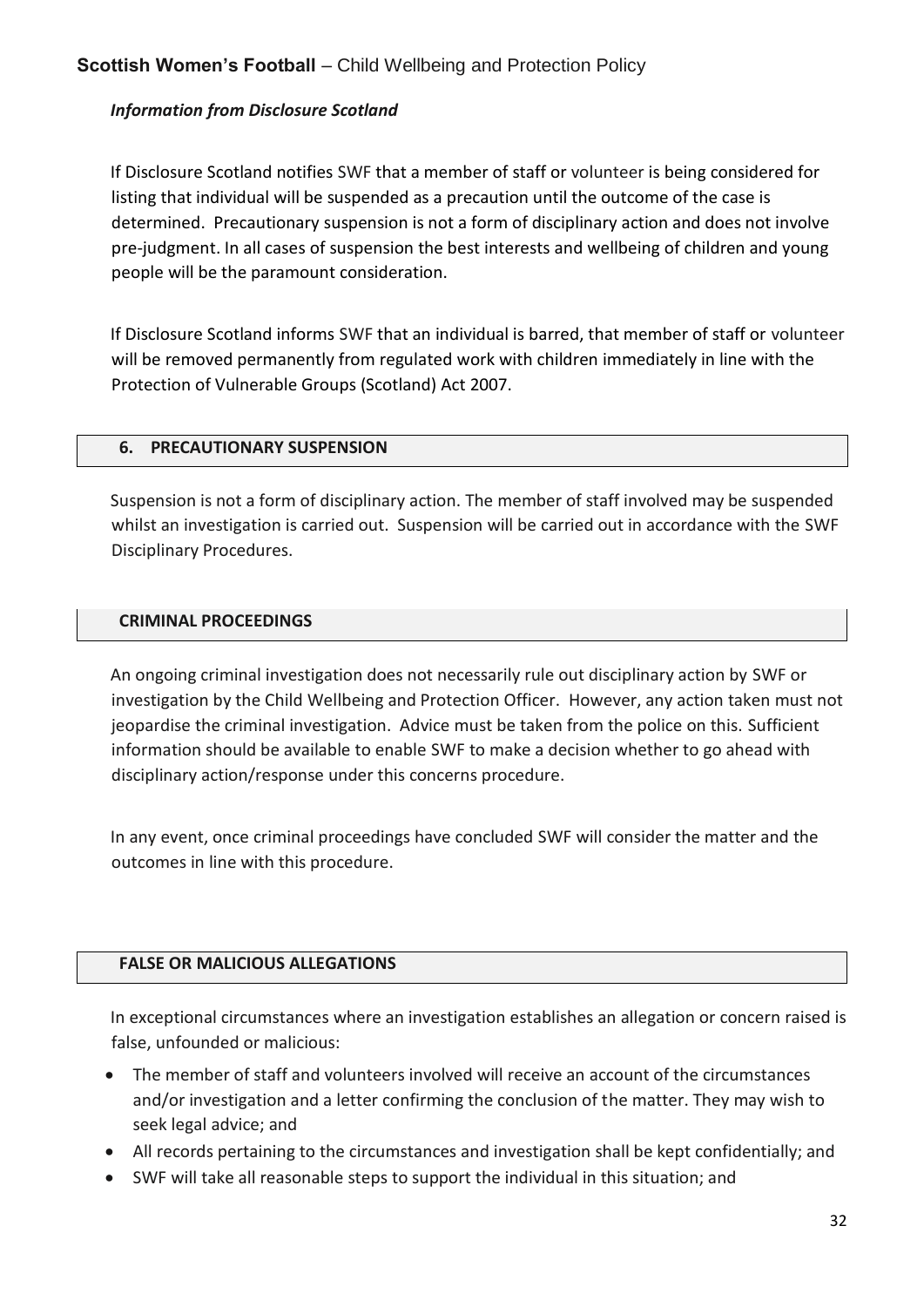## *Information from Disclosure Scotland*

If Disclosure Scotland notifies SWF that a member of staff or volunteer is being considered for listing that individual will be suspended as a precaution until the outcome of the case is determined. Precautionary suspension is not a form of disciplinary action and does not involve pre-judgment. In all cases of suspension the best interests and wellbeing of children and young people will be the paramount consideration.

If Disclosure Scotland informs SWF that an individual is barred, that member of staff or volunteer will be removed permanently from regulated work with children immediately in line with the Protection of Vulnerable Groups (Scotland) Act 2007.

## **6. PRECAUTIONARY SUSPENSION**

Suspension is not a form of disciplinary action. The member of staff involved may be suspended whilst an investigation is carried out. Suspension will be carried out in accordance with the SWF Disciplinary Procedures.

## **CRIMINAL PROCEEDINGS**

An ongoing criminal investigation does not necessarily rule out disciplinary action by SWF or investigation by the Child Wellbeing and Protection Officer. However, any action taken must not jeopardise the criminal investigation. Advice must be taken from the police on this. Sufficient information should be available to enable SWF to make a decision whether to go ahead with disciplinary action/response under this concerns procedure.

In any event, once criminal proceedings have concluded SWF will consider the matter and the outcomes in line with this procedure.

## **FALSE OR MALICIOUS ALLEGATIONS**

In exceptional circumstances where an investigation establishes an allegation or concern raised is false, unfounded or malicious:

- The member of staff and volunteers involved will receive an account of the circumstances and/or investigation and a letter confirming the conclusion of the matter. They may wish to seek legal advice; and
- All records pertaining to the circumstances and investigation shall be kept confidentially; and
- SWF will take all reasonable steps to support the individual in this situation; and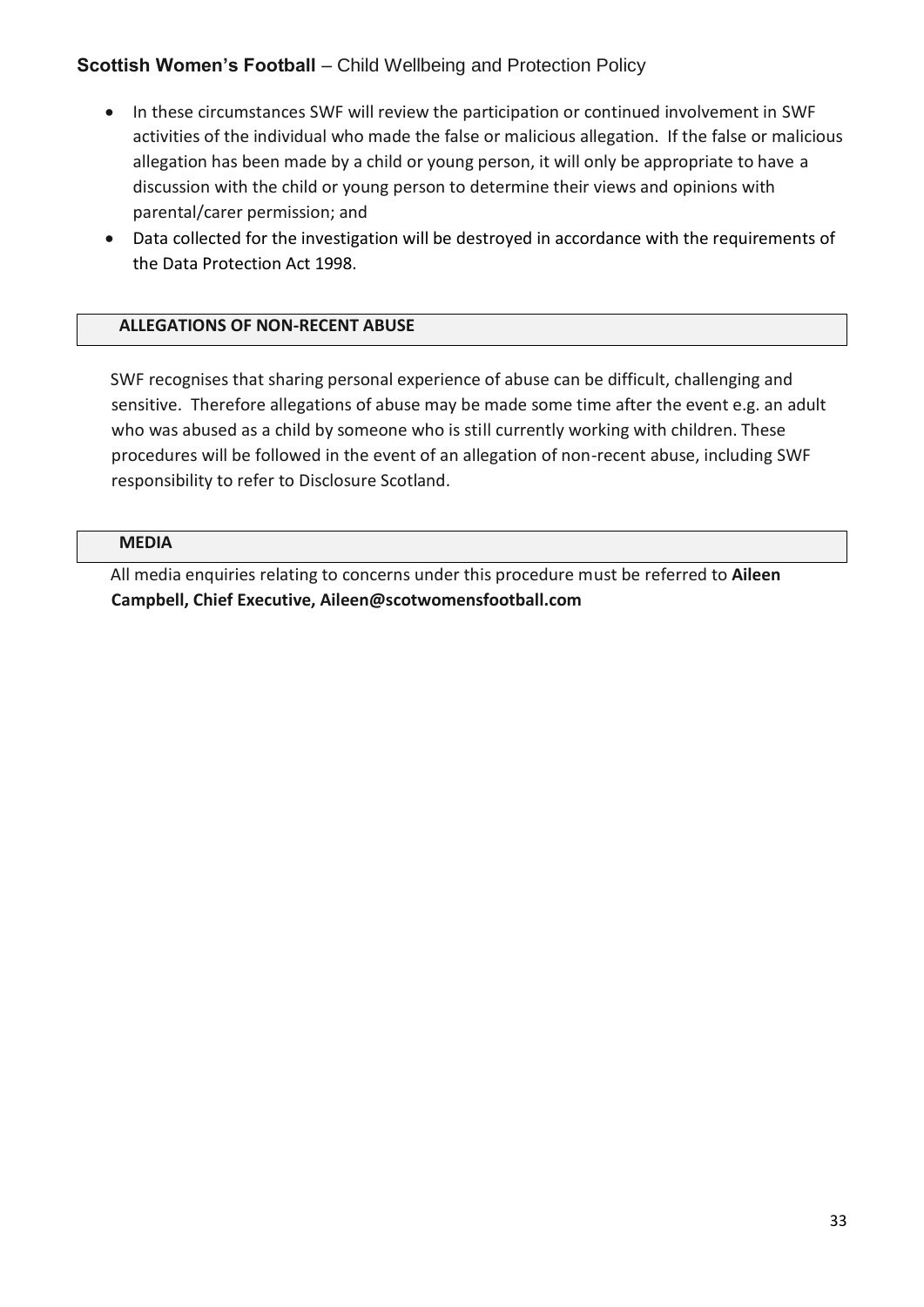- In these circumstances SWF will review the participation or continued involvement in SWF activities of the individual who made the false or malicious allegation. If the false or malicious allegation has been made by a child or young person, it will only be appropriate to have a discussion with the child or young person to determine their views and opinions with parental/carer permission; and
- Data collected for the investigation will be destroyed in accordance with the requirements of the Data Protection Act 1998.

#### **ALLEGATIONS OF NON-RECENT ABUSE**

SWF recognises that sharing personal experience of abuse can be difficult, challenging and sensitive. Therefore allegations of abuse may be made some time after the event e.g. an adult who was abused as a child by someone who is still currently working with children. These procedures will be followed in the event of an allegation of non-recent abuse, including SWF responsibility to refer to Disclosure Scotland.

#### **MEDIA**

All media enquiries relating to concerns under this procedure must be referred to **Aileen Campbell, Chief Executive, Aileen@scotwomensfootball.com**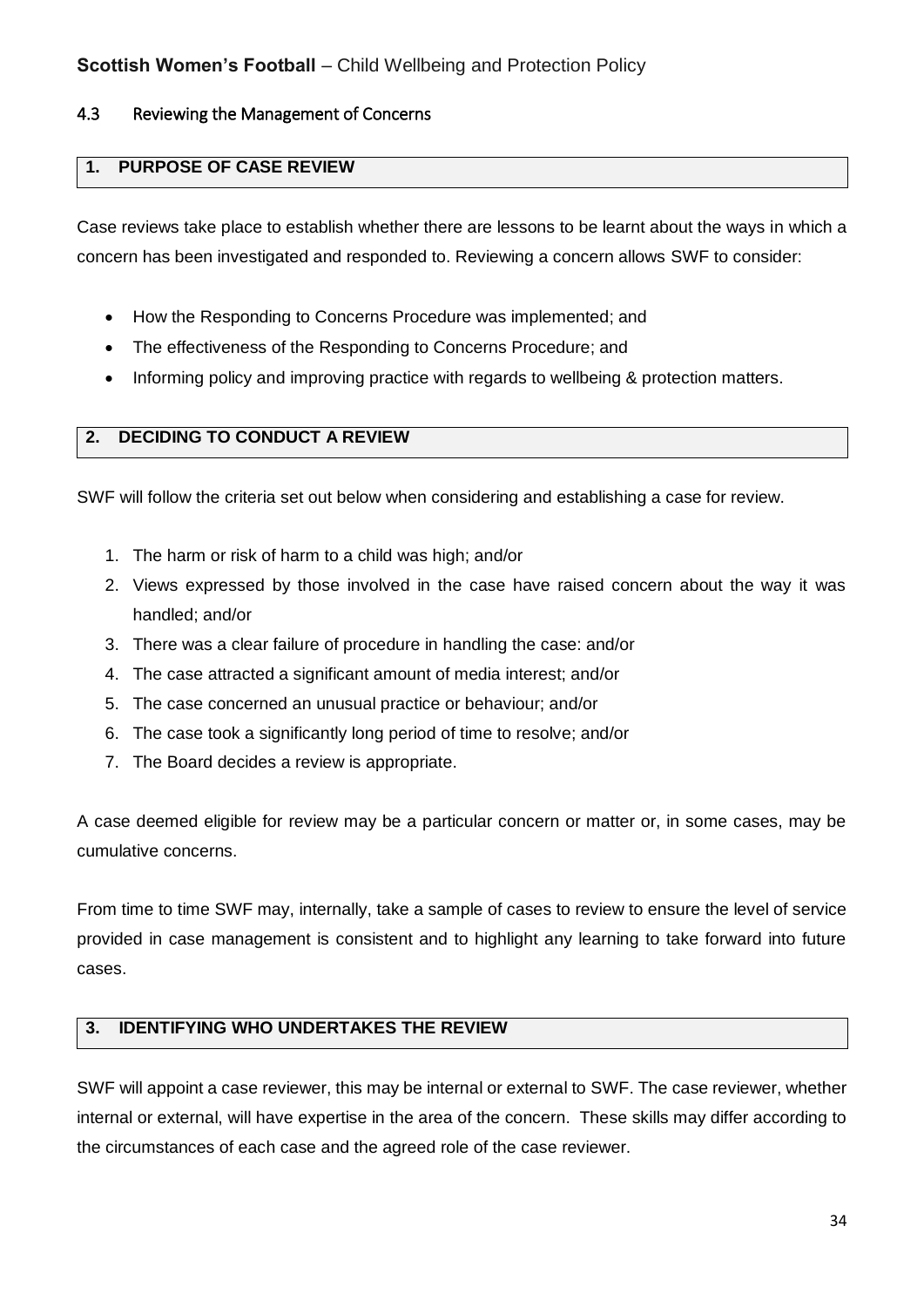#### <span id="page-33-0"></span>4.3 Reviewing the Management of Concerns

## **1. PURPOSE OF CASE REVIEW**

Case reviews take place to establish whether there are lessons to be learnt about the ways in which a concern has been investigated and responded to. Reviewing a concern allows SWF to consider:

- How the Responding to Concerns Procedure was implemented; and
- The effectiveness of the Responding to Concerns Procedure; and
- Informing policy and improving practice with regards to wellbeing & protection matters.

## **2. DECIDING TO CONDUCT A REVIEW**

SWF will follow the criteria set out below when considering and establishing a case for review.

- 1. The harm or risk of harm to a child was high; and/or
- 2. Views expressed by those involved in the case have raised concern about the way it was handled; and/or
- 3. There was a clear failure of procedure in handling the case: and/or
- 4. The case attracted a significant amount of media interest; and/or
- 5. The case concerned an unusual practice or behaviour; and/or
- 6. The case took a significantly long period of time to resolve; and/or
- 7. The Board decides a review is appropriate.

A case deemed eligible for review may be a particular concern or matter or, in some cases, may be cumulative concerns.

From time to time SWF may, internally, take a sample of cases to review to ensure the level of service provided in case management is consistent and to highlight any learning to take forward into future cases.

#### **3. IDENTIFYING WHO UNDERTAKES THE REVIEW**

SWF will appoint a case reviewer, this may be internal or external to SWF. The case reviewer, whether internal or external, will have expertise in the area of the concern. These skills may differ according to the circumstances of each case and the agreed role of the case reviewer.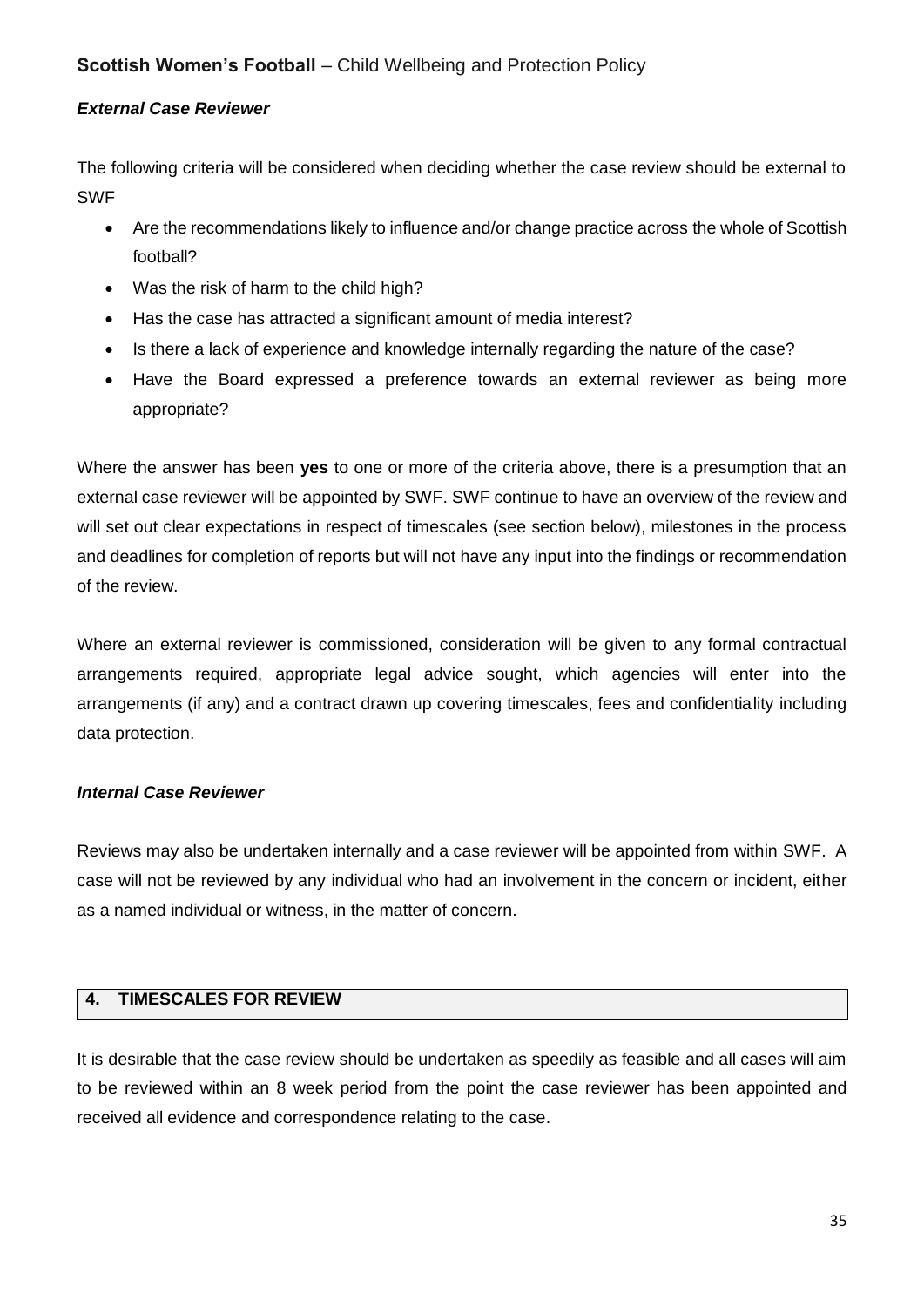#### *External Case Reviewer*

The following criteria will be considered when deciding whether the case review should be external to SWF

- Are the recommendations likely to influence and/or change practice across the whole of Scottish football?
- Was the risk of harm to the child high?
- Has the case has attracted a significant amount of media interest?
- Is there a lack of experience and knowledge internally regarding the nature of the case?
- Have the Board expressed a preference towards an external reviewer as being more appropriate?

Where the answer has been **yes** to one or more of the criteria above, there is a presumption that an external case reviewer will be appointed by SWF. SWF continue to have an overview of the review and will set out clear expectations in respect of timescales (see section below), milestones in the process and deadlines for completion of reports but will not have any input into the findings or recommendation of the review.

Where an external reviewer is commissioned, consideration will be given to any formal contractual arrangements required, appropriate legal advice sought, which agencies will enter into the arrangements (if any) and a contract drawn up covering timescales, fees and confidentiality including data protection.

#### *Internal Case Reviewer*

Reviews may also be undertaken internally and a case reviewer will be appointed from within SWF. A case will not be reviewed by any individual who had an involvement in the concern or incident, either as a named individual or witness, in the matter of concern.

#### **4. TIMESCALES FOR REVIEW**

It is desirable that the case review should be undertaken as speedily as feasible and all cases will aim to be reviewed within an 8 week period from the point the case reviewer has been appointed and received all evidence and correspondence relating to the case.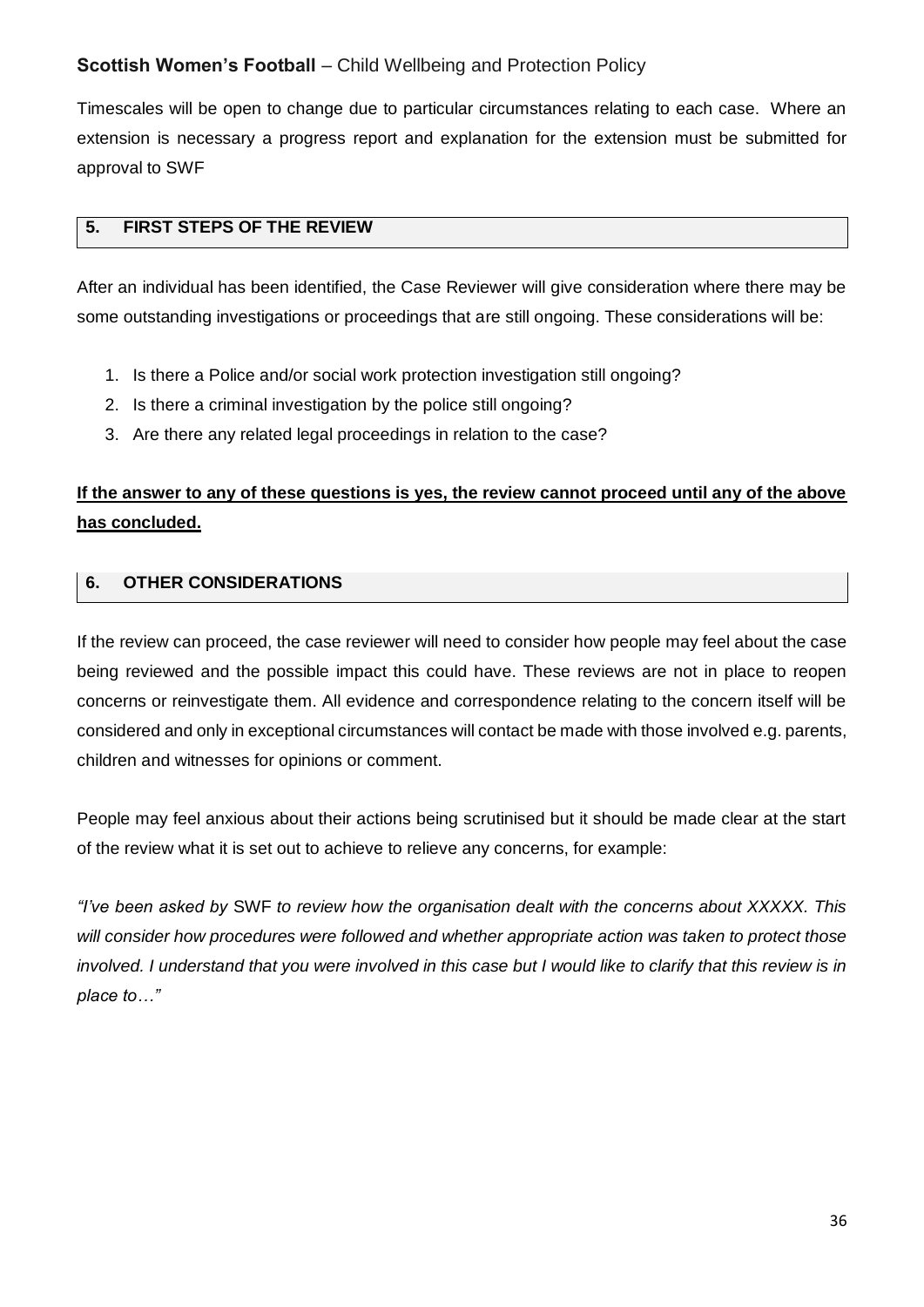Timescales will be open to change due to particular circumstances relating to each case. Where an extension is necessary a progress report and explanation for the extension must be submitted for approval to SWF

## **5. FIRST STEPS OF THE REVIEW**

After an individual has been identified, the Case Reviewer will give consideration where there may be some outstanding investigations or proceedings that are still ongoing. These considerations will be:

- 1. Is there a Police and/or social work protection investigation still ongoing?
- 2. Is there a criminal investigation by the police still ongoing?
- 3. Are there any related legal proceedings in relation to the case?

# **If the answer to any of these questions is yes, the review cannot proceed until any of the above has concluded.**

## **6. OTHER CONSIDERATIONS**

If the review can proceed, the case reviewer will need to consider how people may feel about the case being reviewed and the possible impact this could have. These reviews are not in place to reopen concerns or reinvestigate them. All evidence and correspondence relating to the concern itself will be considered and only in exceptional circumstances will contact be made with those involved e.g. parents, children and witnesses for opinions or comment.

People may feel anxious about their actions being scrutinised but it should be made clear at the start of the review what it is set out to achieve to relieve any concerns, for example:

*"I've been asked by* SWF *to review how the organisation dealt with the concerns about XXXXX. This will consider how procedures were followed and whether appropriate action was taken to protect those involved. I understand that you were involved in this case but I would like to clarify that this review is in place to…"*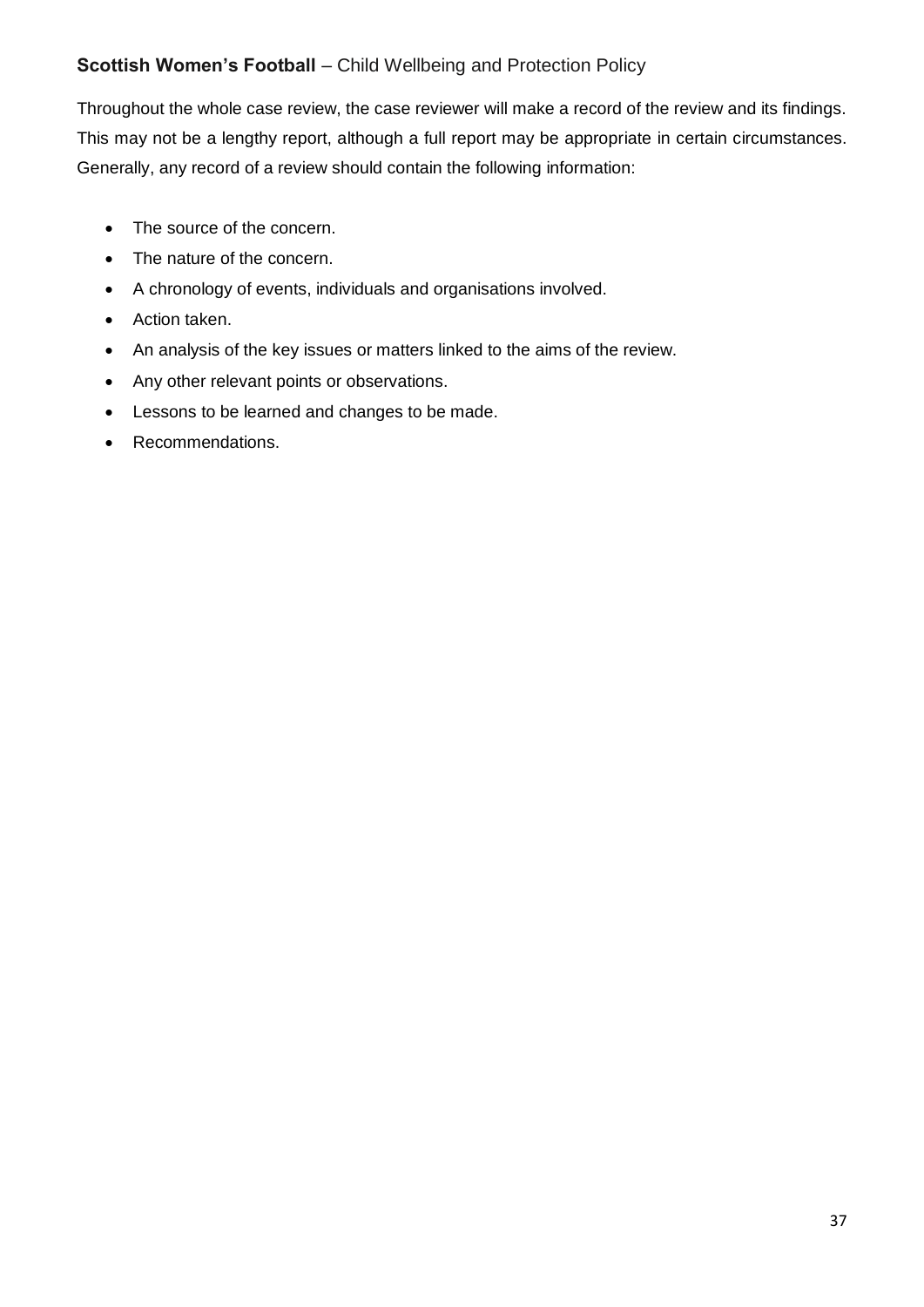Throughout the whole case review, the case reviewer will make a record of the review and its findings. This may not be a lengthy report, although a full report may be appropriate in certain circumstances. Generally, any record of a review should contain the following information:

- The source of the concern.
- The nature of the concern.
- A chronology of events, individuals and organisations involved.
- Action taken.
- An analysis of the key issues or matters linked to the aims of the review.
- Any other relevant points or observations.
- **•** Lessons to be learned and changes to be made.
- Recommendations.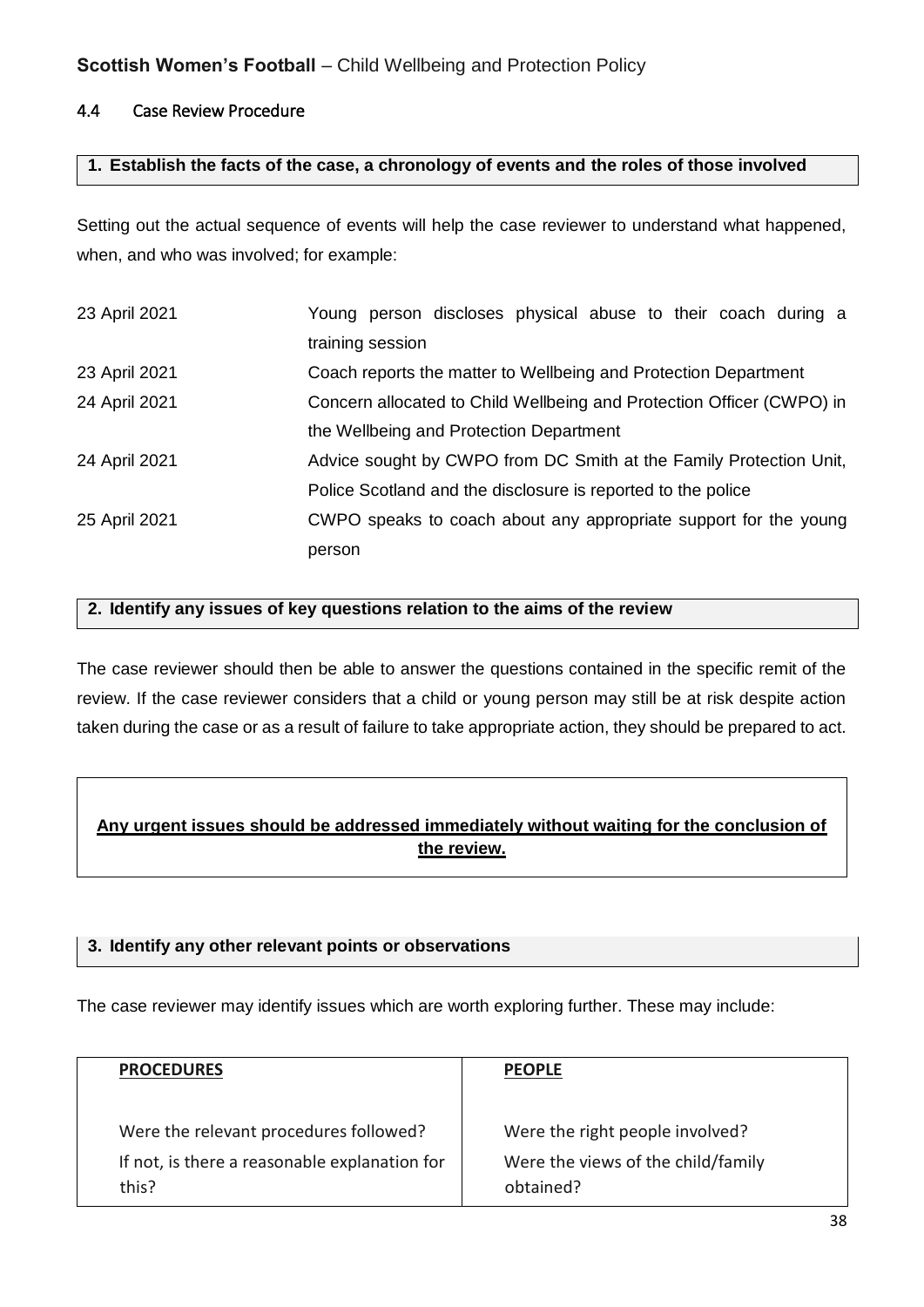## 4.4 Case Review Procedure

#### **1. Establish the facts of the case, a chronology of events and the roles of those involved**

Setting out the actual sequence of events will help the case reviewer to understand what happened, when, and who was involved; for example:

| 23 April 2021 | Young person discloses physical abuse to their coach during a         |
|---------------|-----------------------------------------------------------------------|
|               | training session                                                      |
| 23 April 2021 | Coach reports the matter to Wellbeing and Protection Department       |
| 24 April 2021 | Concern allocated to Child Wellbeing and Protection Officer (CWPO) in |
|               | the Wellbeing and Protection Department                               |
| 24 April 2021 | Advice sought by CWPO from DC Smith at the Family Protection Unit,    |
|               | Police Scotland and the disclosure is reported to the police          |
| 25 April 2021 | CWPO speaks to coach about any appropriate support for the young      |
|               | person                                                                |

#### **2. Identify any issues of key questions relation to the aims of the review**

The case reviewer should then be able to answer the questions contained in the specific remit of the review. If the case reviewer considers that a child or young person may still be at risk despite action taken during the case or as a result of failure to take appropriate action, they should be prepared to act.

## **Any urgent issues should be addressed immediately without waiting for the conclusion of the review.**

#### **3. Identify any other relevant points or observations**

The case reviewer may identify issues which are worth exploring further. These may include:

| <b>PROCEDURES</b>                             | <b>PEOPLE</b>                      |
|-----------------------------------------------|------------------------------------|
| Were the relevant procedures followed?        | Were the right people involved?    |
| If not, is there a reasonable explanation for | Were the views of the child/family |
| this?                                         | obtained?                          |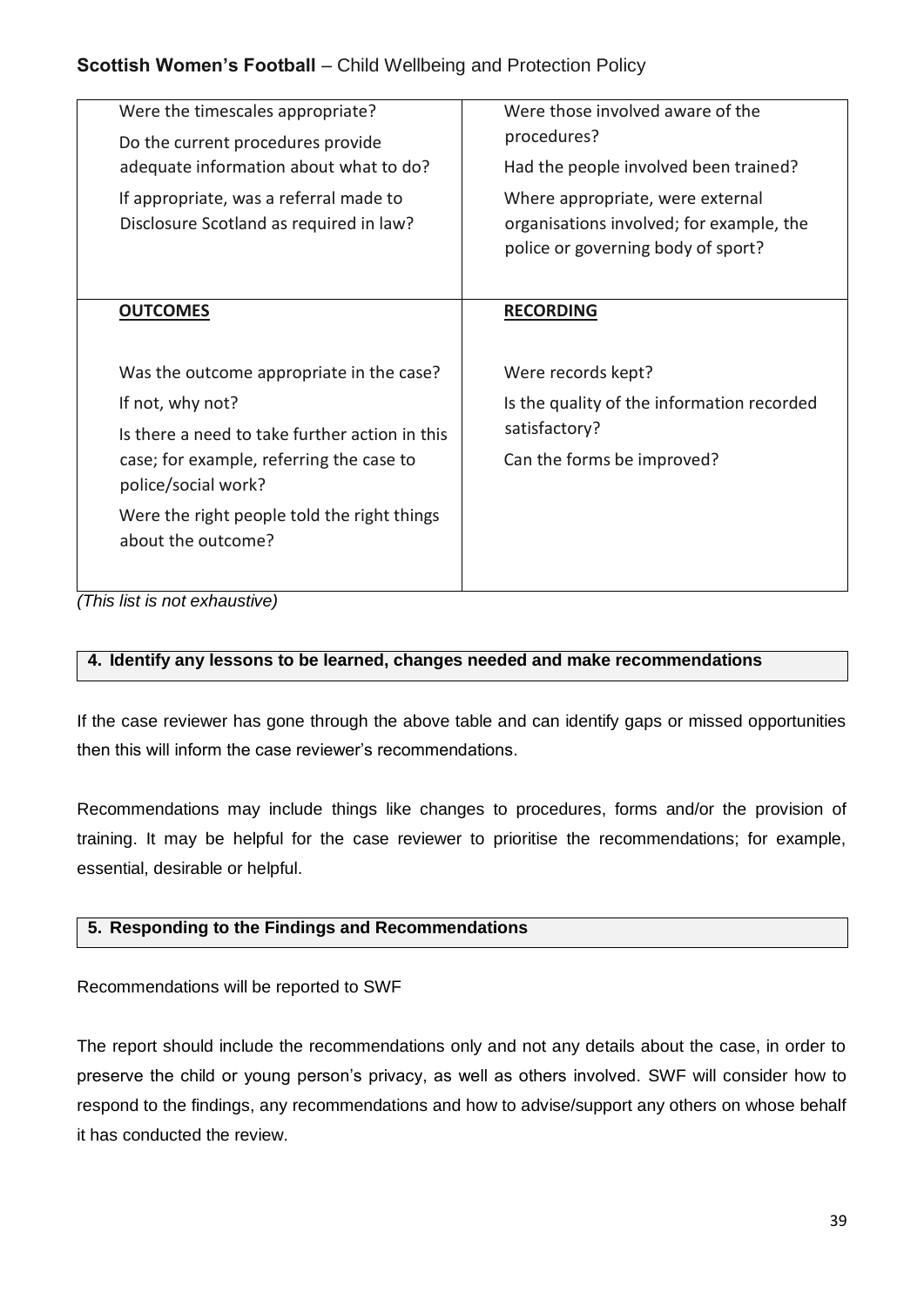| Were the timescales appropriate?<br>Do the current procedures provide<br>adequate information about what to do?<br>If appropriate, was a referral made to | Were those involved aware of the<br>procedures?<br>Had the people involved been trained?<br>Where appropriate, were external |
|-----------------------------------------------------------------------------------------------------------------------------------------------------------|------------------------------------------------------------------------------------------------------------------------------|
| Disclosure Scotland as required in law?                                                                                                                   | organisations involved; for example, the<br>police or governing body of sport?                                               |
| <b>OUTCOMES</b>                                                                                                                                           | <b>RECORDING</b>                                                                                                             |
| Was the outcome appropriate in the case?                                                                                                                  | Were records kept?                                                                                                           |
| If not, why not?<br>Is there a need to take further action in this                                                                                        | Is the quality of the information recorded                                                                                   |
|                                                                                                                                                           | satisfactory?                                                                                                                |
| case; for example, referring the case to<br>police/social work?                                                                                           | Can the forms be improved?                                                                                                   |
| Were the right people told the right things<br>about the outcome?                                                                                         |                                                                                                                              |

*(This list is not exhaustive)*

## **4. Identify any lessons to be learned, changes needed and make recommendations**

If the case reviewer has gone through the above table and can identify gaps or missed opportunities then this will inform the case reviewer's recommendations.

Recommendations may include things like changes to procedures, forms and/or the provision of training. It may be helpful for the case reviewer to prioritise the recommendations; for example, essential, desirable or helpful.

## **5. Responding to the Findings and Recommendations**

Recommendations will be reported to SWF

The report should include the recommendations only and not any details about the case, in order to preserve the child or young person's privacy, as well as others involved. SWF will consider how to respond to the findings, any recommendations and how to advise/support any others on whose behalf it has conducted the review.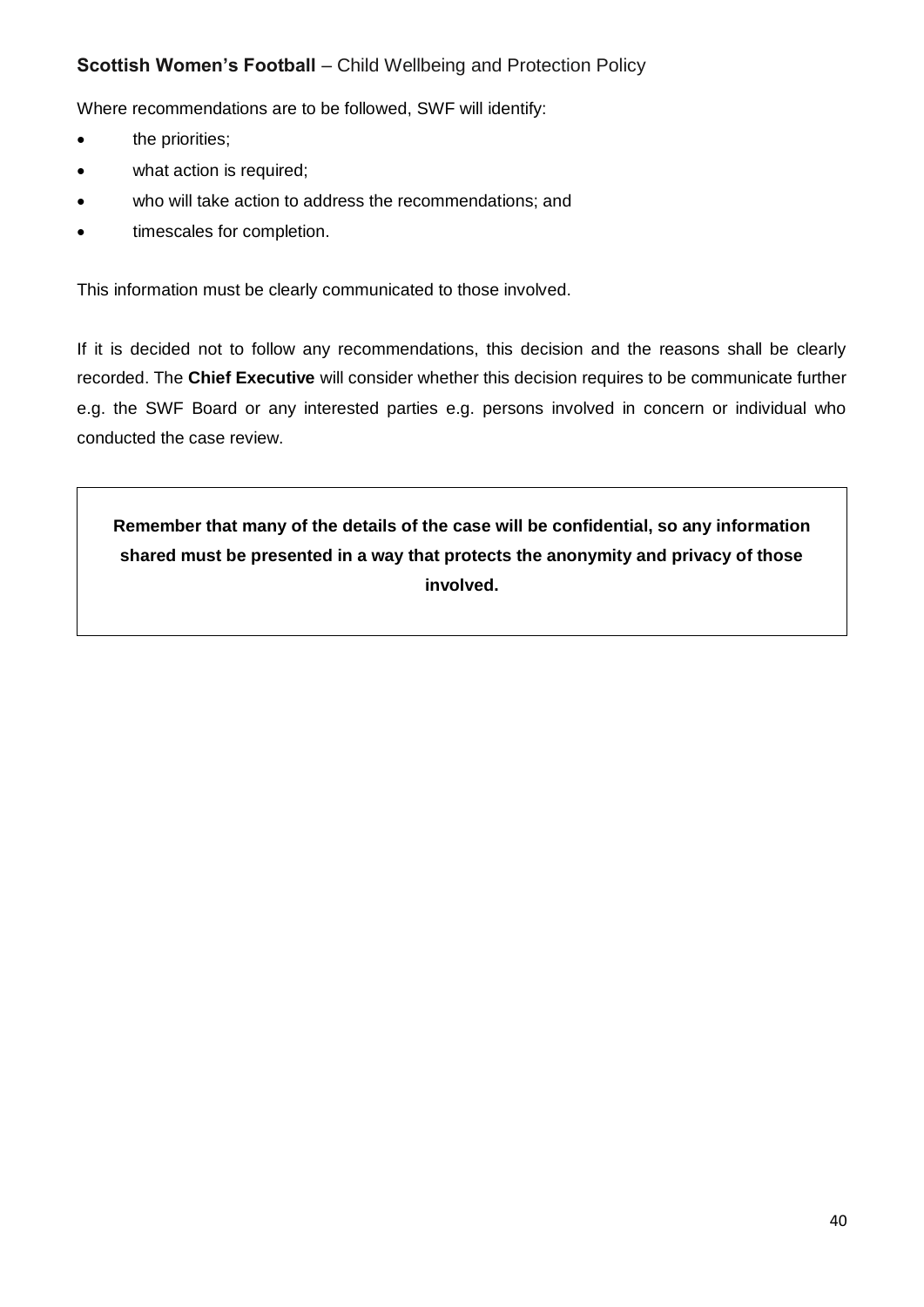Where recommendations are to be followed, SWF will identify:

- the priorities;
- what action is required;
- who will take action to address the recommendations; and
- timescales for completion.

This information must be clearly communicated to those involved.

If it is decided not to follow any recommendations, this decision and the reasons shall be clearly recorded. The **Chief Executive** will consider whether this decision requires to be communicate further e.g. the SWF Board or any interested parties e.g. persons involved in concern or individual who conducted the case review.

**Remember that many of the details of the case will be confidential, so any information shared must be presented in a way that protects the anonymity and privacy of those involved.**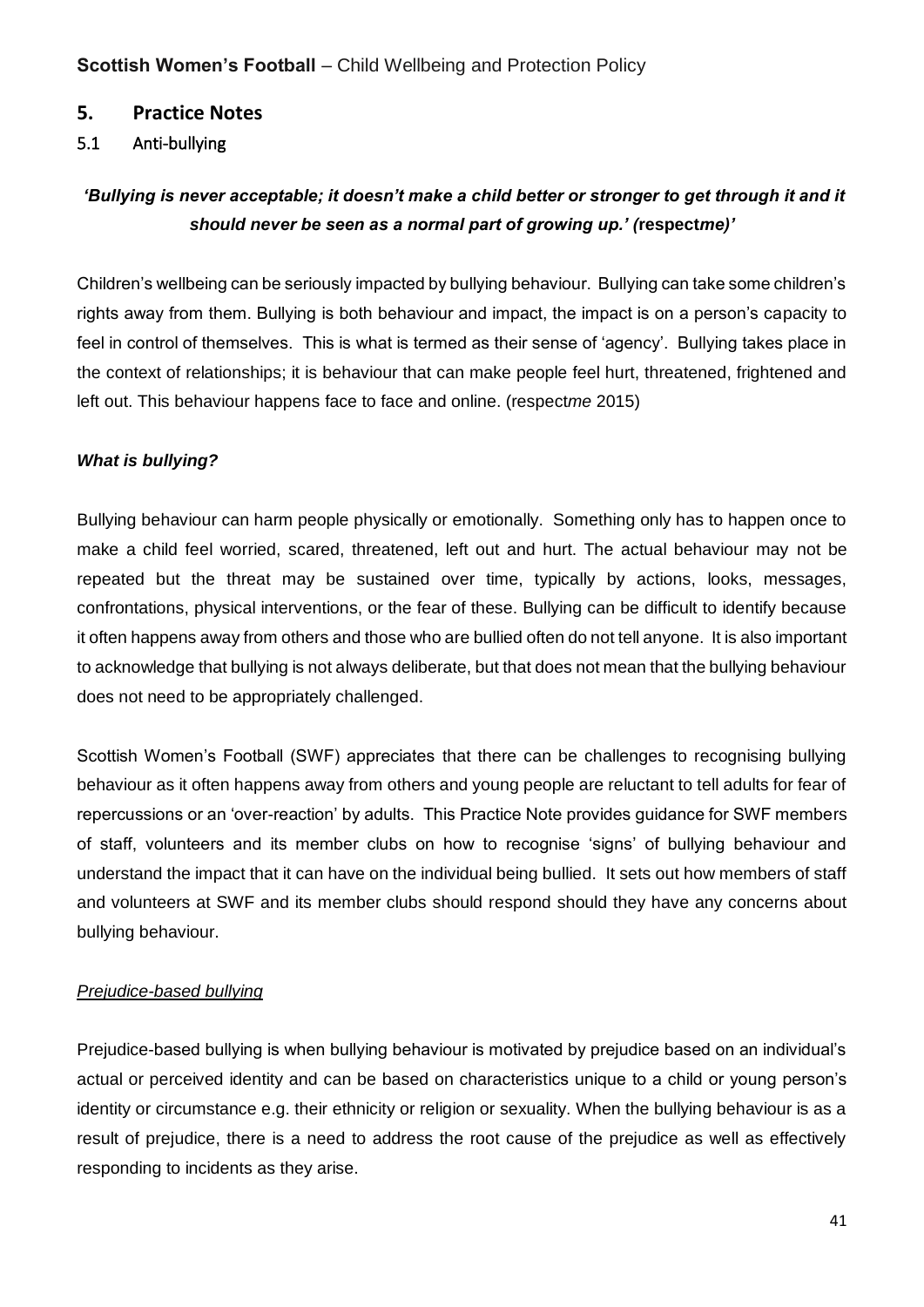## **5. Practice Notes**

## 5.1 Anti-bullying

## *'Bullying is never acceptable; it doesn't make a child better or stronger to get through it and it should never be seen as a normal part of growing up.' (***respect***me)'*

Children's wellbeing can be seriously impacted by bullying behaviour. Bullying can take some children's rights away from them. Bullying is both behaviour and impact, the impact is on a person's capacity to feel in control of themselves. This is what is termed as their sense of 'agency'. Bullying takes place in the context of relationships; it is behaviour that can make people feel hurt, threatened, frightened and left out. This behaviour happens face to face and online. (respect*me* 2015)

#### *What is bullying?*

Bullying behaviour can harm people physically or emotionally. Something only has to happen once to make a child feel worried, scared, threatened, left out and hurt. The actual behaviour may not be repeated but the threat may be sustained over time, typically by actions, looks, messages, confrontations, physical interventions, or the fear of these. Bullying can be difficult to identify because it often happens away from others and those who are bullied often do not tell anyone. It is also important to acknowledge that bullying is not always deliberate, but that does not mean that the bullying behaviour does not need to be appropriately challenged.

Scottish Women's Football (SWF) appreciates that there can be challenges to recognising bullying behaviour as it often happens away from others and young people are reluctant to tell adults for fear of repercussions or an 'over-reaction' by adults. This Practice Note provides guidance for SWF members of staff, volunteers and its member clubs on how to recognise 'signs' of bullying behaviour and understand the impact that it can have on the individual being bullied. It sets out how members of staff and volunteers at SWF and its member clubs should respond should they have any concerns about bullying behaviour.

#### *Prejudice-based bullying*

Prejudice-based bullying is when bullying behaviour is motivated by prejudice based on an individual's actual or perceived identity and can be based on characteristics unique to a child or young person's identity or circumstance e.g. their ethnicity or religion or sexuality. When the bullying behaviour is as a result of prejudice, there is a need to address the root cause of the prejudice as well as effectively responding to incidents as they arise.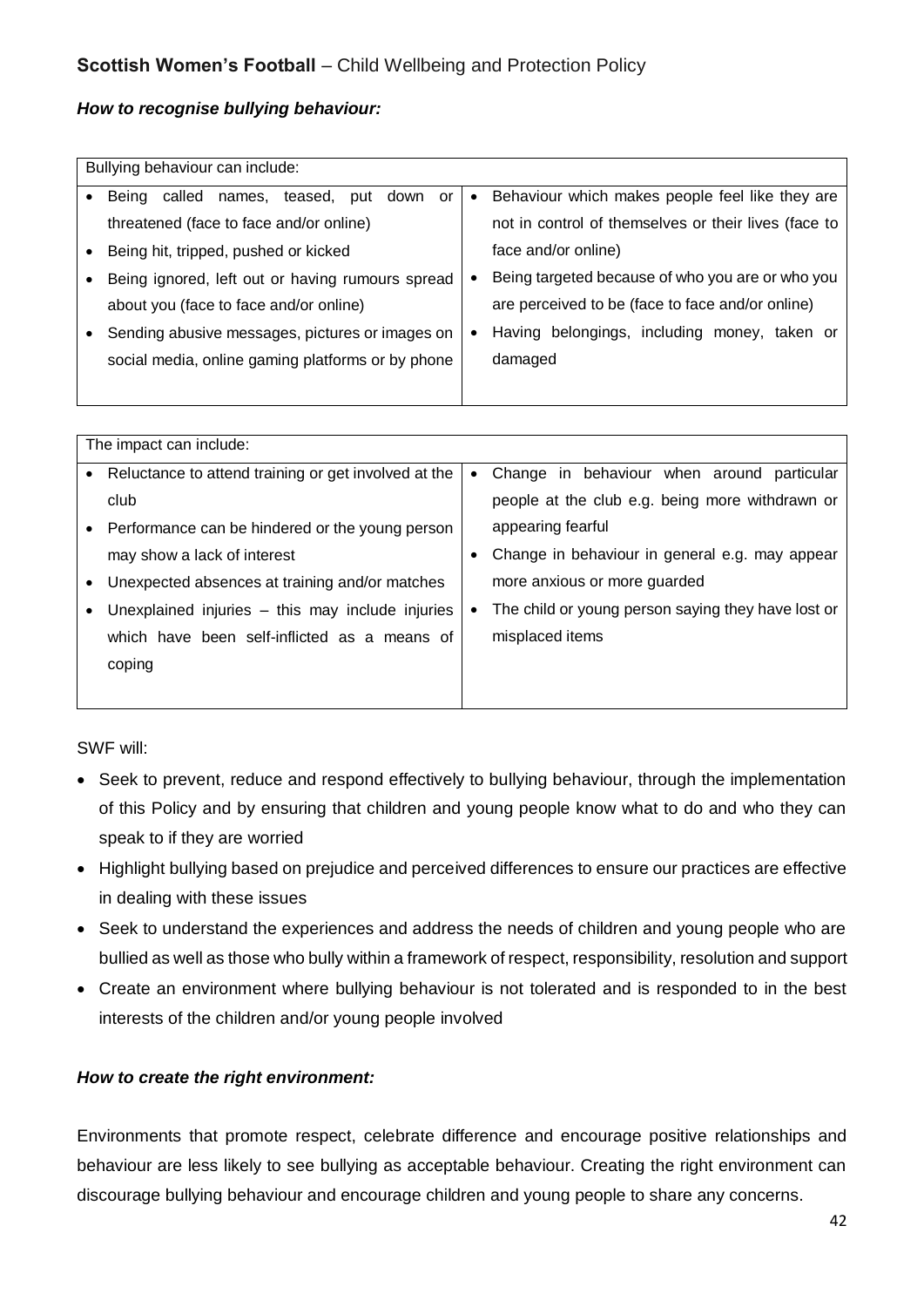#### *How to recognise bullying behaviour:*

| Bullying behaviour can include:                        |           |                                                      |  |
|--------------------------------------------------------|-----------|------------------------------------------------------|--|
|                                                        |           |                                                      |  |
| Being<br>called<br>teased,<br>names,<br>put down<br>or | $\bullet$ | Behaviour which makes people feel like they are      |  |
| threatened (face to face and/or online)                |           | not in control of themselves or their lives (face to |  |
| Being hit, tripped, pushed or kicked                   |           | face and/or online)                                  |  |
| Being ignored, left out or having rumours spread       | $\bullet$ | Being targeted because of who you are or who you     |  |
| about you (face to face and/or online)                 |           | are perceived to be (face to face and/or online)     |  |
| Sending abusive messages, pictures or images on        | ٠         | Having belongings, including money, taken or         |  |
| social media, online gaming platforms or by phone      |           | damaged                                              |  |
|                                                        |           |                                                      |  |

| The impact can include:                              |           |                                                    |  |
|------------------------------------------------------|-----------|----------------------------------------------------|--|
| Reluctance to attend training or get involved at the | $\bullet$ | Change in behaviour when around particular         |  |
| club                                                 |           | people at the club e.g. being more withdrawn or    |  |
| Performance can be hindered or the young person      |           | appearing fearful                                  |  |
| may show a lack of interest                          |           | Change in behaviour in general e.g. may appear     |  |
| Unexpected absences at training and/or matches       |           | more anxious or more quarded                       |  |
| Unexplained injuries – this may include injuries     | $\bullet$ | The child or young person saying they have lost or |  |
| which have been self-inflicted as a means of         |           | misplaced items                                    |  |
| coping                                               |           |                                                    |  |
|                                                      |           |                                                    |  |

SWF will:

- Seek to prevent, reduce and respond effectively to bullying behaviour, through the implementation of this Policy and by ensuring that children and young people know what to do and who they can speak to if they are worried
- Highlight bullying based on prejudice and perceived differences to ensure our practices are effective in dealing with these issues
- Seek to understand the experiences and address the needs of children and young people who are bullied as well as those who bully within a framework of respect, responsibility, resolution and support
- Create an environment where bullying behaviour is not tolerated and is responded to in the best interests of the children and/or young people involved

#### *How to create the right environment:*

Environments that promote respect, celebrate difference and encourage positive relationships and behaviour are less likely to see bullying as acceptable behaviour. Creating the right environment can discourage bullying behaviour and encourage children and young people to share any concerns.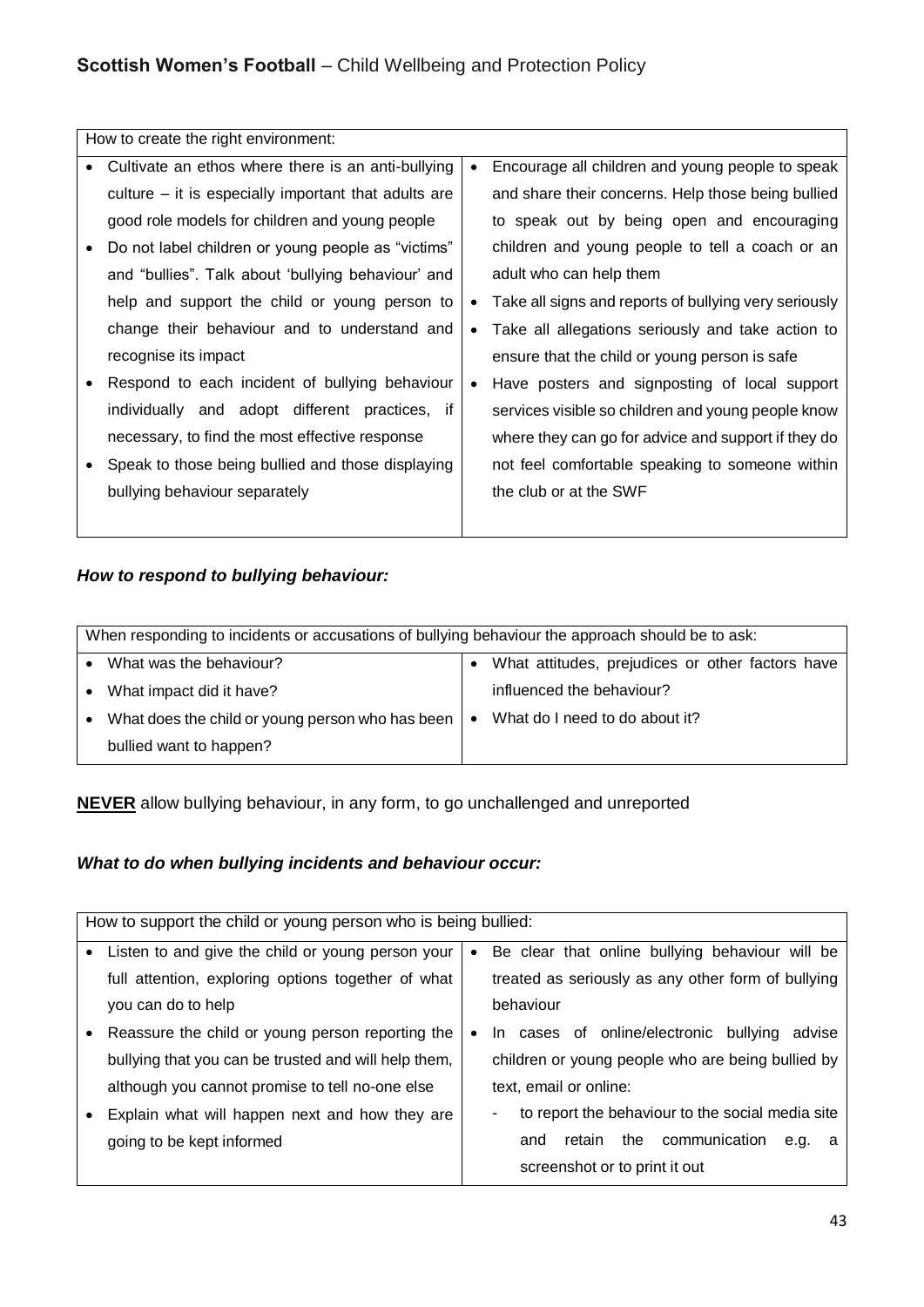|           | How to create the right environment:                 |           |                                                       |
|-----------|------------------------------------------------------|-----------|-------------------------------------------------------|
| $\bullet$ | Cultivate an ethos where there is an anti-bullying   | $\bullet$ | Encourage all children and young people to speak      |
|           | culture – it is especially important that adults are |           | and share their concerns. Help those being bullied    |
|           | good role models for children and young people       |           | to speak out by being open and encouraging            |
|           | Do not label children or young people as "victims"   |           | children and young people to tell a coach or an       |
|           | and "bullies". Talk about 'bullying behaviour' and   |           | adult who can help them                               |
|           | help and support the child or young person to        | $\bullet$ | Take all signs and reports of bullying very seriously |
|           | change their behaviour and to understand and         | $\bullet$ | Take all allegations seriously and take action to     |
|           | recognise its impact                                 |           | ensure that the child or young person is safe         |
|           | Respond to each incident of bullying behaviour       | $\bullet$ | Have posters and signposting of local support         |
|           | individually and adopt different practices, if       |           | services visible so children and young people know    |
|           | necessary, to find the most effective response       |           | where they can go for advice and support if they do   |
|           | Speak to those being bullied and those displaying    |           | not feel comfortable speaking to someone within       |
|           | bullying behaviour separately                        |           | the club or at the SWF                                |
|           |                                                      |           |                                                       |

## *How to respond to bullying behaviour:*

|           | When responding to incidents or accusations of bullying behaviour the approach should be to ask: |           |                                                  |  |  |
|-----------|--------------------------------------------------------------------------------------------------|-----------|--------------------------------------------------|--|--|
|           |                                                                                                  |           |                                                  |  |  |
|           | What was the behaviour?                                                                          |           | What attitudes, prejudices or other factors have |  |  |
| $\bullet$ | What impact did it have?                                                                         |           | influenced the behaviour?                        |  |  |
| $\bullet$ | What does the child or young person who has been                                                 | $\bullet$ | What do I need to do about it?                   |  |  |
|           | bullied want to happen?                                                                          |           |                                                  |  |  |

**NEVER** allow bullying behaviour, in any form, to go unchallenged and unreported

## *What to do when bullying incidents and behaviour occur:*

| How to support the child or young person who is being bullied: |           |                                                       |
|----------------------------------------------------------------|-----------|-------------------------------------------------------|
| Listen to and give the child or young person your              | $\bullet$ | Be clear that online bullying behaviour will be       |
| full attention, exploring options together of what             |           | treated as seriously as any other form of bullying    |
| you can do to help                                             |           | behaviour                                             |
| Reassure the child or young person reporting the               | $\bullet$ | In cases of online/electronic bullying<br>advise      |
| bullying that you can be trusted and will help them,           |           | children or young people who are being bullied by     |
| although you cannot promise to tell no-one else                |           | text, email or online:                                |
| Explain what will happen next and how they are                 |           | to report the behaviour to the social media site<br>۰ |
| going to be kept informed                                      |           | retain the communication<br>and<br>e.g.<br>a          |
|                                                                |           | screenshot or to print it out                         |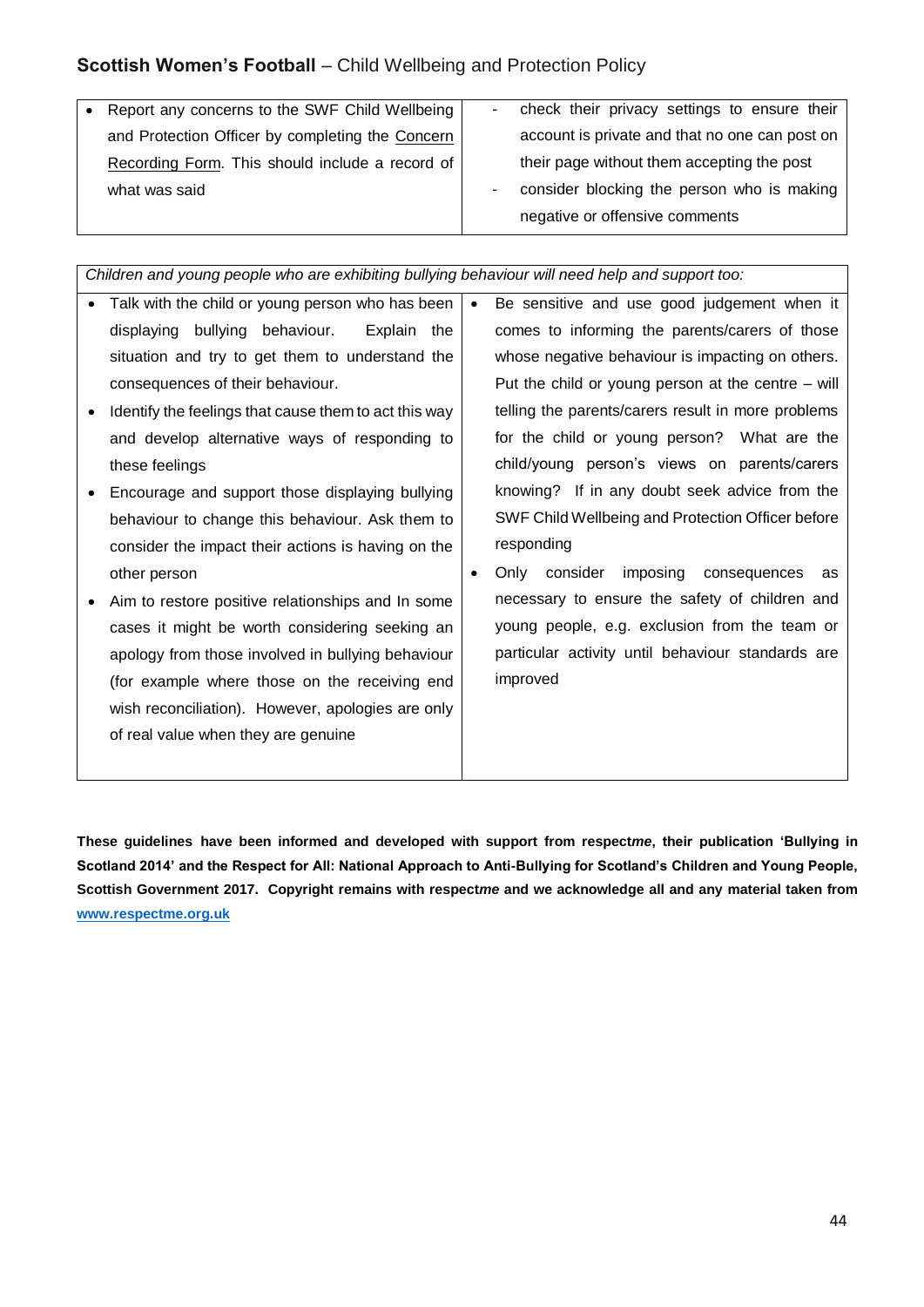Report any concerns to the SWF Child Wellbeing and Protection Officer by completing the Concern Recording Form. This should include a record of what was said check their privacy settings to ensure their account is private and that no one can post on their page without them accepting the post consider blocking the person who is making negative or offensive comments

*Children and young people who are exhibiting bullying behaviour will need help and support too:* 

• Talk with the child or young person who has been displaying bullying behaviour. Explain the situation and try to get them to understand the consequences of their behaviour. • Identify the feelings that cause them to act this way and develop alternative ways of responding to these feelings Encourage and support those displaying bullying behaviour to change this behaviour. Ask them to consider the impact their actions is having on the other person Aim to restore positive relationships and In some cases it might be worth considering seeking an apology from those involved in bullying behaviour (for example where those on the receiving end wish reconciliation). However, apologies are only of real value when they are genuine Be sensitive and use good judgement when it comes to informing the parents/carers of those whose negative behaviour is impacting on others. Put the child or young person at the centre – will telling the parents/carers result in more problems for the child or young person? What are the child/young person's views on parents/carers knowing? If in any doubt seek advice from the SWF Child Wellbeing and Protection Officer before responding Only consider imposing consequences as necessary to ensure the safety of children and young people, e.g. exclusion from the team or particular activity until behaviour standards are improved

**These guidelines have been informed and developed with support from respect***me***, their publication 'Bullying in Scotland 2014' and the Respect for All: National Approach to Anti-Bullying for Scotland's Children and Young People, Scottish Government 2017. Copyright remains with respect***me* **and we acknowledge all and any material taken from [www.respectme.org.uk](http://www.respectme.org.uk/)**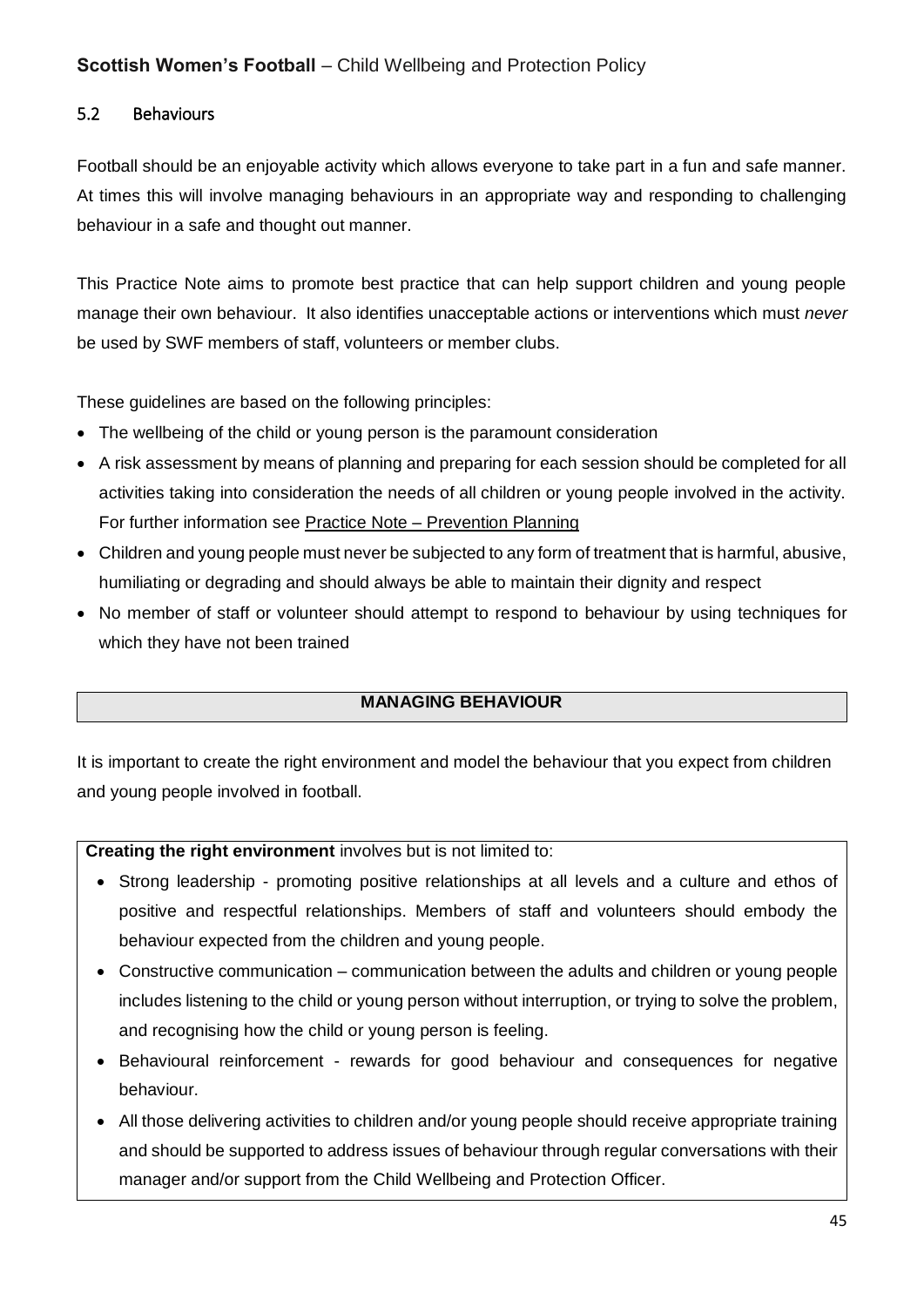#### 5.2 Behaviours

Football should be an enjoyable activity which allows everyone to take part in a fun and safe manner. At times this will involve managing behaviours in an appropriate way and responding to challenging behaviour in a safe and thought out manner.

This Practice Note aims to promote best practice that can help support children and young people manage their own behaviour. It also identifies unacceptable actions or interventions which must *never*  be used by SWF members of staff, volunteers or member clubs.

These guidelines are based on the following principles:

- The wellbeing of the child or young person is the paramount consideration
- A risk assessment by means of planning and preparing for each session should be completed for all activities taking into consideration the needs of all children or young people involved in the activity. For further information see Practice Note – Prevention Planning
- Children and young people must never be subjected to any form of treatment that is harmful, abusive, humiliating or degrading and should always be able to maintain their dignity and respect
- No member of staff or volunteer should attempt to respond to behaviour by using techniques for which they have not been trained

## **MANAGING BEHAVIOUR**

It is important to create the right environment and model the behaviour that you expect from children and young people involved in football.

**Creating the right environment** involves but is not limited to:

- Strong leadership promoting positive relationships at all levels and a culture and ethos of positive and respectful relationships. Members of staff and volunteers should embody the behaviour expected from the children and young people.
- Constructive communication communication between the adults and children or young people includes listening to the child or young person without interruption, or trying to solve the problem, and recognising how the child or young person is feeling.
- Behavioural reinforcement rewards for good behaviour and consequences for negative behaviour.
- All those delivering activities to children and/or young people should receive appropriate training and should be supported to address issues of behaviour through regular conversations with their manager and/or support from the Child Wellbeing and Protection Officer.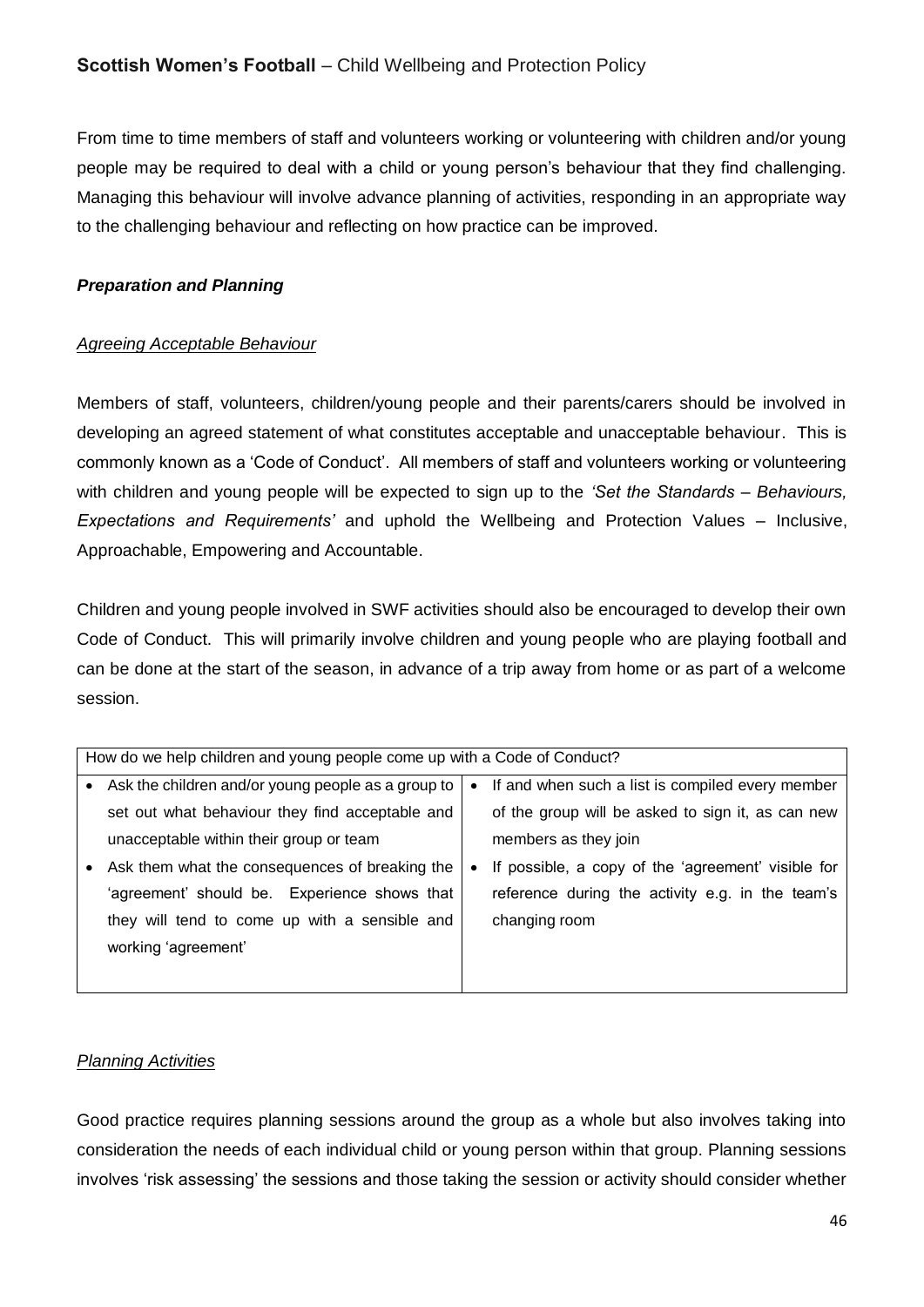From time to time members of staff and volunteers working or volunteering with children and/or young people may be required to deal with a child or young person's behaviour that they find challenging. Managing this behaviour will involve advance planning of activities, responding in an appropriate way to the challenging behaviour and reflecting on how practice can be improved.

#### *Preparation and Planning*

#### *Agreeing Acceptable Behaviour*

Members of staff, volunteers, children/young people and their parents/carers should be involved in developing an agreed statement of what constitutes acceptable and unacceptable behaviour. This is commonly known as a 'Code of Conduct'. All members of staff and volunteers working or volunteering with children and young people will be expected to sign up to the *'Set the Standards – Behaviours, Expectations and Requirements'* and uphold the Wellbeing and Protection Values – Inclusive, Approachable, Empowering and Accountable.

Children and young people involved in SWF activities should also be encouraged to develop their own Code of Conduct. This will primarily involve children and young people who are playing football and can be done at the start of the season, in advance of a trip away from home or as part of a welcome session.

|           | How do we help children and young people come up with a Code of Conduct? |           |                                                    |  |
|-----------|--------------------------------------------------------------------------|-----------|----------------------------------------------------|--|
| $\bullet$ | Ask the children and/or young people as a group to                       | $\bullet$ | If and when such a list is compiled every member   |  |
|           | set out what behaviour they find acceptable and                          |           | of the group will be asked to sign it, as can new  |  |
|           | unacceptable within their group or team                                  |           | members as they join                               |  |
|           | Ask them what the consequences of breaking the                           | $\bullet$ | If possible, a copy of the 'agreement' visible for |  |
|           | 'agreement' should be. Experience shows that                             |           | reference during the activity e.g. in the team's   |  |
|           | they will tend to come up with a sensible and                            |           | changing room                                      |  |
|           | working 'agreement'                                                      |           |                                                    |  |
|           |                                                                          |           |                                                    |  |

#### *Planning Activities*

Good practice requires planning sessions around the group as a whole but also involves taking into consideration the needs of each individual child or young person within that group. Planning sessions involves 'risk assessing' the sessions and those taking the session or activity should consider whether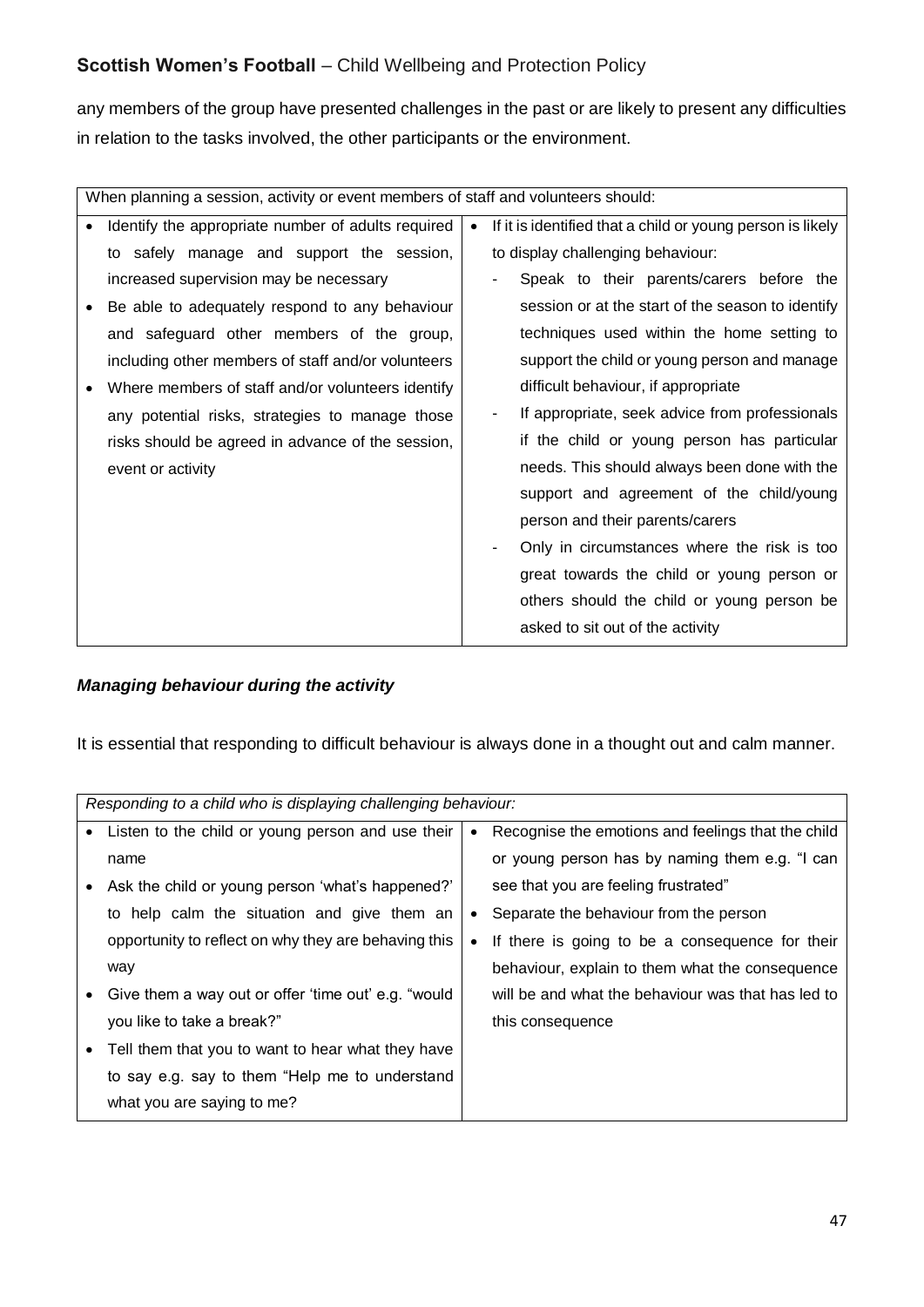any members of the group have presented challenges in the past or are likely to present any difficulties in relation to the tasks involved, the other participants or the environment.

| When planning a session, activity or event members of staff and volunteers should: |                                                    |  |                                                            |
|------------------------------------------------------------------------------------|----------------------------------------------------|--|------------------------------------------------------------|
|                                                                                    | Identify the appropriate number of adults required |  | If it is identified that a child or young person is likely |
|                                                                                    | to safely manage and support the session,          |  | to display challenging behaviour:                          |
|                                                                                    | increased supervision may be necessary             |  | Speak to their parents/carers before the                   |
|                                                                                    | Be able to adequately respond to any behaviour     |  | session or at the start of the season to identify          |
|                                                                                    | and safeguard other members of the group,          |  | techniques used within the home setting to                 |
|                                                                                    | including other members of staff and/or volunteers |  | support the child or young person and manage               |
|                                                                                    | Where members of staff and/or volunteers identify  |  | difficult behaviour, if appropriate                        |
|                                                                                    | any potential risks, strategies to manage those    |  | If appropriate, seek advice from professionals             |
|                                                                                    | risks should be agreed in advance of the session,  |  | if the child or young person has particular                |
|                                                                                    | event or activity                                  |  | needs. This should always been done with the               |
|                                                                                    |                                                    |  | support and agreement of the child/young                   |
|                                                                                    |                                                    |  | person and their parents/carers                            |
|                                                                                    |                                                    |  | Only in circumstances where the risk is too                |
|                                                                                    |                                                    |  | great towards the child or young person or                 |
|                                                                                    |                                                    |  | others should the child or young person be                 |
|                                                                                    |                                                    |  | asked to sit out of the activity                           |

#### *Managing behaviour during the activity*

It is essential that responding to difficult behaviour is always done in a thought out and calm manner.

| Responding to a child who is displaying challenging behaviour: |           |                                                    |
|----------------------------------------------------------------|-----------|----------------------------------------------------|
| Listen to the child or young person and use their              | $\bullet$ | Recognise the emotions and feelings that the child |
| name                                                           |           | or young person has by naming them e.g. "I can     |
| Ask the child or young person 'what's happened?'               |           | see that you are feeling frustrated"               |
| to help calm the situation and give them an                    | $\bullet$ | Separate the behaviour from the person             |
| opportunity to reflect on why they are behaving this           | $\bullet$ | If there is going to be a consequence for their    |
| way                                                            |           | behaviour, explain to them what the consequence    |
| Give them a way out or offer 'time out' e.g. "would            |           | will be and what the behaviour was that has led to |
| you like to take a break?"                                     |           | this consequence                                   |
| Tell them that you to want to hear what they have              |           |                                                    |
| to say e.g. say to them "Help me to understand                 |           |                                                    |
| what you are saying to me?                                     |           |                                                    |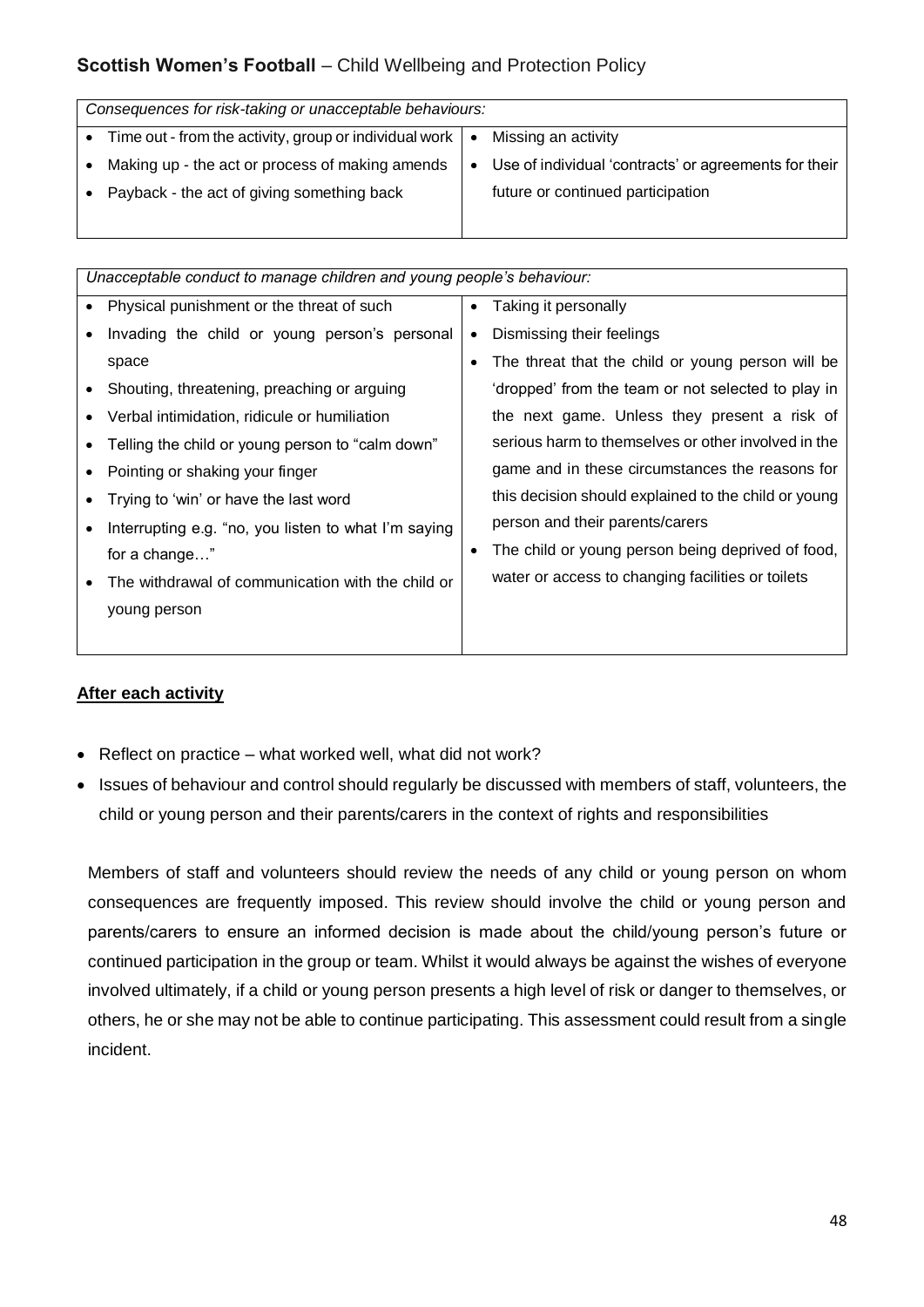| Consequences for risk-taking or unacceptable behaviours:                     |           |                                                       |  |  |
|------------------------------------------------------------------------------|-----------|-------------------------------------------------------|--|--|
|                                                                              |           |                                                       |  |  |
| Time out - from the activity, group or individual work $\vert \bullet \vert$ |           | Missing an activity                                   |  |  |
| Making up - the act or process of making amends                              | $\bullet$ | Use of individual 'contracts' or agreements for their |  |  |
| Payback - the act of giving something back                                   |           | future or continued participation                     |  |  |
|                                                                              |           |                                                       |  |  |

| Unacceptable conduct to manage children and young people's behaviour: |                                                      |           |                                                      |
|-----------------------------------------------------------------------|------------------------------------------------------|-----------|------------------------------------------------------|
|                                                                       | Physical punishment or the threat of such            | $\bullet$ | Taking it personally                                 |
|                                                                       | Invading the child or young person's personal        | ٠         | Dismissing their feelings                            |
|                                                                       | space                                                |           | The threat that the child or young person will be    |
|                                                                       | Shouting, threatening, preaching or arguing          |           | 'dropped' from the team or not selected to play in   |
|                                                                       | Verbal intimidation, ridicule or humiliation         |           | the next game. Unless they present a risk of         |
|                                                                       | Telling the child or young person to "calm down"     |           | serious harm to themselves or other involved in the  |
|                                                                       | Pointing or shaking your finger                      |           | game and in these circumstances the reasons for      |
|                                                                       | Trying to 'win' or have the last word                |           | this decision should explained to the child or young |
|                                                                       | Interrupting e.g. "no, you listen to what I'm saying |           | person and their parents/carers                      |
|                                                                       | for a change"                                        |           | The child or young person being deprived of food,    |
|                                                                       | The withdrawal of communication with the child or    |           | water or access to changing facilities or toilets    |
|                                                                       | young person                                         |           |                                                      |
|                                                                       |                                                      |           |                                                      |

#### **After each activity**

- Reflect on practice what worked well, what did not work?
- Issues of behaviour and control should regularly be discussed with members of staff, volunteers, the child or young person and their parents/carers in the context of rights and responsibilities

Members of staff and volunteers should review the needs of any child or young person on whom consequences are frequently imposed. This review should involve the child or young person and parents/carers to ensure an informed decision is made about the child/young person's future or continued participation in the group or team. Whilst it would always be against the wishes of everyone involved ultimately, if a child or young person presents a high level of risk or danger to themselves, or others, he or she may not be able to continue participating. This assessment could result from a single incident.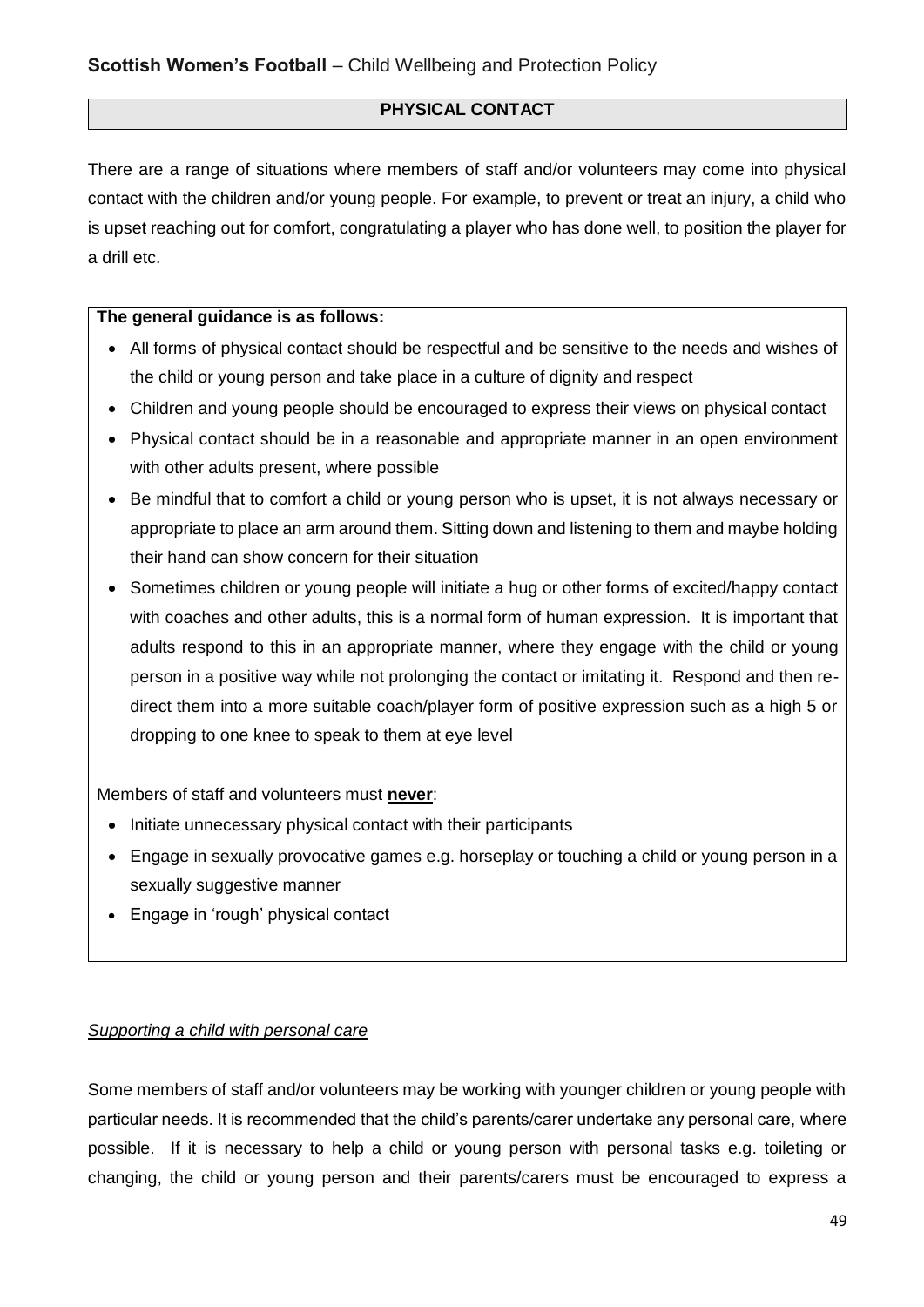## **PHYSICAL CONTACT**

There are a range of situations where members of staff and/or volunteers may come into physical contact with the children and/or young people. For example, to prevent or treat an injury, a child who is upset reaching out for comfort, congratulating a player who has done well, to position the player for a drill etc.

#### **The general guidance is as follows:**

- All forms of physical contact should be respectful and be sensitive to the needs and wishes of the child or young person and take place in a culture of dignity and respect
- Children and young people should be encouraged to express their views on physical contact
- Physical contact should be in a reasonable and appropriate manner in an open environment with other adults present, where possible
- Be mindful that to comfort a child or young person who is upset, it is not always necessary or appropriate to place an arm around them. Sitting down and listening to them and maybe holding their hand can show concern for their situation
- Sometimes children or young people will initiate a hug or other forms of excited/happy contact with coaches and other adults, this is a normal form of human expression. It is important that adults respond to this in an appropriate manner, where they engage with the child or young person in a positive way while not prolonging the contact or imitating it. Respond and then redirect them into a more suitable coach/player form of positive expression such as a high 5 or dropping to one knee to speak to them at eye level

Members of staff and volunteers must **never**:

- Initiate unnecessary physical contact with their participants
- Engage in sexually provocative games e.g. horseplay or touching a child or young person in a sexually suggestive manner
- Engage in 'rough' physical contact

#### *Supporting a child with personal care*

Some members of staff and/or volunteers may be working with younger children or young people with particular needs. It is recommended that the child's parents/carer undertake any personal care, where possible. If it is necessary to help a child or young person with personal tasks e.g. toileting or changing, the child or young person and their parents/carers must be encouraged to express a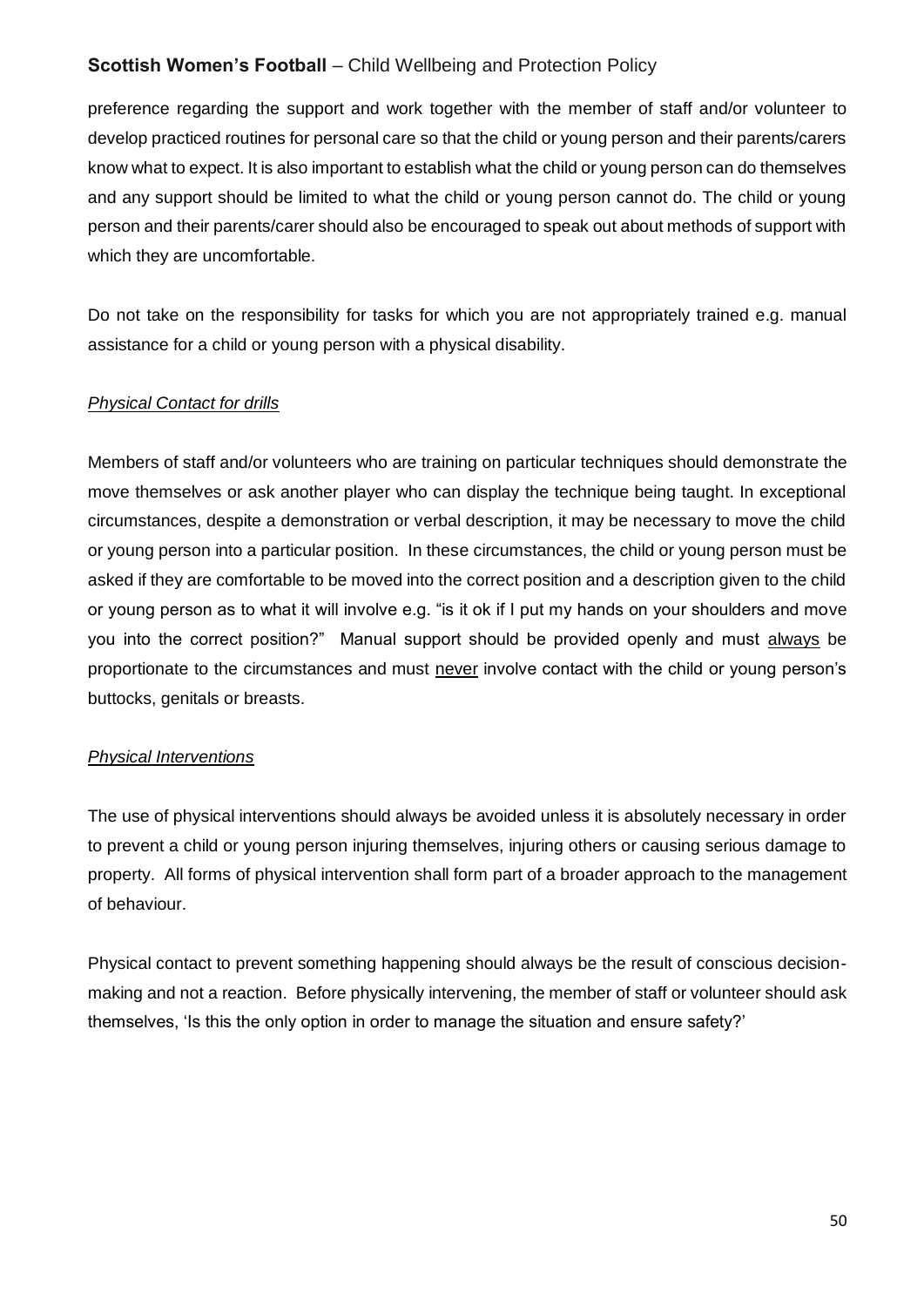preference regarding the support and work together with the member of staff and/or volunteer to develop practiced routines for personal care so that the child or young person and their parents/carers know what to expect. It is also important to establish what the child or young person can do themselves and any support should be limited to what the child or young person cannot do. The child or young person and their parents/carer should also be encouraged to speak out about methods of support with which they are uncomfortable.

Do not take on the responsibility for tasks for which you are not appropriately trained e.g. manual assistance for a child or young person with a physical disability.

#### *Physical Contact for drills*

Members of staff and/or volunteers who are training on particular techniques should demonstrate the move themselves or ask another player who can display the technique being taught. In exceptional circumstances, despite a demonstration or verbal description, it may be necessary to move the child or young person into a particular position. In these circumstances, the child or young person must be asked if they are comfortable to be moved into the correct position and a description given to the child or young person as to what it will involve e.g. "is it ok if I put my hands on your shoulders and move you into the correct position?" Manual support should be provided openly and must always be proportionate to the circumstances and must never involve contact with the child or young person's buttocks, genitals or breasts.

#### *Physical Interventions*

The use of physical interventions should always be avoided unless it is absolutely necessary in order to prevent a child or young person injuring themselves, injuring others or causing serious damage to property. All forms of physical intervention shall form part of a broader approach to the management of behaviour.

Physical contact to prevent something happening should always be the result of conscious decisionmaking and not a reaction. Before physically intervening, the member of staff or volunteer should ask themselves, 'Is this the only option in order to manage the situation and ensure safety?'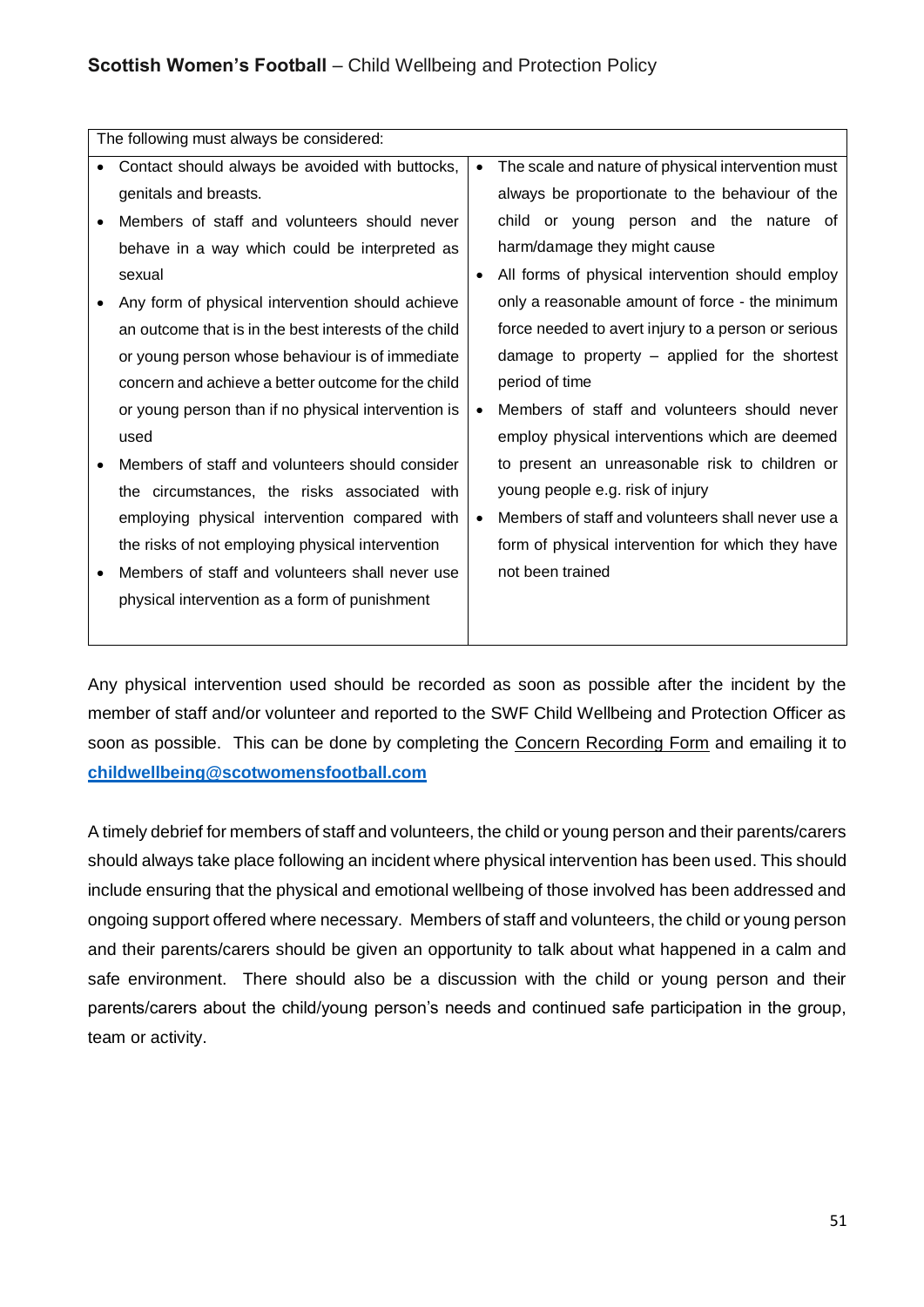| The following must always be considered:              |           |                                                     |
|-------------------------------------------------------|-----------|-----------------------------------------------------|
| Contact should always be avoided with buttocks,       | $\bullet$ | The scale and nature of physical intervention must  |
| genitals and breasts.                                 |           | always be proportionate to the behaviour of the     |
| Members of staff and volunteers should never          |           | child or young person and the nature of             |
| behave in a way which could be interpreted as         |           | harm/damage they might cause                        |
| sexual                                                | $\bullet$ | All forms of physical intervention should employ    |
| Any form of physical intervention should achieve      |           | only a reasonable amount of force - the minimum     |
| an outcome that is in the best interests of the child |           | force needed to avert injury to a person or serious |
| or young person whose behaviour is of immediate       |           | damage to property $-$ applied for the shortest     |
| concern and achieve a better outcome for the child    |           | period of time                                      |
| or young person than if no physical intervention is   | $\bullet$ | Members of staff and volunteers should never        |
| used                                                  |           | employ physical interventions which are deemed      |
| Members of staff and volunteers should consider       |           | to present an unreasonable risk to children or      |
| the circumstances, the risks associated with          |           | young people e.g. risk of injury                    |
| employing physical intervention compared with         | $\bullet$ | Members of staff and volunteers shall never use a   |
| the risks of not employing physical intervention      |           | form of physical intervention for which they have   |
| Members of staff and volunteers shall never use       |           | not been trained                                    |
| physical intervention as a form of punishment         |           |                                                     |
|                                                       |           |                                                     |

Any physical intervention used should be recorded as soon as possible after the incident by the member of staff and/or volunteer and reported to the SWF Child Wellbeing and Protection Officer as soon as possible. This can be done by completing the Concern Recording Form and emailing it to **childwellbeing@scotwomensfootball.com**

A timely debrief for members of staff and volunteers, the child or young person and their parents/carers should always take place following an incident where physical intervention has been used. This should include ensuring that the physical and emotional wellbeing of those involved has been addressed and ongoing support offered where necessary. Members of staff and volunteers, the child or young person and their parents/carers should be given an opportunity to talk about what happened in a calm and safe environment. There should also be a discussion with the child or young person and their parents/carers about the child/young person's needs and continued safe participation in the group, team or activity.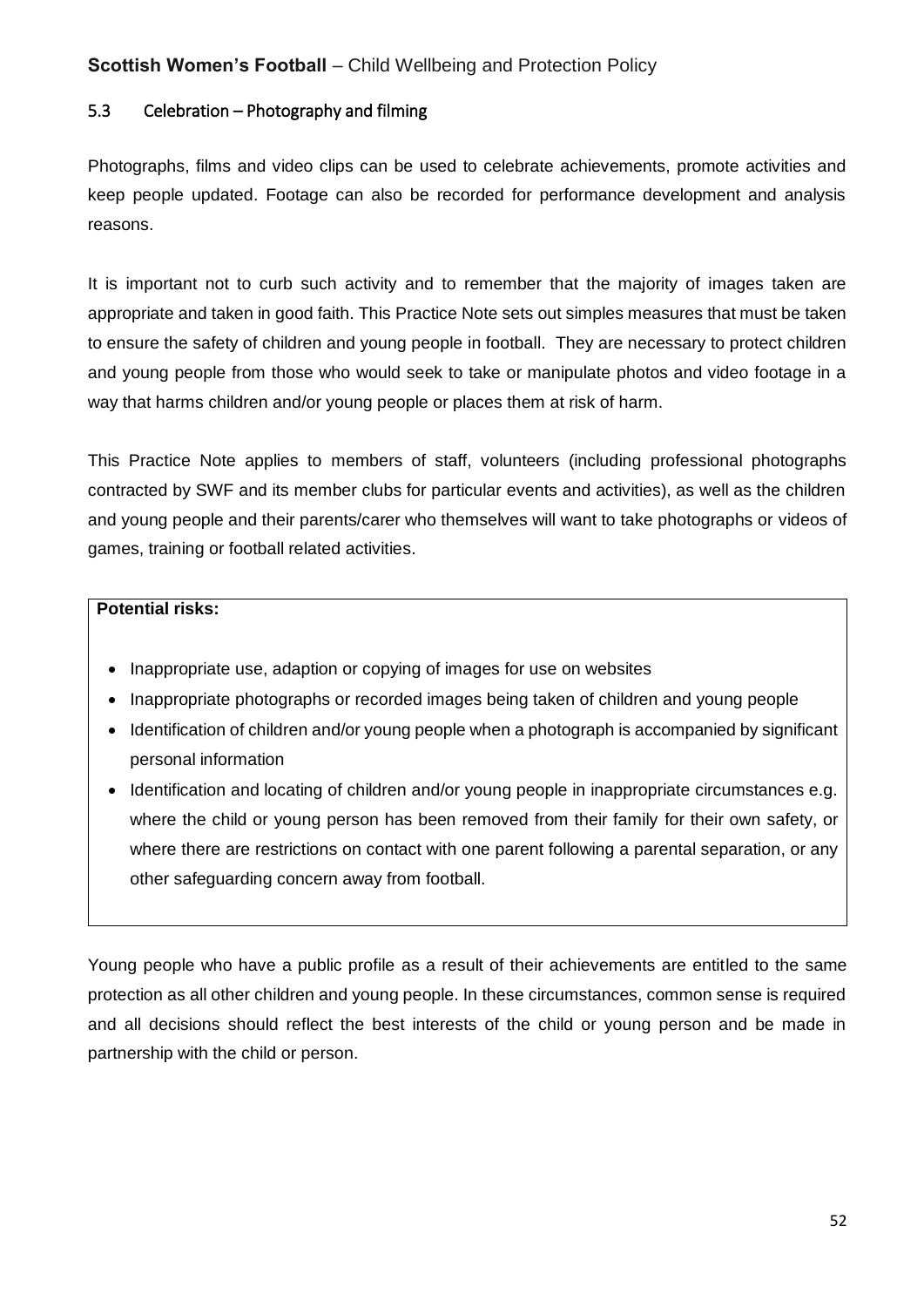## 5.3 Celebration – Photography and filming

Photographs, films and video clips can be used to celebrate achievements, promote activities and keep people updated. Footage can also be recorded for performance development and analysis reasons.

It is important not to curb such activity and to remember that the majority of images taken are appropriate and taken in good faith. This Practice Note sets out simples measures that must be taken to ensure the safety of children and young people in football. They are necessary to protect children and young people from those who would seek to take or manipulate photos and video footage in a way that harms children and/or young people or places them at risk of harm.

This Practice Note applies to members of staff, volunteers (including professional photographs contracted by SWF and its member clubs for particular events and activities), as well as the children and young people and their parents/carer who themselves will want to take photographs or videos of games, training or football related activities.

#### **Potential risks:**

- Inappropriate use, adaption or copying of images for use on websites
- Inappropriate photographs or recorded images being taken of children and young people
- Identification of children and/or young people when a photograph is accompanied by significant personal information
- Identification and locating of children and/or young people in inappropriate circumstances e.g. where the child or young person has been removed from their family for their own safety, or where there are restrictions on contact with one parent following a parental separation, or any other safeguarding concern away from football.

Young people who have a public profile as a result of their achievements are entitled to the same protection as all other children and young people. In these circumstances, common sense is required and all decisions should reflect the best interests of the child or young person and be made in partnership with the child or person.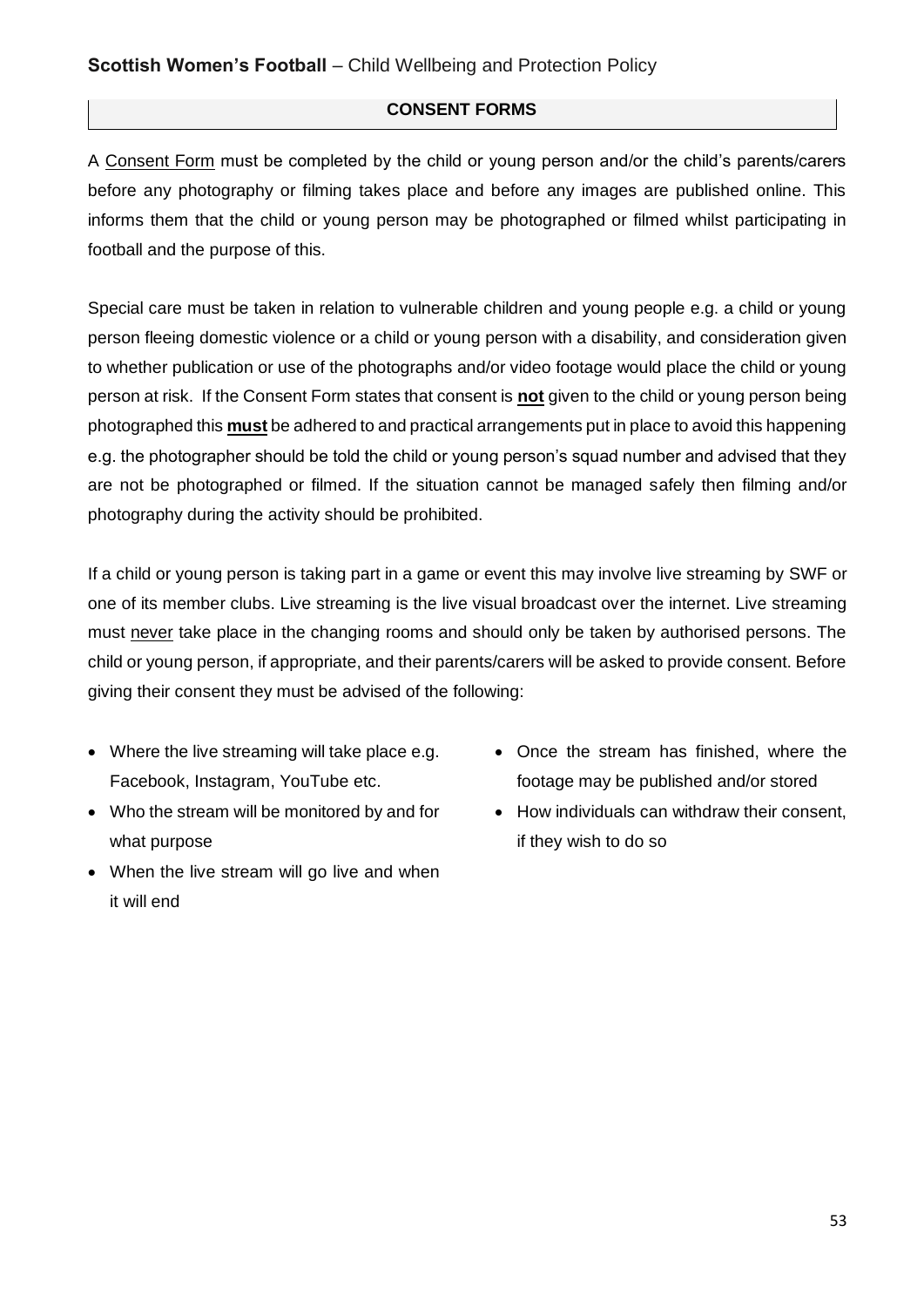#### **CONSENT FORMS**

A Consent Form must be completed by the child or young person and/or the child's parents/carers before any photography or filming takes place and before any images are published online. This informs them that the child or young person may be photographed or filmed whilst participating in football and the purpose of this.

Special care must be taken in relation to vulnerable children and young people e.g. a child or young person fleeing domestic violence or a child or young person with a disability, and consideration given to whether publication or use of the photographs and/or video footage would place the child or young person at risk. If the Consent Form states that consent is **not** given to the child or young person being photographed this **must** be adhered to and practical arrangements put in place to avoid this happening e.g. the photographer should be told the child or young person's squad number and advised that they are not be photographed or filmed. If the situation cannot be managed safely then filming and/or photography during the activity should be prohibited.

If a child or young person is taking part in a game or event this may involve live streaming by SWF or one of its member clubs. Live streaming is the live visual broadcast over the internet. Live streaming must never take place in the changing rooms and should only be taken by authorised persons. The child or young person, if appropriate, and their parents/carers will be asked to provide consent. Before giving their consent they must be advised of the following:

- Where the live streaming will take place e.g. Facebook, Instagram, YouTube etc.
- Who the stream will be monitored by and for what purpose
- When the live stream will go live and when it will end
- Once the stream has finished, where the footage may be published and/or stored
- How individuals can withdraw their consent, if they wish to do so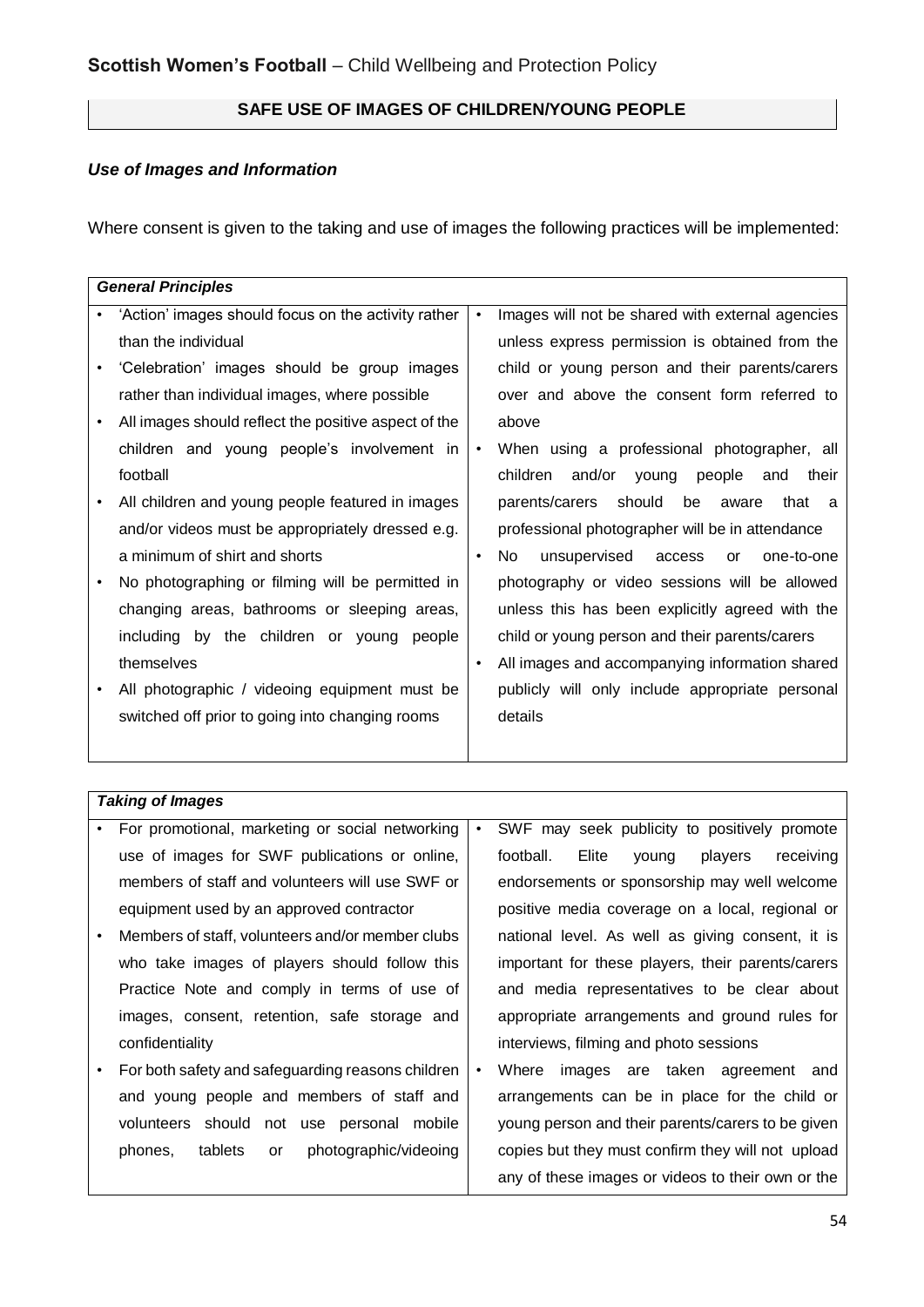## **SAFE USE OF IMAGES OF CHILDREN/YOUNG PEOPLE**

## *Use of Images and Information*

Where consent is given to the taking and use of images the following practices will be implemented:

|           | <b>General Principles</b>                            |           |                                                       |
|-----------|------------------------------------------------------|-----------|-------------------------------------------------------|
|           | 'Action' images should focus on the activity rather  | $\bullet$ | Images will not be shared with external agencies      |
|           | than the individual                                  |           | unless express permission is obtained from the        |
| ٠         | 'Celebration' images should be group images          |           | child or young person and their parents/carers        |
|           | rather than individual images, where possible        |           | over and above the consent form referred to           |
|           | All images should reflect the positive aspect of the |           | above                                                 |
|           | children and young people's involvement in           | $\bullet$ | When using a professional photographer, all           |
|           | football                                             |           | children<br>and/or young people and<br>their          |
|           | All children and young people featured in images     |           | parents/carers<br>should<br>be aware<br>that<br>- a   |
|           | and/or videos must be appropriately dressed e.g.     |           | professional photographer will be in attendance       |
|           | a minimum of shirt and shorts                        | $\bullet$ | No.<br>unsupervised access<br>one-to-one<br><b>or</b> |
|           | No photographing or filming will be permitted in     |           | photography or video sessions will be allowed         |
|           | changing areas, bathrooms or sleeping areas,         |           | unless this has been explicitly agreed with the       |
|           | including by the children or young people            |           | child or young person and their parents/carers        |
|           | themselves                                           | $\bullet$ | All images and accompanying information shared        |
| $\bullet$ | All photographic / videoing equipment must be        |           | publicly will only include appropriate personal       |
|           | switched off prior to going into changing rooms      |           | details                                               |
|           |                                                      |           |                                                       |

## *Taking of Images*

| $\bullet$ | For promotional, marketing or social networking   | $\bullet$ | SWF may seek publicity to positively promote        |
|-----------|---------------------------------------------------|-----------|-----------------------------------------------------|
|           | use of images for SWF publications or online,     |           | football.<br>Elite<br>players<br>receiving<br>young |
|           | members of staff and volunteers will use SWF or   |           | endorsements or sponsorship may well welcome        |
|           | equipment used by an approved contractor          |           | positive media coverage on a local, regional or     |
|           | Members of staff, volunteers and/or member clubs  |           | national level. As well as giving consent, it is    |
|           | who take images of players should follow this     |           | important for these players, their parents/carers   |
|           | Practice Note and comply in terms of use of       |           | and media representatives to be clear about         |
|           | images, consent, retention, safe storage and      |           | appropriate arrangements and ground rules for       |
|           | confidentiality                                   |           | interviews, filming and photo sessions              |
|           | For both safety and safeguarding reasons children | $\bullet$ | images are taken agreement and<br>Where             |
|           | and young people and members of staff and         |           | arrangements can be in place for the child or       |
|           | volunteers should not use personal mobile         |           | young person and their parents/carers to be given   |
|           | photographic/videoing<br>tablets<br>phones,<br>or |           | copies but they must confirm they will not upload   |
|           |                                                   |           | any of these images or videos to their own or the   |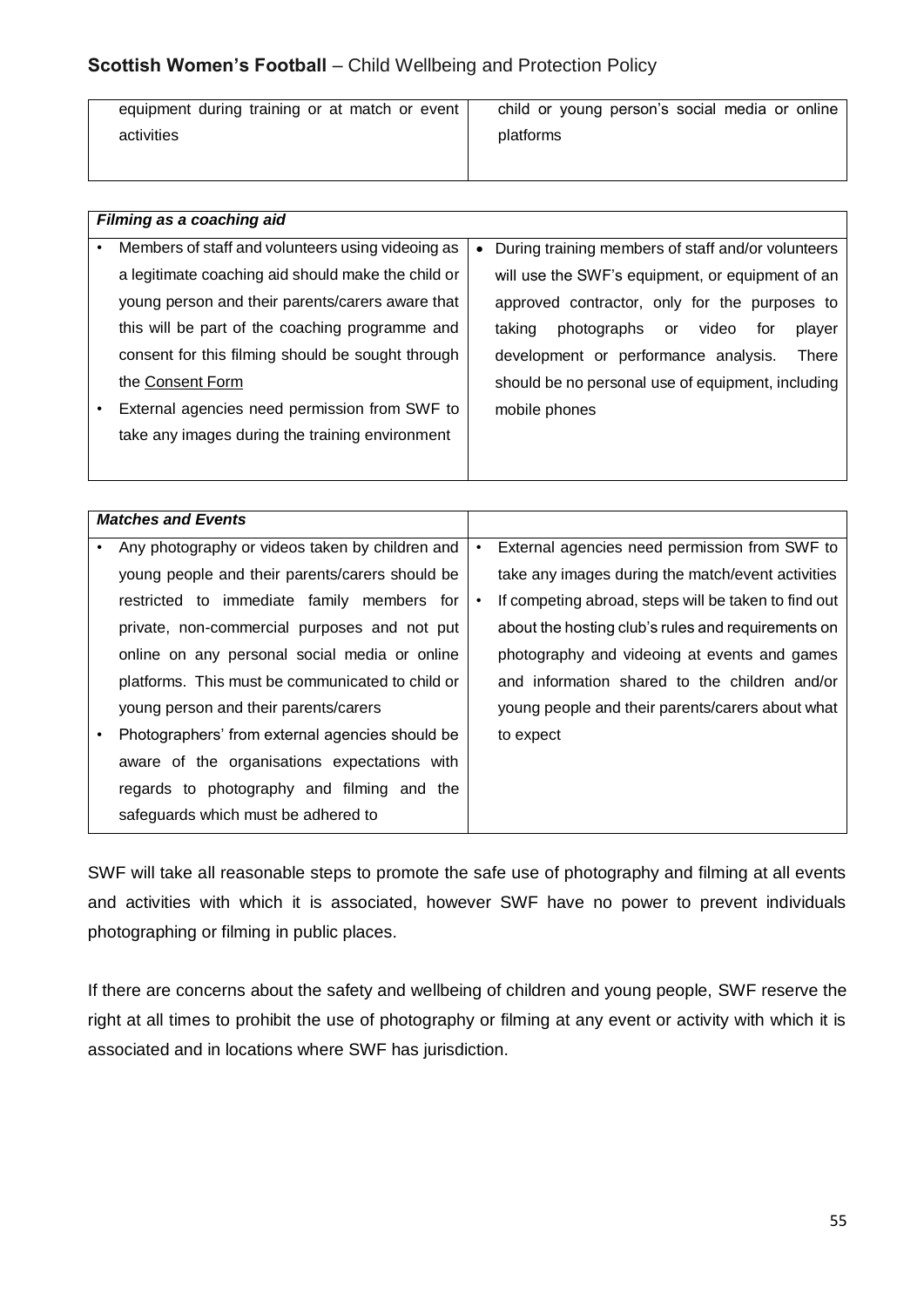| equipment during training or at match or event | child or young person's social media or online |
|------------------------------------------------|------------------------------------------------|
| activities                                     | platforms                                      |
|                                                |                                                |

| Filming as a coaching aid                          |   |                                                       |
|----------------------------------------------------|---|-------------------------------------------------------|
| Members of staff and volunteers using videoing as  | ٠ | During training members of staff and/or volunteers    |
| a legitimate coaching aid should make the child or |   | will use the SWF's equipment, or equipment of an      |
| young person and their parents/carers aware that   |   | approved contractor, only for the purposes to         |
| this will be part of the coaching programme and    |   | photographs<br>taking<br>player<br>video<br>or<br>for |
| consent for this filming should be sought through  |   | <b>There</b><br>development or performance analysis.  |
| the Consent Form                                   |   | should be no personal use of equipment, including     |
| External agencies need permission from SWF to      |   | mobile phones                                         |
| take any images during the training environment    |   |                                                       |
|                                                    |   |                                                       |

| <b>Matches and Events</b>                        |   |                                                      |
|--------------------------------------------------|---|------------------------------------------------------|
| Any photography or videos taken by children and  | ٠ | External agencies need permission from SWF to        |
| young people and their parents/carers should be  |   | take any images during the match/event activities    |
| restricted to immediate family members for       |   | If competing abroad, steps will be taken to find out |
| private, non-commercial purposes and not put     |   | about the hosting club's rules and requirements on   |
| online on any personal social media or online    |   | photography and videoing at events and games         |
| platforms. This must be communicated to child or |   | and information shared to the children and/or        |
| young person and their parents/carers            |   | young people and their parents/carers about what     |
| Photographers' from external agencies should be  |   | to expect                                            |
| aware of the organisations expectations with     |   |                                                      |
| regards to photography and filming and the       |   |                                                      |
| safeguards which must be adhered to              |   |                                                      |

SWF will take all reasonable steps to promote the safe use of photography and filming at all events and activities with which it is associated, however SWF have no power to prevent individuals photographing or filming in public places.

If there are concerns about the safety and wellbeing of children and young people, SWF reserve the right at all times to prohibit the use of photography or filming at any event or activity with which it is associated and in locations where SWF has jurisdiction.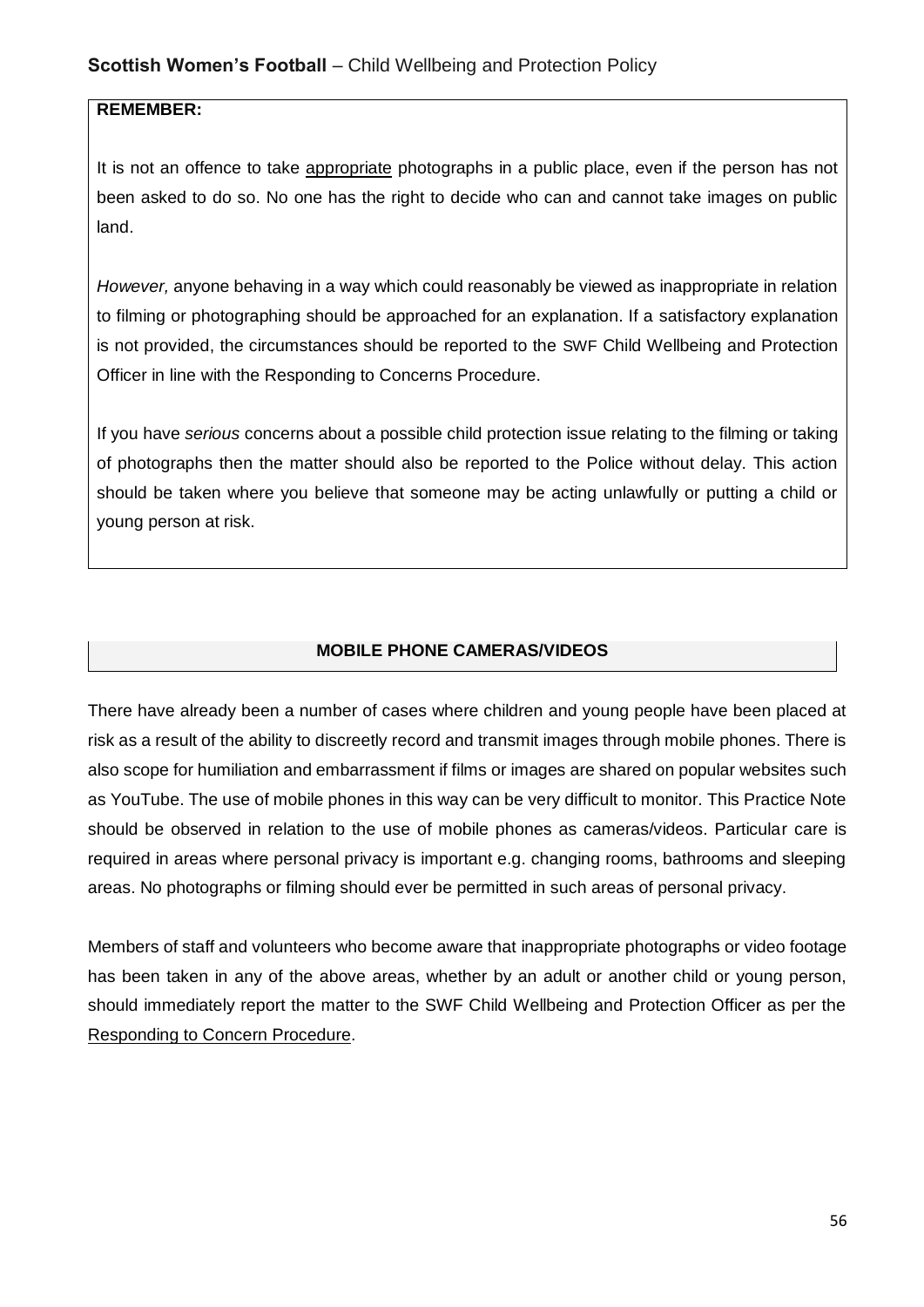#### **REMEMBER:**

It is not an offence to take appropriate photographs in a public place, even if the person has not been asked to do so. No one has the right to decide who can and cannot take images on public land.

*However,* anyone behaving in a way which could reasonably be viewed as inappropriate in relation to filming or photographing should be approached for an explanation. If a satisfactory explanation is not provided, the circumstances should be reported to the SWF Child Wellbeing and Protection Officer in line with the Responding to Concerns Procedure.

If you have *serious* concerns about a possible child protection issue relating to the filming or taking of photographs then the matter should also be reported to the Police without delay. This action should be taken where you believe that someone may be acting unlawfully or putting a child or young person at risk.

#### **MOBILE PHONE CAMERAS/VIDEOS**

There have already been a number of cases where children and young people have been placed at risk as a result of the ability to discreetly record and transmit images through mobile phones. There is also scope for humiliation and embarrassment if films or images are shared on popular websites such as YouTube. The use of mobile phones in this way can be very difficult to monitor. This Practice Note should be observed in relation to the use of mobile phones as cameras/videos. Particular care is required in areas where personal privacy is important e.g. changing rooms, bathrooms and sleeping areas. No photographs or filming should ever be permitted in such areas of personal privacy.

Members of staff and volunteers who become aware that inappropriate photographs or video footage has been taken in any of the above areas, whether by an adult or another child or young person, should immediately report the matter to the SWF Child Wellbeing and Protection Officer as per the Responding to Concern Procedure.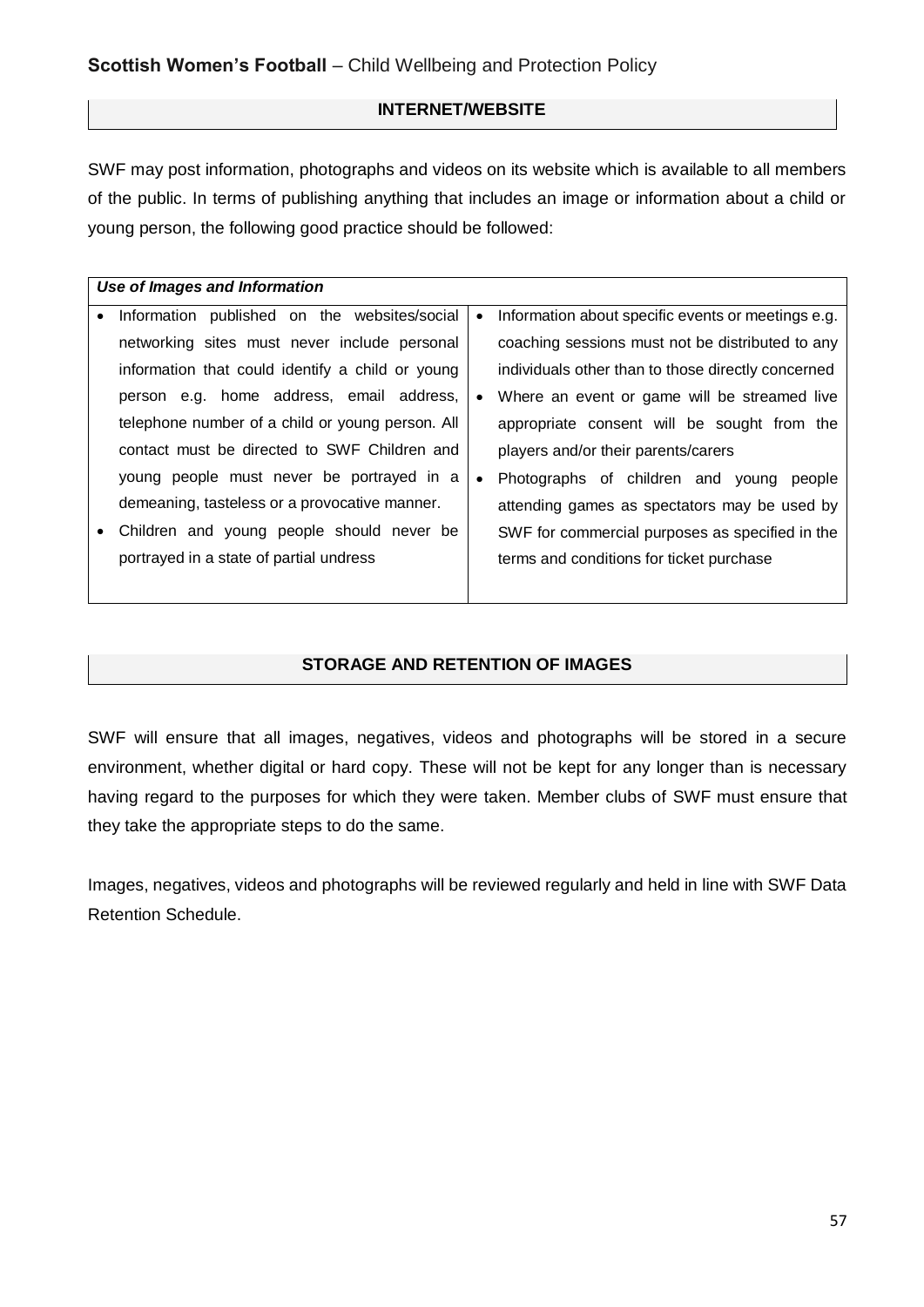#### **INTERNET/WEBSITE**

SWF may post information, photographs and videos on its website which is available to all members of the public. In terms of publishing anything that includes an image or information about a child or young person, the following good practice should be followed:

|   | Use of Images and Information                    |           |                                                    |
|---|--------------------------------------------------|-----------|----------------------------------------------------|
|   | Information published on the websites/social     | $\bullet$ | Information about specific events or meetings e.g. |
|   | networking sites must never include personal     |           | coaching sessions must not be distributed to any   |
|   | information that could identify a child or young |           | individuals other than to those directly concerned |
|   | person e.g. home address, email address,         | $\bullet$ | Where an event or game will be streamed live       |
|   | telephone number of a child or young person. All |           | appropriate consent will be sought from the        |
|   | contact must be directed to SWF Children and     |           | players and/or their parents/carers                |
|   | young people must never be portrayed in a        | $\bullet$ | Photographs of children and young<br>people        |
|   | demeaning, tasteless or a provocative manner.    |           | attending games as spectators may be used by       |
| ٠ | Children and young people should never be        |           | SWF for commercial purposes as specified in the    |
|   | portrayed in a state of partial undress          |           | terms and conditions for ticket purchase           |
|   |                                                  |           |                                                    |

#### **STORAGE AND RETENTION OF IMAGES**

SWF will ensure that all images, negatives, videos and photographs will be stored in a secure environment, whether digital or hard copy. These will not be kept for any longer than is necessary having regard to the purposes for which they were taken. Member clubs of SWF must ensure that they take the appropriate steps to do the same.

Images, negatives, videos and photographs will be reviewed regularly and held in line with SWF Data Retention Schedule.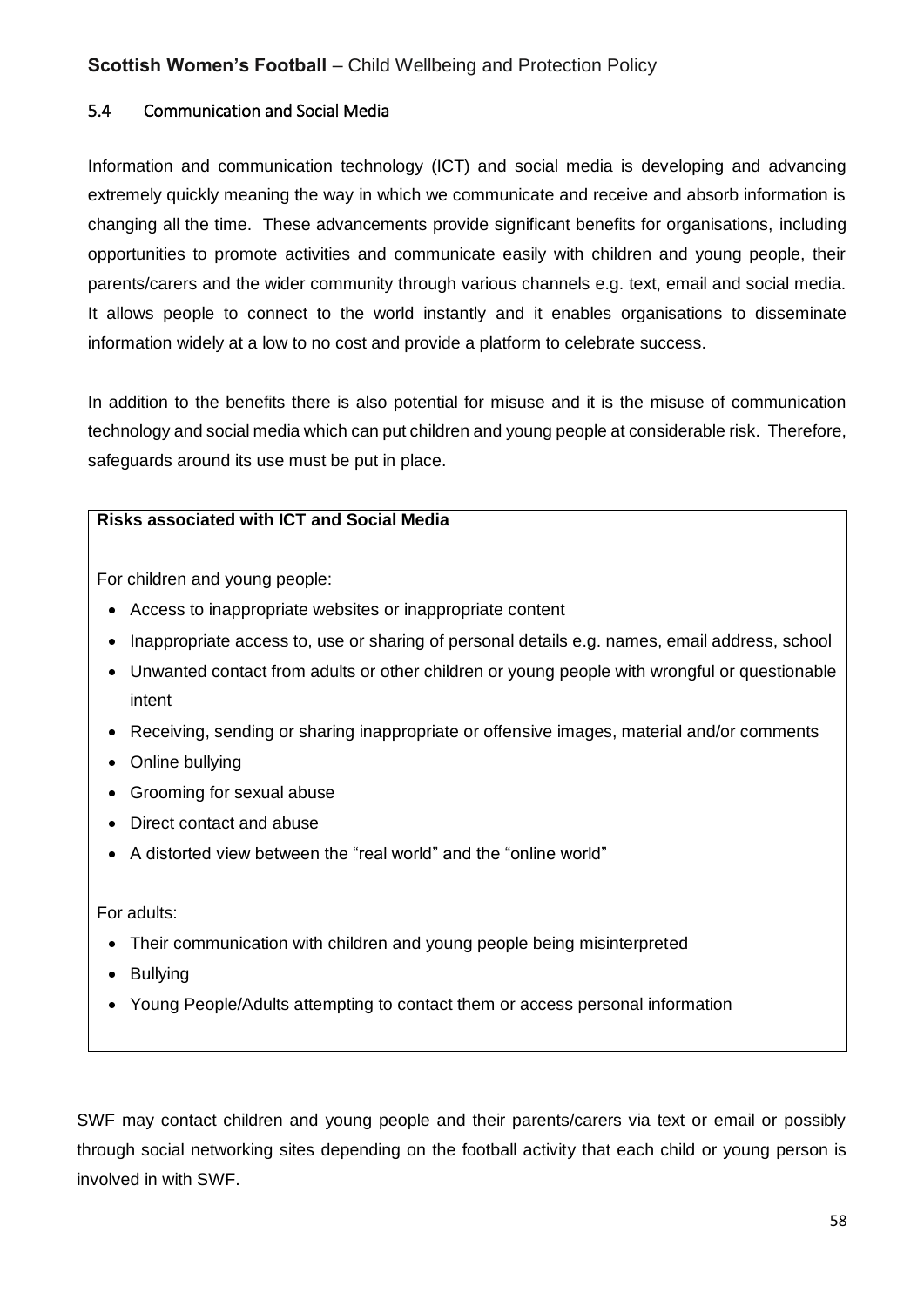#### 5.4 Communication and Social Media

Information and communication technology (ICT) and social media is developing and advancing extremely quickly meaning the way in which we communicate and receive and absorb information is changing all the time. These advancements provide significant benefits for organisations, including opportunities to promote activities and communicate easily with children and young people, their parents/carers and the wider community through various channels e.g. text, email and social media. It allows people to connect to the world instantly and it enables organisations to disseminate information widely at a low to no cost and provide a platform to celebrate success.

In addition to the benefits there is also potential for misuse and it is the misuse of communication technology and social media which can put children and young people at considerable risk. Therefore, safeguards around its use must be put in place.

#### **Risks associated with ICT and Social Media**

For children and young people:

- Access to inappropriate websites or inappropriate content
- Inappropriate access to, use or sharing of personal details e.g. names, email address, school
- Unwanted contact from adults or other children or young people with wrongful or questionable intent
- Receiving, sending or sharing inappropriate or offensive images, material and/or comments
- Online bullying
- Grooming for sexual abuse
- Direct contact and abuse
- A distorted view between the "real world" and the "online world"

For adults:

- Their communication with children and young people being misinterpreted
- Bullying
- Young People/Adults attempting to contact them or access personal information

SWF may contact children and young people and their parents/carers via text or email or possibly through social networking sites depending on the football activity that each child or young person is involved in with SWF.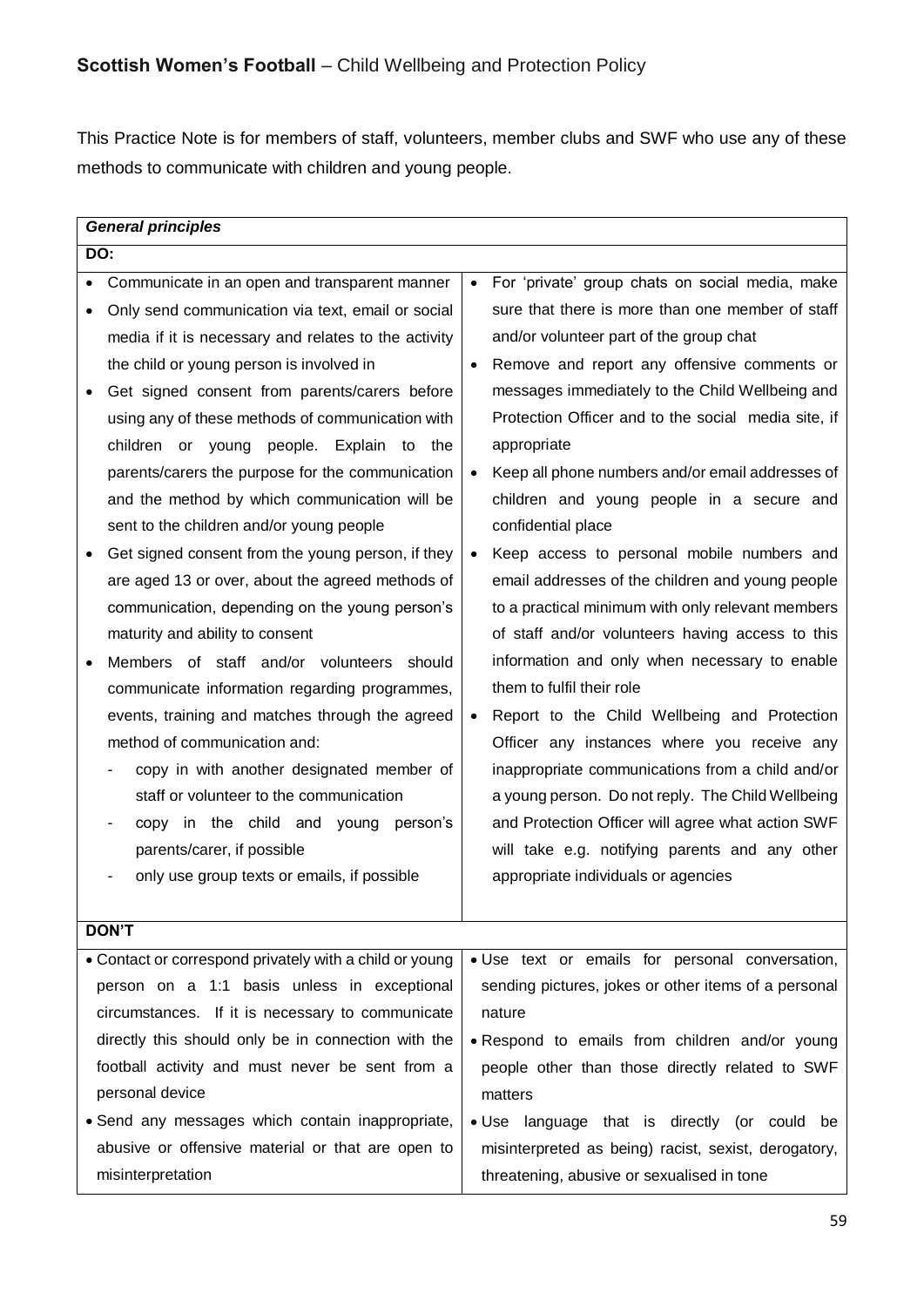This Practice Note is for members of staff, volunteers, member clubs and SWF who use any of these methods to communicate with children and young people.

| <b>General principles</b>                               |           |                                                      |  |
|---------------------------------------------------------|-----------|------------------------------------------------------|--|
| DO:                                                     |           |                                                      |  |
| Communicate in an open and transparent manner           | $\bullet$ | For 'private' group chats on social media, make      |  |
| Only send communication via text, email or social       |           | sure that there is more than one member of staff     |  |
| media if it is necessary and relates to the activity    |           | and/or volunteer part of the group chat              |  |
| the child or young person is involved in                | $\bullet$ | Remove and report any offensive comments or          |  |
| Get signed consent from parents/carers before           |           | messages immediately to the Child Wellbeing and      |  |
| using any of these methods of communication with        |           | Protection Officer and to the social media site, if  |  |
| children or young people. Explain to the                |           | appropriate                                          |  |
| parents/carers the purpose for the communication        | $\bullet$ | Keep all phone numbers and/or email addresses of     |  |
| and the method by which communication will be           |           | children and young people in a secure and            |  |
| sent to the children and/or young people                |           | confidential place                                   |  |
| Get signed consent from the young person, if they       | $\bullet$ | Keep access to personal mobile numbers and           |  |
| are aged 13 or over, about the agreed methods of        |           | email addresses of the children and young people     |  |
| communication, depending on the young person's          |           | to a practical minimum with only relevant members    |  |
| maturity and ability to consent                         |           | of staff and/or volunteers having access to this     |  |
| Members of staff and/or volunteers should               |           | information and only when necessary to enable        |  |
| communicate information regarding programmes,           |           | them to fulfil their role                            |  |
| events, training and matches through the agreed         | $\bullet$ | Report to the Child Wellbeing and Protection         |  |
| method of communication and:                            |           | Officer any instances where you receive any          |  |
| copy in with another designated member of               |           | inappropriate communications from a child and/or     |  |
| staff or volunteer to the communication                 |           | a young person. Do not reply. The Child Wellbeing    |  |
| copy in the child and young person's                    |           | and Protection Officer will agree what action SWF    |  |
| parents/carer, if possible                              |           | will take e.g. notifying parents and any other       |  |
| only use group texts or emails, if possible             |           | appropriate individuals or agencies                  |  |
|                                                         |           |                                                      |  |
| <b>DON'T</b>                                            |           |                                                      |  |
| • Contact or correspond privately with a child or young |           | · Use text or emails for personal conversation,      |  |
| person on a 1:1 basis unless in exceptional             |           | sending pictures, jokes or other items of a personal |  |
| circumstances. If it is necessary to communicate        |           | nature                                               |  |
| directly this should only be in connection with the     |           | . Respond to emails from children and/or young       |  |
| football activity and must never be sent from a         |           | people other than those directly related to SWF      |  |
| personal device                                         |           | matters                                              |  |
| • Send any messages which contain inappropriate,        |           | • Use language that is directly (or could be         |  |
| abusive or offensive material or that are open to       |           | misinterpreted as being) racist, sexist, derogatory, |  |
| misinterpretation                                       |           | threatening, abusive or sexualised in tone           |  |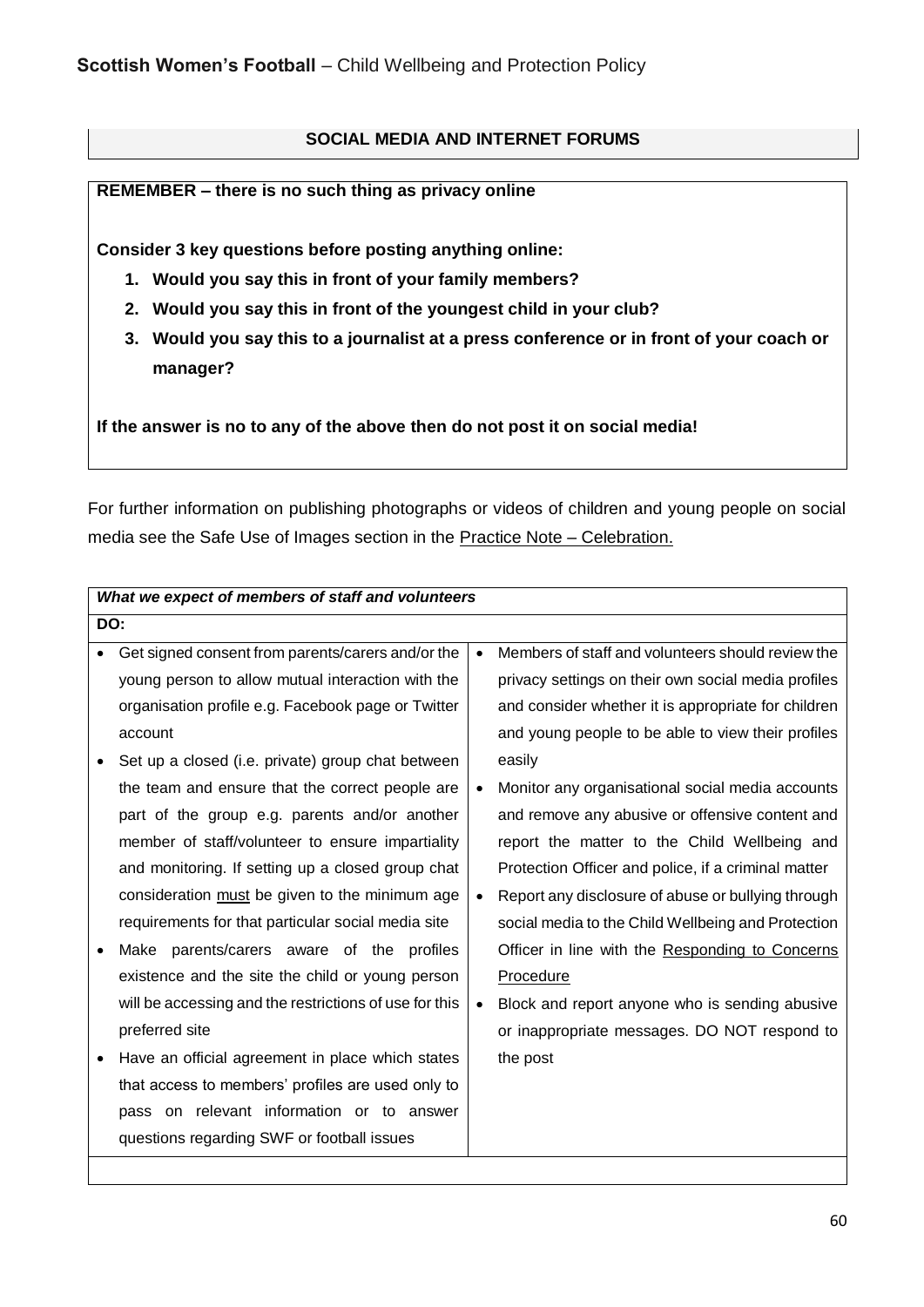## **SOCIAL MEDIA AND INTERNET FORUMS**

#### **REMEMBER – there is no such thing as privacy online**

**Consider 3 key questions before posting anything online:** 

- **1. Would you say this in front of your family members?**
- **2. Would you say this in front of the youngest child in your club?**
- **3. Would you say this to a journalist at a press conference or in front of your coach or manager?**

**If the answer is no to any of the above then do not post it on social media!**

For further information on publishing photographs or videos of children and young people on social media see the Safe Use of Images section in the Practice Note – Celebration.

| What we expect of members of staff and volunteers      |           |                                                     |  |
|--------------------------------------------------------|-----------|-----------------------------------------------------|--|
| DO:                                                    |           |                                                     |  |
| Get signed consent from parents/carers and/or the      | $\bullet$ | Members of staff and volunteers should review the   |  |
| young person to allow mutual interaction with the      |           | privacy settings on their own social media profiles |  |
| organisation profile e.g. Facebook page or Twitter     |           | and consider whether it is appropriate for children |  |
| account                                                |           | and young people to be able to view their profiles  |  |
| Set up a closed (i.e. private) group chat between      |           | easily                                              |  |
| the team and ensure that the correct people are        | $\bullet$ | Monitor any organisational social media accounts    |  |
| part of the group e.g. parents and/or another          |           | and remove any abusive or offensive content and     |  |
| member of staff/volunteer to ensure impartiality       |           | report the matter to the Child Wellbeing and        |  |
| and monitoring. If setting up a closed group chat      |           | Protection Officer and police, if a criminal matter |  |
| consideration must be given to the minimum age         | $\bullet$ | Report any disclosure of abuse or bullying through  |  |
| requirements for that particular social media site     |           | social media to the Child Wellbeing and Protection  |  |
| Make parents/carers aware of the profiles              |           | Officer in line with the Responding to Concerns     |  |
| existence and the site the child or young person       |           | Procedure                                           |  |
| will be accessing and the restrictions of use for this | $\bullet$ | Block and report anyone who is sending abusive      |  |
| preferred site                                         |           | or inappropriate messages. DO NOT respond to        |  |
| Have an official agreement in place which states       |           | the post                                            |  |
| that access to members' profiles are used only to      |           |                                                     |  |
| pass on relevant information or to answer              |           |                                                     |  |
| questions regarding SWF or football issues             |           |                                                     |  |
|                                                        |           |                                                     |  |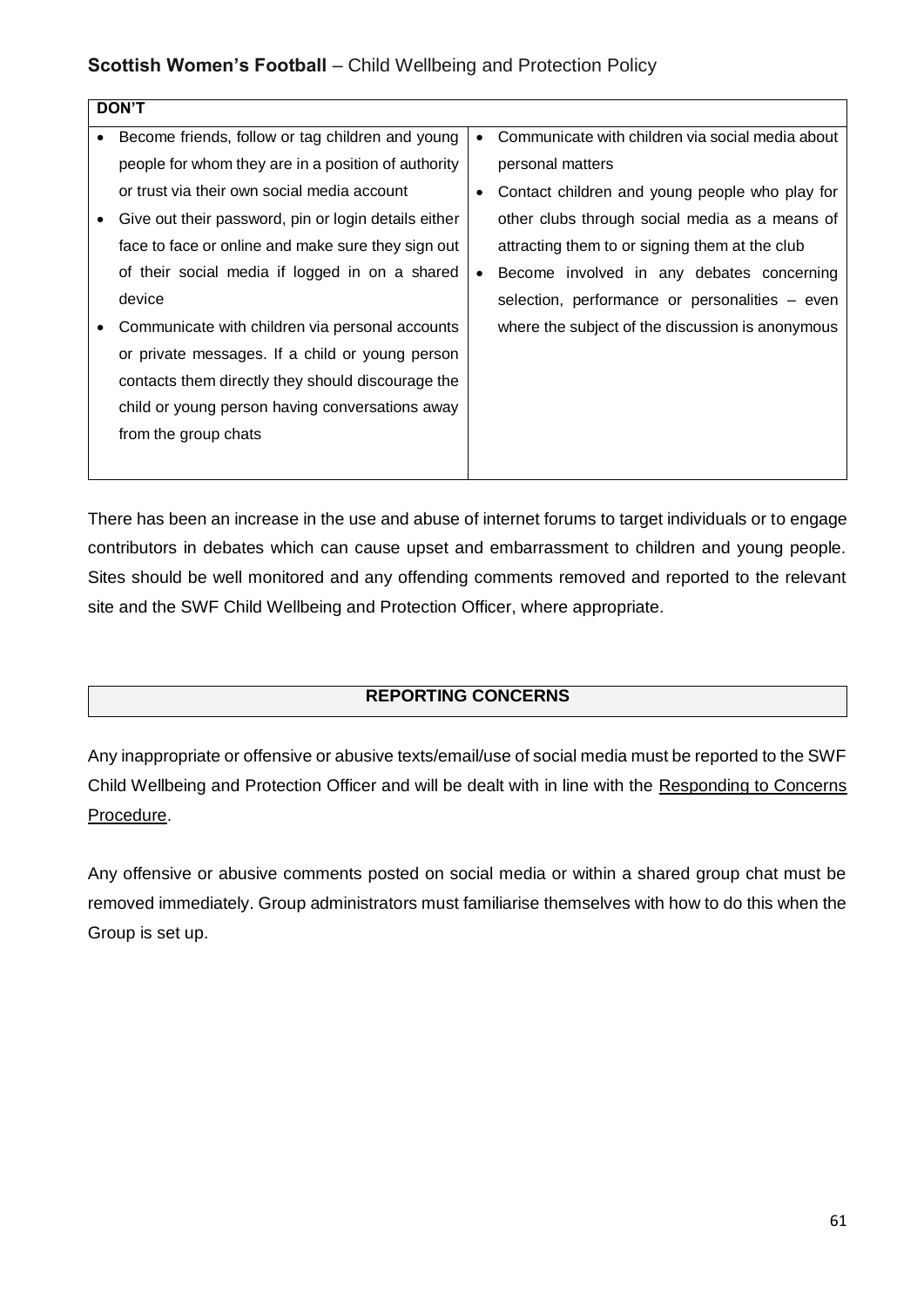| <b>DON'T</b> |                                                      |           |                                                  |
|--------------|------------------------------------------------------|-----------|--------------------------------------------------|
|              | Become friends, follow or tag children and young     | $\bullet$ | Communicate with children via social media about |
|              | people for whom they are in a position of authority  |           | personal matters                                 |
|              | or trust via their own social media account          | ٠         | Contact children and young people who play for   |
| ٠            | Give out their password, pin or login details either |           | other clubs through social media as a means of   |
|              | face to face or online and make sure they sign out   |           | attracting them to or signing them at the club   |
|              | of their social media if logged in on a shared       | $\bullet$ | Become involved in any debates concerning        |
|              | device                                               |           | selection, performance or personalities – even   |
|              | Communicate with children via personal accounts      |           | where the subject of the discussion is anonymous |
|              | or private messages. If a child or young person      |           |                                                  |
|              | contacts them directly they should discourage the    |           |                                                  |
|              | child or young person having conversations away      |           |                                                  |
|              | from the group chats                                 |           |                                                  |
|              |                                                      |           |                                                  |
|              |                                                      |           |                                                  |

There has been an increase in the use and abuse of internet forums to target individuals or to engage contributors in debates which can cause upset and embarrassment to children and young people. Sites should be well monitored and any offending comments removed and reported to the relevant site and the SWF Child Wellbeing and Protection Officer, where appropriate.

#### **REPORTING CONCERNS**

Any inappropriate or offensive or abusive texts/email/use of social media must be reported to the SWF Child Wellbeing and Protection Officer and will be dealt with in line with the Responding to Concerns Procedure.

Any offensive or abusive comments posted on social media or within a shared group chat must be removed immediately. Group administrators must familiarise themselves with how to do this when the Group is set up.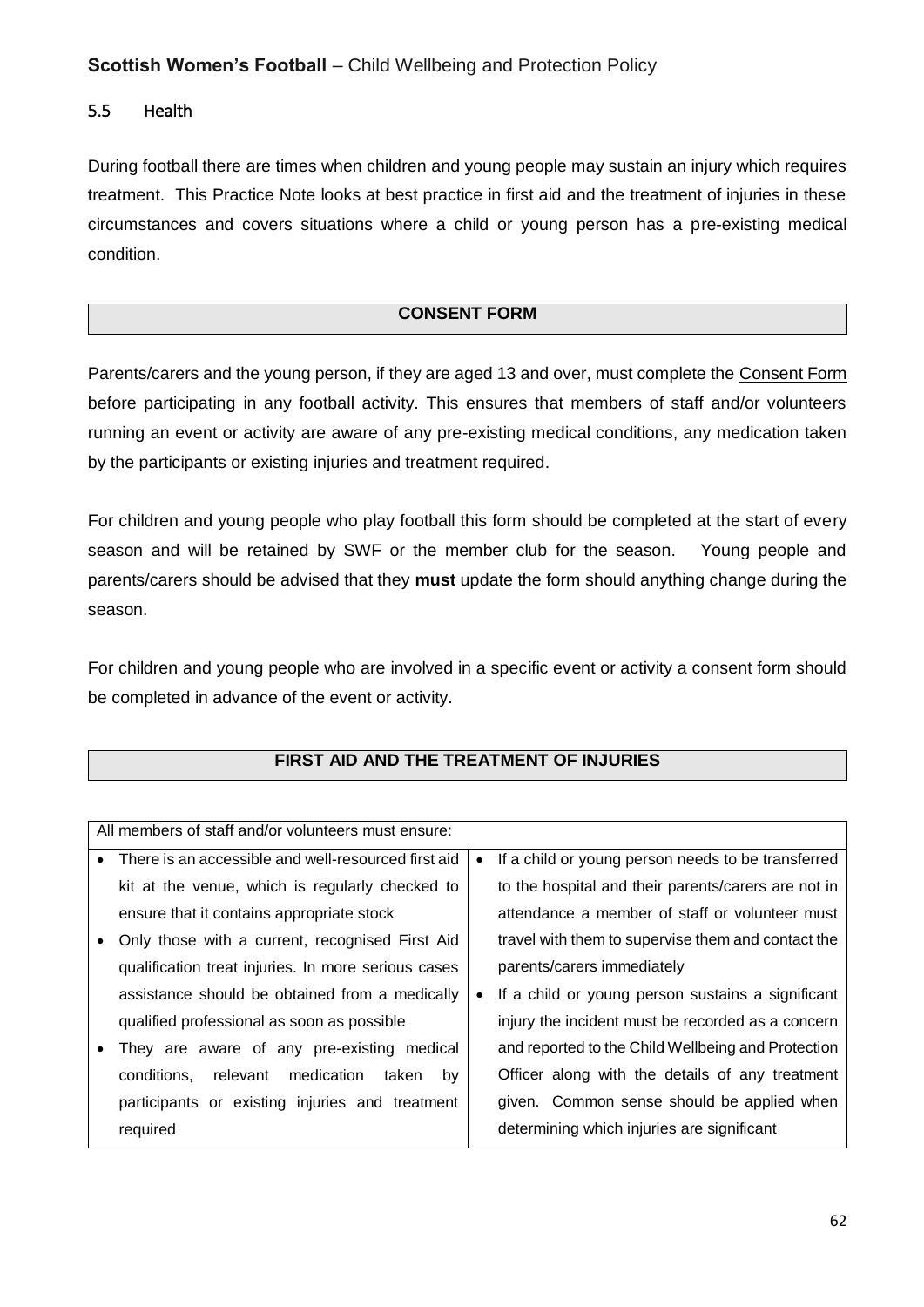## 5.5 Health

During football there are times when children and young people may sustain an injury which requires treatment. This Practice Note looks at best practice in first aid and the treatment of injuries in these circumstances and covers situations where a child or young person has a pre-existing medical condition.

#### **CONSENT FORM**

Parents/carers and the young person, if they are aged 13 and over, must complete the Consent Form before participating in any football activity. This ensures that members of staff and/or volunteers running an event or activity are aware of any pre-existing medical conditions, any medication taken by the participants or existing injuries and treatment required.

For children and young people who play football this form should be completed at the start of every season and will be retained by SWF or the member club for the season. Young people and parents/carers should be advised that they **must** update the form should anything change during the season.

For children and young people who are involved in a specific event or activity a consent form should be completed in advance of the event or activity.

| All members of staff and/or volunteers must ensure:  |           |                                                     |
|------------------------------------------------------|-----------|-----------------------------------------------------|
| There is an accessible and well-resourced first aid  | $\bullet$ | If a child or young person needs to be transferred  |
| kit at the venue, which is regularly checked to      |           | to the hospital and their parents/carers are not in |
| ensure that it contains appropriate stock            |           | attendance a member of staff or volunteer must      |
| Only those with a current, recognised First Aid      |           | travel with them to supervise them and contact the  |
| qualification treat injuries. In more serious cases  |           | parents/carers immediately                          |
| assistance should be obtained from a medically       | $\bullet$ | If a child or young person sustains a significant   |
| qualified professional as soon as possible           |           | injury the incident must be recorded as a concern   |
| They are aware of any pre-existing medical           |           | and reported to the Child Wellbeing and Protection  |
| medication<br>by<br>conditions,<br>relevant<br>taken |           | Officer along with the details of any treatment     |
| participants or existing injuries and treatment      |           | given. Common sense should be applied when          |
| required                                             |           | determining which injuries are significant          |
|                                                      |           |                                                     |

## **FIRST AID AND THE TREATMENT OF INJURIES**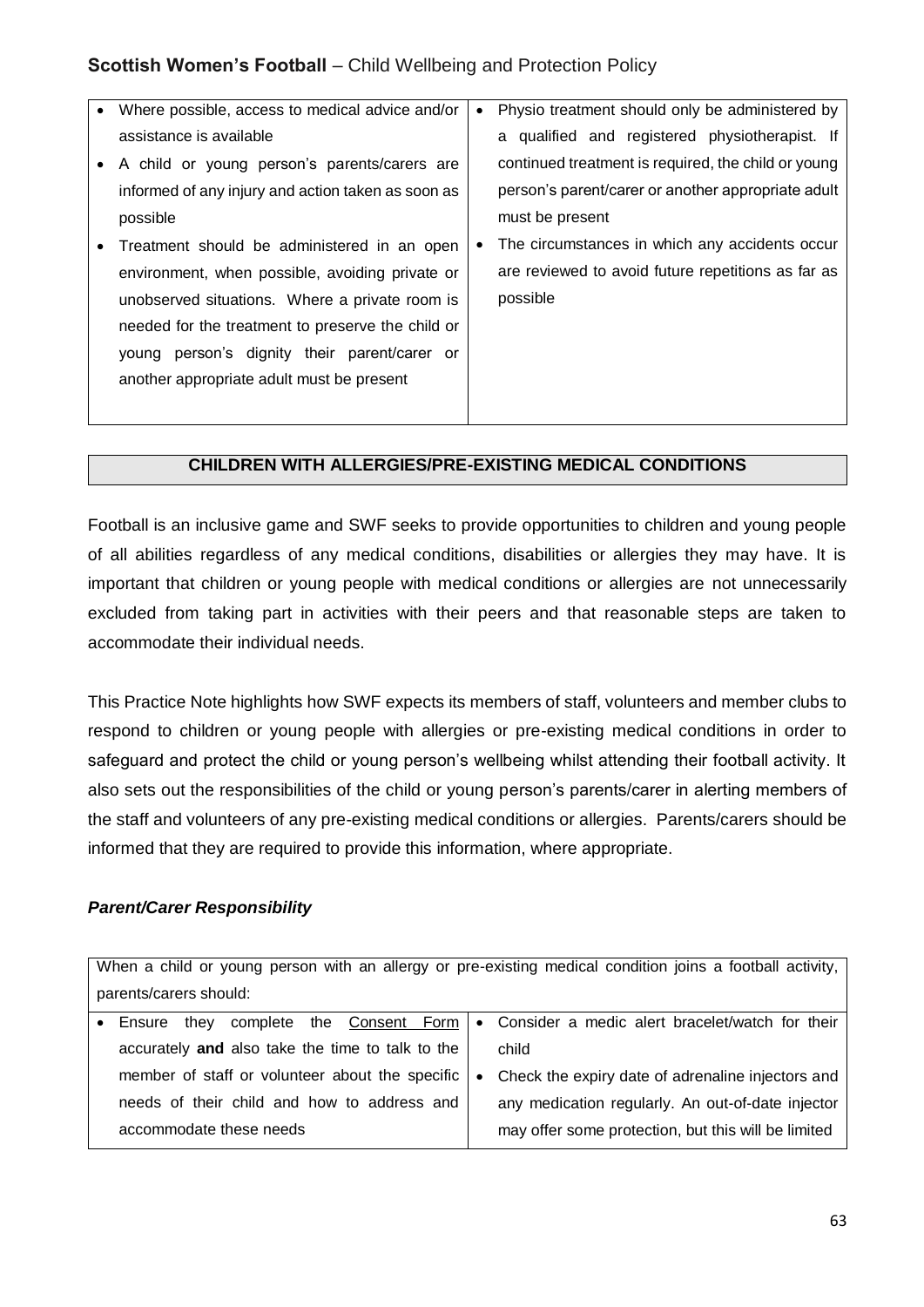| Where possible, access to medical advice and/or    | $\bullet$ | Physio treatment should only be administered by     |
|----------------------------------------------------|-----------|-----------------------------------------------------|
| assistance is available                            |           | a qualified and registered physiotherapist. If      |
| A child or young person's parents/carers are       |           | continued treatment is required, the child or young |
| informed of any injury and action taken as soon as |           | person's parent/carer or another appropriate adult  |
| possible                                           |           | must be present                                     |
| Treatment should be administered in an open        |           | The circumstances in which any accidents occur      |
| environment, when possible, avoiding private or    |           | are reviewed to avoid future repetitions as far as  |
| unobserved situations. Where a private room is     |           | possible                                            |
| needed for the treatment to preserve the child or  |           |                                                     |
| young person's dignity their parent/carer or       |           |                                                     |
| another appropriate adult must be present          |           |                                                     |
|                                                    |           |                                                     |

#### **CHILDREN WITH ALLERGIES/PRE-EXISTING MEDICAL CONDITIONS**

Football is an inclusive game and SWF seeks to provide opportunities to children and young people of all abilities regardless of any medical conditions, disabilities or allergies they may have. It is important that children or young people with medical conditions or allergies are not unnecessarily excluded from taking part in activities with their peers and that reasonable steps are taken to accommodate their individual needs.

This Practice Note highlights how SWF expects its members of staff, volunteers and member clubs to respond to children or young people with allergies or pre-existing medical conditions in order to safeguard and protect the child or young person's wellbeing whilst attending their football activity. It also sets out the responsibilities of the child or young person's parents/carer in alerting members of the staff and volunteers of any pre-existing medical conditions or allergies. Parents/carers should be informed that they are required to provide this information, where appropriate.

#### *Parent/Carer Responsibility*

When a child or young person with an allergy or pre-existing medical condition joins a football activity, parents/carers should:

| Ensure                                           |           | they complete the Consent Form   • Consider a medic alert bracelet/watch for their |
|--------------------------------------------------|-----------|------------------------------------------------------------------------------------|
| accurately and also take the time to talk to the |           | child                                                                              |
| member of staff or volunteer about the specific  | $\bullet$ | Check the expiry date of adrenaline injectors and                                  |
| needs of their child and how to address and      |           | any medication regularly. An out-of-date injector                                  |
| accommodate these needs                          |           | may offer some protection, but this will be limited                                |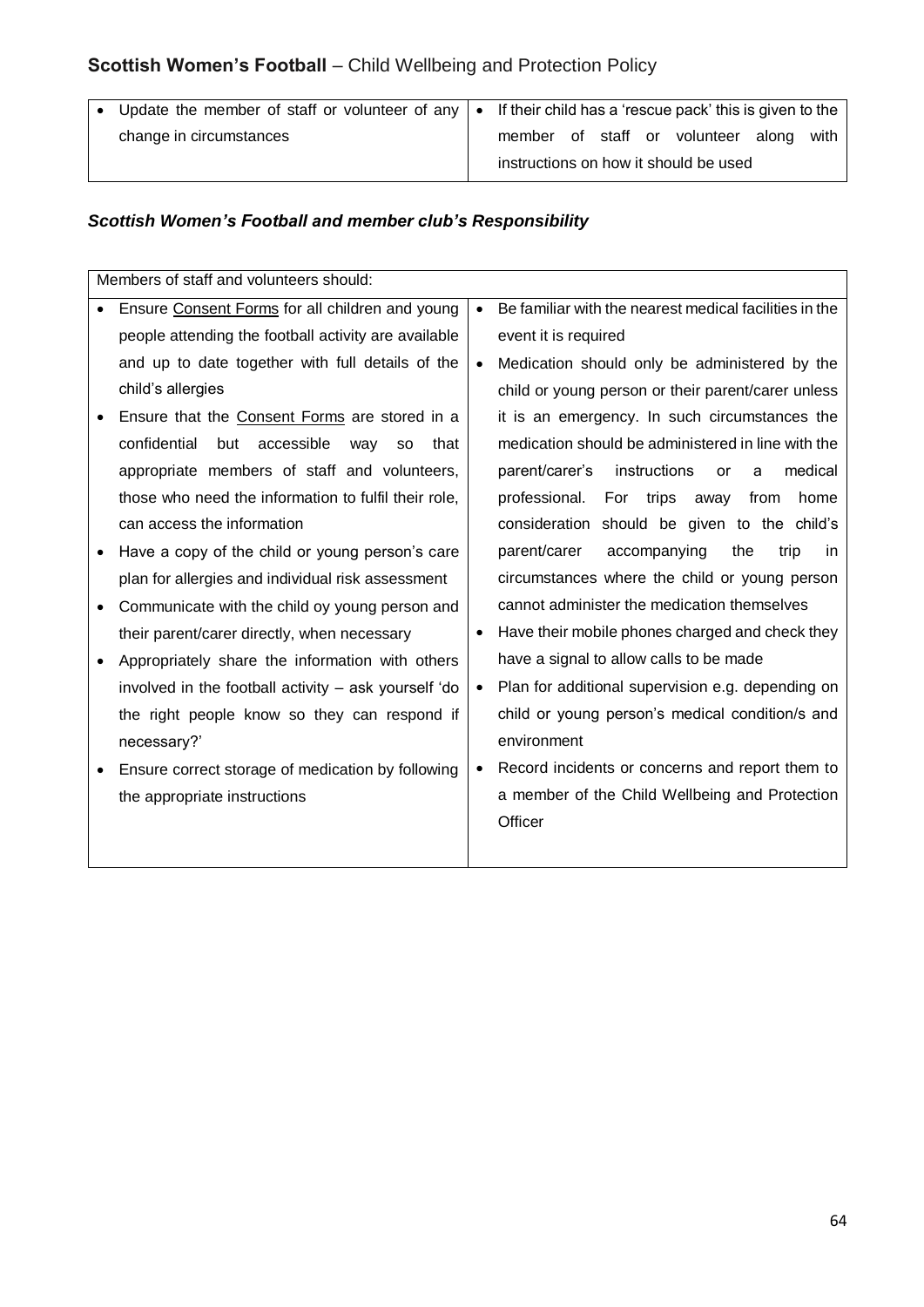| change in circumstances<br>member of staff or volunteer along | • Update the member of staff or volunteer of any   • If their child has a 'rescue pack' this is given to the |  |  |  |  |  |  |      |
|---------------------------------------------------------------|--------------------------------------------------------------------------------------------------------------|--|--|--|--|--|--|------|
| instructions on how it should be used                         |                                                                                                              |  |  |  |  |  |  | with |

## *Scottish Women's Football and member club's Responsibility*

| Members of staff and volunteers should:                       |           |                                                        |
|---------------------------------------------------------------|-----------|--------------------------------------------------------|
| Ensure Consent Forms for all children and young               | $\bullet$ | Be familiar with the nearest medical facilities in the |
| people attending the football activity are available          |           | event it is required                                   |
| and up to date together with full details of the              | $\bullet$ | Medication should only be administered by the          |
| child's allergies                                             |           | child or young person or their parent/carer unless     |
| Ensure that the Consent Forms are stored in a                 |           | it is an emergency. In such circumstances the          |
| confidential<br>accessible<br>but<br>that<br>way<br><b>SO</b> |           | medication should be administered in line with the     |
| appropriate members of staff and volunteers,                  |           | instructions<br>parent/carer's<br>medical<br>or<br>a   |
| those who need the information to fulfil their role,          |           | professional.<br>For trips<br>away<br>from<br>home     |
| can access the information                                    |           | consideration should be given to the child's           |
| Have a copy of the child or young person's care               |           | parent/carer<br>accompanying<br>the<br>trip<br>in.     |
| plan for allergies and individual risk assessment             |           | circumstances where the child or young person          |
| Communicate with the child oy young person and                |           | cannot administer the medication themselves            |
| their parent/carer directly, when necessary                   | $\bullet$ | Have their mobile phones charged and check they        |
| Appropriately share the information with others               |           | have a signal to allow calls to be made                |
| involved in the football activity - ask yourself 'do          | $\bullet$ | Plan for additional supervision e.g. depending on      |
| the right people know so they can respond if                  |           | child or young person's medical condition/s and        |
| necessary?'                                                   |           | environment                                            |
| Ensure correct storage of medication by following             | $\bullet$ | Record incidents or concerns and report them to        |
| the appropriate instructions                                  |           | a member of the Child Wellbeing and Protection         |
|                                                               |           | Officer                                                |
|                                                               |           |                                                        |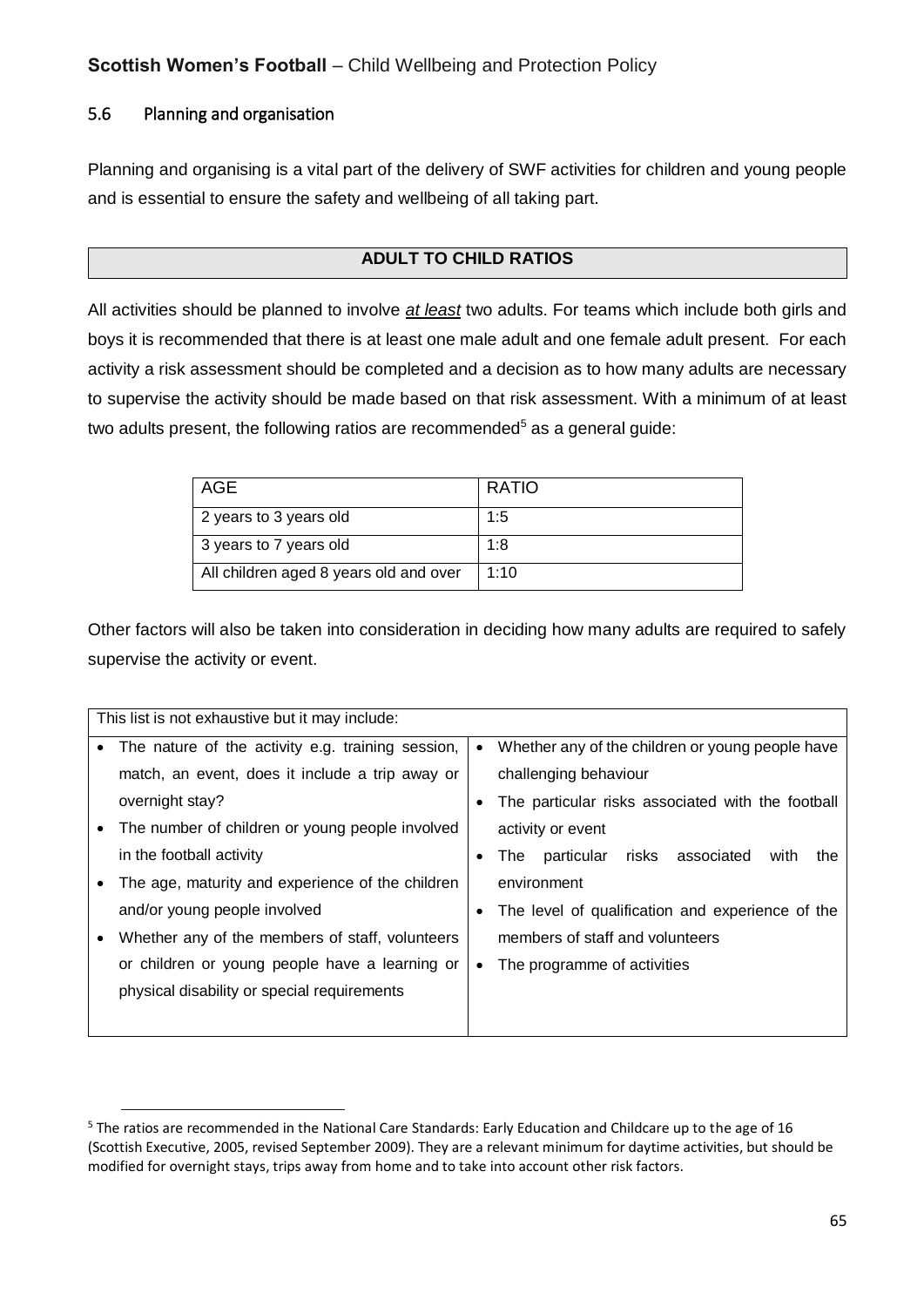## 5.6 Planning and organisation

 $\overline{a}$ 

Planning and organising is a vital part of the delivery of SWF activities for children and young people and is essential to ensure the safety and wellbeing of all taking part.

#### **ADULT TO CHILD RATIOS**

All activities should be planned to involve *at least* two adults. For teams which include both girls and boys it is recommended that there is at least one male adult and one female adult present. For each activity a risk assessment should be completed and a decision as to how many adults are necessary to supervise the activity should be made based on that risk assessment. With a minimum of at least two adults present, the following ratios are recommended<sup>5</sup> as a general guide:

| AGE                                    | <b>RATIO</b> |
|----------------------------------------|--------------|
| 2 years to 3 years old                 | 1:5          |
| 3 years to 7 years old                 | 1:8          |
| All children aged 8 years old and over | 1:10         |

Other factors will also be taken into consideration in deciding how many adults are required to safely supervise the activity or event.

|           | This list is not exhaustive but it may include:   |   |                                                     |
|-----------|---------------------------------------------------|---|-----------------------------------------------------|
| $\bullet$ | The nature of the activity e.g. training session, |   | Whether any of the children or young people have    |
|           | match, an event, does it include a trip away or   |   | challenging behaviour                               |
|           | overnight stay?                                   |   | The particular risks associated with the football   |
| ٠         | The number of children or young people involved   |   | activity or event                                   |
|           | in the football activity                          |   | particular risks associated<br>The ∶<br>with<br>the |
|           | The age, maturity and experience of the children  |   | environment                                         |
|           | and/or young people involved                      | ٠ | The level of qualification and experience of the    |
| ٠         | Whether any of the members of staff, volunteers   |   | members of staff and volunteers                     |
|           | or children or young people have a learning or    | ٠ | The programme of activities                         |
|           | physical disability or special requirements       |   |                                                     |
|           |                                                   |   |                                                     |

<sup>5</sup> The ratios are recommended in the National Care Standards: Early Education and Childcare up to the age of 16 (Scottish Executive, 2005, revised September 2009). They are a relevant minimum for daytime activities, but should be modified for overnight stays, trips away from home and to take into account other risk factors.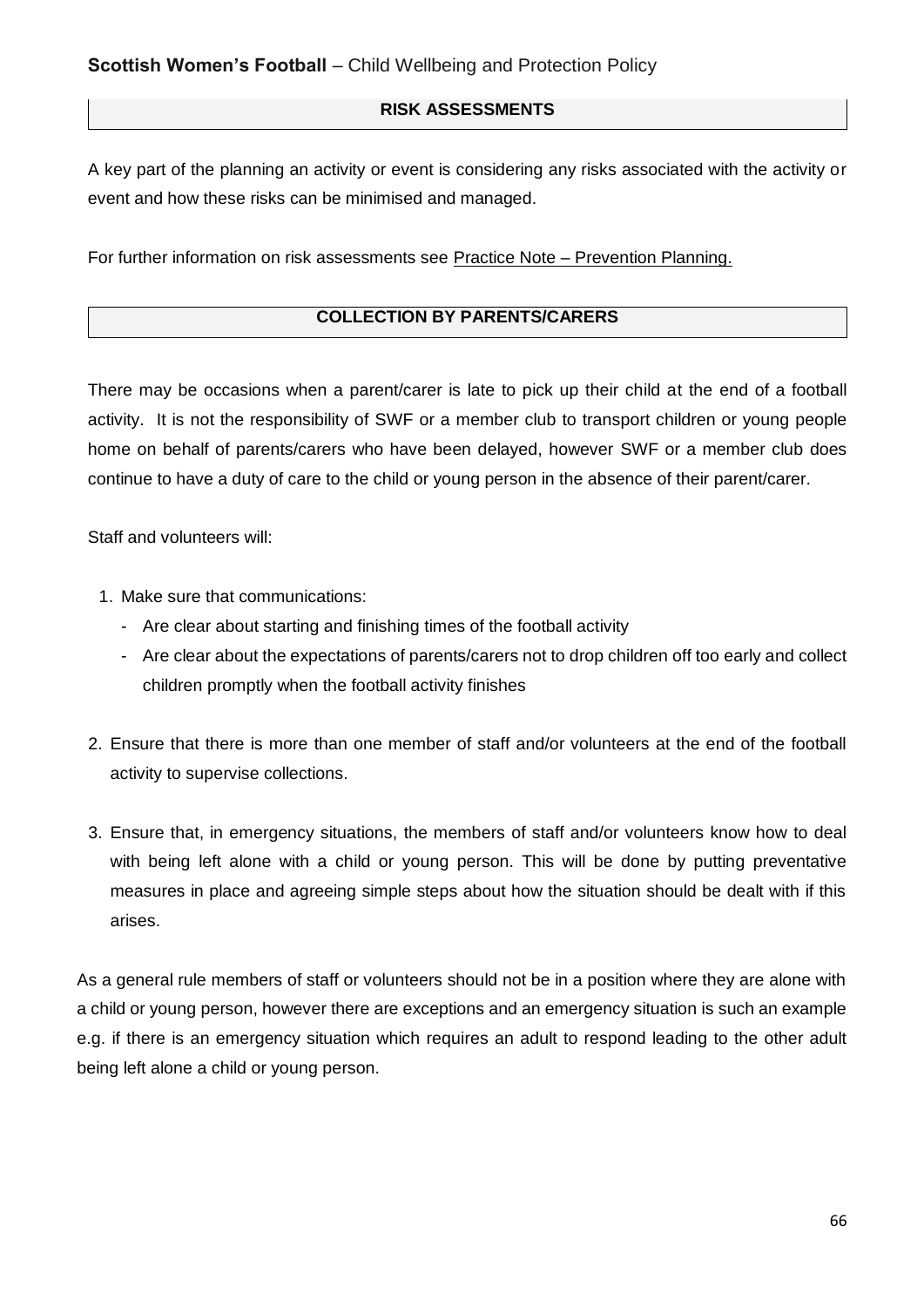#### **RISK ASSESSMENTS**

A key part of the planning an activity or event is considering any risks associated with the activity or event and how these risks can be minimised and managed.

For further information on risk assessments see Practice Note – Prevention Planning.

#### **COLLECTION BY PARENTS/CARERS**

There may be occasions when a parent/carer is late to pick up their child at the end of a football activity. It is not the responsibility of SWF or a member club to transport children or young people home on behalf of parents/carers who have been delayed, however SWF or a member club does continue to have a duty of care to the child or young person in the absence of their parent/carer.

Staff and volunteers will:

- 1. Make sure that communications:
	- Are clear about starting and finishing times of the football activity
	- Are clear about the expectations of parents/carers not to drop children off too early and collect children promptly when the football activity finishes
- 2. Ensure that there is more than one member of staff and/or volunteers at the end of the football activity to supervise collections.
- 3. Ensure that, in emergency situations, the members of staff and/or volunteers know how to deal with being left alone with a child or young person. This will be done by putting preventative measures in place and agreeing simple steps about how the situation should be dealt with if this arises.

As a general rule members of staff or volunteers should not be in a position where they are alone with a child or young person, however there are exceptions and an emergency situation is such an example e.g. if there is an emergency situation which requires an adult to respond leading to the other adult being left alone a child or young person.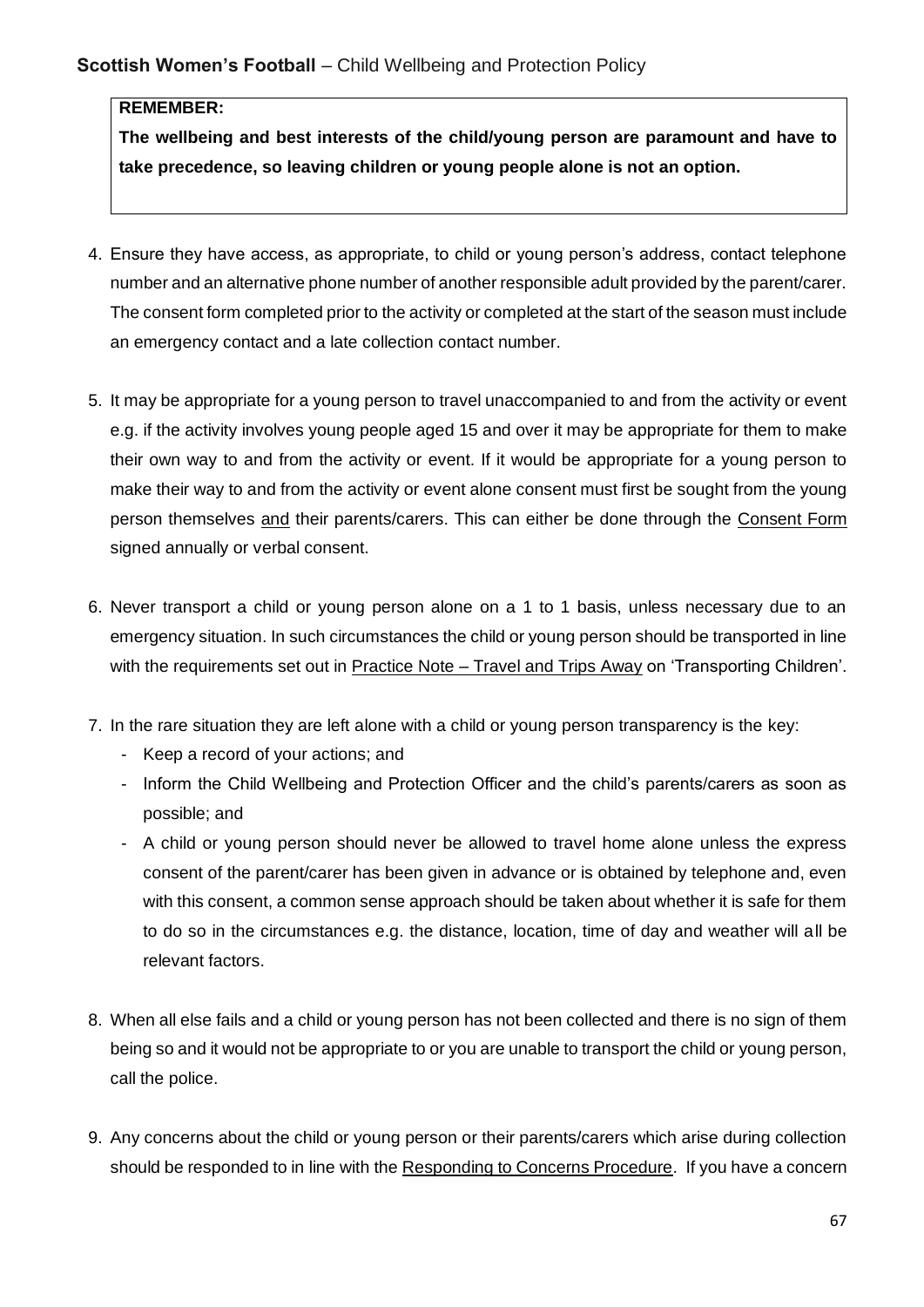#### **REMEMBER:**

**The wellbeing and best interests of the child/young person are paramount and have to take precedence, so leaving children or young people alone is not an option.**

- 4. Ensure they have access, as appropriate, to child or young person's address, contact telephone number and an alternative phone number of another responsible adult provided by the parent/carer. The consent form completed prior to the activity or completed at the start of the season must include an emergency contact and a late collection contact number.
- 5. It may be appropriate for a young person to travel unaccompanied to and from the activity or event e.g. if the activity involves young people aged 15 and over it may be appropriate for them to make their own way to and from the activity or event. If it would be appropriate for a young person to make their way to and from the activity or event alone consent must first be sought from the young person themselves and their parents/carers. This can either be done through the Consent Form signed annually or verbal consent.
- 6. Never transport a child or young person alone on a 1 to 1 basis, unless necessary due to an emergency situation. In such circumstances the child or young person should be transported in line with the requirements set out in Practice Note – Travel and Trips Away on 'Transporting Children'.
- 7. In the rare situation they are left alone with a child or young person transparency is the key:
	- Keep a record of your actions; and
	- Inform the Child Wellbeing and Protection Officer and the child's parents/carers as soon as possible; and
	- A child or young person should never be allowed to travel home alone unless the express consent of the parent/carer has been given in advance or is obtained by telephone and, even with this consent, a common sense approach should be taken about whether it is safe for them to do so in the circumstances e.g. the distance, location, time of day and weather will all be relevant factors.
- 8. When all else fails and a child or young person has not been collected and there is no sign of them being so and it would not be appropriate to or you are unable to transport the child or young person, call the police.
- 9. Any concerns about the child or young person or their parents/carers which arise during collection should be responded to in line with the Responding to Concerns Procedure. If you have a concern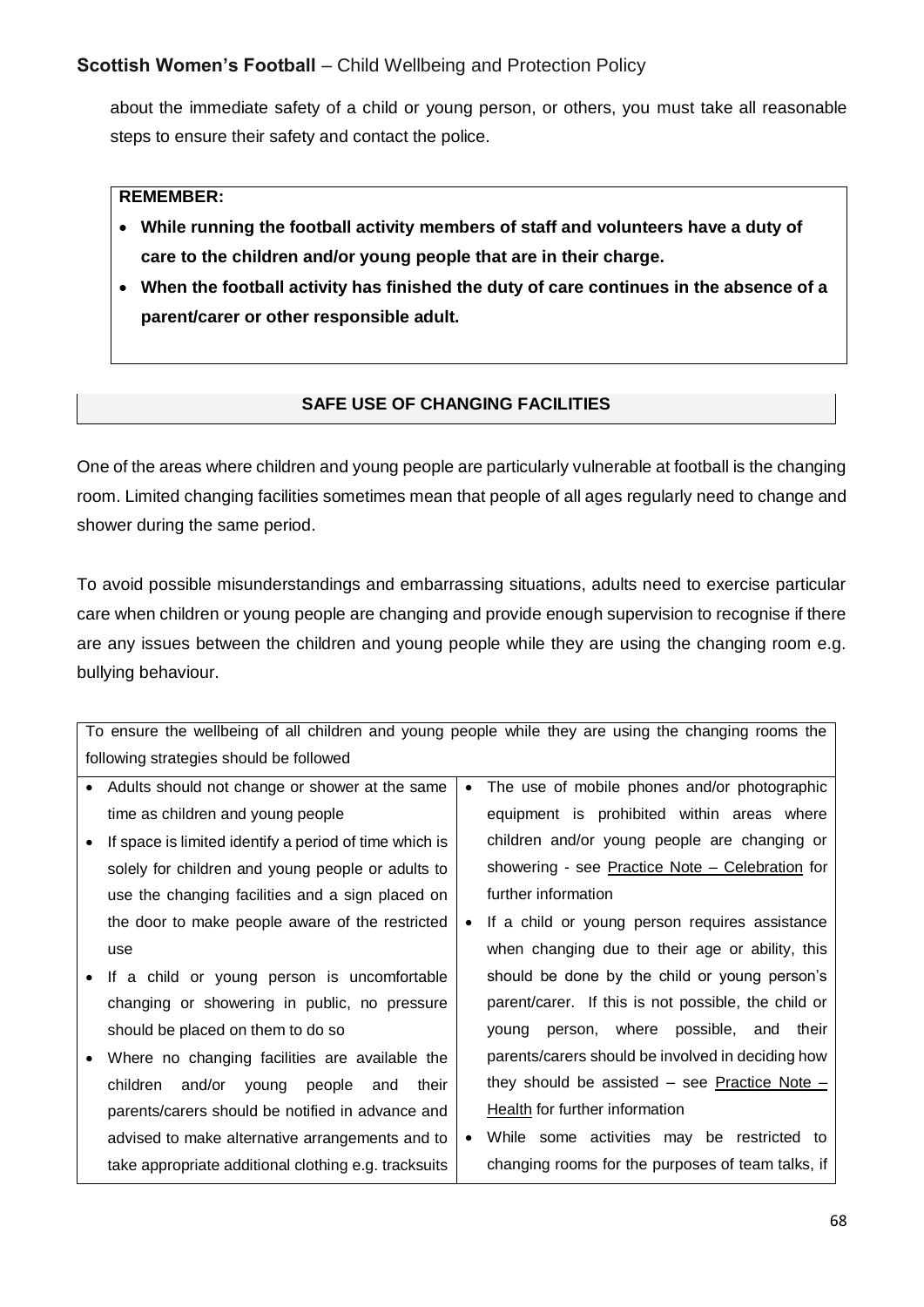about the immediate safety of a child or young person, or others, you must take all reasonable steps to ensure their safety and contact the police.

#### **REMEMBER:**

- **While running the football activity members of staff and volunteers have a duty of care to the children and/or young people that are in their charge.**
- **When the football activity has finished the duty of care continues in the absence of a parent/carer or other responsible adult.**

## **SAFE USE OF CHANGING FACILITIES**

One of the areas where children and young people are particularly vulnerable at football is the changing room. Limited changing facilities sometimes mean that people of all ages regularly need to change and shower during the same period.

To avoid possible misunderstandings and embarrassing situations, adults need to exercise particular care when children or young people are changing and provide enough supervision to recognise if there are any issues between the children and young people while they are using the changing room e.g. bullying behaviour.

| To ensure the wellbeing of all children and young people while they are using the changing rooms the |                                                             |  |  |  |  |  |
|------------------------------------------------------------------------------------------------------|-------------------------------------------------------------|--|--|--|--|--|
| following strategies should be followed                                                              |                                                             |  |  |  |  |  |
| Adults should not change or shower at the same<br>$\bullet$                                          | The use of mobile phones and/or photographic<br>$\bullet$   |  |  |  |  |  |
| time as children and young people                                                                    | equipment is prohibited within areas where                  |  |  |  |  |  |
| If space is limited identify a period of time which is                                               | children and/or young people are changing or                |  |  |  |  |  |
| solely for children and young people or adults to                                                    | showering - see Practice Note - Celebration for             |  |  |  |  |  |
| use the changing facilities and a sign placed on                                                     | further information                                         |  |  |  |  |  |
| the door to make people aware of the restricted                                                      | If a child or young person requires assistance<br>$\bullet$ |  |  |  |  |  |
| use                                                                                                  | when changing due to their age or ability, this             |  |  |  |  |  |
| If a child or young person is uncomfortable                                                          | should be done by the child or young person's               |  |  |  |  |  |
| changing or showering in public, no pressure                                                         | parent/carer. If this is not possible, the child or         |  |  |  |  |  |
| should be placed on them to do so                                                                    | young person, where possible, and their                     |  |  |  |  |  |
| Where no changing facilities are available the<br>$\bullet$                                          | parents/carers should be involved in deciding how           |  |  |  |  |  |
| children and/or young<br>people<br>their<br>and                                                      | they should be assisted – see Practice Note –               |  |  |  |  |  |
| parents/carers should be notified in advance and                                                     | Health for further information                              |  |  |  |  |  |
| advised to make alternative arrangements and to                                                      | While some activities may be restricted to<br>$\bullet$     |  |  |  |  |  |
| take appropriate additional clothing e.g. tracksuits                                                 | changing rooms for the purposes of team talks, if           |  |  |  |  |  |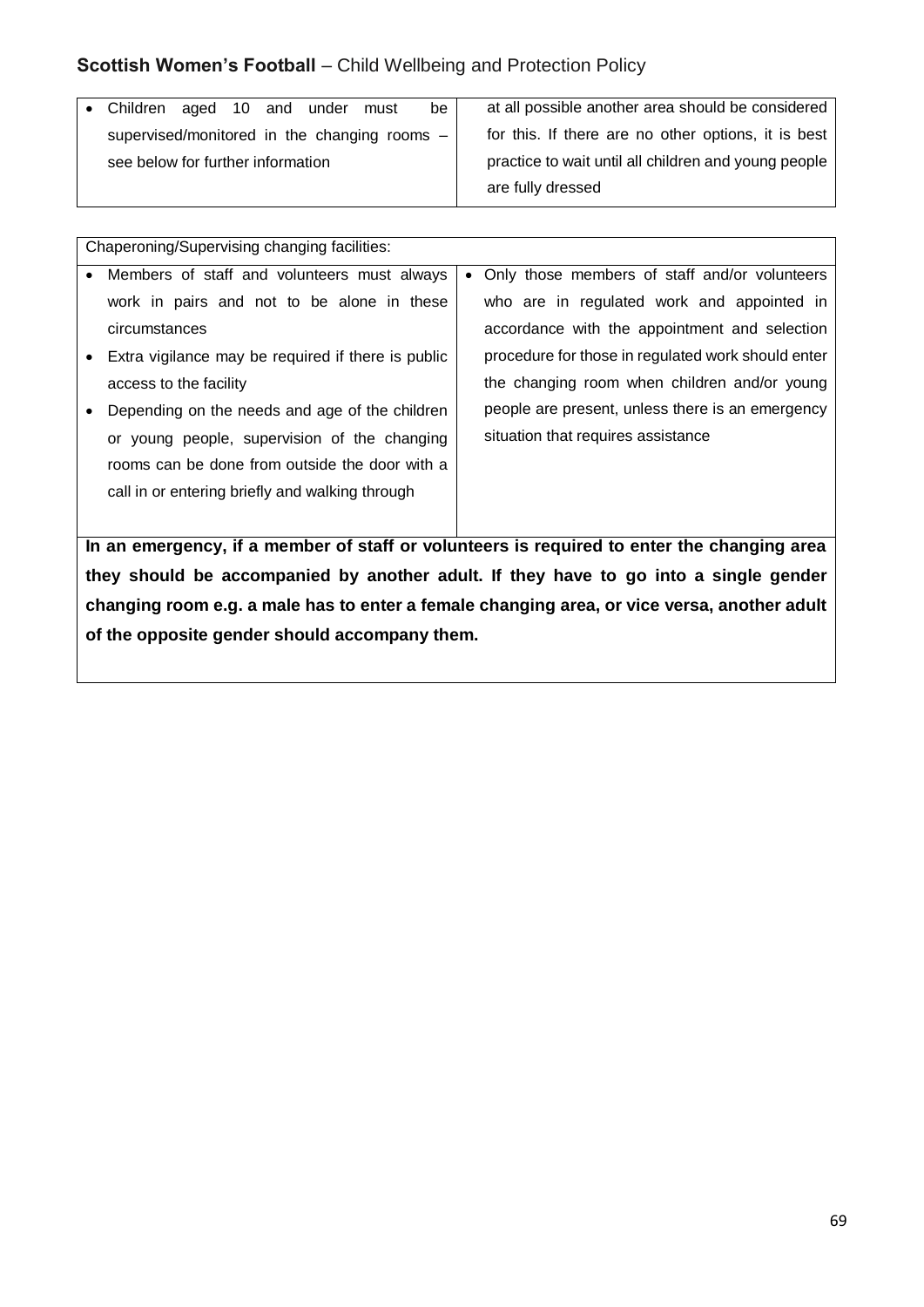|                                   |  |                                                      | must                         | be ' | at all possible another area should be considered   |
|-----------------------------------|--|------------------------------------------------------|------------------------------|------|-----------------------------------------------------|
|                                   |  |                                                      |                              |      | for this. If there are no other options, it is best |
| see below for further information |  | practice to wait until all children and young people |                              |      |                                                     |
|                                   |  |                                                      |                              |      | are fully dressed                                   |
|                                   |  |                                                      | • Children aged 10 and under |      | supervised/monitored in the changing rooms -        |

|           | Chaperoning/Supervising changing facilities:                                                |  |                                                    |  |  |  |  |  |
|-----------|---------------------------------------------------------------------------------------------|--|----------------------------------------------------|--|--|--|--|--|
| $\bullet$ | Members of staff and volunteers must always                                                 |  | • Only those members of staff and/or volunteers    |  |  |  |  |  |
|           | work in pairs and not to be alone in these                                                  |  | who are in regulated work and appointed in         |  |  |  |  |  |
|           | circumstances                                                                               |  | accordance with the appointment and selection      |  |  |  |  |  |
|           | Extra vigilance may be required if there is public                                          |  | procedure for those in regulated work should enter |  |  |  |  |  |
|           | access to the facility                                                                      |  | the changing room when children and/or young       |  |  |  |  |  |
|           | Depending on the needs and age of the children                                              |  | people are present, unless there is an emergency   |  |  |  |  |  |
|           | or young people, supervision of the changing                                                |  | situation that requires assistance                 |  |  |  |  |  |
|           | rooms can be done from outside the door with a                                              |  |                                                    |  |  |  |  |  |
|           | call in or entering briefly and walking through                                             |  |                                                    |  |  |  |  |  |
|           |                                                                                             |  |                                                    |  |  |  |  |  |
|           | In an emergency, if a member of staff or volunteers is required to enter the changing area  |  |                                                    |  |  |  |  |  |
|           | they should be accompanied by another adult. If they have to go into a single gender        |  |                                                    |  |  |  |  |  |
|           | changing room e.g. a male has to enter a female changing area, or vice versa, another adult |  |                                                    |  |  |  |  |  |

**of the opposite gender should accompany them.**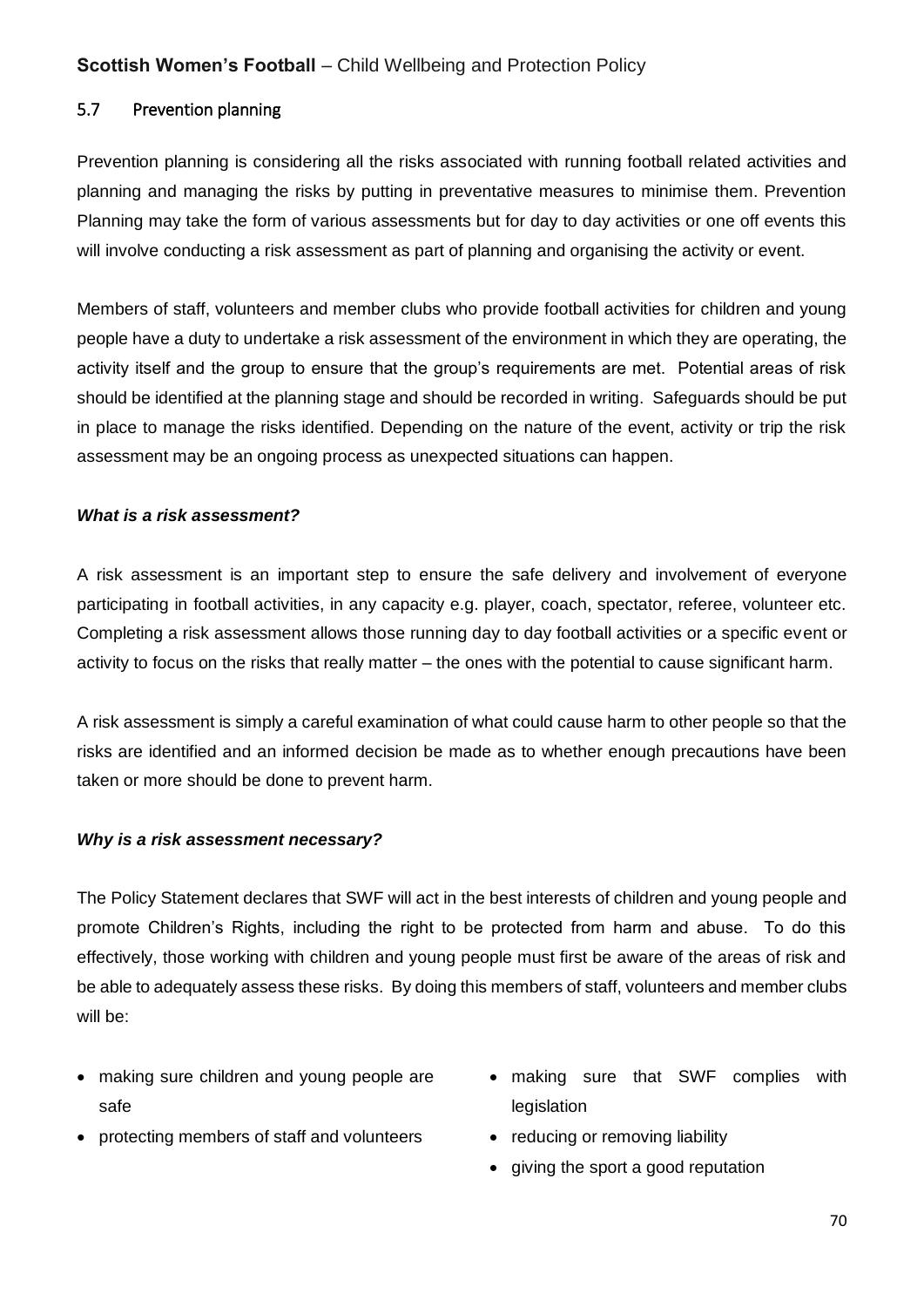#### 5.7 Prevention planning

Prevention planning is considering all the risks associated with running football related activities and planning and managing the risks by putting in preventative measures to minimise them. Prevention Planning may take the form of various assessments but for day to day activities or one off events this will involve conducting a risk assessment as part of planning and organising the activity or event.

Members of staff, volunteers and member clubs who provide football activities for children and young people have a duty to undertake a risk assessment of the environment in which they are operating, the activity itself and the group to ensure that the group's requirements are met. Potential areas of risk should be identified at the planning stage and should be recorded in writing. Safeguards should be put in place to manage the risks identified. Depending on the nature of the event, activity or trip the risk assessment may be an ongoing process as unexpected situations can happen.

#### *What is a risk assessment?*

A risk assessment is an important step to ensure the safe delivery and involvement of everyone participating in football activities, in any capacity e.g. player, coach, spectator, referee, volunteer etc. Completing a risk assessment allows those running day to day football activities or a specific event or activity to focus on the risks that really matter – the ones with the potential to cause significant harm.

A risk assessment is simply a careful examination of what could cause harm to other people so that the risks are identified and an informed decision be made as to whether enough precautions have been taken or more should be done to prevent harm.

#### *Why is a risk assessment necessary?*

The Policy Statement declares that SWF will act in the best interests of children and young people and promote Children's Rights, including the right to be protected from harm and abuse. To do this effectively, those working with children and young people must first be aware of the areas of risk and be able to adequately assess these risks. By doing this members of staff, volunteers and member clubs will be:

- making sure children and young people are safe
- protecting members of staff and volunteers
- making sure that SWF complies with legislation
- reducing or removing liability
- giving the sport a good reputation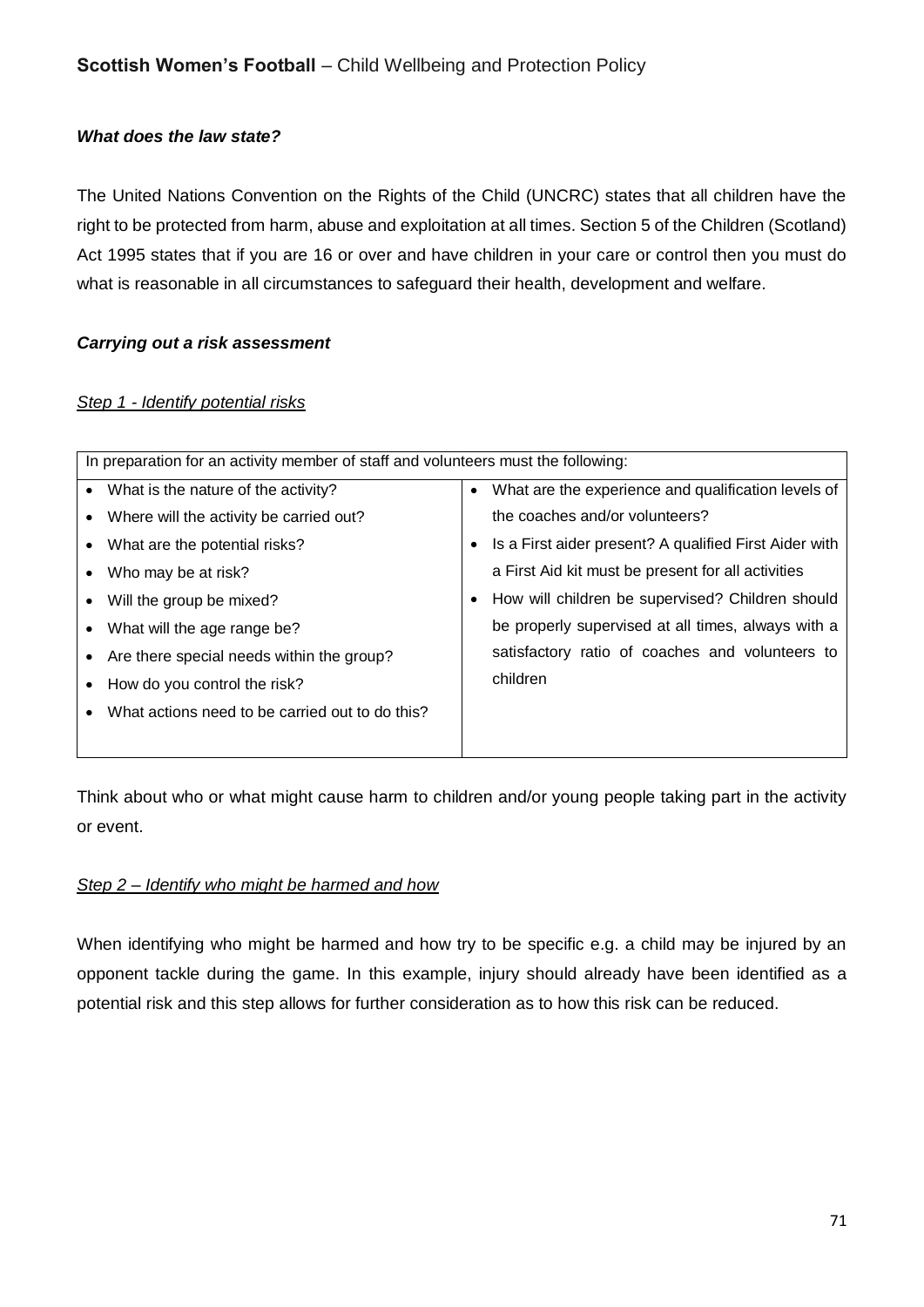#### *What does the law state?*

The United Nations Convention on the Rights of the Child (UNCRC) states that all children have the right to be protected from harm, abuse and exploitation at all times. Section 5 of the Children (Scotland) Act 1995 states that if you are 16 or over and have children in your care or control then you must do what is reasonable in all circumstances to safeguard their health, development and welfare.

#### *Carrying out a risk assessment*

#### *Step 1 - Identify potential risks*

|           | In preparation for an activity member of staff and volunteers must the following: |           |                                                        |  |  |  |  |
|-----------|-----------------------------------------------------------------------------------|-----------|--------------------------------------------------------|--|--|--|--|
| $\bullet$ | What is the nature of the activity?                                               | $\bullet$ | What are the experience and qualification levels of    |  |  |  |  |
|           | Where will the activity be carried out?                                           |           | the coaches and/or volunteers?                         |  |  |  |  |
|           | What are the potential risks?                                                     | $\bullet$ | Is a First aider present? A qualified First Aider with |  |  |  |  |
|           | Who may be at risk?                                                               |           | a First Aid kit must be present for all activities     |  |  |  |  |
|           | Will the group be mixed?                                                          | ٠         | How will children be supervised? Children should       |  |  |  |  |
|           | What will the age range be?                                                       |           | be properly supervised at all times, always with a     |  |  |  |  |
|           | Are there special needs within the group?                                         |           | satisfactory ratio of coaches and volunteers to        |  |  |  |  |
|           | How do you control the risk?                                                      |           | children                                               |  |  |  |  |
|           | What actions need to be carried out to do this?                                   |           |                                                        |  |  |  |  |
|           |                                                                                   |           |                                                        |  |  |  |  |

Think about who or what might cause harm to children and/or young people taking part in the activity or event.

#### *Step 2 – Identify who might be harmed and how*

When identifying who might be harmed and how try to be specific e.g. a child may be injured by an opponent tackle during the game. In this example, injury should already have been identified as a potential risk and this step allows for further consideration as to how this risk can be reduced.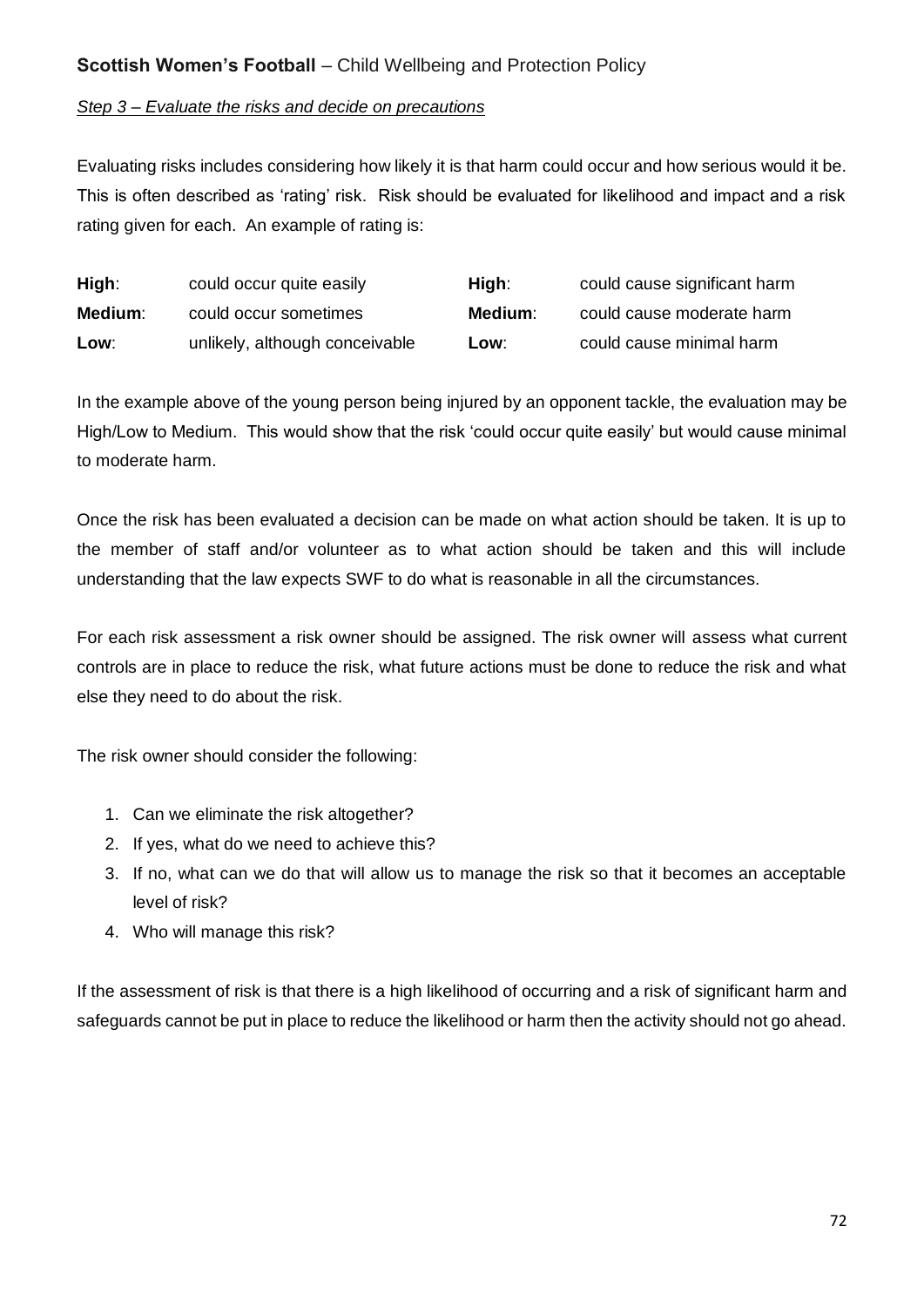#### *Step 3 – Evaluate the risks and decide on precautions*

Evaluating risks includes considering how likely it is that harm could occur and how serious would it be. This is often described as 'rating' risk. Risk should be evaluated for likelihood and impact and a risk rating given for each. An example of rating is:

| High:   | could occur quite easily       | High:   | could cause significant harm |
|---------|--------------------------------|---------|------------------------------|
| Medium: | could occur sometimes          | Medium: | could cause moderate harm    |
| Low:    | unlikely, although conceivable | Low∶    | could cause minimal harm     |

In the example above of the young person being injured by an opponent tackle, the evaluation may be High/Low to Medium. This would show that the risk 'could occur quite easily' but would cause minimal to moderate harm.

Once the risk has been evaluated a decision can be made on what action should be taken. It is up to the member of staff and/or volunteer as to what action should be taken and this will include understanding that the law expects SWF to do what is reasonable in all the circumstances.

For each risk assessment a risk owner should be assigned. The risk owner will assess what current controls are in place to reduce the risk, what future actions must be done to reduce the risk and what else they need to do about the risk.

The risk owner should consider the following:

- 1. Can we eliminate the risk altogether?
- 2. If yes, what do we need to achieve this?
- 3. If no, what can we do that will allow us to manage the risk so that it becomes an acceptable level of risk?
- 4. Who will manage this risk?

If the assessment of risk is that there is a high likelihood of occurring and a risk of significant harm and safeguards cannot be put in place to reduce the likelihood or harm then the activity should not go ahead.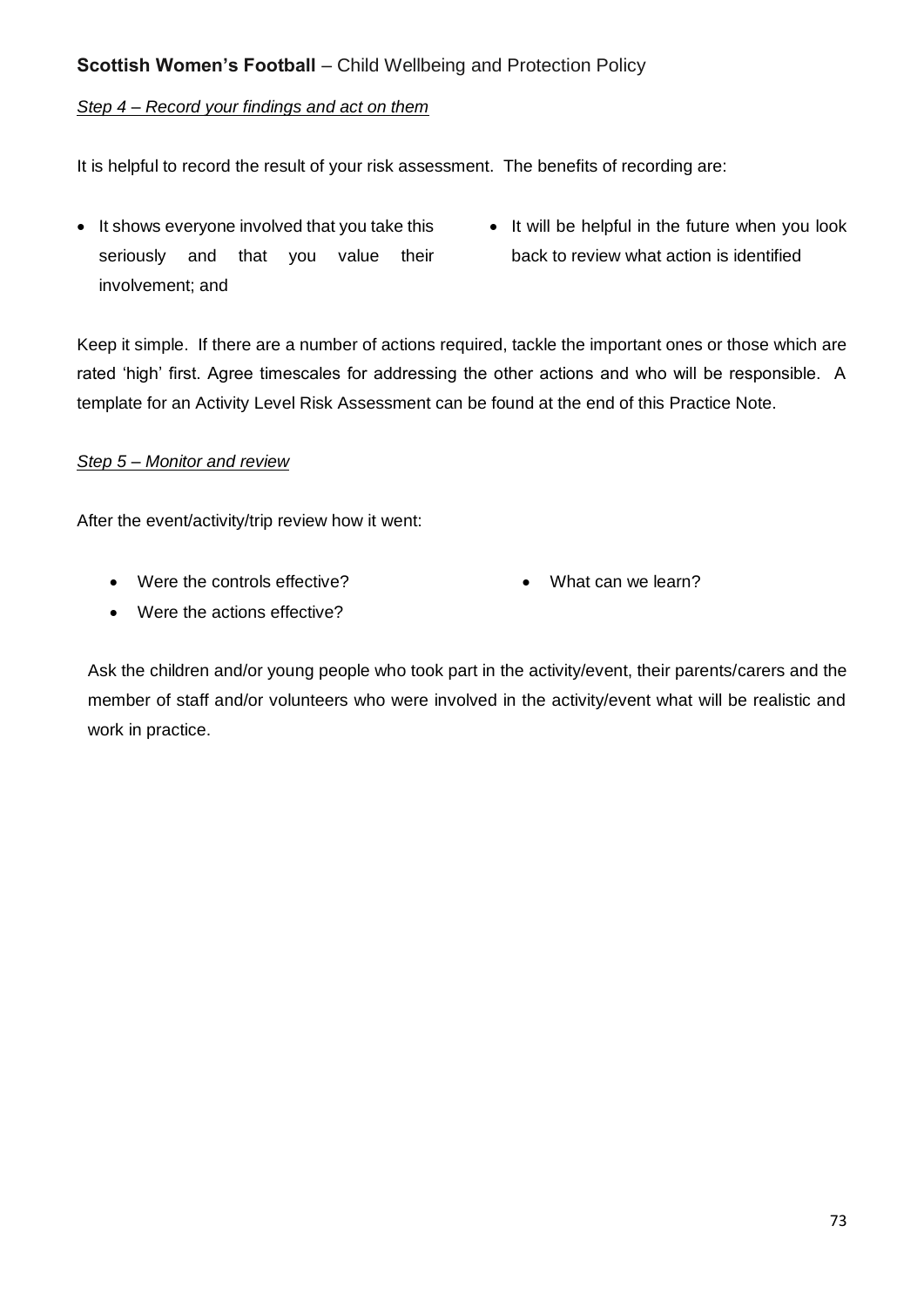#### *Step 4 – Record your findings and act on them*

It is helpful to record the result of your risk assessment. The benefits of recording are:

- It shows everyone involved that you take this seriously and that you value their involvement; and
- It will be helpful in the future when you look back to review what action is identified

Keep it simple. If there are a number of actions required, tackle the important ones or those which are rated 'high' first. Agree timescales for addressing the other actions and who will be responsible. A template for an Activity Level Risk Assessment can be found at the end of this Practice Note.

### *Step 5 – Monitor and review*

After the event/activity/trip review how it went:

Were the controls effective?

• What can we learn?

Were the actions effective?

Ask the children and/or young people who took part in the activity/event, their parents/carers and the member of staff and/or volunteers who were involved in the activity/event what will be realistic and work in practice.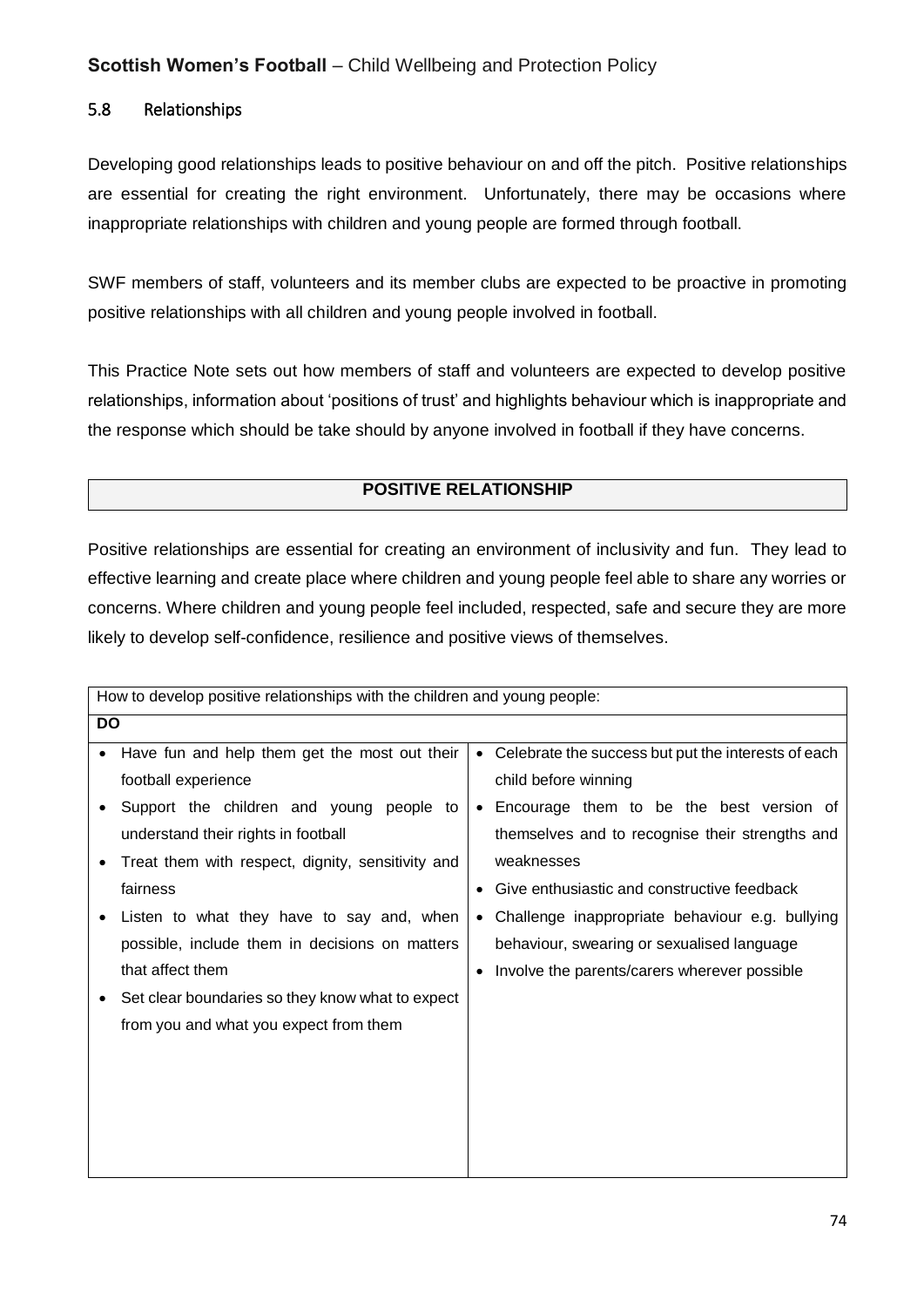## 5.8 Relationships

Developing good relationships leads to positive behaviour on and off the pitch. Positive relationships are essential for creating the right environment. Unfortunately, there may be occasions where inappropriate relationships with children and young people are formed through football.

SWF members of staff, volunteers and its member clubs are expected to be proactive in promoting positive relationships with all children and young people involved in football.

This Practice Note sets out how members of staff and volunteers are expected to develop positive relationships, information about 'positions of trust' and highlights behaviour which is inappropriate and the response which should be take should by anyone involved in football if they have concerns.

### **POSITIVE RELATIONSHIP**

Positive relationships are essential for creating an environment of inclusivity and fun. They lead to effective learning and create place where children and young people feel able to share any worries or concerns. Where children and young people feel included, respected, safe and secure they are more likely to develop self-confidence, resilience and positive views of themselves.

|   | How to develop positive relationships with the children and young people: |           |                                                     |  |
|---|---------------------------------------------------------------------------|-----------|-----------------------------------------------------|--|
|   | <b>DO</b>                                                                 |           |                                                     |  |
| ٠ | Have fun and help them get the most out their                             | $\bullet$ | Celebrate the success but put the interests of each |  |
|   | football experience                                                       |           | child before winning                                |  |
|   | Support the children and young people to                                  | $\bullet$ | Encourage them to be the best version of            |  |
|   | understand their rights in football                                       |           | themselves and to recognise their strengths and     |  |
|   | Treat them with respect, dignity, sensitivity and                         |           | weaknesses                                          |  |
|   | fairness                                                                  | ٠         | Give enthusiastic and constructive feedback         |  |
|   | Listen to what they have to say and, when                                 | $\bullet$ | Challenge inappropriate behaviour e.g. bullying     |  |
|   | possible, include them in decisions on matters                            |           | behaviour, swearing or sexualised language          |  |
|   | that affect them                                                          |           | Involve the parents/carers wherever possible        |  |
|   | Set clear boundaries so they know what to expect                          |           |                                                     |  |
|   | from you and what you expect from them                                    |           |                                                     |  |
|   |                                                                           |           |                                                     |  |
|   |                                                                           |           |                                                     |  |
|   |                                                                           |           |                                                     |  |
|   |                                                                           |           |                                                     |  |
|   |                                                                           |           |                                                     |  |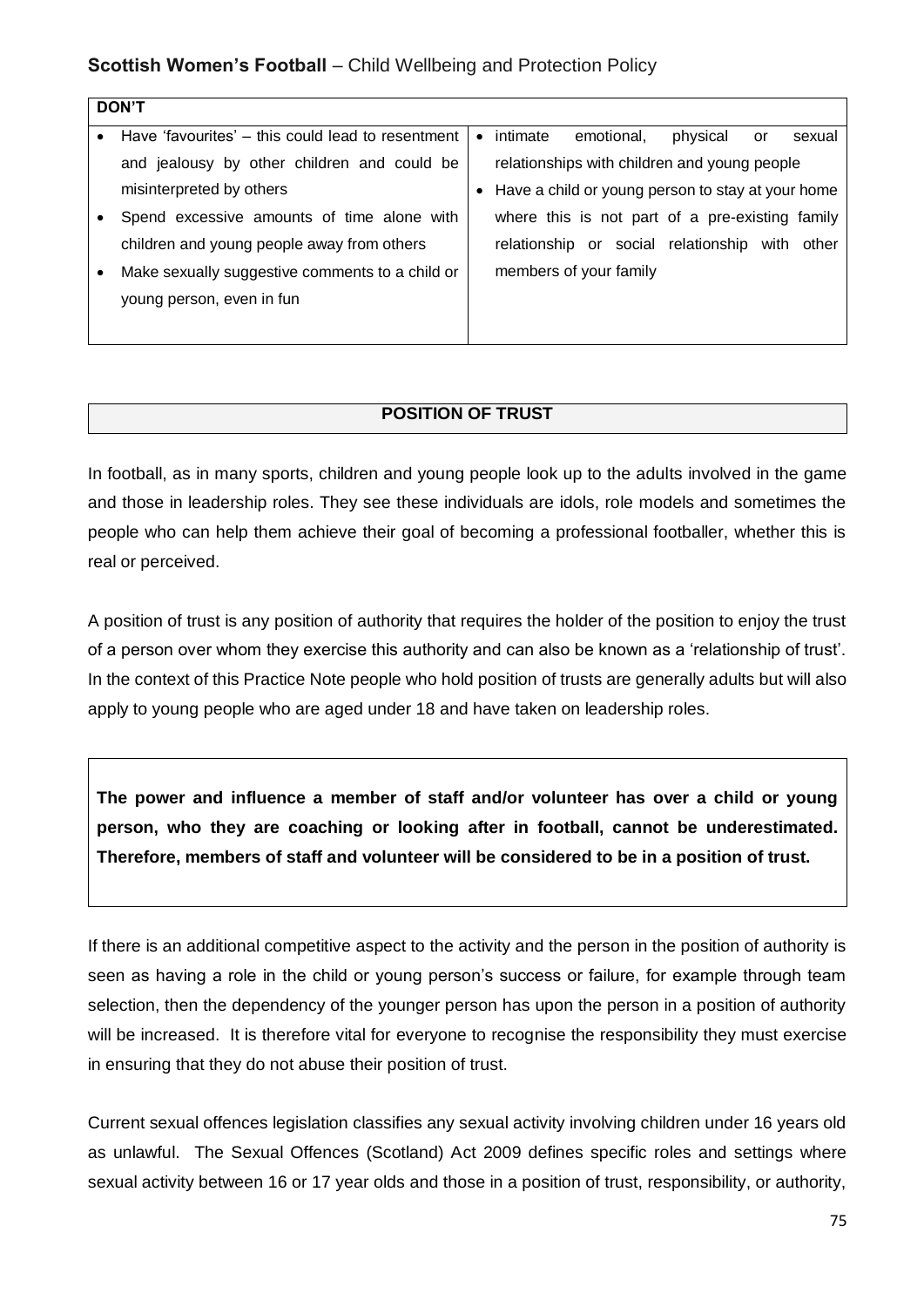| <b>DON'T</b>                                      |           |          |                                                   |          |    |            |
|---------------------------------------------------|-----------|----------|---------------------------------------------------|----------|----|------------|
| Have 'favourites' – this could lead to resentment | $\bullet$ | intimate | emotional.                                        | physical | or | sexual     |
| and jealousy by other children and could be       |           |          | relationships with children and young people      |          |    |            |
| misinterpreted by others                          | ٠         |          | Have a child or young person to stay at your home |          |    |            |
| Spend excessive amounts of time alone with        |           |          | where this is not part of a pre-existing family   |          |    |            |
| children and young people away from others        |           |          | relationship or social relationship               |          |    | with other |
| Make sexually suggestive comments to a child or   |           |          | members of your family                            |          |    |            |
| young person, even in fun                         |           |          |                                                   |          |    |            |
|                                                   |           |          |                                                   |          |    |            |

### **POSITION OF TRUST**

In football, as in many sports, children and young people look up to the adults involved in the game and those in leadership roles. They see these individuals are idols, role models and sometimes the people who can help them achieve their goal of becoming a professional footballer, whether this is real or perceived.

A position of trust is any position of authority that requires the holder of the position to enjoy the trust of a person over whom they exercise this authority and can also be known as a 'relationship of trust'. In the context of this Practice Note people who hold position of trusts are generally adults but will also apply to young people who are aged under 18 and have taken on leadership roles.

**The power and influence a member of staff and/or volunteer has over a child or young person, who they are coaching or looking after in football, cannot be underestimated. Therefore, members of staff and volunteer will be considered to be in a position of trust.**

If there is an additional competitive aspect to the activity and the person in the position of authority is seen as having a role in the child or young person's success or failure, for example through team selection, then the dependency of the younger person has upon the person in a position of authority will be increased. It is therefore vital for everyone to recognise the responsibility they must exercise in ensuring that they do not abuse their position of trust.

Current sexual offences legislation classifies any sexual activity involving children under 16 years old as unlawful. The Sexual Offences (Scotland) Act 2009 defines specific roles and settings where sexual activity between 16 or 17 year olds and those in a position of trust, responsibility, or authority,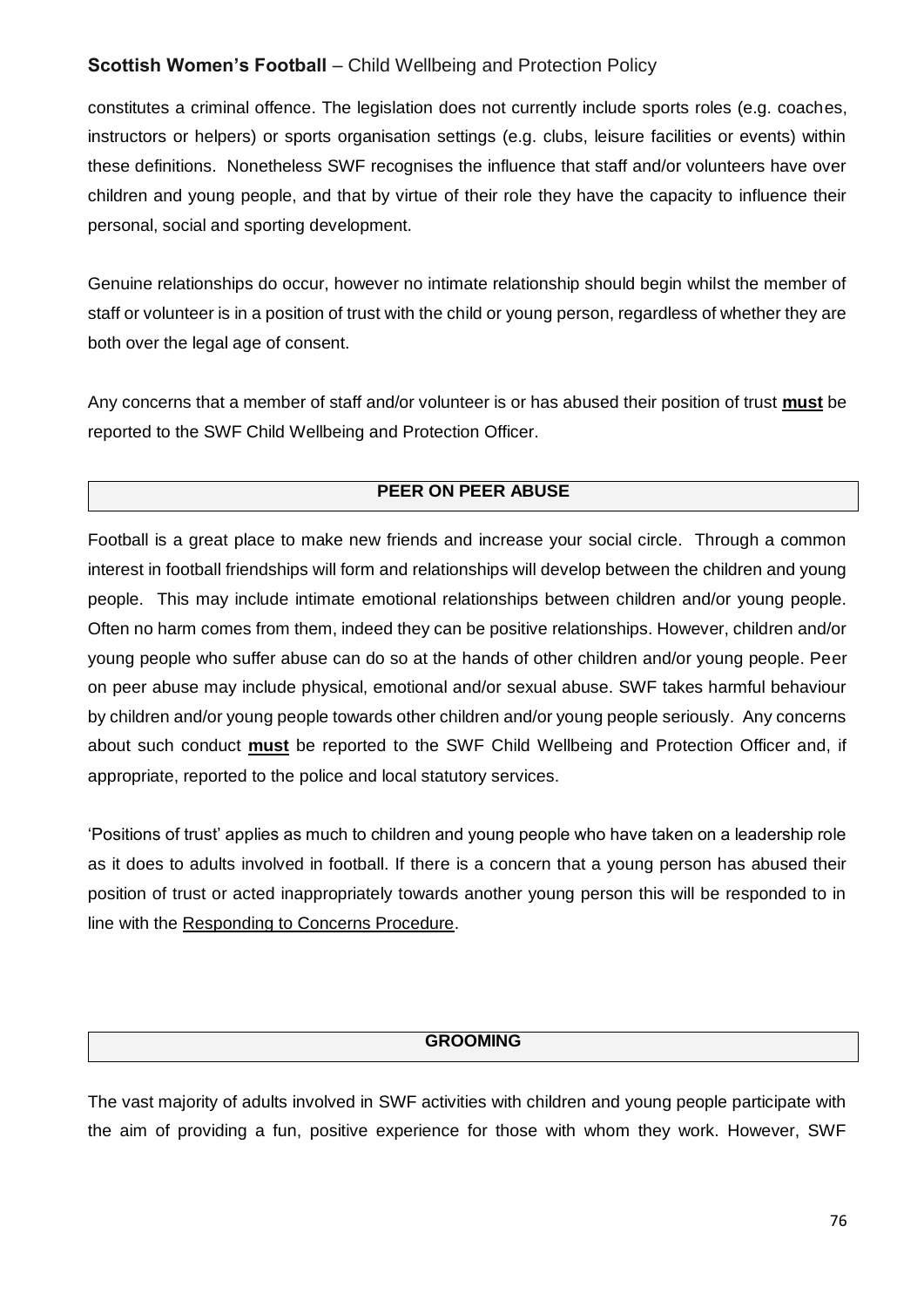constitutes a criminal offence. The legislation does not currently include sports roles (e.g. coaches, instructors or helpers) or sports organisation settings (e.g. clubs, leisure facilities or events) within these definitions. Nonetheless SWF recognises the influence that staff and/or volunteers have over children and young people, and that by virtue of their role they have the capacity to influence their personal, social and sporting development.

Genuine relationships do occur, however no intimate relationship should begin whilst the member of staff or volunteer is in a position of trust with the child or young person, regardless of whether they are both over the legal age of consent.

Any concerns that a member of staff and/or volunteer is or has abused their position of trust **must** be reported to the SWF Child Wellbeing and Protection Officer.

### **PEER ON PEER ABUSE**

Football is a great place to make new friends and increase your social circle. Through a common interest in football friendships will form and relationships will develop between the children and young people. This may include intimate emotional relationships between children and/or young people. Often no harm comes from them, indeed they can be positive relationships. However, children and/or young people who suffer abuse can do so at the hands of other children and/or young people. Peer on peer abuse may include physical, emotional and/or sexual abuse. SWF takes harmful behaviour by children and/or young people towards other children and/or young people seriously. Any concerns about such conduct **must** be reported to the SWF Child Wellbeing and Protection Officer and, if appropriate, reported to the police and local statutory services.

'Positions of trust' applies as much to children and young people who have taken on a leadership role as it does to adults involved in football. If there is a concern that a young person has abused their position of trust or acted inappropriately towards another young person this will be responded to in line with the Responding to Concerns Procedure.

#### **GROOMING**

The vast majority of adults involved in SWF activities with children and young people participate with the aim of providing a fun, positive experience for those with whom they work. However, SWF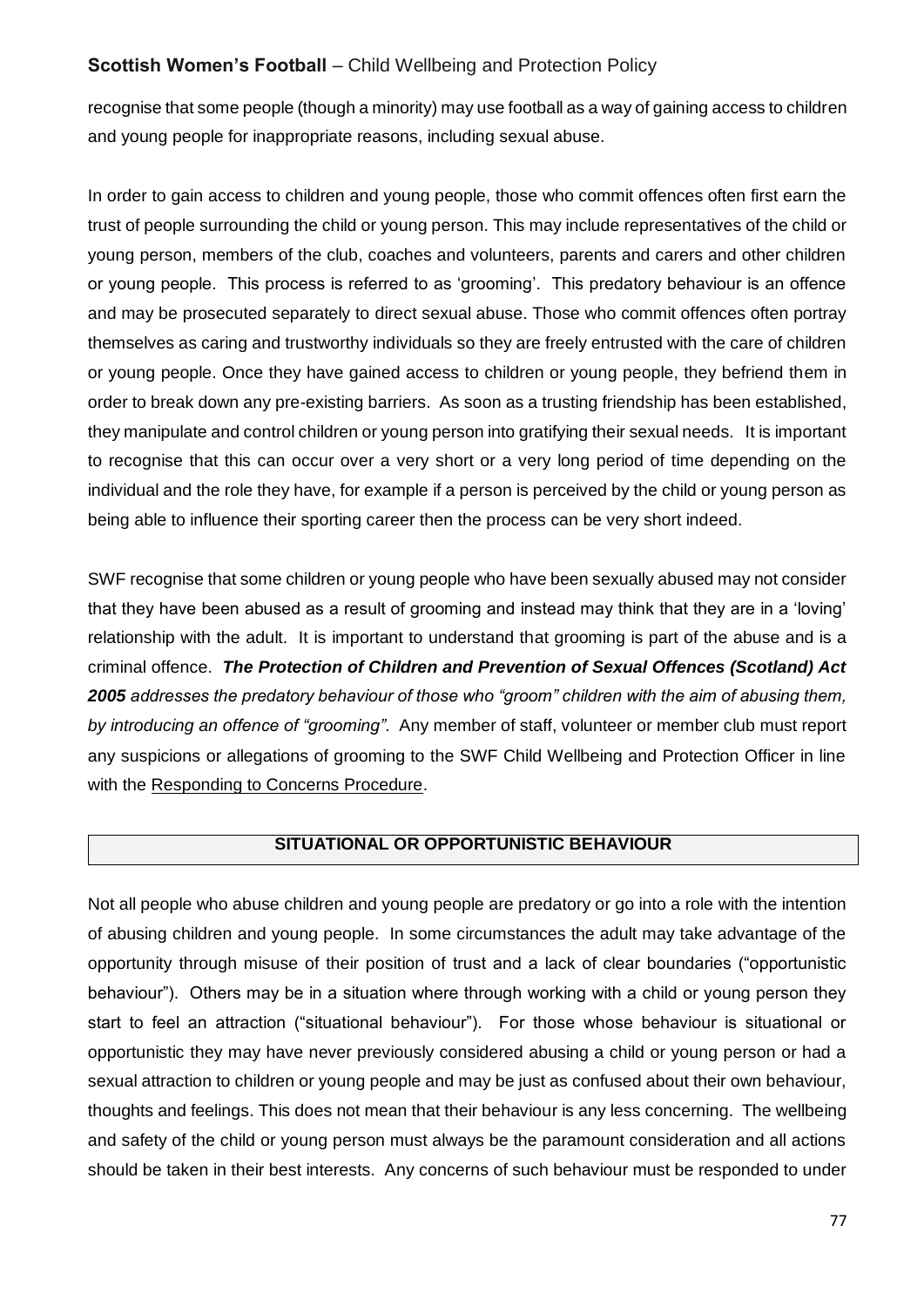recognise that some people (though a minority) may use football as a way of gaining access to children and young people for inappropriate reasons, including sexual abuse.

In order to gain access to children and young people, those who commit offences often first earn the trust of people surrounding the child or young person. This may include representatives of the child or young person, members of the club, coaches and volunteers, parents and carers and other children or young people. This process is referred to as 'grooming'. This predatory behaviour is an offence and may be prosecuted separately to direct sexual abuse. Those who commit offences often portray themselves as caring and trustworthy individuals so they are freely entrusted with the care of children or young people. Once they have gained access to children or young people, they befriend them in order to break down any pre-existing barriers. As soon as a trusting friendship has been established, they manipulate and control children or young person into gratifying their sexual needs. It is important to recognise that this can occur over a very short or a very long period of time depending on the individual and the role they have, for example if a person is perceived by the child or young person as being able to influence their sporting career then the process can be very short indeed.

SWF recognise that some children or young people who have been sexually abused may not consider that they have been abused as a result of grooming and instead may think that they are in a 'loving' relationship with the adult. It is important to understand that grooming is part of the abuse and is a criminal offence. *The Protection of Children and Prevention of Sexual Offences (Scotland) Act 2005 addresses the predatory behaviour of those who "groom" children with the aim of abusing them, by introducing an offence of "grooming".* Any member of staff, volunteer or member club must report any suspicions or allegations of grooming to the SWF Child Wellbeing and Protection Officer in line with the Responding to Concerns Procedure.

#### **SITUATIONAL OR OPPORTUNISTIC BEHAVIOUR**

Not all people who abuse children and young people are predatory or go into a role with the intention of abusing children and young people. In some circumstances the adult may take advantage of the opportunity through misuse of their position of trust and a lack of clear boundaries ("opportunistic behaviour"). Others may be in a situation where through working with a child or young person they start to feel an attraction ("situational behaviour"). For those whose behaviour is situational or opportunistic they may have never previously considered abusing a child or young person or had a sexual attraction to children or young people and may be just as confused about their own behaviour, thoughts and feelings. This does not mean that their behaviour is any less concerning. The wellbeing and safety of the child or young person must always be the paramount consideration and all actions should be taken in their best interests. Any concerns of such behaviour must be responded to under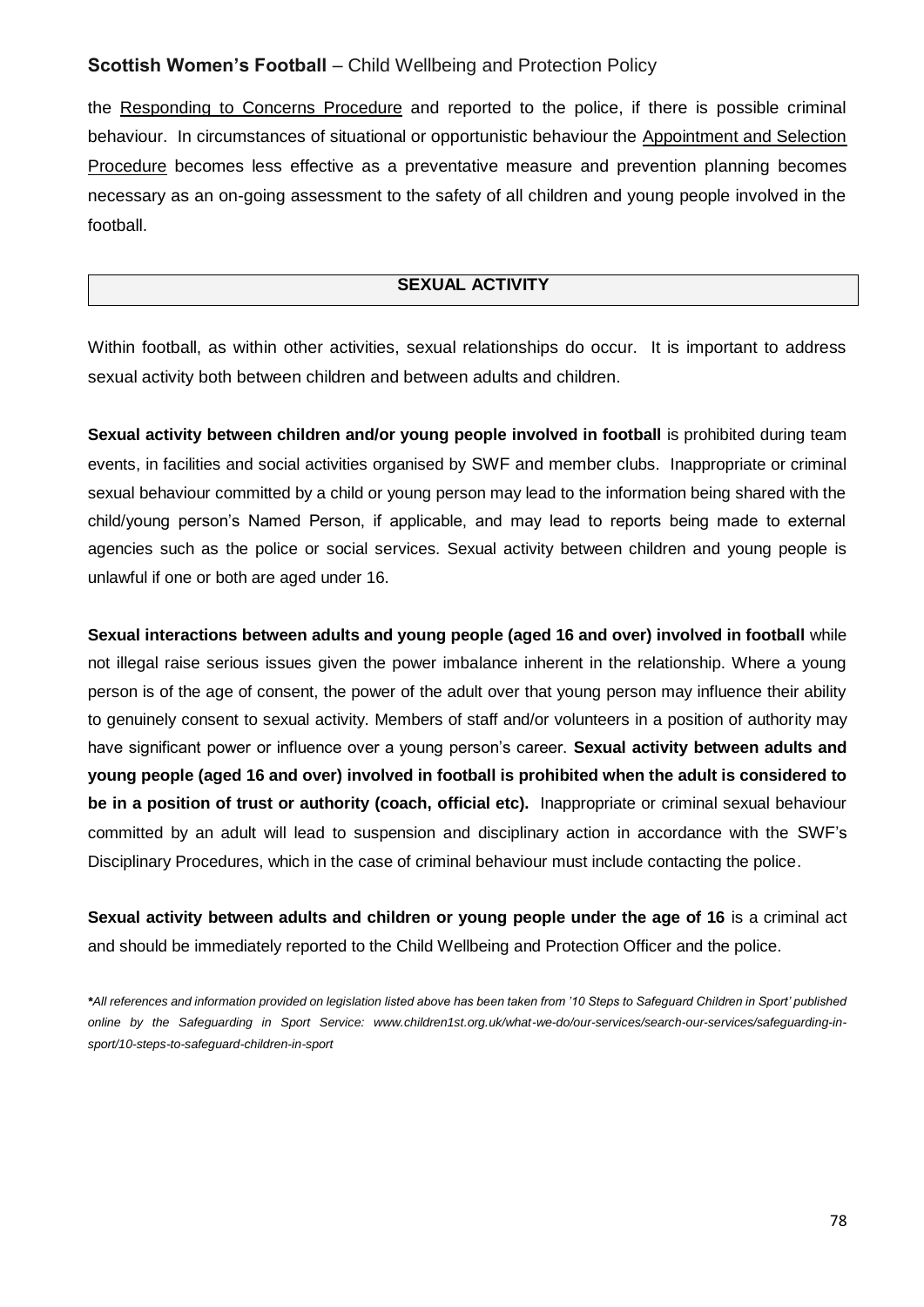the Responding to Concerns Procedure and reported to the police, if there is possible criminal behaviour. In circumstances of situational or opportunistic behaviour the Appointment and Selection Procedure becomes less effective as a preventative measure and prevention planning becomes necessary as an on-going assessment to the safety of all children and young people involved in the football.

#### **SEXUAL ACTIVITY**

Within football, as within other activities, sexual relationships do occur. It is important to address sexual activity both between children and between adults and children.

**Sexual activity between children and/or young people involved in football** is prohibited during team events, in facilities and social activities organised by SWF and member clubs. Inappropriate or criminal sexual behaviour committed by a child or young person may lead to the information being shared with the child/young person's Named Person, if applicable, and may lead to reports being made to external agencies such as the police or social services. Sexual activity between children and young people is unlawful if one or both are aged under 16.

**Sexual interactions between adults and young people (aged 16 and over) involved in football** while not illegal raise serious issues given the power imbalance inherent in the relationship. Where a young person is of the age of consent, the power of the adult over that young person may influence their ability to genuinely consent to sexual activity. Members of staff and/or volunteers in a position of authority may have significant power or influence over a young person's career. **Sexual activity between adults and young people (aged 16 and over) involved in football is prohibited when the adult is considered to be in a position of trust or authority (coach, official etc).** Inappropriate or criminal sexual behaviour committed by an adult will lead to suspension and disciplinary action in accordance with the SWF's Disciplinary Procedures, which in the case of criminal behaviour must include contacting the police.

Sexual activity between adults and children or young people under the age of 16 is a criminal act and should be immediately reported to the Child Wellbeing and Protection Officer and the police.

\**All references and information provided on legislation listed above has been taken from '10 Steps to Safeguard Children in Sport' published online by the Safeguarding in Sport Service: www.children1st.org.uk/what-we-do/our-services/search-our-services/safeguarding-insport/10-steps-to-safeguard-children-in-sport*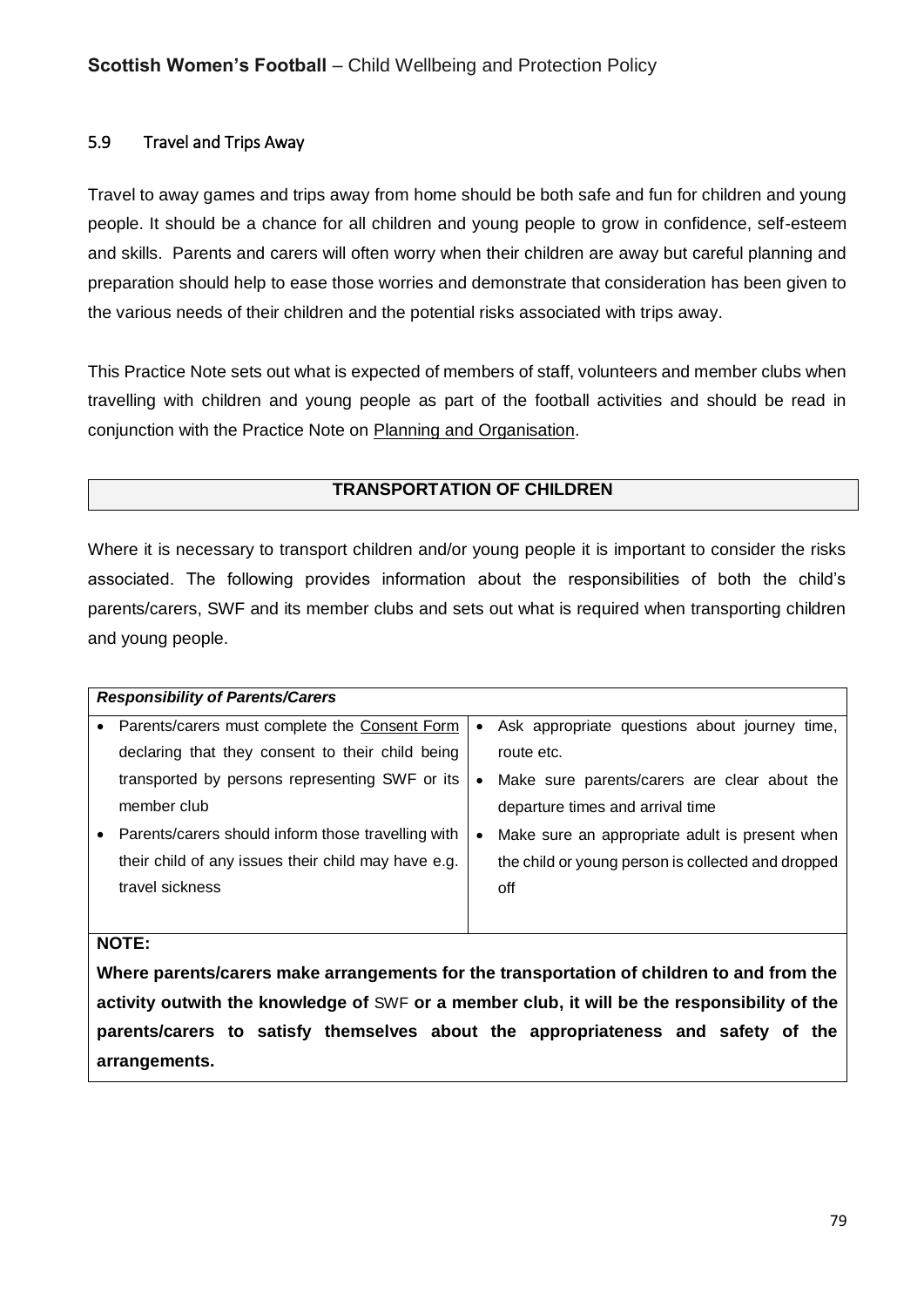### 5.9 Travel and Trips Away

Travel to away games and trips away from home should be both safe and fun for children and young people. It should be a chance for all children and young people to grow in confidence, self-esteem and skills. Parents and carers will often worry when their children are away but careful planning and preparation should help to ease those worries and demonstrate that consideration has been given to the various needs of their children and the potential risks associated with trips away.

This Practice Note sets out what is expected of members of staff, volunteers and member clubs when travelling with children and young people as part of the football activities and should be read in conjunction with the Practice Note on Planning and Organisation.

#### **TRANSPORTATION OF CHILDREN**

Where it is necessary to transport children and/or young people it is important to consider the risks associated. The following provides information about the responsibilities of both the child's parents/carers, SWF and its member clubs and sets out what is required when transporting children and young people.

|           | <b>Responsibility of Parents/Carers</b>             |           |                                                    |
|-----------|-----------------------------------------------------|-----------|----------------------------------------------------|
| $\bullet$ | Parents/carers must complete the Consent Form       | $\bullet$ | Ask appropriate questions about journey time,      |
|           | declaring that they consent to their child being    |           | route etc.                                         |
|           | transported by persons representing SWF or its      | $\bullet$ | Make sure parents/carers are clear about the       |
|           | member club                                         |           | departure times and arrival time                   |
|           | Parents/carers should inform those travelling with  | ٠         | Make sure an appropriate adult is present when     |
|           | their child of any issues their child may have e.g. |           | the child or young person is collected and dropped |
|           | travel sickness                                     |           | off                                                |
|           |                                                     |           |                                                    |
|           | <b>NOTE:</b>                                        |           |                                                    |

**Where parents/carers make arrangements for the transportation of children to and from the activity outwith the knowledge of** SWF **or a member club, it will be the responsibility of the parents/carers to satisfy themselves about the appropriateness and safety of the arrangements.**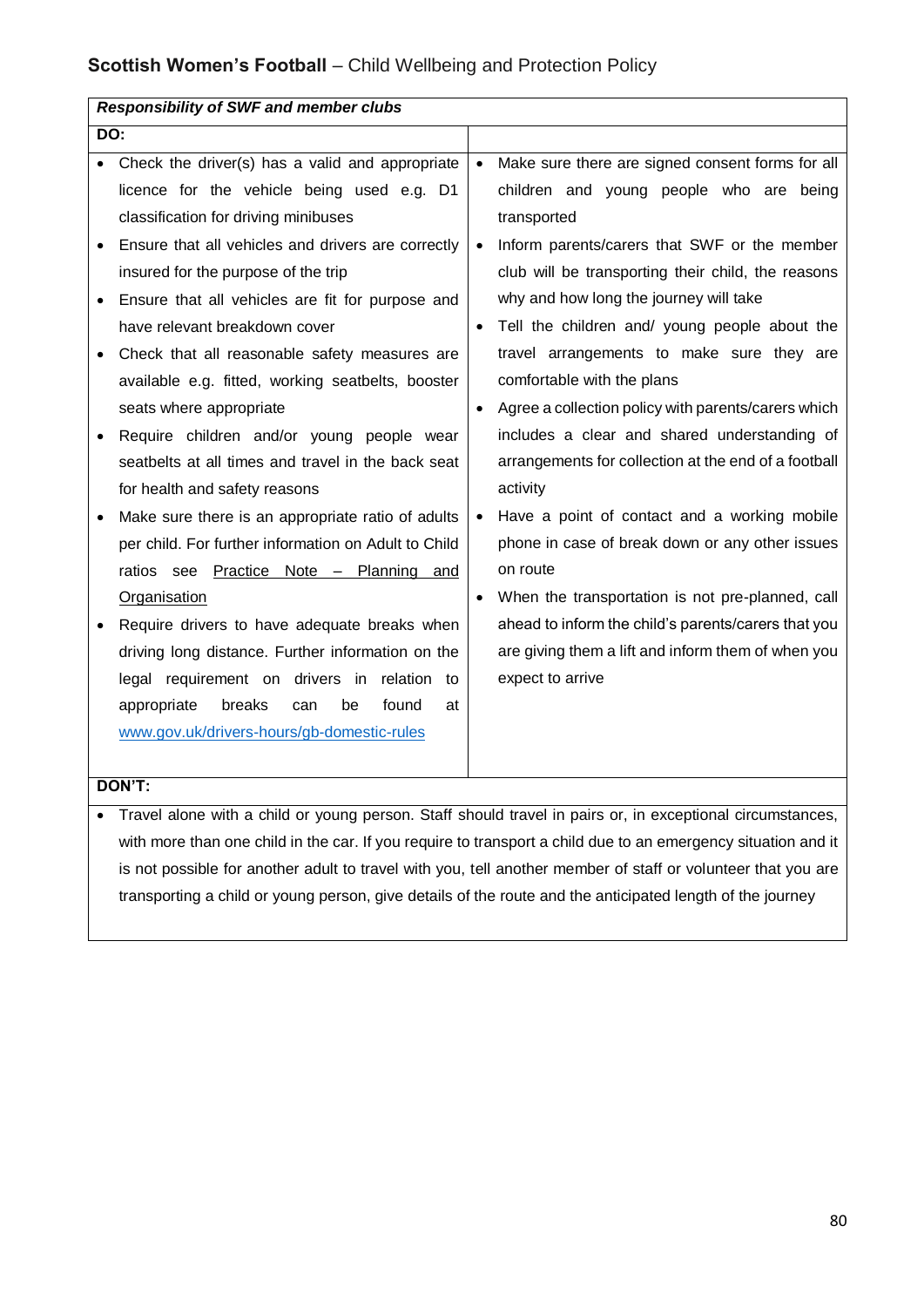|           | <b>Responsibility of SWF and member clubs</b>        |           |                                                      |
|-----------|------------------------------------------------------|-----------|------------------------------------------------------|
| DO:       |                                                      |           |                                                      |
|           | Check the driver(s) has a valid and appropriate      | $\bullet$ | Make sure there are signed consent forms for all     |
|           | licence for the vehicle being used e.g. D1           |           | children and young people who are being              |
|           | classification for driving minibuses                 |           | transported                                          |
|           | Ensure that all vehicles and drivers are correctly   |           | Inform parents/carers that SWF or the member         |
|           | insured for the purpose of the trip                  |           | club will be transporting their child, the reasons   |
| $\bullet$ | Ensure that all vehicles are fit for purpose and     |           | why and how long the journey will take               |
|           | have relevant breakdown cover                        | $\bullet$ | Tell the children and/ young people about the        |
|           | Check that all reasonable safety measures are        |           | travel arrangements to make sure they are            |
|           | available e.g. fitted, working seatbelts, booster    |           | comfortable with the plans                           |
|           | seats where appropriate                              | $\bullet$ | Agree a collection policy with parents/carers which  |
|           | Require children and/or young people wear            |           | includes a clear and shared understanding of         |
|           | seatbelts at all times and travel in the back seat   |           | arrangements for collection at the end of a football |
|           | for health and safety reasons                        |           | activity                                             |
|           | Make sure there is an appropriate ratio of adults    | $\bullet$ | Have a point of contact and a working mobile         |
|           | per child. For further information on Adult to Child |           | phone in case of break down or any other issues      |
|           | ratios see Practice Note - Planning and              |           | on route                                             |
|           | <b>Organisation</b>                                  | $\bullet$ | When the transportation is not pre-planned, call     |
|           | Require drivers to have adequate breaks when         |           | ahead to inform the child's parents/carers that you  |
|           | driving long distance. Further information on the    |           | are giving them a lift and inform them of when you   |
|           | legal requirement on drivers in relation to          |           | expect to arrive                                     |
|           | appropriate<br>breaks<br>be<br>found<br>can<br>at    |           |                                                      |
|           | www.gov.uk/drivers-hours/gb-domestic-rules           |           |                                                      |
|           |                                                      |           |                                                      |
|           | DON'T:                                               |           |                                                      |

• Travel alone with a child or young person. Staff should travel in pairs or, in exceptional circumstances, with more than one child in the car. If you require to transport a child due to an emergency situation and it is not possible for another adult to travel with you, tell another member of staff or volunteer that you are transporting a child or young person, give details of the route and the anticipated length of the journey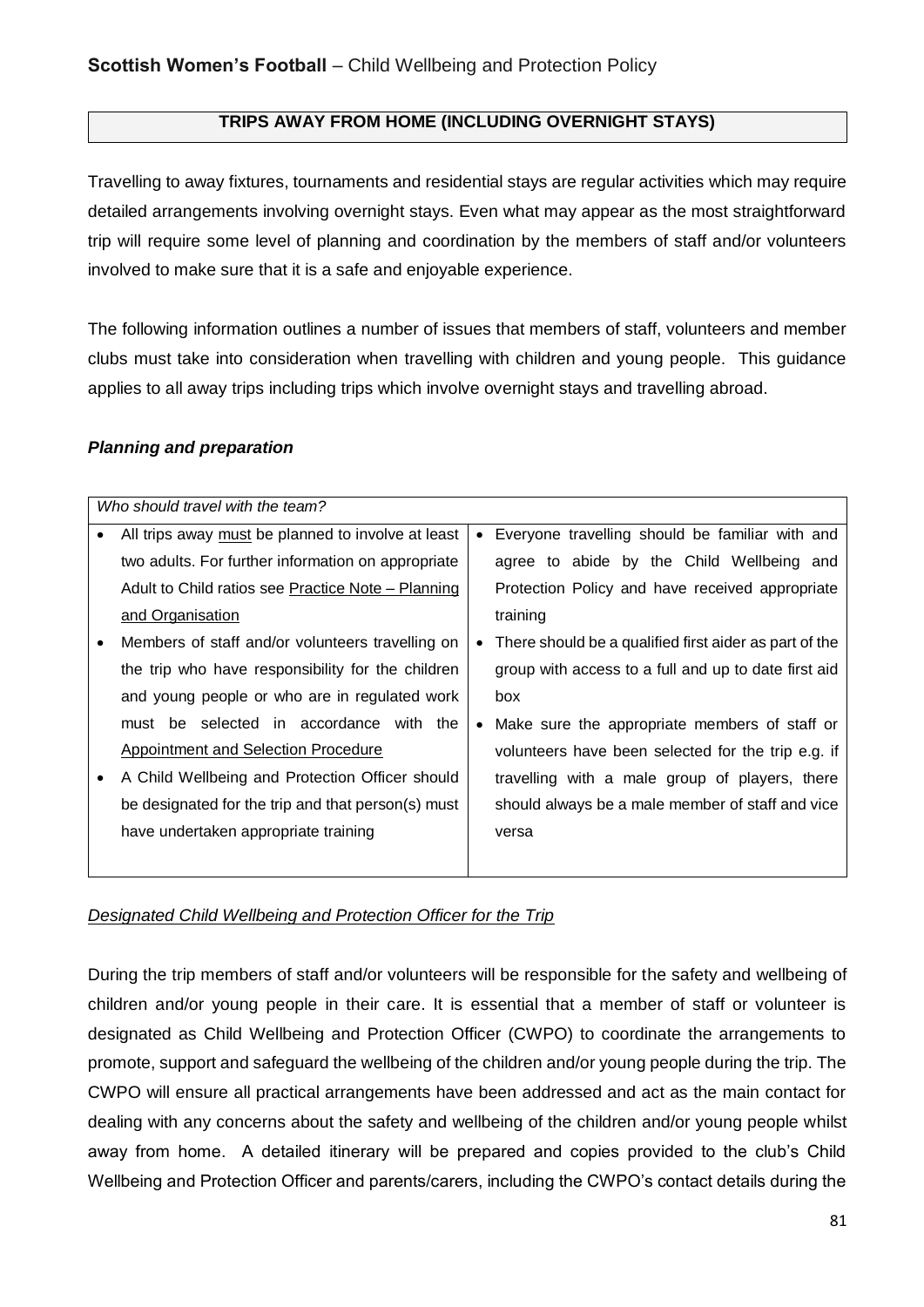### **TRIPS AWAY FROM HOME (INCLUDING OVERNIGHT STAYS)**

Travelling to away fixtures, tournaments and residential stays are regular activities which may require detailed arrangements involving overnight stays. Even what may appear as the most straightforward trip will require some level of planning and coordination by the members of staff and/or volunteers involved to make sure that it is a safe and enjoyable experience.

The following information outlines a number of issues that members of staff, volunteers and member clubs must take into consideration when travelling with children and young people. This guidance applies to all away trips including trips which involve overnight stays and travelling abroad.

#### *Planning and preparation*

| Who should travel with the team?                   |           |                                                        |
|----------------------------------------------------|-----------|--------------------------------------------------------|
| All trips away must be planned to involve at least | $\bullet$ | Everyone travelling should be familiar with and        |
| two adults. For further information on appropriate |           | agree to abide by the Child Wellbeing and              |
| Adult to Child ratios see Practice Note – Planning |           | Protection Policy and have received appropriate        |
| and Organisation                                   |           | training                                               |
| Members of staff and/or volunteers travelling on   | $\bullet$ | There should be a qualified first aider as part of the |
| the trip who have responsibility for the children  |           | group with access to a full and up to date first aid   |
| and young people or who are in regulated work      |           | box                                                    |
| must be selected in accordance with the            | $\bullet$ | Make sure the appropriate members of staff or          |
| Appointment and Selection Procedure                |           | volunteers have been selected for the trip e.g. if     |
| A Child Wellbeing and Protection Officer should    |           | travelling with a male group of players, there         |
| be designated for the trip and that person(s) must |           | should always be a male member of staff and vice       |
| have undertaken appropriate training               |           | versa                                                  |
|                                                    |           |                                                        |

#### *Designated Child Wellbeing and Protection Officer for the Trip*

During the trip members of staff and/or volunteers will be responsible for the safety and wellbeing of children and/or young people in their care. It is essential that a member of staff or volunteer is designated as Child Wellbeing and Protection Officer (CWPO) to coordinate the arrangements to promote, support and safeguard the wellbeing of the children and/or young people during the trip. The CWPO will ensure all practical arrangements have been addressed and act as the main contact for dealing with any concerns about the safety and wellbeing of the children and/or young people whilst away from home. A detailed itinerary will be prepared and copies provided to the club's Child Wellbeing and Protection Officer and parents/carers, including the CWPO's contact details during the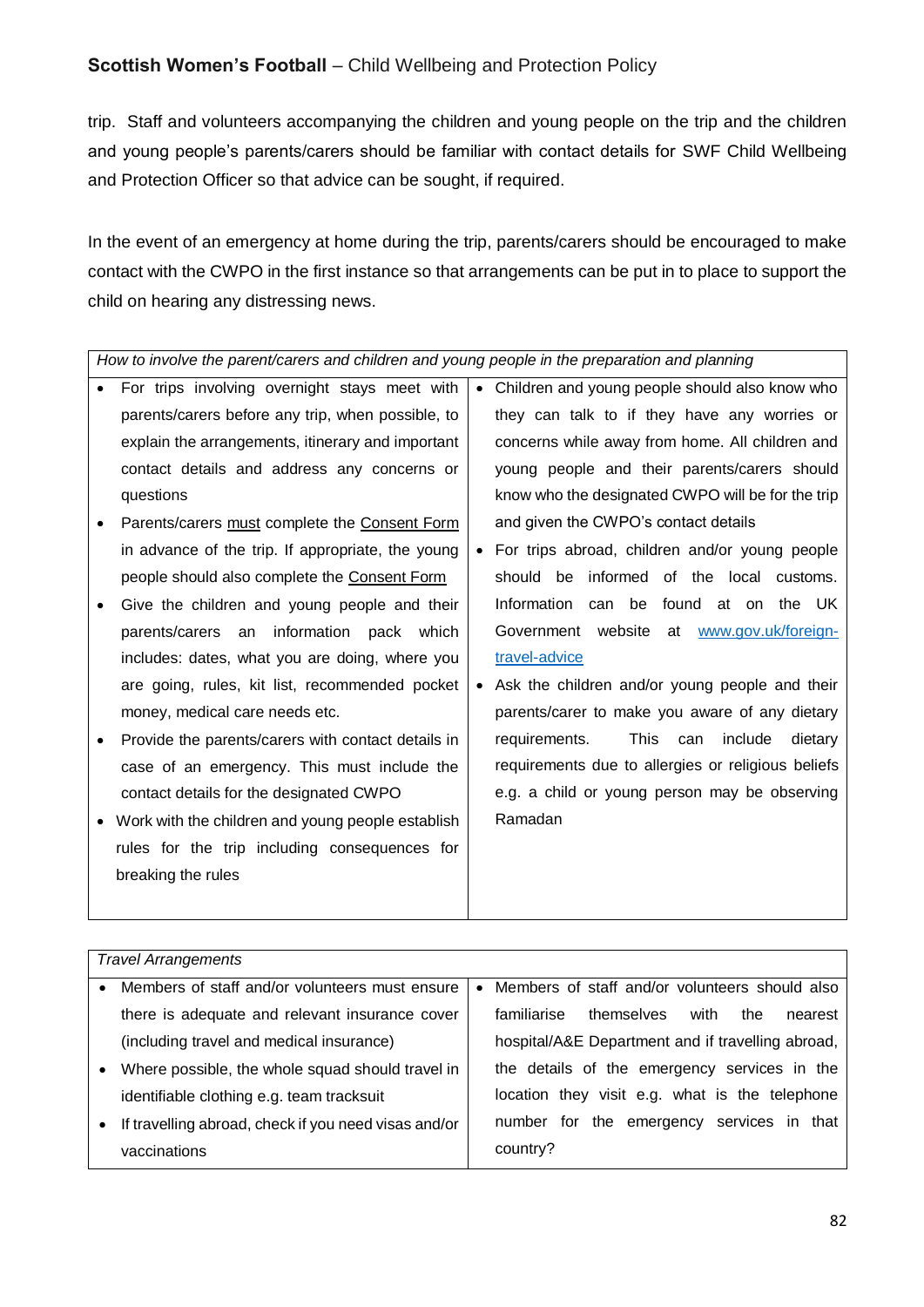trip. Staff and volunteers accompanying the children and young people on the trip and the children and young people's parents/carers should be familiar with contact details for SWF Child Wellbeing and Protection Officer so that advice can be sought, if required.

In the event of an emergency at home during the trip, parents/carers should be encouraged to make contact with the CWPO in the first instance so that arrangements can be put in to place to support the child on hearing any distressing news.

*How to involve the parent/carers and children and young people in the preparation and planning* 

- For trips involving overnight stays meet with parents/carers before any trip, when possible, to explain the arrangements, itinerary and important contact details and address any concerns or questions
- Parents/carers must complete the Consent Form in advance of the trip. If appropriate, the young people should also complete the Consent Form
- Give the children and young people and their parents/carers an information pack which includes: dates, what you are doing, where you are going, rules, kit list, recommended pocket money, medical care needs etc.
- Provide the parents/carers with contact details in case of an emergency. This must include the contact details for the designated CWPO
- Work with the children and young people establish rules for the trip including consequences for breaking the rules
- Children and young people should also know who they can talk to if they have any worries or concerns while away from home. All children and young people and their parents/carers should know who the designated CWPO will be for the trip and given the CWPO's contact details
- For trips abroad, children and/or young people should be informed of the local customs. Information can be found at on the UK Government website at [www.gov.uk/foreign](http://www.gov.uk/foreign-travel-advice)[travel-advice](http://www.gov.uk/foreign-travel-advice)
- Ask the children and/or young people and their parents/carer to make you aware of any dietary requirements. This can include dietary requirements due to allergies or religious beliefs e.g. a child or young person may be observing Ramadan

|           | <b>Travel Arrangements</b>                           |           |                                                     |
|-----------|------------------------------------------------------|-----------|-----------------------------------------------------|
| $\bullet$ | Members of staff and/or volunteers must ensure       | $\bullet$ | Members of staff and/or volunteers should also      |
|           | there is adequate and relevant insurance cover       |           | themselves<br>familiarise<br>with<br>the<br>nearest |
|           | (including travel and medical insurance)             |           | hospital/A&E Department and if travelling abroad,   |
| $\bullet$ | Where possible, the whole squad should travel in     |           | the details of the emergency services in the        |
|           | identifiable clothing e.g. team tracksuit            |           | visit e.g. what is the telephone<br>location they   |
| $\bullet$ | If travelling abroad, check if you need visas and/or |           | services in that<br>for the emergency<br>number     |
|           | vaccinations                                         |           | country?                                            |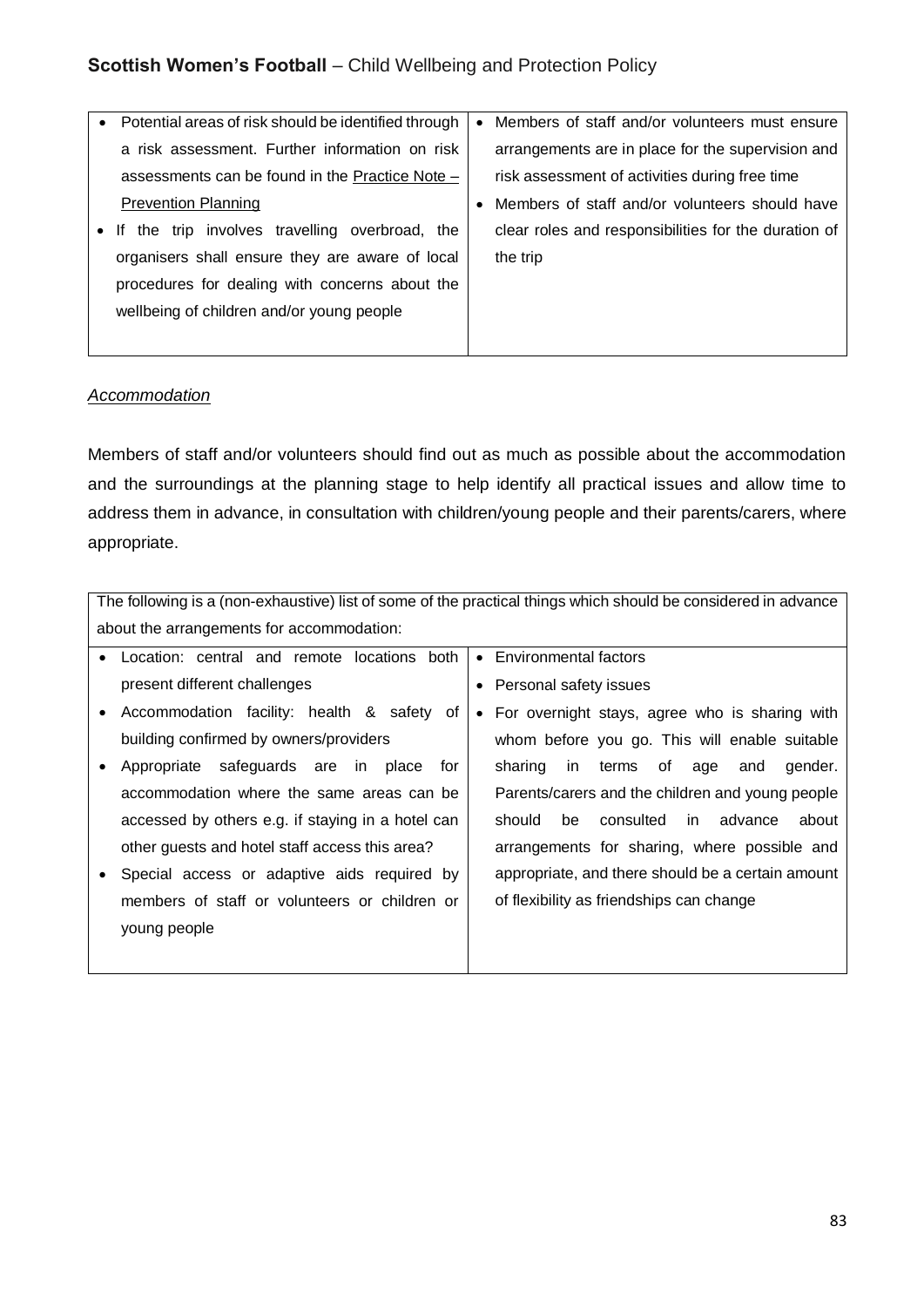| • Potential areas of risk should be identified through | $\bullet$ | Members of staff and/or volunteers must ensure       |
|--------------------------------------------------------|-----------|------------------------------------------------------|
| a risk assessment. Further information on risk         |           | arrangements are in place for the supervision and    |
| assessments can be found in the Practice Note -        |           | risk assessment of activities during free time       |
| <b>Prevention Planning</b>                             | $\bullet$ | Members of staff and/or volunteers should have       |
| • If the trip involves travelling overbroad, the       |           | clear roles and responsibilities for the duration of |
| organisers shall ensure they are aware of local        |           | the trip                                             |
| procedures for dealing with concerns about the         |           |                                                      |
| wellbeing of children and/or young people              |           |                                                      |
|                                                        |           |                                                      |

#### *Accommodation*

Members of staff and/or volunteers should find out as much as possible about the accommodation and the surroundings at the planning stage to help identify all practical issues and allow time to address them in advance, in consultation with children/young people and their parents/carers, where appropriate.

|           | The following is a (non-exhaustive) list of some of the practical things which should be considered in advance |  |                                                      |
|-----------|----------------------------------------------------------------------------------------------------------------|--|------------------------------------------------------|
|           | about the arrangements for accommodation:                                                                      |  |                                                      |
| $\bullet$ | Location: central and remote locations both                                                                    |  | • Environmental factors                              |
|           | present different challenges                                                                                   |  | Personal safety issues                               |
| ٠         | Accommodation facility: health & safety<br>of                                                                  |  | • For overnight stays, agree who is sharing with     |
|           | building confirmed by owners/providers                                                                         |  | whom before you go. This will enable suitable        |
|           | Appropriate safeguards are in place<br>for                                                                     |  | terms of<br>in i<br>gender.<br>sharing<br>age<br>and |
|           | accommodation where the same areas can be                                                                      |  | Parents/carers and the children and young people     |
|           | accessed by others e.g. if staying in a hotel can                                                              |  | should<br>consulted<br>about<br>be<br>in advance     |
|           | other guests and hotel staff access this area?                                                                 |  | arrangements for sharing, where possible and         |
|           | Special access or adaptive aids required by                                                                    |  | appropriate, and there should be a certain amount    |
|           | members of staff or volunteers or children or                                                                  |  | of flexibility as friendships can change             |
|           | young people                                                                                                   |  |                                                      |
|           |                                                                                                                |  |                                                      |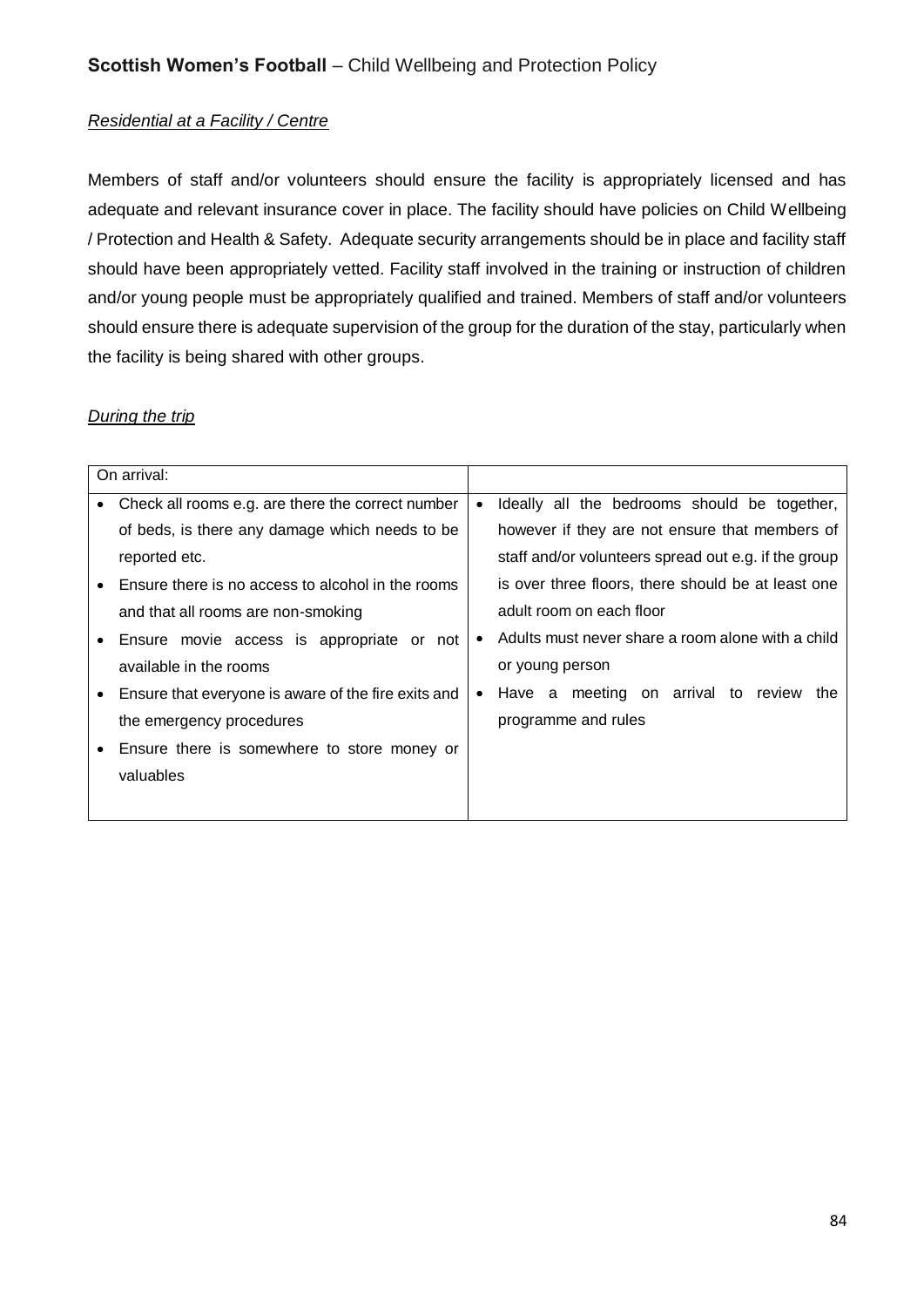#### *Residential at a Facility / Centre*

Members of staff and/or volunteers should ensure the facility is appropriately licensed and has adequate and relevant insurance cover in place. The facility should have policies on Child Wellbeing / Protection and Health & Safety. Adequate security arrangements should be in place and facility staff should have been appropriately vetted. Facility staff involved in the training or instruction of children and/or young people must be appropriately qualified and trained. Members of staff and/or volunteers should ensure there is adequate supervision of the group for the duration of the stay, particularly when the facility is being shared with other groups.

#### *During the trip*

|   | On arrival:                                         |           |                                                      |
|---|-----------------------------------------------------|-----------|------------------------------------------------------|
| ٠ | Check all rooms e.g. are there the correct number   | $\bullet$ | Ideally all the bedrooms should be together,         |
|   | of beds, is there any damage which needs to be      |           | however if they are not ensure that members of       |
|   | reported etc.                                       |           | staff and/or volunteers spread out e.g. if the group |
|   | Ensure there is no access to alcohol in the rooms   |           | is over three floors, there should be at least one   |
|   | and that all rooms are non-smoking                  |           | adult room on each floor                             |
|   | Ensure movie access is appropriate or not           | $\bullet$ | Adults must never share a room alone with a child    |
|   | available in the rooms                              |           | or young person                                      |
|   | Ensure that everyone is aware of the fire exits and | $\bullet$ | Have a meeting on arrival to review<br>the           |
|   | the emergency procedures                            |           | programme and rules                                  |
|   | Ensure there is somewhere to store money or         |           |                                                      |
|   | valuables                                           |           |                                                      |
|   |                                                     |           |                                                      |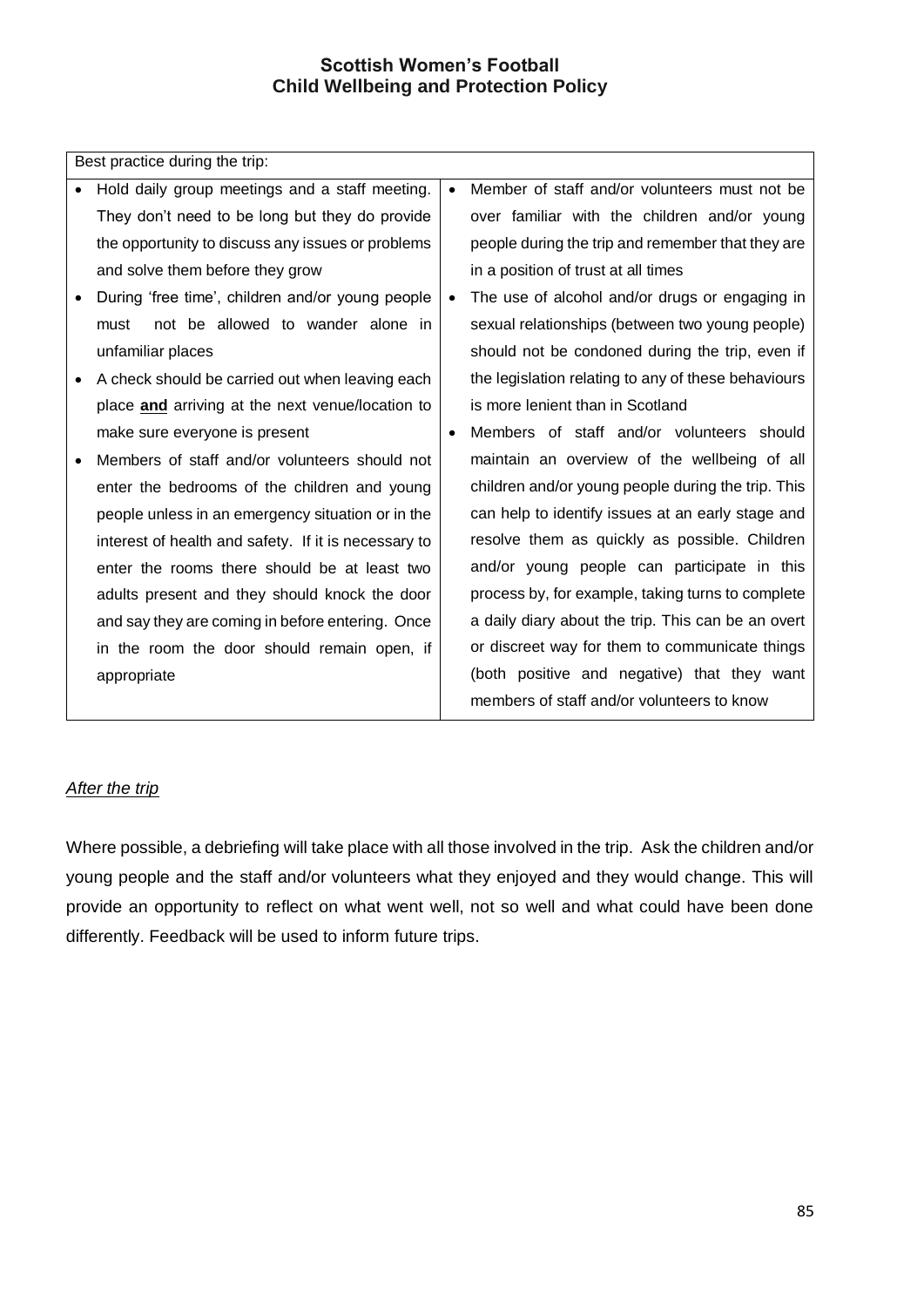Best practice during the trip:

- Hold daily group meetings and a staff meeting. They don't need to be long but they do provide the opportunity to discuss any issues or problems and solve them before they grow
- During 'free time', children and/or young people must not be allowed to wander alone in unfamiliar places
- A check should be carried out when leaving each place **and** arriving at the next venue/location to make sure everyone is present
- Members of staff and/or volunteers should not enter the bedrooms of the children and young people unless in an emergency situation or in the interest of health and safety. If it is necessary to enter the rooms there should be at least two adults present and they should knock the door and say they are coming in before entering. Once in the room the door should remain open, if appropriate
- Member of staff and/or volunteers must not be over familiar with the children and/or young people during the trip and remember that they are in a position of trust at all times
- The use of alcohol and/or drugs or engaging in sexual relationships (between two young people) should not be condoned during the trip, even if the legislation relating to any of these behaviours is more lenient than in Scotland
- Members of staff and/or volunteers should maintain an overview of the wellbeing of all children and/or young people during the trip. This can help to identify issues at an early stage and resolve them as quickly as possible. Children and/or young people can participate in this process by, for example, taking turns to complete a daily diary about the trip. This can be an overt or discreet way for them to communicate things (both positive and negative) that they want members of staff and/or volunteers to know

#### *After the trip*

Where possible, a debriefing will take place with all those involved in the trip. Ask the children and/or young people and the staff and/or volunteers what they enjoyed and they would change. This will provide an opportunity to reflect on what went well, not so well and what could have been done differently. Feedback will be used to inform future trips.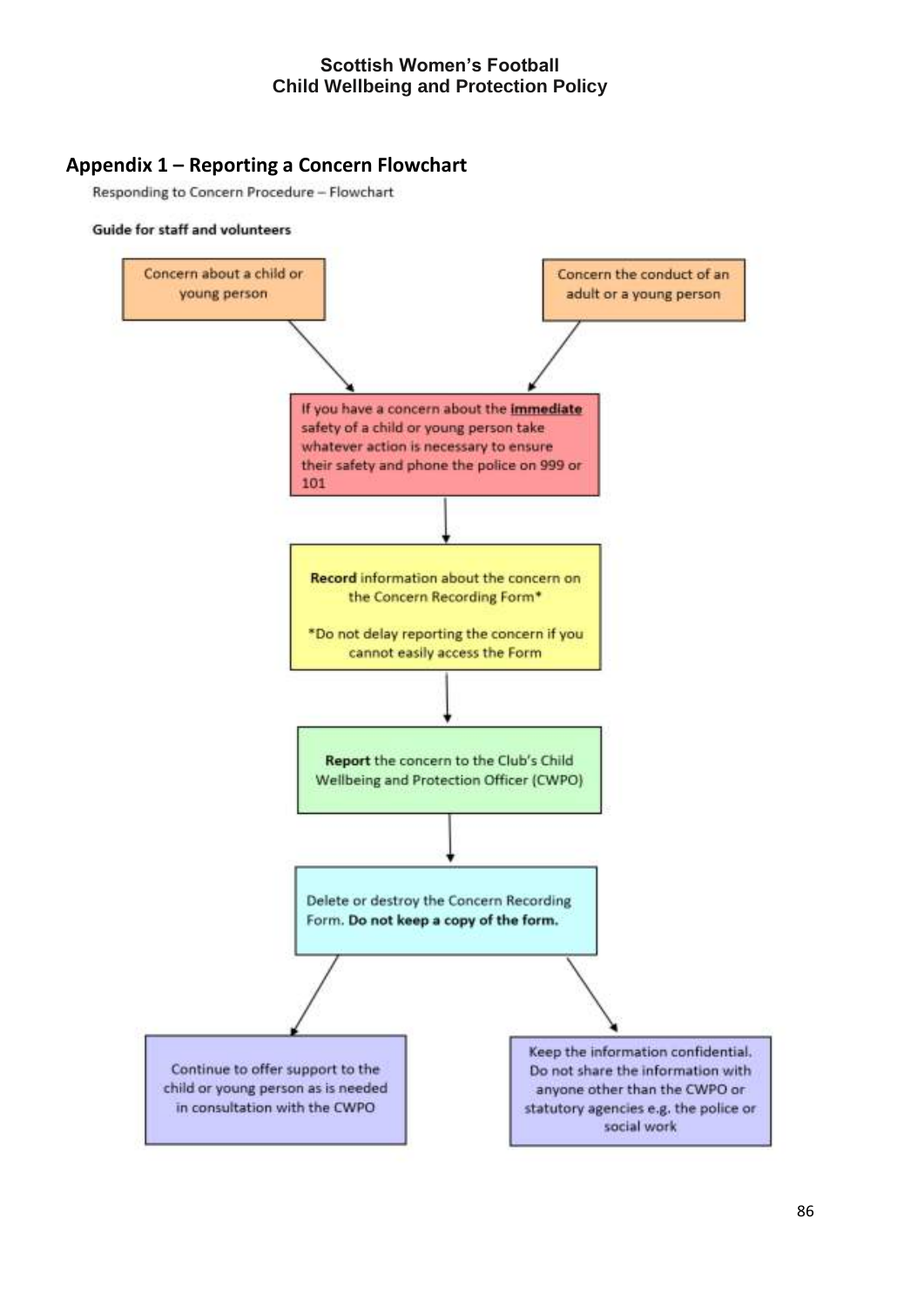# **Appendix 1 – Reporting a Concern Flowchart**

Responding to Concern Procedure - Flowchart

#### Guide for staff and volunteers

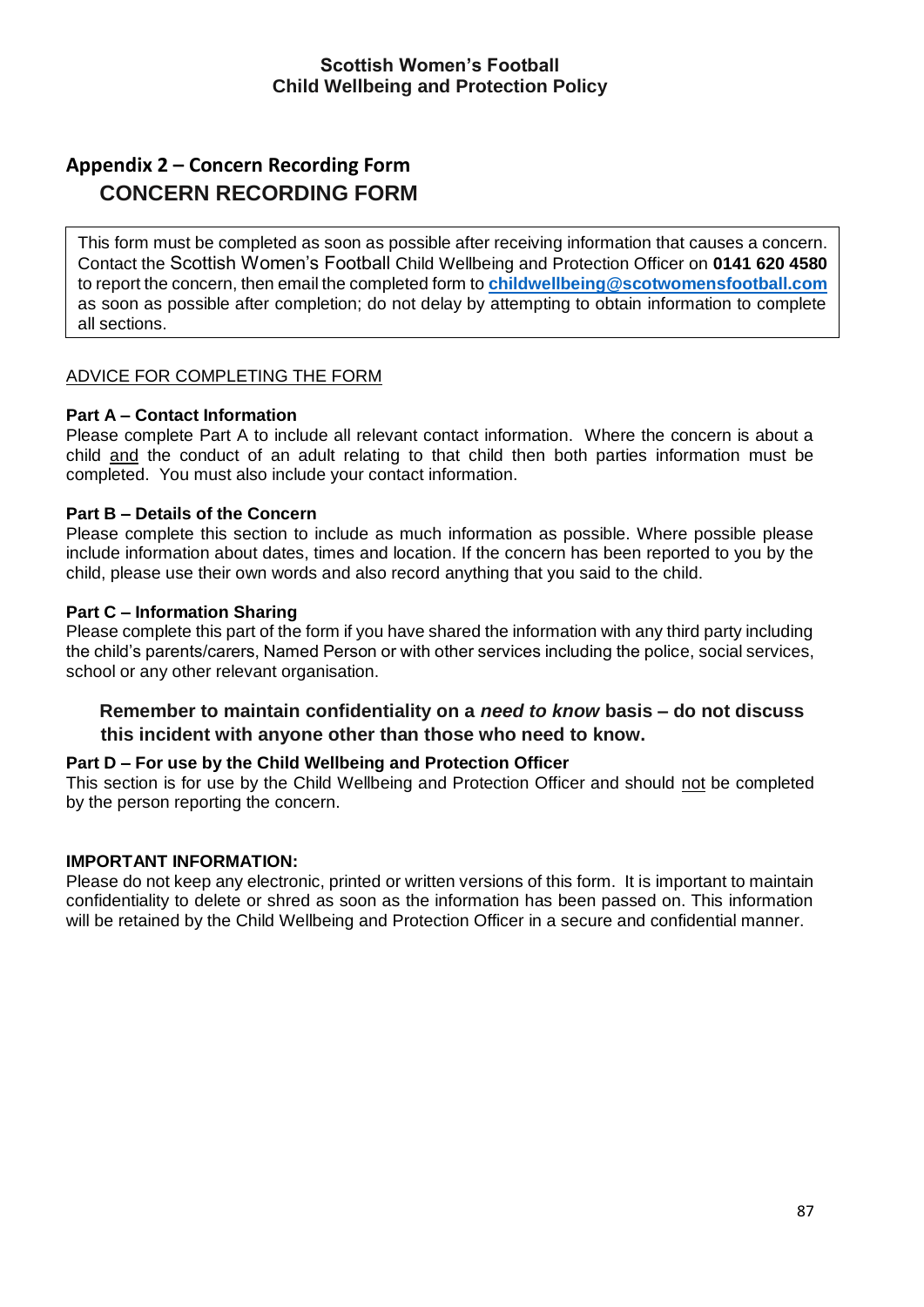# **Appendix 2 – Concern Recording Form CONCERN RECORDING FORM**

This form must be completed as soon as possible after receiving information that causes a concern. Contact the Scottish Women's Football Child Wellbeing and Protection Officer on **0141 620 4580** to report the concern, then email the completed form to **childwellbeing@scotwomensfootball.com** as soon as possible after completion; do not delay by attempting to obtain information to complete all sections.

#### ADVICE FOR COMPLETING THE FORM

#### **Part A – Contact Information**

Please complete Part A to include all relevant contact information. Where the concern is about a child and the conduct of an adult relating to that child then both parties information must be completed. You must also include your contact information.

#### **Part B – Details of the Concern**

Please complete this section to include as much information as possible. Where possible please include information about dates, times and location. If the concern has been reported to you by the child, please use their own words and also record anything that you said to the child.

#### **Part C – Information Sharing**

Please complete this part of the form if you have shared the information with any third party including the child's parents/carers, Named Person or with other services including the police, social services, school or any other relevant organisation.

#### **Remember to maintain confidentiality on a** *need to know* **basis – do not discuss this incident with anyone other than those who need to know.**

#### **Part D – For use by the Child Wellbeing and Protection Officer**

This section is for use by the Child Wellbeing and Protection Officer and should not be completed by the person reporting the concern.

#### **IMPORTANT INFORMATION:**

Please do not keep any electronic, printed or written versions of this form. It is important to maintain confidentiality to delete or shred as soon as the information has been passed on. This information will be retained by the Child Wellbeing and Protection Officer in a secure and confidential manner.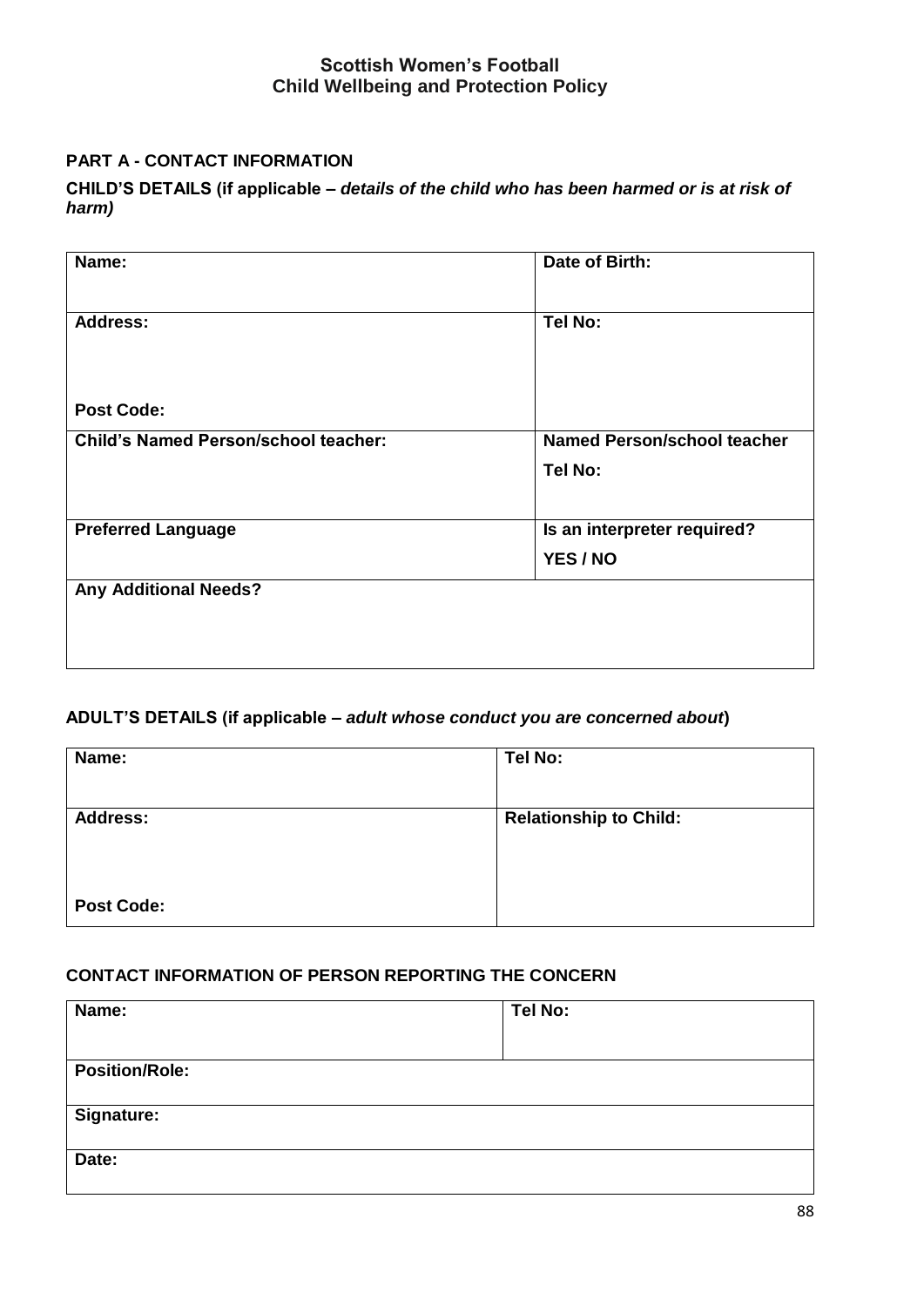## **PART A - CONTACT INFORMATION**

**CHILD'S DETAILS (if applicable –** *details of the child who has been harmed or is at risk of harm)* 

| Name:                                       | Date of Birth:                     |
|---------------------------------------------|------------------------------------|
| <b>Address:</b>                             | Tel No:                            |
|                                             |                                    |
| <b>Post Code:</b>                           |                                    |
| <b>Child's Named Person/school teacher:</b> | <b>Named Person/school teacher</b> |
|                                             | Tel No:                            |
| <b>Preferred Language</b>                   | Is an interpreter required?        |
|                                             | YES / NO                           |
| <b>Any Additional Needs?</b>                |                                    |
|                                             |                                    |
|                                             |                                    |
|                                             |                                    |

# **ADULT'S DETAILS (if applicable –** *adult whose conduct you are concerned about***)**

| Name:             | Tel No:                       |
|-------------------|-------------------------------|
| <b>Address:</b>   | <b>Relationship to Child:</b> |
| <b>Post Code:</b> |                               |

### **CONTACT INFORMATION OF PERSON REPORTING THE CONCERN**

| Name:                 | Tel No: |
|-----------------------|---------|
| <b>Position/Role:</b> |         |
| Signature:            |         |
| Date:                 |         |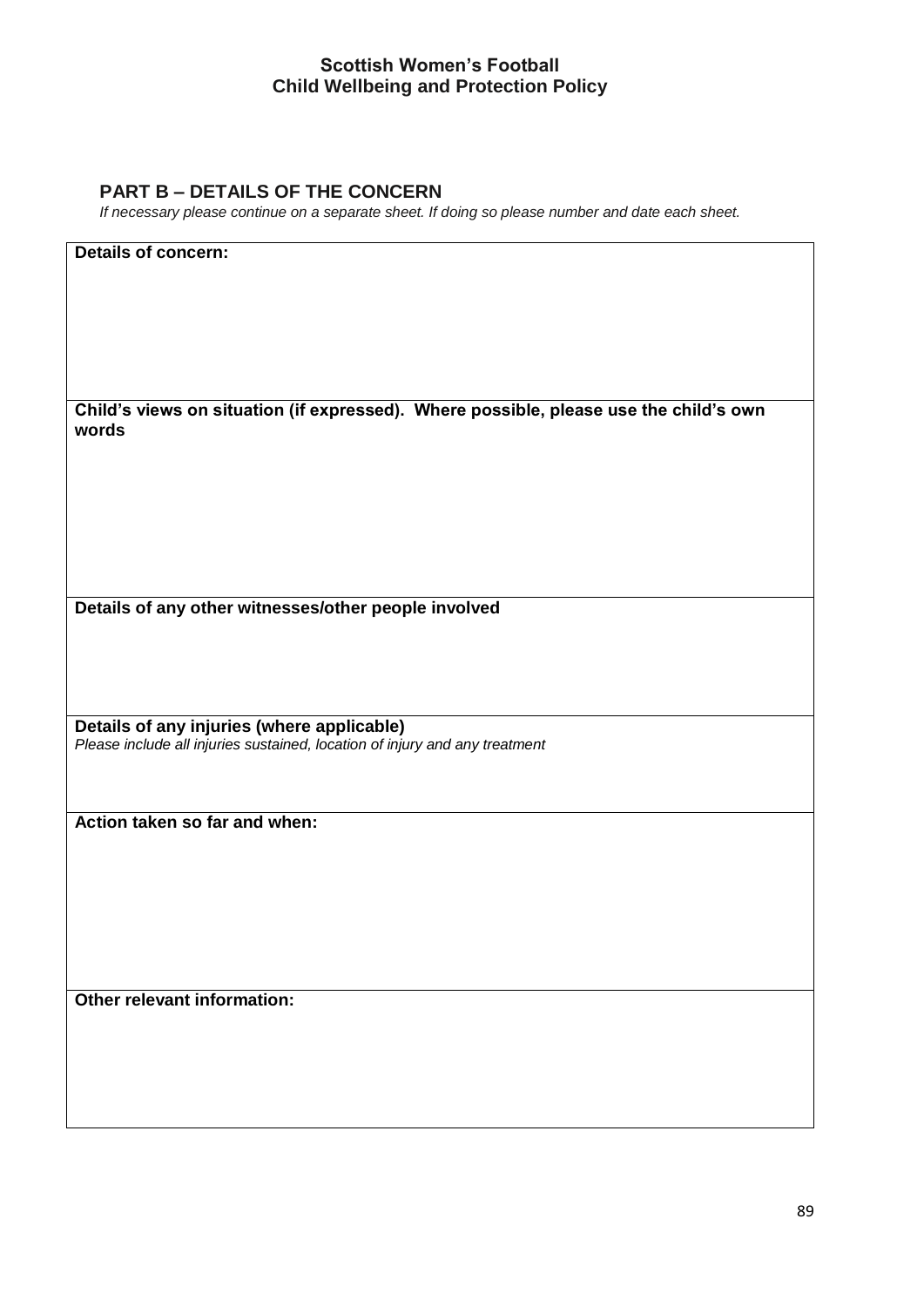# **PART B – DETAILS OF THE CONCERN**

*If necessary please continue on a separate sheet. If doing so please number and date each sheet.* 

| <b>Details of concern:</b>                                                                     |
|------------------------------------------------------------------------------------------------|
|                                                                                                |
|                                                                                                |
|                                                                                                |
|                                                                                                |
|                                                                                                |
| Child's views on situation (if expressed). Where possible, please use the child's own<br>words |
|                                                                                                |
|                                                                                                |
|                                                                                                |
|                                                                                                |
|                                                                                                |
|                                                                                                |
| Details of any other witnesses/other people involved                                           |
|                                                                                                |
|                                                                                                |
|                                                                                                |
| Details of any injuries (where applicable)                                                     |
| Please include all injuries sustained, location of injury and any treatment                    |
|                                                                                                |
|                                                                                                |
| Action taken so far and when:                                                                  |
|                                                                                                |
|                                                                                                |
|                                                                                                |
|                                                                                                |
|                                                                                                |
|                                                                                                |
| Other relevant information:                                                                    |
|                                                                                                |
|                                                                                                |
|                                                                                                |
|                                                                                                |
|                                                                                                |
|                                                                                                |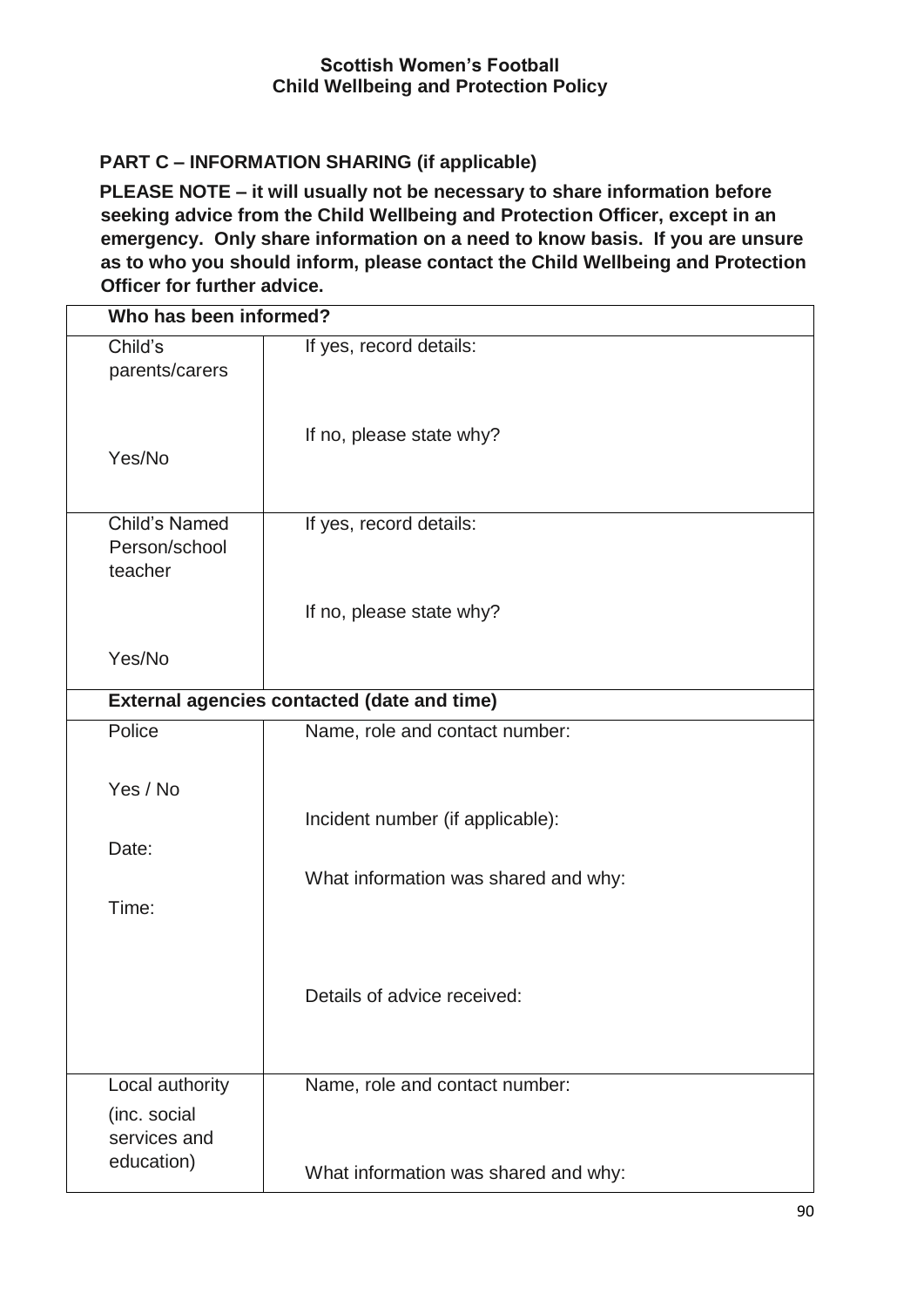# **PART C – INFORMATION SHARING (if applicable)**

**PLEASE NOTE – it will usually not be necessary to share information before seeking advice from the Child Wellbeing and Protection Officer, except in an emergency. Only share information on a need to know basis. If you are unsure as to who you should inform, please contact the Child Wellbeing and Protection Officer for further advice.** 

| Child's<br>parents/carers    | If yes, record details:                            |
|------------------------------|----------------------------------------------------|
| Yes/No                       | If no, please state why?                           |
| <b>Child's Named</b>         | If yes, record details:                            |
| Person/school<br>teacher     |                                                    |
| Yes/No                       | If no, please state why?                           |
|                              | <b>External agencies contacted (date and time)</b> |
| Police                       | Name, role and contact number:                     |
| Yes / No                     |                                                    |
| Date:                        | Incident number (if applicable):                   |
|                              | What information was shared and why:               |
| Time:                        |                                                    |
|                              | Details of advice received:                        |
| Local authority              | Name, role and contact number:                     |
| (inc. social<br>services and |                                                    |
| education)                   | What information was shared and why:               |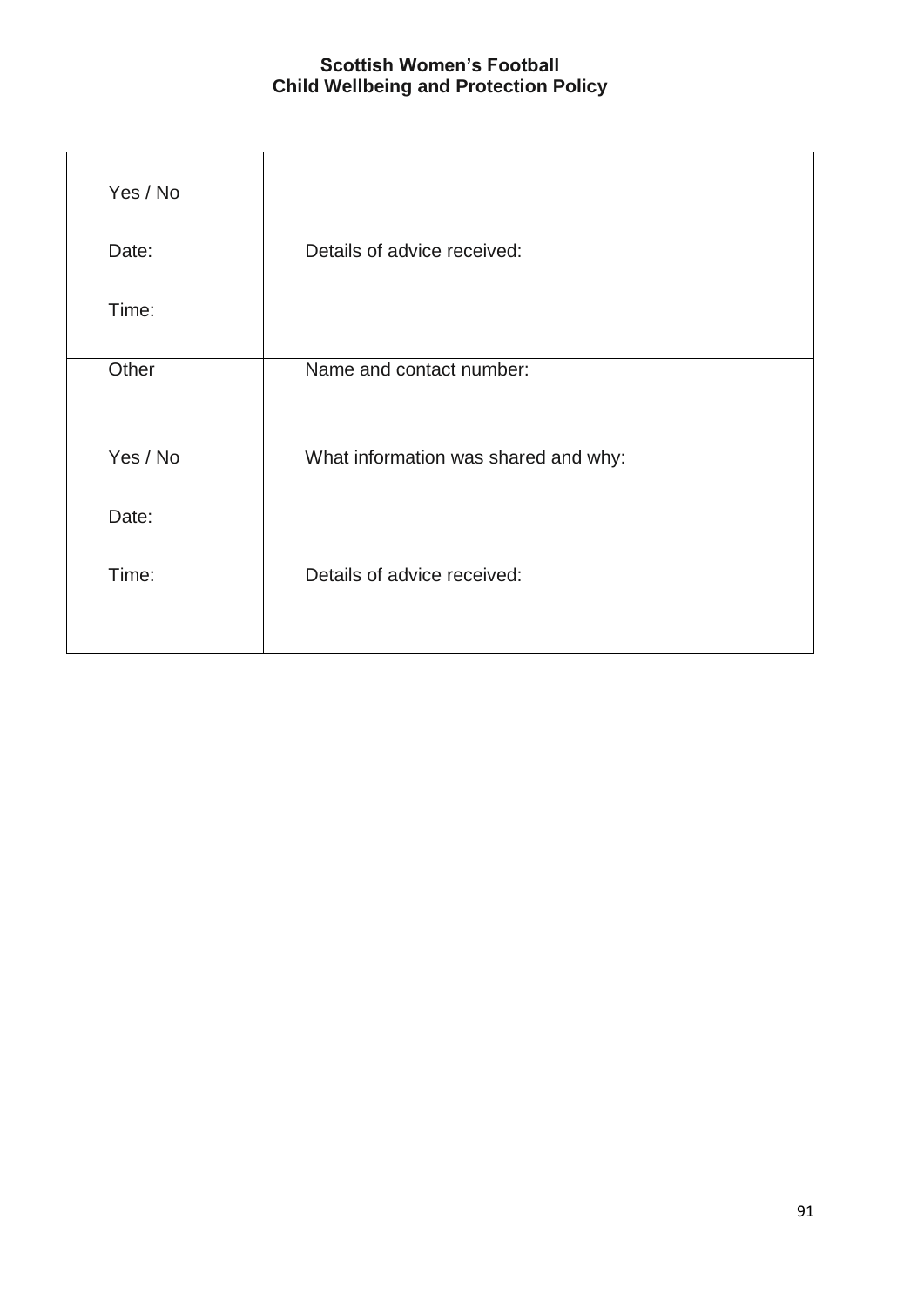| Details of advice received:          |
|--------------------------------------|
|                                      |
| Name and contact number:             |
| What information was shared and why: |
|                                      |
| Details of advice received:          |
|                                      |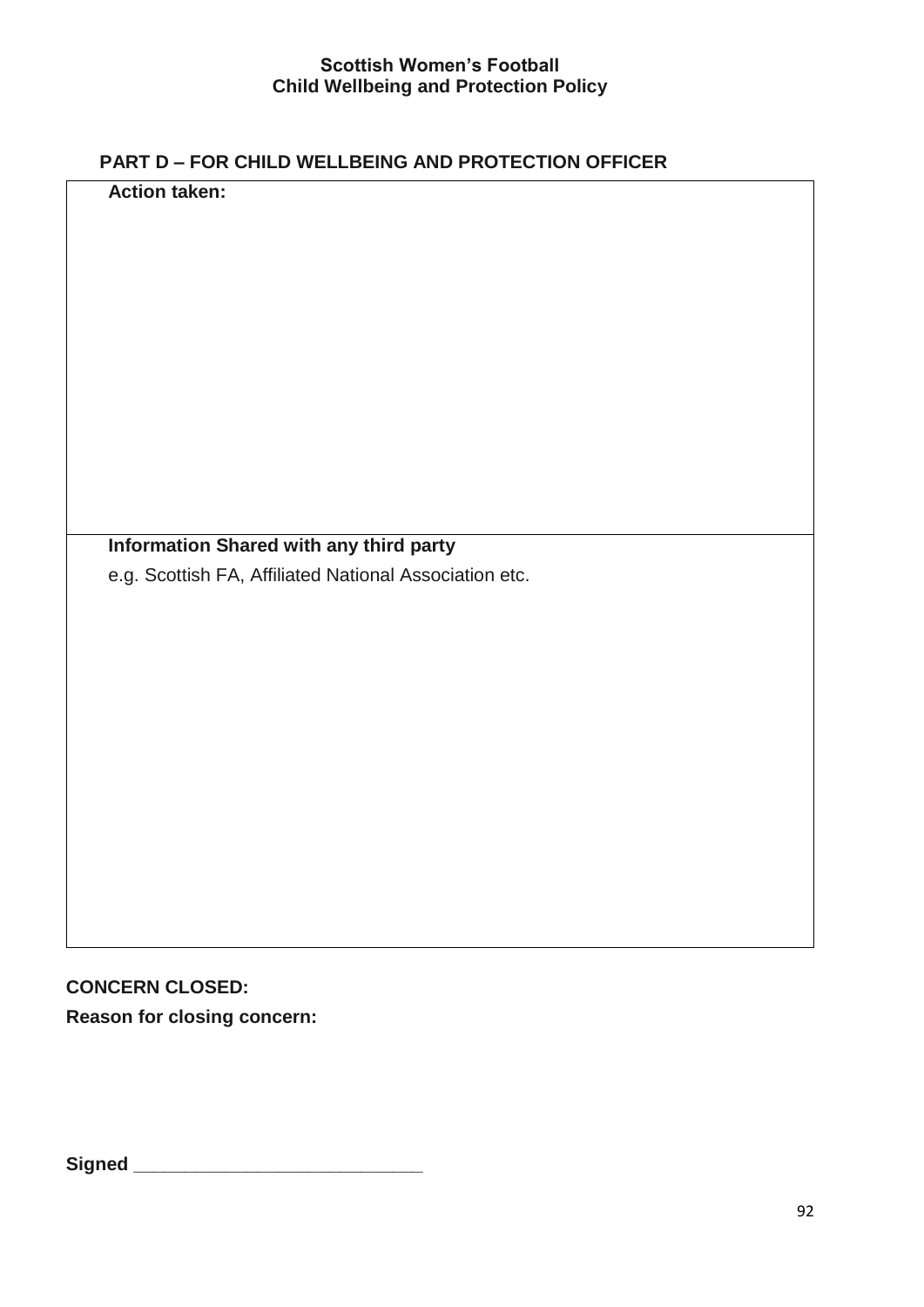# **PART D – FOR CHILD WELLBEING AND PROTECTION OFFICER**

**Information Shared with any third party** 

e.g. Scottish FA, Affiliated National Association etc.

**CONCERN CLOSED: Reason for closing concern:** 

**Action taken:** 

**Signed \_\_\_\_\_\_\_\_\_\_\_\_\_\_\_\_\_\_\_\_\_\_\_\_\_\_\_\_**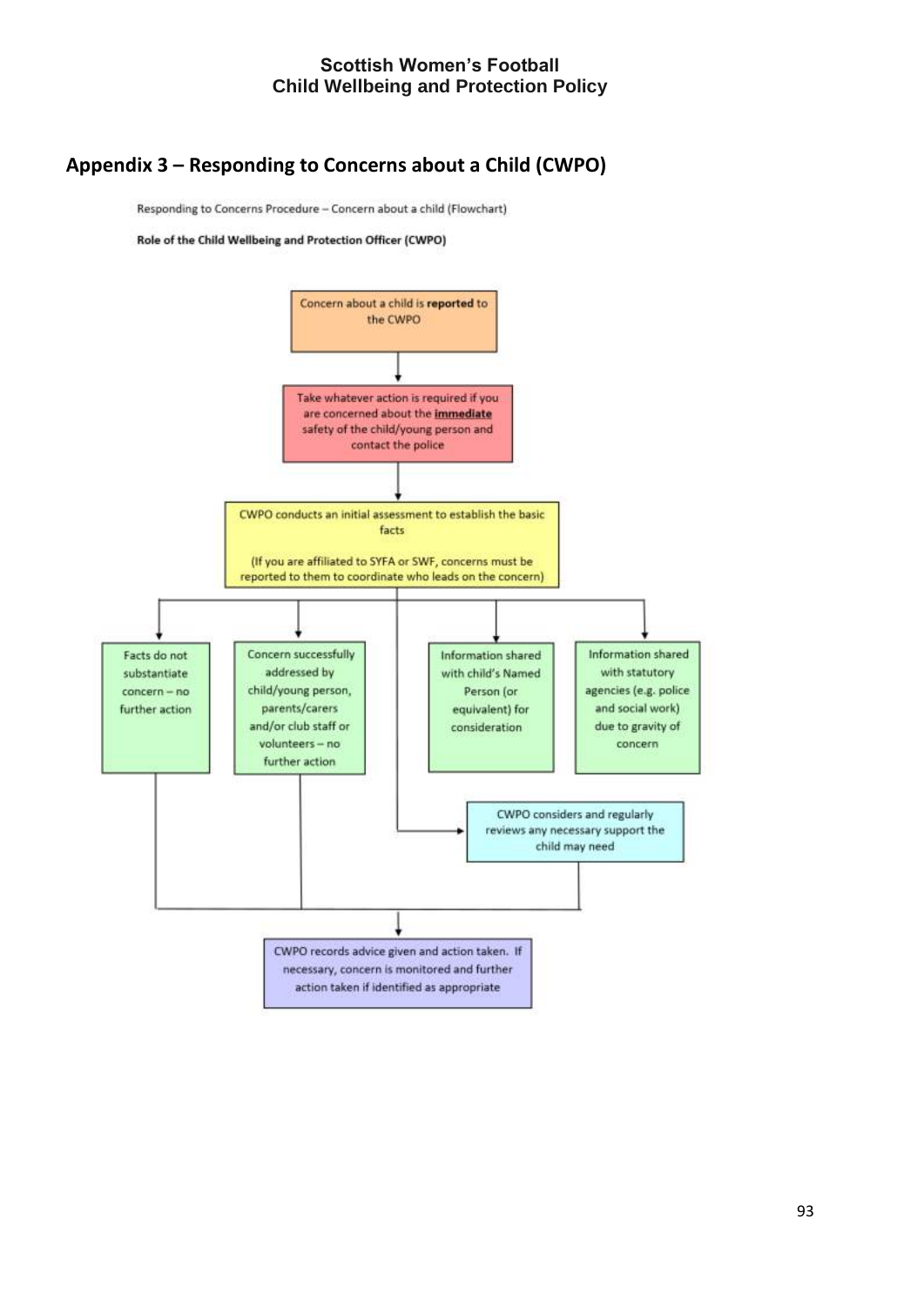# **Appendix 3 – Responding to Concerns about a Child (CWPO)**

Responding to Concerns Procedure - Concern about a child (Flowchart)

Role of the Child Wellbeing and Protection Officer (CWPO)

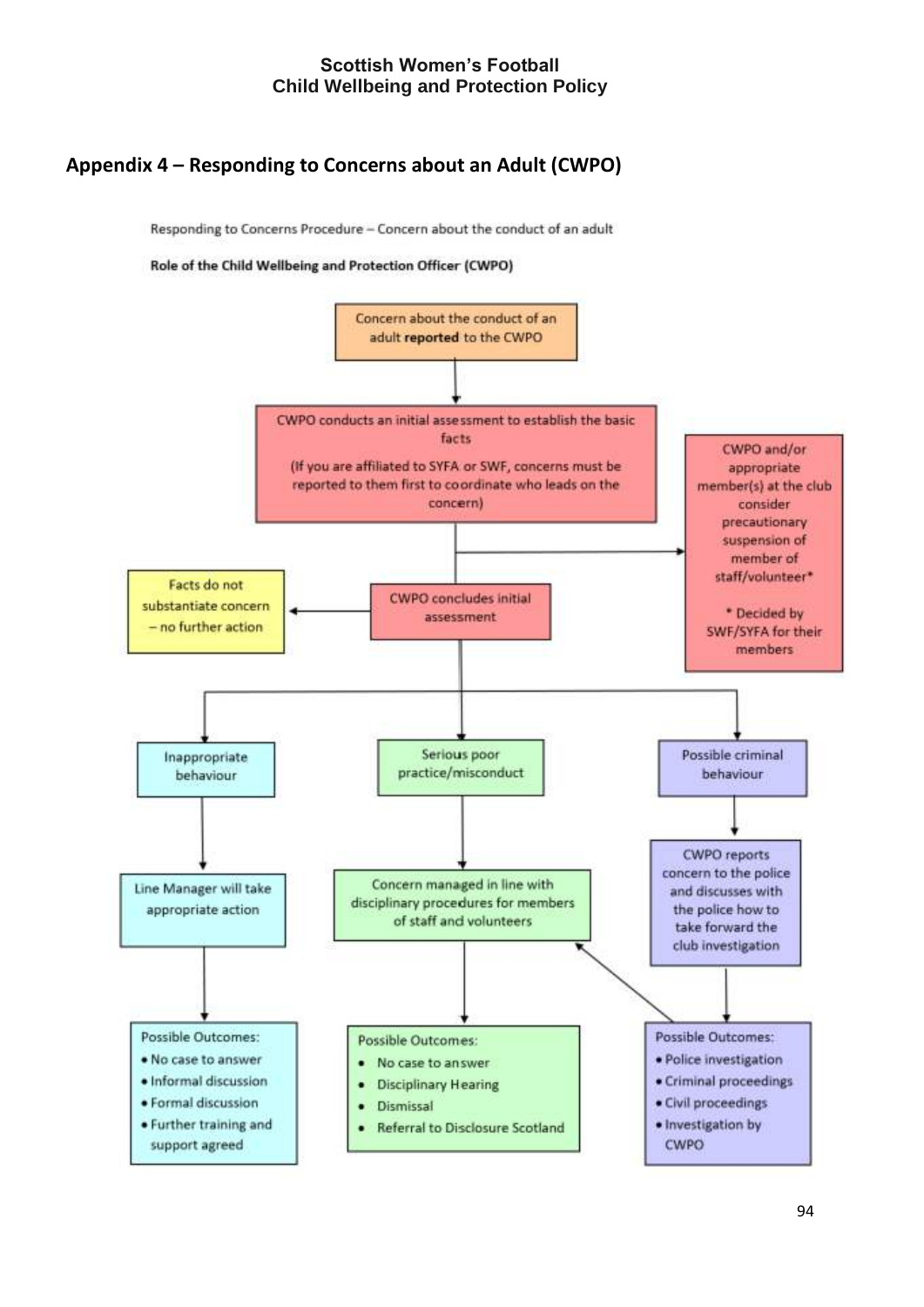# **Appendix 4 – Responding to Concerns about an Adult (CWPO)**

Responding to Concerns Procedure - Concern about the conduct of an adult

#### Role of the Child Wellbeing and Protection Officer (CWPO)

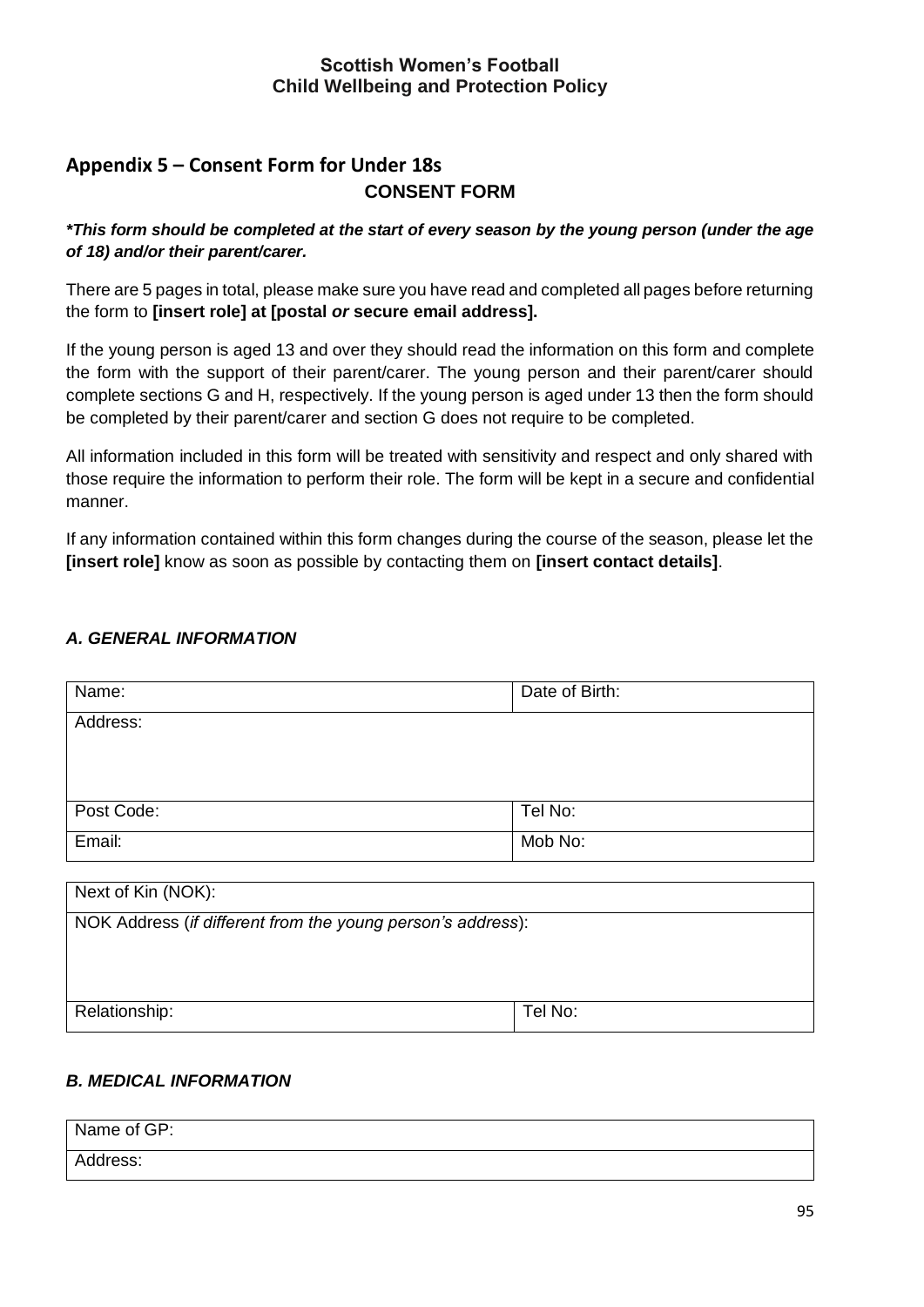# **Appendix 5 – Consent Form for Under 18s CONSENT FORM**

*\*This form should be completed at the start of every season by the young person (under the age of 18) and/or their parent/carer.* 

There are 5 pages in total, please make sure you have read and completed all pages before returning the form to **[insert role] at [postal** *or* **secure email address].** 

If the young person is aged 13 and over they should read the information on this form and complete the form with the support of their parent/carer. The young person and their parent/carer should complete sections G and H, respectively. If the young person is aged under 13 then the form should be completed by their parent/carer and section G does not require to be completed.

All information included in this form will be treated with sensitivity and respect and only shared with those require the information to perform their role. The form will be kept in a secure and confidential manner.

If any information contained within this form changes during the course of the season, please let the **[insert role]** know as soon as possible by contacting them on **[insert contact details]**.

### *A. GENERAL INFORMATION*

| Name:      | Date of Birth: |
|------------|----------------|
| Address:   |                |
|            |                |
|            |                |
| Post Code: | Tel No:        |
| Email:     | Mob No:        |
|            |                |

| Next of Kin (NOK):                                          |         |
|-------------------------------------------------------------|---------|
| NOK Address (if different from the young person's address): |         |
|                                                             |         |
|                                                             |         |
|                                                             |         |
| Relationship:                                               | Tel No: |
|                                                             |         |

### *B. MEDICAL INFORMATION*

| Name of GP: |  |
|-------------|--|
| Address:    |  |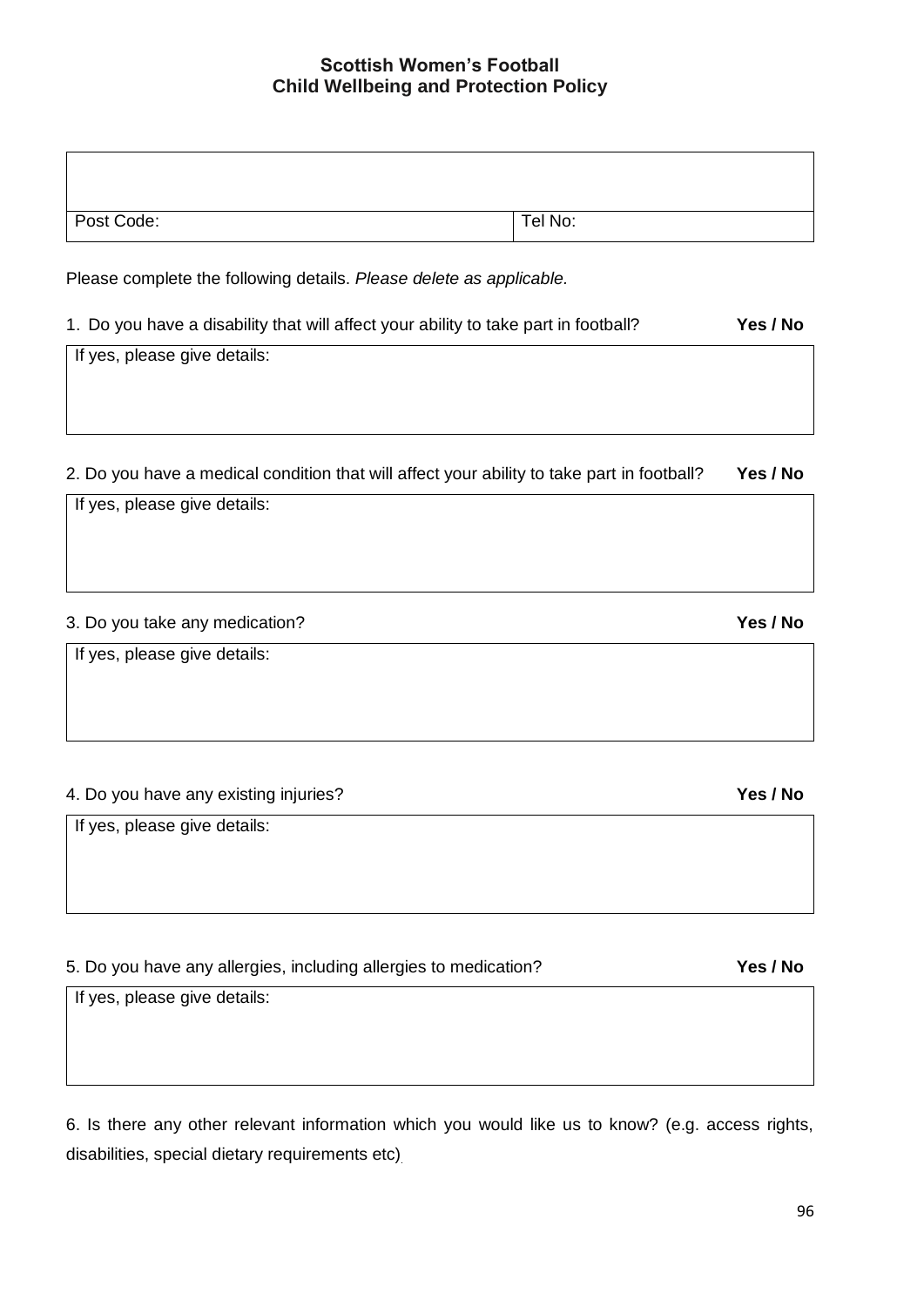| Post Code: | Tel No: |
|------------|---------|

Please complete the following details. *Please delete as applicable.*

| 1. Do you have a disability that will affect your ability to take part in football? | Yes / No |
|-------------------------------------------------------------------------------------|----------|
|-------------------------------------------------------------------------------------|----------|

If yes, please give details:

If yes, please give details:

2. Do you have a medical condition that will affect your ability to take part in football? **Yes / No** 

| 3. Do you take any medication?                                                                   | Yes / No |
|--------------------------------------------------------------------------------------------------|----------|
| If yes, please give details:                                                                     |          |
| 4. Do you have any existing injuries?                                                            | Yes / No |
| If yes, please give details:                                                                     |          |
| 5. Do you have any allergies, including allergies to medication?<br>If yes, please give details: | Yes / No |

6. Is there any other relevant information which you would like us to know? (e.g. access rights, disabilities, special dietary requirements etc)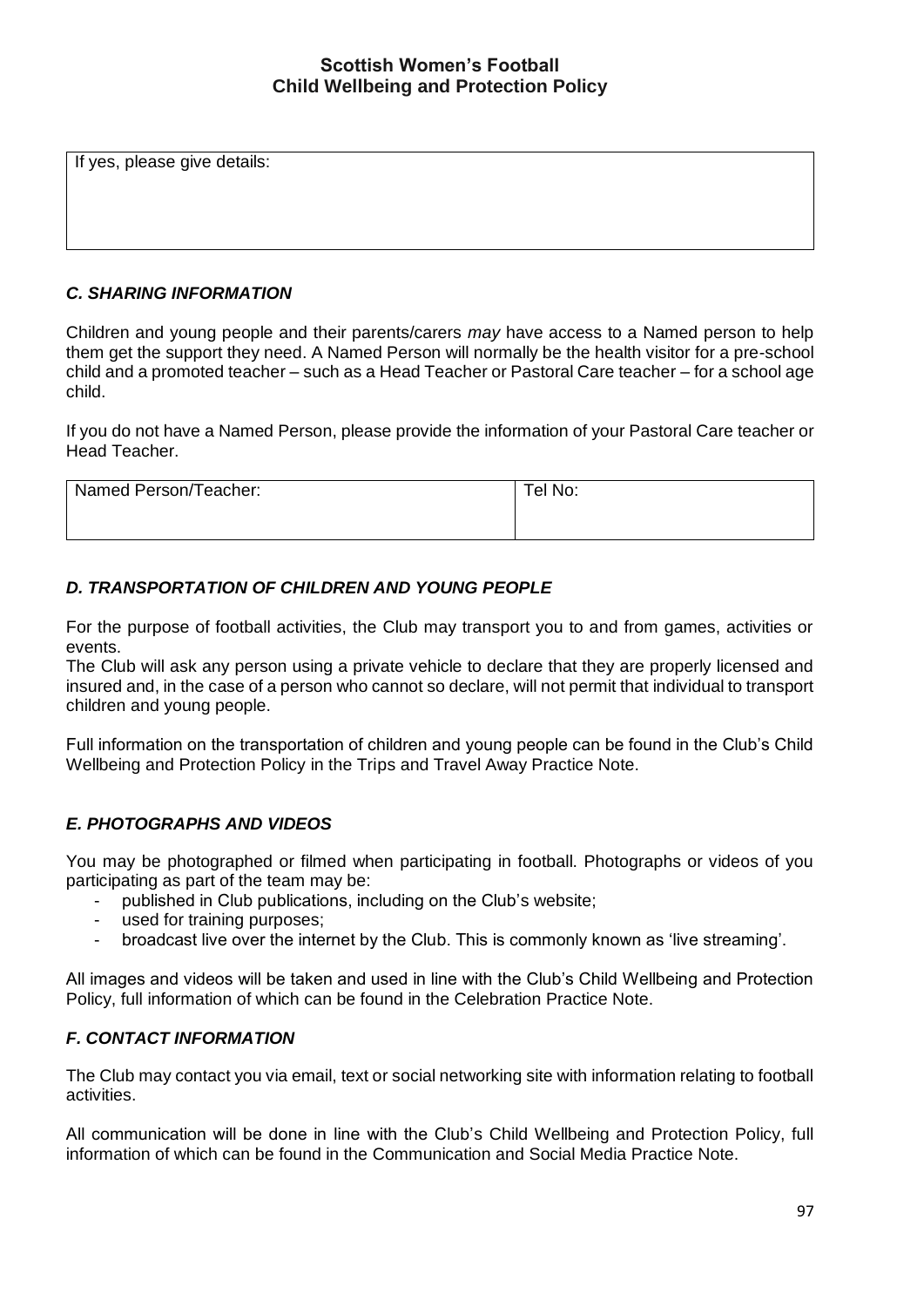If yes, please give details:

#### *C. SHARING INFORMATION*

Children and young people and their parents/carers *may* have access to a Named person to help them get the support they need. A Named Person will normally be the health visitor for a pre-school child and a promoted teacher – such as a Head Teacher or Pastoral Care teacher – for a school age child.

If you do not have a Named Person, please provide the information of your Pastoral Care teacher or Head Teacher.

| Named Person/Teacher: | Tel No: |
|-----------------------|---------|
|                       |         |

### *D. TRANSPORTATION OF CHILDREN AND YOUNG PEOPLE*

For the purpose of football activities, the Club may transport you to and from games, activities or events.

The Club will ask any person using a private vehicle to declare that they are properly licensed and insured and, in the case of a person who cannot so declare, will not permit that individual to transport children and young people.

Full information on the transportation of children and young people can be found in the Club's Child Wellbeing and Protection Policy in the Trips and Travel Away Practice Note.

### *E. PHOTOGRAPHS AND VIDEOS*

You may be photographed or filmed when participating in football. Photographs or videos of you participating as part of the team may be:

- published in Club publications, including on the Club's website;
- used for training purposes;
- broadcast live over the internet by the Club. This is commonly known as 'live streaming'.

All images and videos will be taken and used in line with the Club's Child Wellbeing and Protection Policy, full information of which can be found in the Celebration Practice Note.

#### *F. CONTACT INFORMATION*

The Club may contact you via email, text or social networking site with information relating to football activities.

All communication will be done in line with the Club's Child Wellbeing and Protection Policy, full information of which can be found in the Communication and Social Media Practice Note.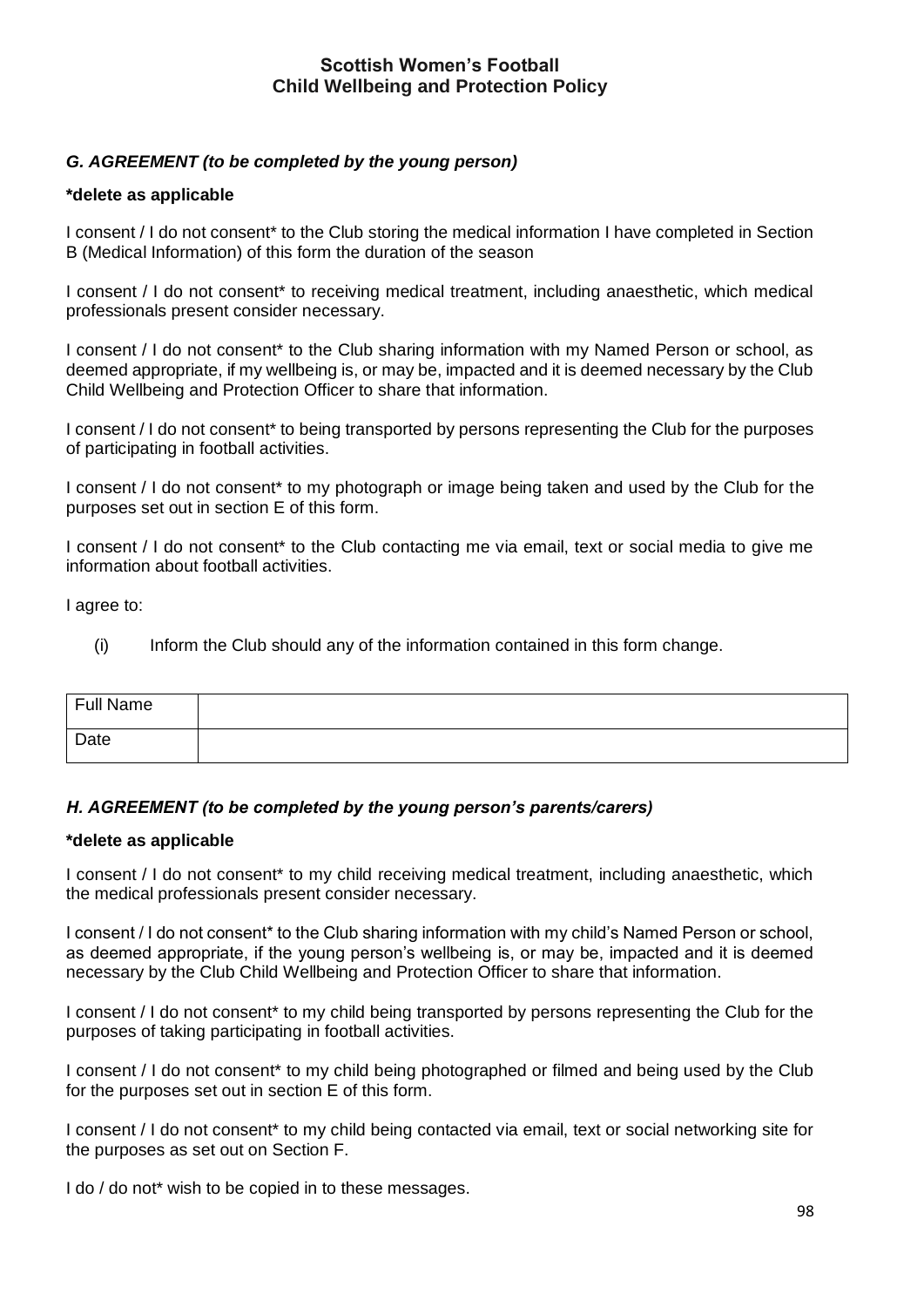### *G. AGREEMENT (to be completed by the young person)*

#### **\*delete as applicable**

I consent / I do not consent\* to the Club storing the medical information I have completed in Section B (Medical Information) of this form the duration of the season

I consent / I do not consent\* to receiving medical treatment, including anaesthetic, which medical professionals present consider necessary.

I consent / I do not consent\* to the Club sharing information with my Named Person or school, as deemed appropriate, if my wellbeing is, or may be, impacted and it is deemed necessary by the Club Child Wellbeing and Protection Officer to share that information.

I consent / I do not consent\* to being transported by persons representing the Club for the purposes of participating in football activities.

I consent / I do not consent\* to my photograph or image being taken and used by the Club for the purposes set out in section E of this form.

I consent / I do not consent<sup>\*</sup> to the Club contacting me via email, text or social media to give me information about football activities.

I agree to:

(i) Inform the Club should any of the information contained in this form change.

| Full Name |  |
|-----------|--|
| Date      |  |

#### *H. AGREEMENT (to be completed by the young person's parents/carers)*

#### **\*delete as applicable**

I consent / I do not consent\* to my child receiving medical treatment, including anaesthetic, which the medical professionals present consider necessary.

I consent / I do not consent\* to the Club sharing information with my child's Named Person or school, as deemed appropriate, if the young person's wellbeing is, or may be, impacted and it is deemed necessary by the Club Child Wellbeing and Protection Officer to share that information.

I consent / I do not consent\* to my child being transported by persons representing the Club for the purposes of taking participating in football activities.

I consent / I do not consent\* to my child being photographed or filmed and being used by the Club for the purposes set out in section E of this form.

I consent / I do not consent\* to my child being contacted via email, text or social networking site for the purposes as set out on Section F.

I do / do not<sup>\*</sup> wish to be copied in to these messages.